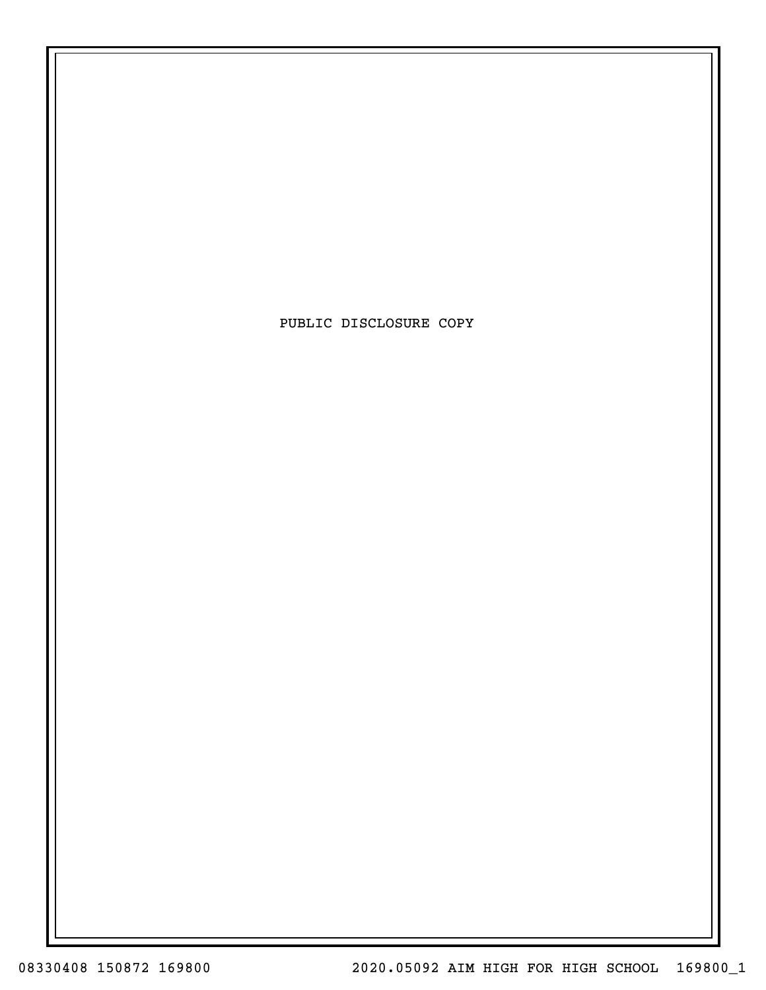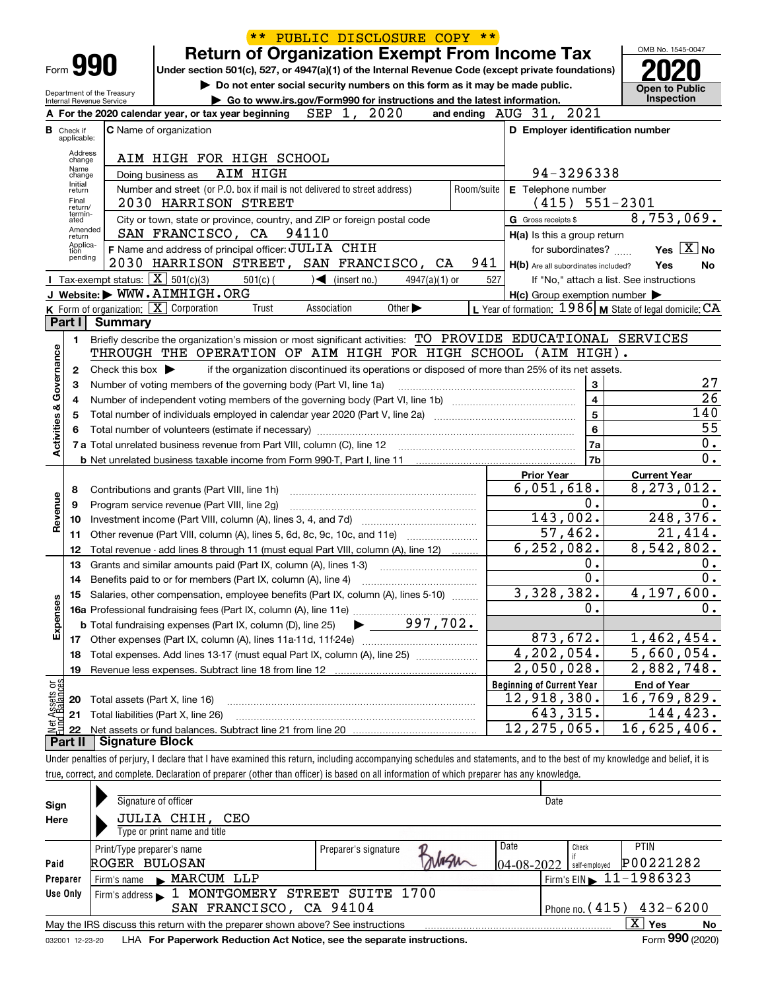|                                |                         |                                                            |                                                                                                                                            | $***$      | PUBLIC DISCLOSURE COPY **                                                                       |                                |            |                                  |                                                     |                                                                                                                                                                            |                 |
|--------------------------------|-------------------------|------------------------------------------------------------|--------------------------------------------------------------------------------------------------------------------------------------------|------------|-------------------------------------------------------------------------------------------------|--------------------------------|------------|----------------------------------|-----------------------------------------------------|----------------------------------------------------------------------------------------------------------------------------------------------------------------------------|-----------------|
|                                |                         |                                                            |                                                                                                                                            |            | <b>Return of Organization Exempt From Income Tax</b>                                            |                                |            |                                  |                                                     | OMB No. 1545-0047                                                                                                                                                          |                 |
|                                |                         | Form <b>990</b>                                            | Under section 501(c), 527, or 4947(a)(1) of the Internal Revenue Code (except private foundations)                                         |            |                                                                                                 |                                |            |                                  |                                                     |                                                                                                                                                                            |                 |
|                                |                         |                                                            |                                                                                                                                            |            | Do not enter social security numbers on this form as it may be made public.                     |                                |            |                                  |                                                     | <b>Open to Public</b>                                                                                                                                                      |                 |
|                                |                         | Department of the Treasury<br>Internal Revenue Service     |                                                                                                                                            |            | Go to www.irs.gov/Form990 for instructions and the latest information.                          |                                |            |                                  |                                                     | Inspection                                                                                                                                                                 |                 |
|                                |                         |                                                            | A For the 2020 calendar year, or tax year beginning $SEP$ 1, 2020                                                                          |            |                                                                                                 |                                |            | and ending AUG 31, 2021          |                                                     |                                                                                                                                                                            |                 |
| в                              | Check if<br>applicable: |                                                            | <b>C</b> Name of organization                                                                                                              |            |                                                                                                 |                                |            |                                  |                                                     | D Employer identification number                                                                                                                                           |                 |
|                                | Address<br>change       |                                                            | AIM HIGH FOR HIGH SCHOOL                                                                                                                   |            |                                                                                                 |                                |            |                                  |                                                     |                                                                                                                                                                            |                 |
|                                | Name<br>change          |                                                            | Doing business as                                                                                                                          | AIM HIGH   |                                                                                                 |                                |            |                                  | 94-3296338                                          |                                                                                                                                                                            |                 |
|                                | Initial<br>return       |                                                            | Number and street (or P.O. box if mail is not delivered to street address)                                                                 |            |                                                                                                 |                                | Room/suite |                                  | E Telephone number                                  |                                                                                                                                                                            |                 |
|                                | Final<br>return/        |                                                            | 2030 HARRISON STREET                                                                                                                       |            |                                                                                                 |                                |            |                                  | $(415) 551-2301$                                    |                                                                                                                                                                            |                 |
|                                | termin-<br>ated         |                                                            | City or town, state or province, country, and ZIP or foreign postal code                                                                   |            |                                                                                                 |                                |            | G Gross receipts \$              |                                                     | 8,753,069.                                                                                                                                                                 |                 |
|                                | Amended<br>return       |                                                            | SAN FRANCISCO, CA 94110                                                                                                                    |            |                                                                                                 |                                |            |                                  | H(a) Is this a group return                         |                                                                                                                                                                            |                 |
|                                | Applica-<br>tion        |                                                            | F Name and address of principal officer: JULIA CHIH                                                                                        |            |                                                                                                 |                                |            |                                  | for subordinates?                                   | Yes $ X $                                                                                                                                                                  | No              |
|                                | pending                 |                                                            | 2030 HARRISON STREET, SAN FRANCISCO, CA                                                                                                    |            |                                                                                                 |                                | 941        |                                  | H(b) Are all subordinates included?                 | Yes                                                                                                                                                                        | No              |
|                                |                         | <b>I</b> Tax-exempt status: $\boxed{\mathbf{X}}$ 501(c)(3) |                                                                                                                                            | $501(c)$ ( | $\sqrt{\frac{1}{1}}$ (insert no.)                                                               | $4947(a)(1)$ or                | 527        |                                  |                                                     | If "No," attach a list. See instructions                                                                                                                                   |                 |
|                                |                         |                                                            | J Website: WWW.AIMHIGH.ORG                                                                                                                 |            |                                                                                                 |                                |            |                                  | $H(c)$ Group exemption number $\blacktriangleright$ |                                                                                                                                                                            |                 |
|                                |                         |                                                            | $K$ Form of organization: $X$ Corporation                                                                                                  | Trust      | Association                                                                                     | Other $\blacktriangleright$    |            |                                  |                                                     | L Year of formation: $1986$ M State of legal domicile: CA                                                                                                                  |                 |
|                                | Part I                  | <b>Summary</b>                                             |                                                                                                                                            |            |                                                                                                 |                                |            |                                  |                                                     |                                                                                                                                                                            |                 |
|                                | 1.                      |                                                            | Briefly describe the organization's mission or most significant activities: TO PROVIDE EDUCATIONAL SERVICES                                |            |                                                                                                 |                                |            |                                  |                                                     |                                                                                                                                                                            |                 |
| Governance                     |                         |                                                            | THROUGH THE OPERATION OF AIM HIGH FOR HIGH SCHOOL (AIM HIGH).                                                                              |            |                                                                                                 |                                |            |                                  |                                                     |                                                                                                                                                                            |                 |
|                                | 2                       | Check this box $\blacktriangleright$                       |                                                                                                                                            |            | if the organization discontinued its operations or disposed of more than 25% of its net assets. |                                |            |                                  |                                                     |                                                                                                                                                                            |                 |
|                                | з                       |                                                            | Number of voting members of the governing body (Part VI, line 1a)                                                                          |            |                                                                                                 |                                |            |                                  | 3                                                   |                                                                                                                                                                            | 27              |
|                                | 4                       |                                                            |                                                                                                                                            |            |                                                                                                 |                                |            |                                  | $\overline{4}$                                      |                                                                                                                                                                            | $\overline{26}$ |
|                                | 5                       |                                                            | Total number of individuals employed in calendar year 2020 (Part V, line 2a) manufacture controller to intervent                           |            |                                                                                                 |                                |            |                                  | $\overline{5}$                                      | 140                                                                                                                                                                        | 55              |
| <b>Activities &amp;</b>        | 6                       |                                                            |                                                                                                                                            |            |                                                                                                 |                                |            |                                  | 6                                                   |                                                                                                                                                                            | 0.              |
|                                |                         |                                                            |                                                                                                                                            |            |                                                                                                 |                                |            |                                  | 7a<br>7 <sub>b</sub>                                |                                                                                                                                                                            | 0.              |
|                                |                         |                                                            |                                                                                                                                            |            |                                                                                                 |                                |            | <b>Prior Year</b>                |                                                     |                                                                                                                                                                            |                 |
|                                | 8                       |                                                            | Contributions and grants (Part VIII, line 1h)                                                                                              |            |                                                                                                 |                                |            |                                  | 6,051,618.                                          | <b>Current Year</b><br>8,273,012.                                                                                                                                          |                 |
|                                | 9                       |                                                            | Program service revenue (Part VIII, line 2g)                                                                                               |            |                                                                                                 |                                |            |                                  | 0.                                                  |                                                                                                                                                                            | 0.              |
| Revenue                        | 10                      |                                                            |                                                                                                                                            |            |                                                                                                 |                                |            |                                  | 143,002.                                            | 248, 376.                                                                                                                                                                  |                 |
|                                | 11                      |                                                            | Other revenue (Part VIII, column (A), lines 5, 6d, 8c, 9c, 10c, and 11e) <i>manumumum</i>                                                  |            |                                                                                                 |                                |            |                                  | 57,462.                                             | 21,414.                                                                                                                                                                    |                 |
|                                | 12                      |                                                            | Total revenue - add lines 8 through 11 (must equal Part VIII, column (A), line 12)                                                         |            |                                                                                                 |                                |            |                                  | 6, 252, 082.                                        | 8,542,802.                                                                                                                                                                 |                 |
|                                | 13                      |                                                            | Grants and similar amounts paid (Part IX, column (A), lines 1-3)                                                                           |            |                                                                                                 |                                |            |                                  | 0.                                                  |                                                                                                                                                                            | 0.              |
|                                | 14                      |                                                            | Benefits paid to or for members (Part IX, column (A), line 4)                                                                              |            |                                                                                                 |                                |            |                                  | $\overline{0}$ .                                    |                                                                                                                                                                            | 0.              |
|                                | 15                      |                                                            | Salaries, other compensation, employee benefits (Part IX, column (A), lines 5-10)                                                          |            |                                                                                                 |                                |            |                                  | 3,328,382.                                          | 4, 197, 600.                                                                                                                                                               |                 |
|                                |                         |                                                            |                                                                                                                                            |            |                                                                                                 |                                |            |                                  | 0.                                                  |                                                                                                                                                                            | 0.              |
| Expenses                       |                         |                                                            | <b>b</b> Total fundraising expenses (Part IX, column (D), line 25)                                                                         |            |                                                                                                 | $\blacktriangleright$ 997,702. |            |                                  |                                                     |                                                                                                                                                                            |                 |
|                                |                         |                                                            |                                                                                                                                            |            |                                                                                                 |                                |            |                                  | 873,672.                                            | 1,462,454.                                                                                                                                                                 |                 |
|                                | 18                      |                                                            | Total expenses. Add lines 13-17 (must equal Part IX, column (A), line 25)                                                                  |            |                                                                                                 |                                |            |                                  | 4,202,054.                                          | 5,660,054.                                                                                                                                                                 |                 |
|                                | 19                      |                                                            |                                                                                                                                            |            |                                                                                                 |                                |            |                                  | 2,050,028.                                          | 2,882,748.                                                                                                                                                                 |                 |
| Net Assets or<br>Eund Balances |                         |                                                            |                                                                                                                                            |            |                                                                                                 |                                |            | <b>Beginning of Current Year</b> |                                                     | <b>End of Year</b>                                                                                                                                                         |                 |
|                                | 20                      | Total assets (Part X, line 16)                             |                                                                                                                                            |            |                                                                                                 |                                |            |                                  | 12,918,380.                                         | 16,769,829.                                                                                                                                                                |                 |
|                                | 21                      |                                                            | Total liabilities (Part X, line 26)                                                                                                        |            |                                                                                                 |                                |            |                                  | 643,315.                                            | 144,423.                                                                                                                                                                   |                 |
|                                | 22<br>Part II           | <b>Signature Block</b>                                     |                                                                                                                                            |            |                                                                                                 |                                |            |                                  | 12, 275, 065.                                       | 16,625,406.                                                                                                                                                                |                 |
|                                |                         |                                                            |                                                                                                                                            |            |                                                                                                 |                                |            |                                  |                                                     | Under penalties of perjury, I declare that I have examined this return, including accompanying schedules and statements, and to the best of my knowledge and belief, it is |                 |
|                                |                         |                                                            | true, correct, and complete. Declaration of preparer (other than officer) is based on all information of which preparer has any knowledge. |            |                                                                                                 |                                |            |                                  |                                                     |                                                                                                                                                                            |                 |
|                                |                         |                                                            |                                                                                                                                            |            |                                                                                                 |                                |            |                                  |                                                     |                                                                                                                                                                            |                 |
| Sign                           |                         |                                                            | Signature of officer                                                                                                                       |            |                                                                                                 |                                |            |                                  | Date                                                |                                                                                                                                                                            |                 |
| Here                           |                         |                                                            | JULIA CHIH, CEO                                                                                                                            |            |                                                                                                 |                                |            |                                  |                                                     |                                                                                                                                                                            |                 |
|                                |                         |                                                            | Type or print name and title                                                                                                               |            |                                                                                                 |                                |            |                                  |                                                     |                                                                                                                                                                            |                 |
|                                |                         | Drint/Tuno proporario namo                                 |                                                                                                                                            |            | Droporor <sup>i</sup> o oignoturo                                                               | $\Omega$                       |            | <b>Date</b>                      | Check                                               | PTIN                                                                                                                                                                       |                 |

|                 | Print/Type preparer's name                                                      | Preparer's signature | Date             | Check         | <b>PTIN</b>                                         |    |
|-----------------|---------------------------------------------------------------------------------|----------------------|------------------|---------------|-----------------------------------------------------|----|
| Paid            | ROGER BULOSAN                                                                   |                      | $04 - 08 - 2022$ | self-employed | P00221282                                           |    |
| Preparer        | MARCUM LLP<br>Firm's name<br>$\mathbf{r}$                                       |                      |                  |               | $\sqrt{\frac{1}{1}}$ Firm's EIN $\sqrt{11-1986323}$ |    |
| Use Only        | Firm's address 1 MONTGOMERY STREET SUITE 1700                                   |                      |                  |               |                                                     |    |
|                 | SAN FRANCISCO, CA 94104                                                         |                      |                  |               | Phone no. $(415)$ $432-6200$                        |    |
|                 | May the IRS discuss this return with the preparer shown above? See instructions |                      |                  |               | x<br>Yes                                            | No |
| 032001 12-23-20 | LHA For Paperwork Reduction Act Notice, see the separate instructions.          |                      |                  |               | Form 990 (2020)                                     |    |

032001 12-23-20 **For Paperwork Reduction Act Notice, see the separate instructions.** LHA Form (2020)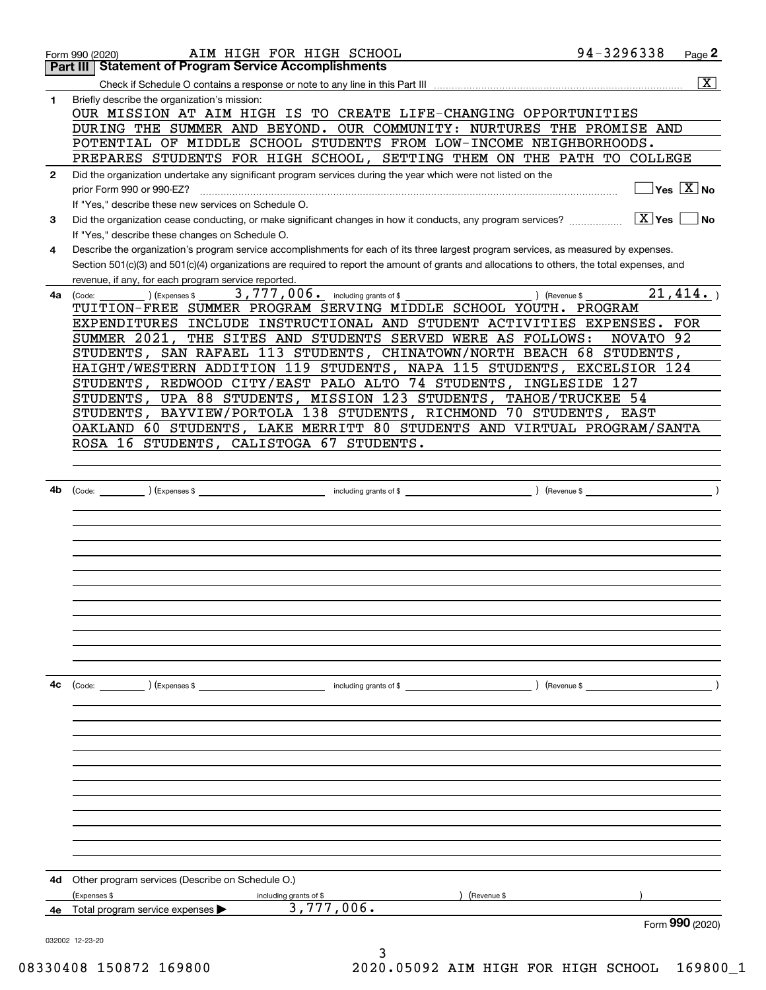|              | AIM HIGH FOR HIGH SCHOOL<br>Form 990 (2020)                                                                                                                     | 94-3296338             | Page 2                                    |
|--------------|-----------------------------------------------------------------------------------------------------------------------------------------------------------------|------------------------|-------------------------------------------|
|              | Part III   Statement of Program Service Accomplishments                                                                                                         |                        |                                           |
|              |                                                                                                                                                                 |                        | $\overline{\mathbf{x}}$                   |
| 1            | Briefly describe the organization's mission:<br>OUR MISSION AT AIM HIGH IS TO CREATE LIFE-CHANGING OPPORTUNITIES                                                |                        |                                           |
|              | DURING THE SUMMER AND BEYOND. OUR COMMUNITY: NURTURES THE PROMISE AND                                                                                           |                        |                                           |
|              | POTENTIAL OF MIDDLE SCHOOL STUDENTS FROM LOW-INCOME NEIGHBORHOODS.                                                                                              |                        |                                           |
|              | PREPARES STUDENTS FOR HIGH SCHOOL, SETTING THEM ON THE PATH TO COLLEGE                                                                                          |                        |                                           |
| $\mathbf{2}$ | Did the organization undertake any significant program services during the year which were not listed on the                                                    |                        |                                           |
|              | prior Form 990 or 990-EZ?                                                                                                                                       |                        | $\overline{\ }$ Yes $\overline{\ \ X}$ No |
|              | If "Yes," describe these new services on Schedule O.                                                                                                            |                        |                                           |
| 3            | Did the organization cease conducting, or make significant changes in how it conducts, any program services?<br>If "Yes," describe these changes on Schedule O. | $\boxed{\text{X}}$ Yes | l No                                      |
| 4            | Describe the organization's program service accomplishments for each of its three largest program services, as measured by expenses.                            |                        |                                           |
|              | Section 501(c)(3) and 501(c)(4) organizations are required to report the amount of grants and allocations to others, the total expenses, and                    |                        |                                           |
|              | revenue, if any, for each program service reported.<br>3,777,006. including grants of \$<br>(Expenses \$<br>) (Revenue \$                                       |                        | 21,414.                                   |
|              | 4a (Code:<br>TUITION-FREE SUMMER PROGRAM SERVING MIDDLE SCHOOL YOUTH. PROGRAM                                                                                   |                        |                                           |
|              | EXPENDITURES INCLUDE INSTRUCTIONAL AND STUDENT ACTIVITIES EXPENSES. FOR                                                                                         |                        |                                           |
|              | SUMMER 2021, THE SITES AND STUDENTS SERVED WERE AS FOLLOWS:                                                                                                     | NOVATO 92              |                                           |
|              | STUDENTS, SAN RAFAEL 113 STUDENTS, CHINATOWN/NORTH BEACH 68 STUDENTS,                                                                                           |                        |                                           |
|              | HAIGHT/WESTERN ADDITION 119 STUDENTS, NAPA 115 STUDENTS, EXCELSIOR 124                                                                                          |                        |                                           |
|              | STUDENTS, REDWOOD CITY/EAST PALO ALTO 74 STUDENTS, INGLESIDE 127                                                                                                |                        |                                           |
|              | STUDENTS, UPA 88 STUDENTS, MISSION 123 STUDENTS, TAHOE/TRUCKEE 54                                                                                               |                        |                                           |
|              | STUDENTS, BAYVIEW/PORTOLA 138 STUDENTS, RICHMOND 70 STUDENTS, EAST                                                                                              |                        |                                           |
|              | OAKLAND 60 STUDENTS, LAKE MERRITT 80 STUDENTS AND VIRTUAL PROGRAM/SANTA                                                                                         |                        |                                           |
|              | ROSA 16 STUDENTS, CALISTOGA 67 STUDENTS.                                                                                                                        |                        |                                           |
|              |                                                                                                                                                                 |                        |                                           |
|              |                                                                                                                                                                 |                        |                                           |
| 4b           |                                                                                                                                                                 |                        |                                           |
|              |                                                                                                                                                                 |                        |                                           |
|              |                                                                                                                                                                 |                        |                                           |
|              |                                                                                                                                                                 |                        |                                           |
|              |                                                                                                                                                                 |                        |                                           |
|              |                                                                                                                                                                 |                        |                                           |
|              |                                                                                                                                                                 |                        |                                           |
|              |                                                                                                                                                                 |                        |                                           |
|              |                                                                                                                                                                 |                        |                                           |
|              |                                                                                                                                                                 |                        |                                           |
|              |                                                                                                                                                                 |                        |                                           |
|              |                                                                                                                                                                 |                        |                                           |
| 4с           | $\overline{\phantom{a}}$ including grants of \$ $\overline{\phantom{a}}$ (Revenue \$ $\overline{\phantom{a}}$ )<br>(Code: ) (Expenses \$                        |                        |                                           |
|              |                                                                                                                                                                 |                        |                                           |
|              |                                                                                                                                                                 |                        |                                           |
|              |                                                                                                                                                                 |                        |                                           |
|              |                                                                                                                                                                 |                        |                                           |
|              |                                                                                                                                                                 |                        |                                           |
|              |                                                                                                                                                                 |                        |                                           |
|              |                                                                                                                                                                 |                        |                                           |
|              |                                                                                                                                                                 |                        |                                           |
|              |                                                                                                                                                                 |                        |                                           |
|              |                                                                                                                                                                 |                        |                                           |
|              |                                                                                                                                                                 |                        |                                           |
| 4d           | Other program services (Describe on Schedule O.)                                                                                                                |                        |                                           |
|              | (Expenses \$<br>(Revenue \$<br>including grants of \$                                                                                                           |                        |                                           |
| 4е           | 3,777,006.<br>Total program service expenses                                                                                                                    |                        |                                           |
|              |                                                                                                                                                                 |                        | Form 990 (2020)                           |
|              | 032002 12-23-20                                                                                                                                                 |                        |                                           |
|              |                                                                                                                                                                 |                        |                                           |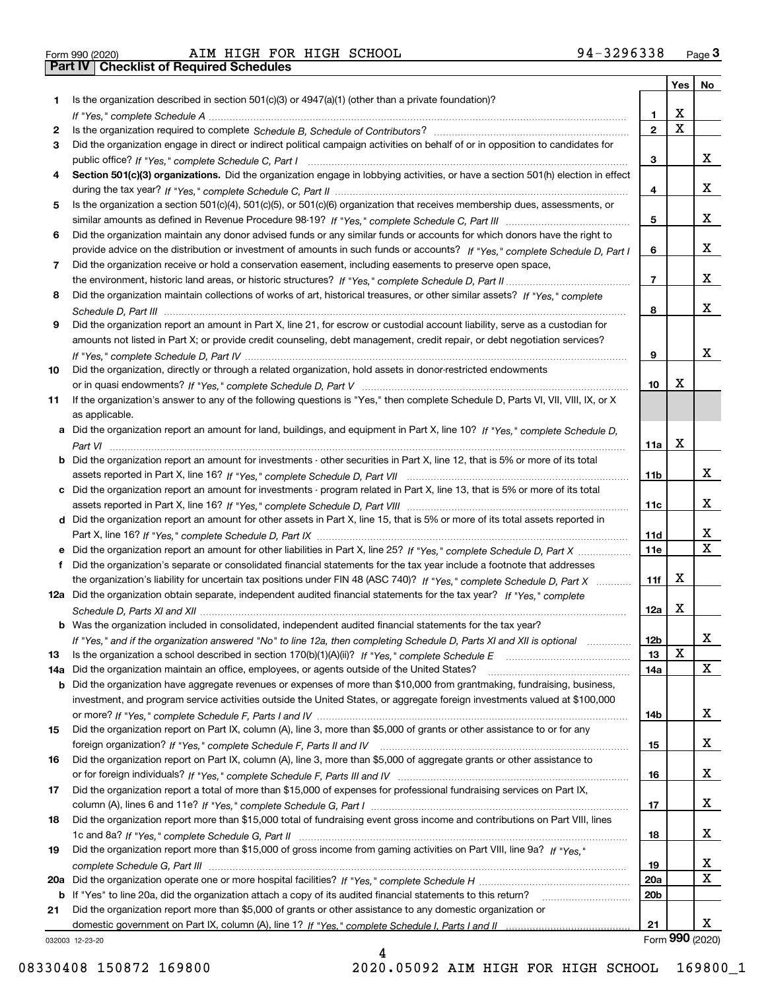|  | Form 990 (2020) |
|--|-----------------|

|     |                                                                                                                                                                                                                                                       |                 | Yes $ $     | No                      |
|-----|-------------------------------------------------------------------------------------------------------------------------------------------------------------------------------------------------------------------------------------------------------|-----------------|-------------|-------------------------|
| 1   | Is the organization described in section 501(c)(3) or 4947(a)(1) (other than a private foundation)?                                                                                                                                                   |                 |             |                         |
|     |                                                                                                                                                                                                                                                       | 1               | х           |                         |
| 2   |                                                                                                                                                                                                                                                       | $\overline{2}$  | $\mathbf X$ |                         |
| 3   | Did the organization engage in direct or indirect political campaign activities on behalf of or in opposition to candidates for                                                                                                                       |                 |             |                         |
|     |                                                                                                                                                                                                                                                       | 3               |             | X.                      |
| 4   | Section 501(c)(3) organizations. Did the organization engage in lobbying activities, or have a section 501(h) election in effect                                                                                                                      |                 |             |                         |
|     |                                                                                                                                                                                                                                                       | 4               |             | X.                      |
| 5   | Is the organization a section 501(c)(4), 501(c)(5), or 501(c)(6) organization that receives membership dues, assessments, or                                                                                                                          |                 |             | x                       |
|     |                                                                                                                                                                                                                                                       | 5               |             |                         |
| 6   | Did the organization maintain any donor advised funds or any similar funds or accounts for which donors have the right to                                                                                                                             |                 |             | X.                      |
|     | provide advice on the distribution or investment of amounts in such funds or accounts? If "Yes," complete Schedule D, Part I                                                                                                                          | 6               |             |                         |
| 7   | Did the organization receive or hold a conservation easement, including easements to preserve open space,                                                                                                                                             | $\overline{7}$  |             | X.                      |
| 8   | Did the organization maintain collections of works of art, historical treasures, or other similar assets? If "Yes," complete                                                                                                                          |                 |             |                         |
|     |                                                                                                                                                                                                                                                       | 8               |             | X.                      |
| 9   | Did the organization report an amount in Part X, line 21, for escrow or custodial account liability, serve as a custodian for                                                                                                                         |                 |             |                         |
|     | amounts not listed in Part X; or provide credit counseling, debt management, credit repair, or debt negotiation services?                                                                                                                             |                 |             |                         |
|     |                                                                                                                                                                                                                                                       | 9               |             | x                       |
| 10  | Did the organization, directly or through a related organization, hold assets in donor-restricted endowments                                                                                                                                          |                 |             |                         |
|     |                                                                                                                                                                                                                                                       | 10              | х           |                         |
| 11  | If the organization's answer to any of the following questions is "Yes," then complete Schedule D, Parts VI, VII, VIII, IX, or X                                                                                                                      |                 |             |                         |
|     | as applicable.                                                                                                                                                                                                                                        |                 |             |                         |
|     | a Did the organization report an amount for land, buildings, and equipment in Part X, line 10? If "Yes," complete Schedule D,                                                                                                                         |                 |             |                         |
|     |                                                                                                                                                                                                                                                       | 11a             | X           |                         |
|     | <b>b</b> Did the organization report an amount for investments - other securities in Part X, line 12, that is 5% or more of its total                                                                                                                 |                 |             |                         |
|     |                                                                                                                                                                                                                                                       | 11b             |             | x                       |
|     | c Did the organization report an amount for investments - program related in Part X, line 13, that is 5% or more of its total                                                                                                                         |                 |             |                         |
|     |                                                                                                                                                                                                                                                       | 11c             |             | X.                      |
|     | d Did the organization report an amount for other assets in Part X, line 15, that is 5% or more of its total assets reported in                                                                                                                       |                 |             |                         |
|     |                                                                                                                                                                                                                                                       | 11d             |             | x                       |
|     | e Did the organization report an amount for other liabilities in Part X, line 25? If "Yes," complete Schedule D, Part X                                                                                                                               | <b>11e</b>      |             | $\overline{\mathbf{x}}$ |
| f   | Did the organization's separate or consolidated financial statements for the tax year include a footnote that addresses                                                                                                                               |                 |             |                         |
|     | the organization's liability for uncertain tax positions under FIN 48 (ASC 740)? If "Yes," complete Schedule D, Part X                                                                                                                                | 11f             | x           |                         |
|     | 12a Did the organization obtain separate, independent audited financial statements for the tax year? If "Yes," complete                                                                                                                               |                 |             |                         |
|     |                                                                                                                                                                                                                                                       | 12a             | X           |                         |
|     | <b>b</b> Was the organization included in consolidated, independent audited financial statements for the tax year?                                                                                                                                    |                 |             |                         |
|     | If "Yes," and if the organization answered "No" to line 12a, then completing Schedule D, Parts XI and XII is optional                                                                                                                                 | 12 <sub>b</sub> | X           | x                       |
| 13  | Is the organization a school described in section 170(b)(1)(A)(ii)? If "Yes," complete Schedule E                                                                                                                                                     | 13              |             | x                       |
| 14a | Did the organization maintain an office, employees, or agents outside of the United States?                                                                                                                                                           | 14a             |             |                         |
| b   | Did the organization have aggregate revenues or expenses of more than \$10,000 from grantmaking, fundraising, business,<br>investment, and program service activities outside the United States, or aggregate foreign investments valued at \$100,000 |                 |             |                         |
|     |                                                                                                                                                                                                                                                       | 14b             |             | X.                      |
| 15  | Did the organization report on Part IX, column (A), line 3, more than \$5,000 of grants or other assistance to or for any                                                                                                                             |                 |             |                         |
|     |                                                                                                                                                                                                                                                       | 15              |             | X.                      |
| 16  | Did the organization report on Part IX, column (A), line 3, more than \$5,000 of aggregate grants or other assistance to                                                                                                                              |                 |             |                         |
|     |                                                                                                                                                                                                                                                       | 16              |             | X.                      |
| 17  | Did the organization report a total of more than \$15,000 of expenses for professional fundraising services on Part IX,                                                                                                                               |                 |             |                         |
|     |                                                                                                                                                                                                                                                       | 17              |             | X.                      |
| 18  | Did the organization report more than \$15,000 total of fundraising event gross income and contributions on Part VIII, lines                                                                                                                          |                 |             |                         |
|     |                                                                                                                                                                                                                                                       | 18              |             | X.                      |
| 19  | Did the organization report more than \$15,000 of gross income from gaming activities on Part VIII, line 9a? If "Yes."                                                                                                                                |                 |             |                         |
|     |                                                                                                                                                                                                                                                       | 19              |             | X                       |
| 20a |                                                                                                                                                                                                                                                       | 20a             |             | X                       |
|     | b If "Yes" to line 20a, did the organization attach a copy of its audited financial statements to this return?                                                                                                                                        | 20 <sub>b</sub> |             |                         |
| 21  | Did the organization report more than \$5,000 of grants or other assistance to any domestic organization or                                                                                                                                           |                 |             |                         |
|     |                                                                                                                                                                                                                                                       | 21              |             | X.                      |
|     | 032003 12-23-20                                                                                                                                                                                                                                       |                 |             | Form 990 (2020)         |

4

032003 12-23-20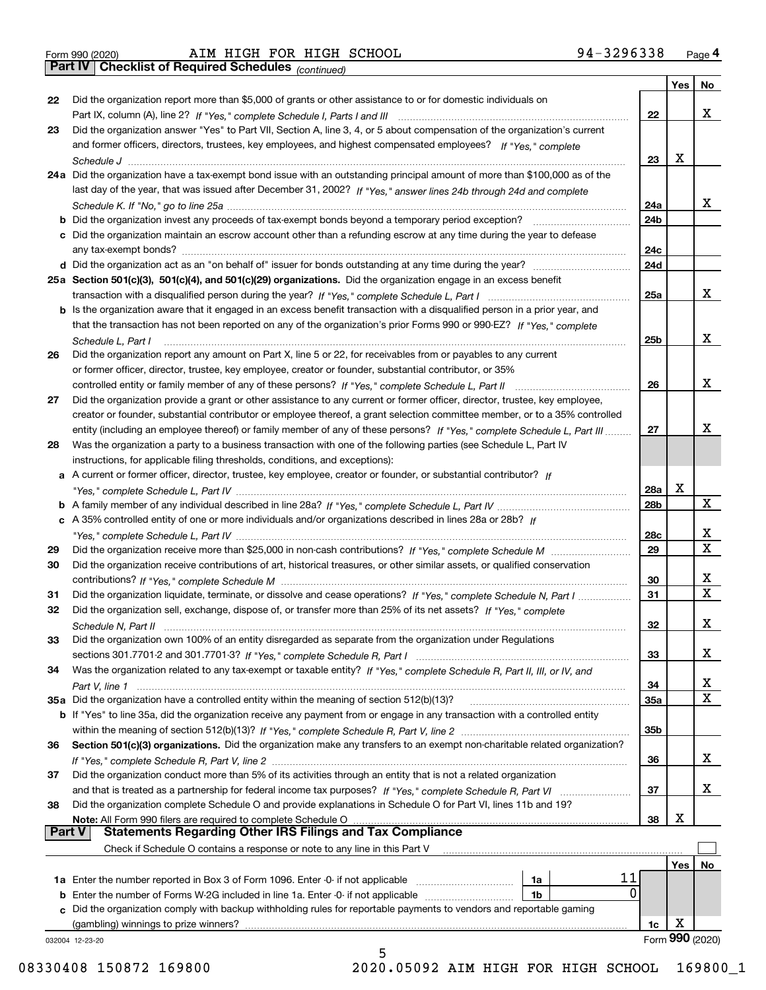|  | Form 990 (2020) |
|--|-----------------|
|  |                 |

*(continued)*

|               |                                                                                                                                   |     | Yes | No                      |
|---------------|-----------------------------------------------------------------------------------------------------------------------------------|-----|-----|-------------------------|
| 22            | Did the organization report more than \$5,000 of grants or other assistance to or for domestic individuals on                     |     |     |                         |
|               |                                                                                                                                   | 22  |     | x                       |
| 23            | Did the organization answer "Yes" to Part VII, Section A, line 3, 4, or 5 about compensation of the organization's current        |     |     |                         |
|               | and former officers, directors, trustees, key employees, and highest compensated employees? If "Yes," complete                    |     |     |                         |
|               |                                                                                                                                   | 23  | x   |                         |
|               | 24a Did the organization have a tax-exempt bond issue with an outstanding principal amount of more than \$100,000 as of the       |     |     |                         |
|               | last day of the year, that was issued after December 31, 2002? If "Yes," answer lines 24b through 24d and complete                |     |     |                         |
|               |                                                                                                                                   | 24a |     | X.                      |
|               | b Did the organization invest any proceeds of tax-exempt bonds beyond a temporary period exception?                               | 24b |     |                         |
|               | c Did the organization maintain an escrow account other than a refunding escrow at any time during the year to defease            |     |     |                         |
|               | any tax-exempt bonds?                                                                                                             | 24c |     |                         |
|               |                                                                                                                                   | 24d |     |                         |
|               | 25a Section 501(c)(3), 501(c)(4), and 501(c)(29) organizations. Did the organization engage in an excess benefit                  |     |     |                         |
|               |                                                                                                                                   | 25a |     | X.                      |
|               | b Is the organization aware that it engaged in an excess benefit transaction with a disqualified person in a prior year, and      |     |     |                         |
|               | that the transaction has not been reported on any of the organization's prior Forms 990 or 990-EZ? If "Yes." complete             |     |     |                         |
|               | Schedule L, Part I                                                                                                                | 25b |     | X.                      |
| 26            | Did the organization report any amount on Part X, line 5 or 22, for receivables from or payables to any current                   |     |     |                         |
|               | or former officer, director, trustee, key employee, creator or founder, substantial contributor, or 35%                           |     |     |                         |
|               |                                                                                                                                   | 26  |     | x                       |
| 27            | Did the organization provide a grant or other assistance to any current or former officer, director, trustee, key employee,       |     |     |                         |
|               | creator or founder, substantial contributor or employee thereof, a grant selection committee member, or to a 35% controlled       |     |     |                         |
|               | entity (including an employee thereof) or family member of any of these persons? If "Yes," complete Schedule L, Part III          | 27  |     | x                       |
| 28            | Was the organization a party to a business transaction with one of the following parties (see Schedule L, Part IV                 |     |     |                         |
|               | instructions, for applicable filing thresholds, conditions, and exceptions):                                                      |     |     |                         |
|               | a A current or former officer, director, trustee, key employee, creator or founder, or substantial contributor? If                |     |     |                         |
|               |                                                                                                                                   | 28a | x   |                         |
|               |                                                                                                                                   | 28b |     | X                       |
|               | c A 35% controlled entity of one or more individuals and/or organizations described in lines 28a or 28b? If                       |     |     |                         |
|               |                                                                                                                                   | 28c |     | X.                      |
| 29            |                                                                                                                                   | 29  |     | $\overline{\mathbf{x}}$ |
| 30            | Did the organization receive contributions of art, historical treasures, or other similar assets, or qualified conservation       |     |     |                         |
|               |                                                                                                                                   | 30  |     | x                       |
| 31            | Did the organization liquidate, terminate, or dissolve and cease operations? If "Yes," complete Schedule N, Part I                | 31  |     | $\overline{\mathbf{x}}$ |
| 32            | Did the organization sell, exchange, dispose of, or transfer more than 25% of its net assets? If "Yes," complete                  |     |     |                         |
|               |                                                                                                                                   | 32  |     | x                       |
|               | Schedule N, Part II<br>Did the organization own 100% of an entity disregarded as separate from the organization under Regulations |     |     |                         |
| 33            |                                                                                                                                   | 33  |     | X                       |
|               |                                                                                                                                   |     |     |                         |
| 34            | Was the organization related to any tax-exempt or taxable entity? If "Yes," complete Schedule R, Part II, III, or IV, and         |     |     | х                       |
|               | 35a Did the organization have a controlled entity within the meaning of section 512(b)(13)?                                       | 34  |     | X                       |
|               |                                                                                                                                   | 35a |     |                         |
|               | b If "Yes" to line 35a, did the organization receive any payment from or engage in any transaction with a controlled entity       |     |     |                         |
|               |                                                                                                                                   | 35b |     |                         |
| 36            | Section 501(c)(3) organizations. Did the organization make any transfers to an exempt non-charitable related organization?        |     |     | x                       |
|               |                                                                                                                                   | 36  |     |                         |
| 37            | Did the organization conduct more than 5% of its activities through an entity that is not a related organization                  |     |     |                         |
|               | and that is treated as a partnership for federal income tax purposes? If "Yes," complete Schedule R, Part VI                      | 37  |     | x                       |
| 38            | Did the organization complete Schedule O and provide explanations in Schedule O for Part VI, lines 11b and 19?                    |     | х   |                         |
| <b>Part V</b> | Note: All Form 990 filers are required to complete Schedule O<br><b>Statements Regarding Other IRS Filings and Tax Compliance</b> | 38  |     |                         |
|               |                                                                                                                                   |     |     |                         |
|               | Check if Schedule O contains a response or note to any line in this Part V                                                        |     |     |                         |
|               |                                                                                                                                   |     | Yes | No                      |
|               | 11<br>1a Enter the number reported in Box 3 of Form 1096. Enter -0- if not applicable<br>1a                                       |     |     |                         |
|               | 0<br><b>b</b> Enter the number of Forms W-2G included in line 1a. Enter -0- if not applicable <i>manumumumum</i><br>1b            |     |     |                         |
|               | c Did the organization comply with backup withholding rules for reportable payments to vendors and reportable gaming              |     |     |                         |
|               | (gambling) winnings to prize winners?                                                                                             | 1c  | X   |                         |
|               | 032004 12-23-20<br>5                                                                                                              |     |     | Form 990 (2020)         |
|               |                                                                                                                                   |     |     |                         |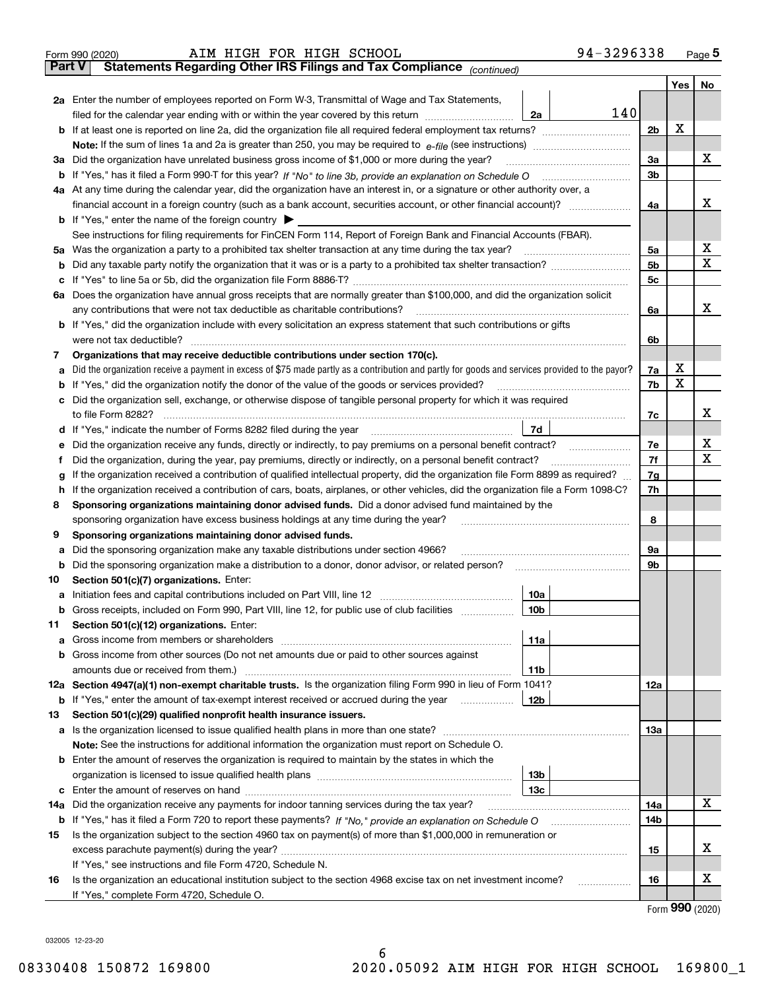|     | AIM HIGH FOR HIGH SCHOOL<br>Form 990 (2020)                                                                                                     | 94-3296338 |                 | <u>Page 5</u> |  |  |  |  |  |
|-----|-------------------------------------------------------------------------------------------------------------------------------------------------|------------|-----------------|---------------|--|--|--|--|--|
|     | Part V<br>Statements Regarding Other IRS Filings and Tax Compliance (continued)                                                                 |            |                 |               |  |  |  |  |  |
|     |                                                                                                                                                 |            | Yes             | No            |  |  |  |  |  |
|     | 2a Enter the number of employees reported on Form W-3, Transmittal of Wage and Tax Statements,                                                  |            |                 |               |  |  |  |  |  |
|     | filed for the calendar year ending with or within the year covered by this return <i>manumumumum</i><br>2a                                      | 140        |                 |               |  |  |  |  |  |
|     |                                                                                                                                                 |            |                 |               |  |  |  |  |  |
|     |                                                                                                                                                 |            |                 |               |  |  |  |  |  |
| За  | Did the organization have unrelated business gross income of \$1,000 or more during the year?                                                   | 3a         |                 | х             |  |  |  |  |  |
|     |                                                                                                                                                 | 3b         |                 |               |  |  |  |  |  |
|     | 4a At any time during the calendar year, did the organization have an interest in, or a signature or other authority over, a                    |            |                 |               |  |  |  |  |  |
|     |                                                                                                                                                 | 4a         |                 | х             |  |  |  |  |  |
|     | <b>b</b> If "Yes," enter the name of the foreign country $\blacktriangleright$                                                                  |            |                 |               |  |  |  |  |  |
|     | See instructions for filing requirements for FinCEN Form 114, Report of Foreign Bank and Financial Accounts (FBAR).                             |            |                 |               |  |  |  |  |  |
|     | 5a Was the organization a party to a prohibited tax shelter transaction at any time during the tax year?                                        | 5а         |                 | х             |  |  |  |  |  |
| b   |                                                                                                                                                 | 5b         |                 | X             |  |  |  |  |  |
| с   |                                                                                                                                                 | 5c         |                 |               |  |  |  |  |  |
|     | 6a Does the organization have annual gross receipts that are normally greater than \$100,000, and did the organization solicit                  |            |                 |               |  |  |  |  |  |
|     | any contributions that were not tax deductible as charitable contributions?                                                                     | 6a         |                 | х             |  |  |  |  |  |
|     | <b>b</b> If "Yes," did the organization include with every solicitation an express statement that such contributions or gifts                   |            |                 |               |  |  |  |  |  |
|     | were not tax deductible?                                                                                                                        | 6b         |                 |               |  |  |  |  |  |
| 7   | Organizations that may receive deductible contributions under section 170(c).                                                                   |            |                 |               |  |  |  |  |  |
| а   | Did the organization receive a payment in excess of \$75 made partly as a contribution and partly for goods and services provided to the payor? | 7a         | х               |               |  |  |  |  |  |
| b   | If "Yes," did the organization notify the donor of the value of the goods or services provided?                                                 | 7b         | X               |               |  |  |  |  |  |
| с   | Did the organization sell, exchange, or otherwise dispose of tangible personal property for which it was required                               |            |                 |               |  |  |  |  |  |
|     |                                                                                                                                                 | 7c         |                 | х             |  |  |  |  |  |
| d   | 7d  <br>If "Yes," indicate the number of Forms 8282 filed during the year [11] [11] The set the number of Forms 8282 filed during the year      |            |                 |               |  |  |  |  |  |
| е   |                                                                                                                                                 | 7e         |                 | х             |  |  |  |  |  |
| f   | Did the organization, during the year, pay premiums, directly or indirectly, on a personal benefit contract?                                    | 7f         |                 | X             |  |  |  |  |  |
| g   | If the organization received a contribution of qualified intellectual property, did the organization file Form 8899 as required?                | 7g         |                 |               |  |  |  |  |  |
| h   | If the organization received a contribution of cars, boats, airplanes, or other vehicles, did the organization file a Form 1098-C?              | 7h         |                 |               |  |  |  |  |  |
| 8   | Sponsoring organizations maintaining donor advised funds. Did a donor advised fund maintained by the                                            |            |                 |               |  |  |  |  |  |
|     | sponsoring organization have excess business holdings at any time during the year?                                                              | 8          |                 |               |  |  |  |  |  |
| 9   | Sponsoring organizations maintaining donor advised funds.                                                                                       |            |                 |               |  |  |  |  |  |
| а   | Did the sponsoring organization make any taxable distributions under section 4966?                                                              | 9а         |                 |               |  |  |  |  |  |
| b   | Did the sponsoring organization make a distribution to a donor, donor advisor, or related person?                                               | 9b         |                 |               |  |  |  |  |  |
| 10  | Section 501(c)(7) organizations. Enter:                                                                                                         |            |                 |               |  |  |  |  |  |
|     | 10a                                                                                                                                             |            |                 |               |  |  |  |  |  |
|     | 10b <br>Gross receipts, included on Form 990, Part VIII, line 12, for public use of club facilities                                             |            |                 |               |  |  |  |  |  |
| 11  | Section 501(c)(12) organizations. Enter:                                                                                                        |            |                 |               |  |  |  |  |  |
| а   | 11a                                                                                                                                             |            |                 |               |  |  |  |  |  |
| b   | Gross income from other sources (Do not net amounts due or paid to other sources against                                                        |            |                 |               |  |  |  |  |  |
|     | 11 <sub>b</sub>                                                                                                                                 |            |                 |               |  |  |  |  |  |
|     | 12a Section 4947(a)(1) non-exempt charitable trusts. Is the organization filing Form 990 in lieu of Form 1041?                                  | 12a        |                 |               |  |  |  |  |  |
|     | 12b<br><b>b</b> If "Yes," enter the amount of tax-exempt interest received or accrued during the year <i>manument</i> of                        |            |                 |               |  |  |  |  |  |
| 13  | Section 501(c)(29) qualified nonprofit health insurance issuers.                                                                                |            |                 |               |  |  |  |  |  |
| а   | Is the organization licensed to issue qualified health plans in more than one state?                                                            | 13a        |                 |               |  |  |  |  |  |
|     | Note: See the instructions for additional information the organization must report on Schedule O.                                               |            |                 |               |  |  |  |  |  |
| b   | Enter the amount of reserves the organization is required to maintain by the states in which the                                                |            |                 |               |  |  |  |  |  |
|     | 13 <sub>b</sub>                                                                                                                                 |            |                 |               |  |  |  |  |  |
| c   | 13с                                                                                                                                             |            |                 |               |  |  |  |  |  |
| 14a | Did the organization receive any payments for indoor tanning services during the tax year?                                                      | 14a        |                 | x             |  |  |  |  |  |
|     | <b>b</b> If "Yes," has it filed a Form 720 to report these payments? If "No," provide an explanation on Schedule O                              | 14b        |                 |               |  |  |  |  |  |
| 15  | Is the organization subject to the section 4960 tax on payment(s) of more than \$1,000,000 in remuneration or                                   |            |                 |               |  |  |  |  |  |
|     |                                                                                                                                                 | 15         |                 | х             |  |  |  |  |  |
|     | If "Yes," see instructions and file Form 4720, Schedule N.                                                                                      |            |                 |               |  |  |  |  |  |
| 16  | Is the organization an educational institution subject to the section 4968 excise tax on net investment income?                                 | 16         |                 | х             |  |  |  |  |  |
|     | If "Yes," complete Form 4720, Schedule O.                                                                                                       |            | <u>nnn 1001</u> |               |  |  |  |  |  |

Form (2020) **990**

032005 12-23-20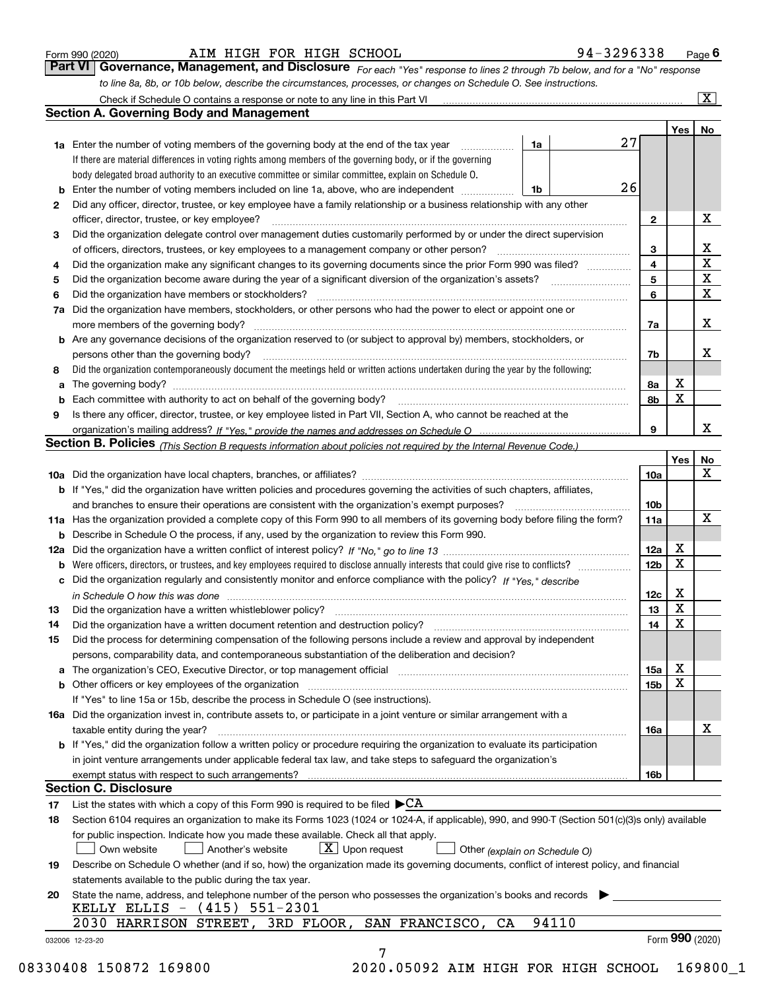|  | Form 990 (2020) |
|--|-----------------|
|  |                 |

 $\boxed{\text{X}}$ 

| Form 990 (2020) |  |  | AIM HIGH FOR HIGH SCHOOL | 94-3296338                                                                                                                  | $P_{\text{aqe}}$ 6 |
|-----------------|--|--|--------------------------|-----------------------------------------------------------------------------------------------------------------------------|--------------------|
|                 |  |  |                          | Part VI Governance, Management, and Disclosure For each "Yes" response to lines 2 through 7b below, and for a "No" response |                    |
|                 |  |  |                          | to line 8a, 8b, or 10b below, describe the circumstances, processes, or changes on Schedule O. See instructions.            |                    |

Check if Schedule O contains a response or note to any line in this Part VI

|    |                                                                                                                                                                                                                                |                               |    |                 | Yes         | No                      |
|----|--------------------------------------------------------------------------------------------------------------------------------------------------------------------------------------------------------------------------------|-------------------------------|----|-----------------|-------------|-------------------------|
|    | <b>1a</b> Enter the number of voting members of the governing body at the end of the tax year<br>.                                                                                                                             | 1a                            | 27 |                 |             |                         |
|    | If there are material differences in voting rights among members of the governing body, or if the governing                                                                                                                    |                               |    |                 |             |                         |
|    | body delegated broad authority to an executive committee or similar committee, explain on Schedule O.                                                                                                                          |                               |    |                 |             |                         |
| b  | Enter the number of voting members included on line 1a, above, who are independent                                                                                                                                             | 1b                            | 26 |                 |             |                         |
| 2  | Did any officer, director, trustee, or key employee have a family relationship or a business relationship with any other                                                                                                       |                               |    |                 |             |                         |
|    | officer, director, trustee, or key employee?                                                                                                                                                                                   |                               |    | 2               |             | х                       |
| 3  | Did the organization delegate control over management duties customarily performed by or under the direct supervision                                                                                                          |                               |    |                 |             |                         |
|    |                                                                                                                                                                                                                                |                               |    | 3               |             | X                       |
| 4  | Did the organization make any significant changes to its governing documents since the prior Form 990 was filed?                                                                                                               |                               |    | 4               |             | $\overline{\mathbf{x}}$ |
| 5  |                                                                                                                                                                                                                                |                               |    | 5               |             | $\mathbf X$             |
| 6  | Did the organization have members or stockholders?                                                                                                                                                                             |                               |    | 6               |             | $\mathbf X$             |
| 7a | Did the organization have members, stockholders, or other persons who had the power to elect or appoint one or                                                                                                                 |                               |    |                 |             |                         |
|    |                                                                                                                                                                                                                                |                               |    | 7a              |             | X                       |
|    | <b>b</b> Are any governance decisions of the organization reserved to (or subject to approval by) members, stockholders, or                                                                                                    |                               |    |                 |             |                         |
|    | persons other than the governing body?                                                                                                                                                                                         |                               |    | 7b              |             | x                       |
| 8  | Did the organization contemporaneously document the meetings held or written actions undertaken during the year by the following:                                                                                              |                               |    |                 |             |                         |
| а  |                                                                                                                                                                                                                                |                               |    | 8a              | х           |                         |
|    | Each committee with authority to act on behalf of the governing body? [11] manufacture manufacture with authority to act on behalf of the governing body? [11] manufacture manufacture with authority of the state with an int |                               |    | 8b              | X           |                         |
| 9  | Is there any officer, director, trustee, or key employee listed in Part VII, Section A, who cannot be reached at the                                                                                                           |                               |    |                 |             |                         |
|    |                                                                                                                                                                                                                                |                               |    | 9               |             | х                       |
|    | Section B. Policies <sub>(This Section B requests information about policies not required by the Internal Revenue Code.)</sub>                                                                                                 |                               |    |                 |             |                         |
|    |                                                                                                                                                                                                                                |                               |    |                 | Yes         |                         |
|    |                                                                                                                                                                                                                                |                               |    |                 |             | <u>No</u><br>X          |
|    |                                                                                                                                                                                                                                |                               |    | 10a             |             |                         |
|    | b If "Yes," did the organization have written policies and procedures governing the activities of such chapters, affiliates,                                                                                                   |                               |    |                 |             |                         |
|    |                                                                                                                                                                                                                                |                               |    | 10 <sub>b</sub> |             | $\mathbf X$             |
|    | 11a Has the organization provided a complete copy of this Form 990 to all members of its governing body before filing the form?                                                                                                |                               |    | 11a             |             |                         |
| b  | Describe in Schedule O the process, if any, used by the organization to review this Form 990.                                                                                                                                  |                               |    |                 |             |                         |
|    |                                                                                                                                                                                                                                |                               |    | 12a             | х           |                         |
| b  |                                                                                                                                                                                                                                |                               |    | 12b             | X           |                         |
| c  | Did the organization regularly and consistently monitor and enforce compliance with the policy? If "Yes," describe                                                                                                             |                               |    |                 |             |                         |
|    | in Schedule O how this was done measured and contained a state of the state of the state of the state of the s                                                                                                                 |                               |    | 12c             | х           |                         |
| 13 |                                                                                                                                                                                                                                |                               |    | 13              | X           |                         |
| 14 | Did the organization have a written document retention and destruction policy? manufactured and the organization have a written document retention and destruction policy?                                                     |                               |    | 14              | X           |                         |
| 15 | Did the process for determining compensation of the following persons include a review and approval by independent                                                                                                             |                               |    |                 |             |                         |
|    | persons, comparability data, and contemporaneous substantiation of the deliberation and decision?                                                                                                                              |                               |    |                 |             |                         |
|    | The organization's CEO, Executive Director, or top management official [111] [11] manument content in the organization's CEO, Executive Director, or top management official [11] manument in the organization of the organiza |                               |    | 15a             | $\mathbf X$ |                         |
|    | <b>b</b> Other officers or key employees of the organization                                                                                                                                                                   |                               |    | 15b             | X           |                         |
|    | If "Yes" to line 15a or 15b, describe the process in Schedule O (see instructions).                                                                                                                                            |                               |    |                 |             |                         |
|    | 16a Did the organization invest in, contribute assets to, or participate in a joint venture or similar arrangement with a                                                                                                      |                               |    |                 |             |                         |
|    | taxable entity during the year?                                                                                                                                                                                                |                               |    | 16a             |             | х                       |
|    | b If "Yes," did the organization follow a written policy or procedure requiring the organization to evaluate its participation                                                                                                 |                               |    |                 |             |                         |
|    | in joint venture arrangements under applicable federal tax law, and take steps to safeguard the organization's                                                                                                                 |                               |    |                 |             |                         |
|    | exempt status with respect to such arrangements?                                                                                                                                                                               |                               |    | 16b             |             |                         |
|    | <b>Section C. Disclosure</b>                                                                                                                                                                                                   |                               |    |                 |             |                         |
| 17 | List the states with which a copy of this Form 990 is required to be filed $\blacktriangleright$ CA                                                                                                                            |                               |    |                 |             |                         |
| 18 | Section 6104 requires an organization to make its Forms 1023 (1024 or 1024-A, if applicable), 990, and 990-T (Section 501(c)(3)s only) available                                                                               |                               |    |                 |             |                         |
|    | for public inspection. Indicate how you made these available. Check all that apply.                                                                                                                                            |                               |    |                 |             |                         |
|    | $X$ Upon request<br>Own website<br>Another's website                                                                                                                                                                           | Other (explain on Schedule O) |    |                 |             |                         |
| 19 | Describe on Schedule O whether (and if so, how) the organization made its governing documents, conflict of interest policy, and financial                                                                                      |                               |    |                 |             |                         |
|    | statements available to the public during the tax year.                                                                                                                                                                        |                               |    |                 |             |                         |
|    |                                                                                                                                                                                                                                |                               |    |                 |             |                         |
| 20 | State the name, address, and telephone number of the person who possesses the organization's books and records<br>KELLY ELLIS $-$ (415)<br>551-2301                                                                            |                               |    |                 |             |                         |
|    |                                                                                                                                                                                                                                |                               |    |                 |             |                         |
|    | 3RD FLOOR, SAN FRANCISCO, CA<br>2030 HARRISON STREET,                                                                                                                                                                          | 94110                         |    |                 |             |                         |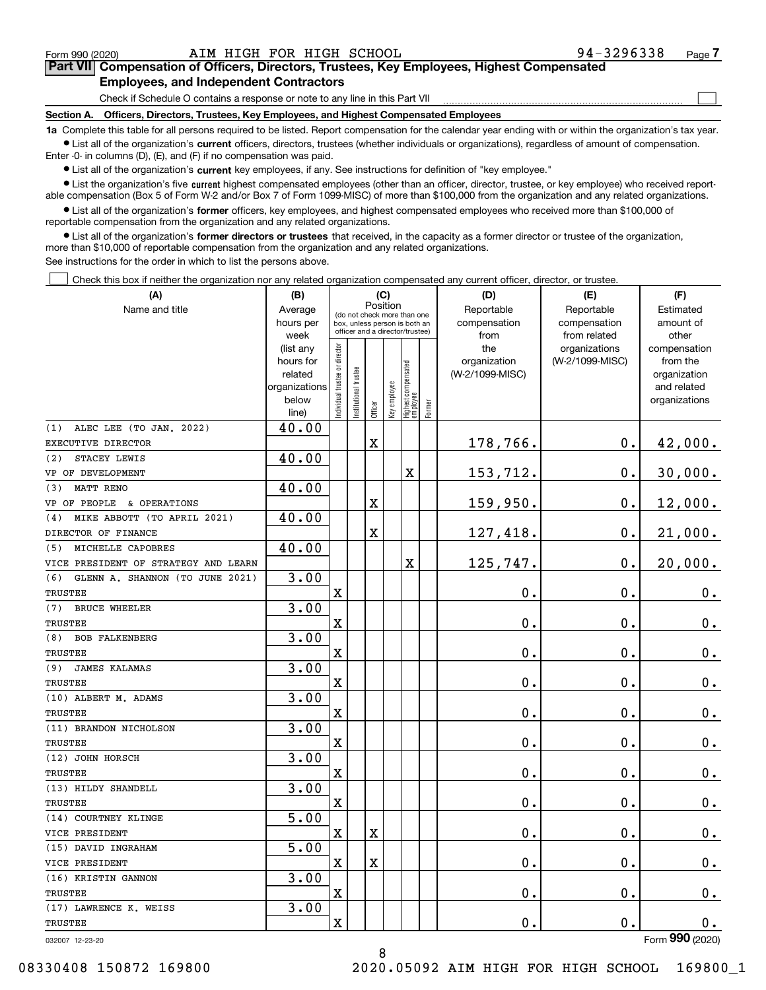$\mathcal{L}^{\text{max}}$ 

# **7Part VII Compensation of Officers, Directors, Trustees, Key Employees, Highest Compensated Employees, and Independent Contractors**

Check if Schedule O contains a response or note to any line in this Part VII

**Section A. Officers, Directors, Trustees, Key Employees, and Highest Compensated Employees**

**1a**  Complete this table for all persons required to be listed. Report compensation for the calendar year ending with or within the organization's tax year. **•** List all of the organization's current officers, directors, trustees (whether individuals or organizations), regardless of amount of compensation.

Enter -0- in columns (D), (E), and (F) if no compensation was paid.

 $\bullet$  List all of the organization's  $\,$ current key employees, if any. See instructions for definition of "key employee."

**•** List the organization's five current highest compensated employees (other than an officer, director, trustee, or key employee) who received reportable compensation (Box 5 of Form W-2 and/or Box 7 of Form 1099-MISC) of more than \$100,000 from the organization and any related organizations.

**•** List all of the organization's former officers, key employees, and highest compensated employees who received more than \$100,000 of reportable compensation from the organization and any related organizations.

**former directors or trustees**  ¥ List all of the organization's that received, in the capacity as a former director or trustee of the organization, more than \$10,000 of reportable compensation from the organization and any related organizations.

See instructions for the order in which to list the persons above.

Check this box if neither the organization nor any related organization compensated any current officer, director, or trustee.  $\mathcal{L}^{\text{max}}$ 

| (A)                                    | (B)                    |                               |                                                                  | (C)                                     |              |                                  |        | (D)                 | (E)                              | (F)                      |
|----------------------------------------|------------------------|-------------------------------|------------------------------------------------------------------|-----------------------------------------|--------------|----------------------------------|--------|---------------------|----------------------------------|--------------------------|
| Name and title                         | Average                |                               |                                                                  | Position<br>(do not check more than one |              |                                  |        | Reportable          | Reportable                       | Estimated                |
|                                        | hours per              |                               | box, unless person is both an<br>officer and a director/trustee) |                                         |              |                                  |        | compensation        | compensation                     | amount of                |
|                                        | week                   |                               |                                                                  |                                         |              |                                  |        | from                | from related                     | other                    |
|                                        | (list any<br>hours for |                               |                                                                  |                                         |              |                                  |        | the<br>organization | organizations<br>(W-2/1099-MISC) | compensation<br>from the |
|                                        | related                |                               |                                                                  |                                         |              |                                  |        | (W-2/1099-MISC)     |                                  | organization             |
|                                        | organizations          |                               |                                                                  |                                         |              |                                  |        |                     |                                  | and related              |
|                                        | below                  | ndividual trustee or director | nstitutional trustee                                             |                                         | Key employee |                                  |        |                     |                                  | organizations            |
|                                        | line)                  |                               |                                                                  | Officer                                 |              | Highest compensated<br> employee | Former |                     |                                  |                          |
| ALEC LEE (TO JAN. 2022)<br>(1)         | 40.00                  |                               |                                                                  |                                         |              |                                  |        |                     |                                  |                          |
| EXECUTIVE DIRECTOR                     |                        |                               |                                                                  | $\mathbf X$                             |              |                                  |        | 178,766.            | $\mathbf 0$ .                    | 42,000.                  |
| (2)<br>STACEY LEWIS                    | 40.00                  |                               |                                                                  |                                         |              |                                  |        |                     |                                  |                          |
| VP OF DEVELOPMENT                      |                        |                               |                                                                  |                                         |              | X                                |        | 153,712.            | $0$ .                            | 30,000.                  |
| <b>MATT RENO</b><br>(3)                | 40.00                  |                               |                                                                  |                                         |              |                                  |        |                     |                                  |                          |
| VP OF PEOPLE & OPERATIONS              |                        |                               |                                                                  | $\mathbf X$                             |              |                                  |        | 159,950.            | $\mathbf{0}$ .                   | 12,000.                  |
| MIKE ABBOTT (TO APRIL 2021)<br>(4)     | 40.00                  |                               |                                                                  |                                         |              |                                  |        |                     |                                  |                          |
| DIRECTOR OF FINANCE                    |                        |                               |                                                                  | $\mathbf X$                             |              |                                  |        | 127,418.            | $\mathbf 0$ .                    | 21,000.                  |
| MICHELLE CAPOBRES<br>(5)               | 40.00                  |                               |                                                                  |                                         |              |                                  |        |                     |                                  |                          |
| VICE PRESIDENT OF STRATEGY AND LEARN   |                        |                               |                                                                  |                                         |              | X                                |        | 125,747.            | $\mathbf 0$ .                    | 20,000.                  |
| (6)<br>GLENN A. SHANNON (TO JUNE 2021) | 3.00                   |                               |                                                                  |                                         |              |                                  |        |                     |                                  |                          |
| <b>TRUSTEE</b>                         |                        | $\overline{\text{X}}$         |                                                                  |                                         |              |                                  |        | 0.                  | 0.                               | $0_{.}$                  |
| <b>BRUCE WHEELER</b><br>(7)            | 3.00                   |                               |                                                                  |                                         |              |                                  |        |                     |                                  |                          |
| TRUSTEE                                |                        | $\overline{\text{X}}$         |                                                                  |                                         |              |                                  |        | 0.                  | 0.                               | $0_{.}$                  |
| (8)<br><b>BOB FALKENBERG</b>           | 3.00                   |                               |                                                                  |                                         |              |                                  |        |                     |                                  |                          |
| TRUSTEE                                |                        | $\overline{\mathbf{X}}$       |                                                                  |                                         |              |                                  |        | 0.                  | $\mathbf 0$ .                    | $0_{.}$                  |
| <b>JAMES KALAMAS</b><br>(9)            | 3.00                   |                               |                                                                  |                                         |              |                                  |        |                     |                                  |                          |
| TRUSTEE                                |                        | X                             |                                                                  |                                         |              |                                  |        | $\mathbf 0$ .       | 0.                               | $0_{.}$                  |
| (10) ALBERT M. ADAMS                   | 3.00                   |                               |                                                                  |                                         |              |                                  |        |                     |                                  |                          |
| TRUSTEE                                |                        | $\overline{\text{X}}$         |                                                                  |                                         |              |                                  |        | $\mathbf 0$ .       | $\mathbf 0$ .                    | $0_{.}$                  |
| (11) BRANDON NICHOLSON                 | 3.00                   |                               |                                                                  |                                         |              |                                  |        |                     |                                  |                          |
| <b>TRUSTEE</b>                         |                        | X                             |                                                                  |                                         |              |                                  |        | $\mathbf 0$ .       | 0.                               | $0_{.}$                  |
| (12) JOHN HORSCH                       | 3.00                   |                               |                                                                  |                                         |              |                                  |        |                     |                                  |                          |
| TRUSTEE                                |                        | X                             |                                                                  |                                         |              |                                  |        | 0.                  | $\mathbf 0$ .                    | $\mathbf 0$ .            |
| (13) HILDY SHANDELL                    | 3.00                   |                               |                                                                  |                                         |              |                                  |        |                     |                                  |                          |
| TRUSTEE                                |                        | $\overline{\mathbf{X}}$       |                                                                  |                                         |              |                                  |        | 0.                  | $\mathbf 0$ .                    | $0_{.}$                  |
| (14) COURTNEY KLINGE                   | 5.00                   |                               |                                                                  |                                         |              |                                  |        |                     |                                  |                          |
| VICE PRESIDENT                         |                        | $\rm X$                       |                                                                  | $\mathbf X$                             |              |                                  |        | 0.                  | 0.                               | $\mathbf 0$ .            |
| (15) DAVID INGRAHAM                    | 5.00                   |                               |                                                                  |                                         |              |                                  |        |                     |                                  |                          |
| VICE PRESIDENT                         |                        | X                             |                                                                  | $\mathbf X$                             |              |                                  |        | 0.                  | 0.                               | $\mathbf 0$ .            |
| (16) KRISTIN GANNON                    | 3.00                   |                               |                                                                  |                                         |              |                                  |        |                     |                                  |                          |
| TRUSTEE                                |                        | $\rm X$                       |                                                                  |                                         |              |                                  |        | 0.                  | $\mathbf 0$ .                    | 0.                       |
| (17) LAWRENCE K. WEISS                 | 3.00                   |                               |                                                                  |                                         |              |                                  |        |                     |                                  |                          |
| TRUSTEE                                |                        | $\overline{\mathbf{X}}$       |                                                                  |                                         |              |                                  |        | 0.                  | $\mathbf 0$ .                    | 0.<br>$\overline{2}$     |

032007 12-23-20

Form (2020) **990**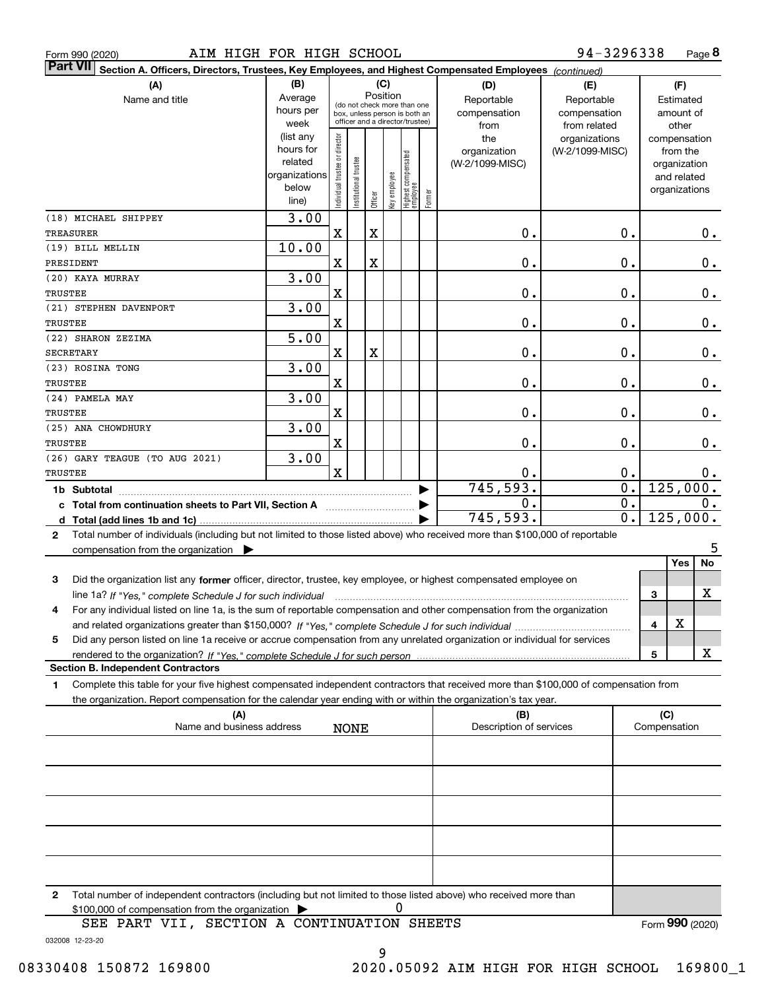|  | Form 990 (2020) |
|--|-----------------|
|  |                 |

| <b>Part VII</b>  | Section A. Officers, Directors, Trustees, Key Employees, and Highest Compensated Employees (continued)                               |                                                    |                                |                       |         |              |                                   |        |                         |                  |                             |
|------------------|--------------------------------------------------------------------------------------------------------------------------------------|----------------------------------------------------|--------------------------------|-----------------------|---------|--------------|-----------------------------------|--------|-------------------------|------------------|-----------------------------|
|                  | (A)                                                                                                                                  | (B)                                                |                                |                       |         | (C)          |                                   |        | (D)                     | (E)              | (F)                         |
|                  | Name and title                                                                                                                       | Position<br>Average<br>(do not check more than one |                                |                       |         |              |                                   |        | Reportable              | Reportable       | Estimated                   |
|                  |                                                                                                                                      | hours per                                          |                                |                       |         |              | box, unless person is both an     |        | compensation            | compensation     | amount of                   |
|                  |                                                                                                                                      | week                                               |                                |                       |         |              | officer and a director/trustee)   |        | from                    | from related     | other                       |
|                  |                                                                                                                                      | (list any                                          |                                |                       |         |              |                                   |        | the                     | organizations    | compensation                |
|                  |                                                                                                                                      | hours for<br>related                               |                                |                       |         |              |                                   |        | organization            | (W-2/1099-MISC)  | from the                    |
|                  |                                                                                                                                      | organizations                                      |                                |                       |         |              |                                   |        | (W-2/1099-MISC)         |                  | organization<br>and related |
|                  |                                                                                                                                      | below                                              |                                |                       |         |              |                                   |        |                         |                  | organizations               |
|                  |                                                                                                                                      | line)                                              | Individual trustee or director | Institutional trustee | Officer | key employee | Highest compensated<br>  employee | Former |                         |                  |                             |
|                  | (18) MICHAEL SHIPPEY                                                                                                                 | 3.00                                               |                                |                       |         |              |                                   |        |                         |                  |                             |
| <b>TREASURER</b> |                                                                                                                                      |                                                    | $\overline{\textbf{X}}$        |                       | X       |              |                                   |        | $\mathbf 0$ .           | 0.               | 0.                          |
|                  | (19) BILL MELLIN                                                                                                                     | 10.00                                              |                                |                       |         |              |                                   |        |                         |                  |                             |
| PRESIDENT        |                                                                                                                                      |                                                    | X                              |                       | X       |              |                                   |        | $\mathbf 0$ .           | 0.               | 0.                          |
|                  | (20) KAYA MURRAY                                                                                                                     | 3.00                                               |                                |                       |         |              |                                   |        |                         |                  |                             |
| TRUSTEE          |                                                                                                                                      |                                                    | X                              |                       |         |              |                                   |        | $\mathbf 0$ .           | 0.               | 0.                          |
|                  | (21) STEPHEN DAVENPORT                                                                                                               | 3.00                                               |                                |                       |         |              |                                   |        |                         |                  |                             |
| TRUSTEE          |                                                                                                                                      |                                                    | X                              |                       |         |              |                                   |        | $\mathbf 0$ .           | 0.               | 0.                          |
|                  | (22) SHARON ZEZIMA                                                                                                                   | 5.00                                               |                                |                       |         |              |                                   |        |                         |                  |                             |
| <b>SECRETARY</b> |                                                                                                                                      |                                                    | X                              |                       | X       |              |                                   |        | $\mathbf 0$ .           | 0.               | 0.                          |
|                  | (23) ROSINA TONG                                                                                                                     | 3.00                                               |                                |                       |         |              |                                   |        |                         |                  |                             |
| TRUSTEE          |                                                                                                                                      |                                                    | X                              |                       |         |              |                                   |        | $\mathbf 0$ .           | 0.               | 0.                          |
|                  | (24) PAMELA MAY                                                                                                                      | 3.00                                               |                                |                       |         |              |                                   |        |                         |                  |                             |
| TRUSTEE          |                                                                                                                                      |                                                    | X                              |                       |         |              |                                   |        | $\mathbf 0$ .           | 0.               | 0.                          |
|                  | (25) ANA CHOWDHURY                                                                                                                   | 3.00                                               |                                |                       |         |              |                                   |        |                         |                  |                             |
| TRUSTEE          |                                                                                                                                      |                                                    | X                              |                       |         |              |                                   |        | $\mathbf 0$ .           | 0.               | 0.                          |
|                  | (26) GARY TEAGUE (TO AUG 2021)                                                                                                       | 3.00                                               |                                |                       |         |              |                                   |        |                         |                  |                             |
| TRUSTEE          |                                                                                                                                      |                                                    | $\overline{\mathbf{X}}$        |                       |         |              |                                   |        | 0.                      | 0.               | $0$ .                       |
| 1b Subtotal      |                                                                                                                                      |                                                    |                                |                       |         |              |                                   |        | 745,593.                | $\overline{0}$ . | 125,000.                    |
|                  | c Total from continuation sheets to Part VII, Section A <b>Constanting the Section</b>                                               |                                                    |                                |                       |         |              |                                   |        | 0.                      | $\overline{0}$ . | 0.                          |
|                  |                                                                                                                                      |                                                    |                                |                       |         |              |                                   |        | 745,593.                | $\overline{0}$ . | 125,000.                    |
| $\mathbf{2}$     | Total number of individuals (including but not limited to those listed above) who received more than \$100,000 of reportable         |                                                    |                                |                       |         |              |                                   |        |                         |                  |                             |
|                  | compensation from the organization $\blacktriangleright$                                                                             |                                                    |                                |                       |         |              |                                   |        |                         |                  | 5                           |
|                  |                                                                                                                                      |                                                    |                                |                       |         |              |                                   |        |                         |                  | No<br><b>Yes</b>            |
| 3                | Did the organization list any former officer, director, trustee, key employee, or highest compensated employee on                    |                                                    |                                |                       |         |              |                                   |        |                         |                  |                             |
|                  | line 1a? If "Yes," complete Schedule J for such individual                                                                           |                                                    |                                |                       |         |              |                                   |        |                         |                  | X<br>3                      |
| 4                | For any individual listed on line 1a, is the sum of reportable compensation and other compensation from the organization             |                                                    |                                |                       |         |              |                                   |        |                         |                  |                             |
|                  |                                                                                                                                      |                                                    |                                |                       |         |              |                                   |        |                         |                  | x<br>4                      |
| 5                | Did any person listed on line 1a receive or accrue compensation from any unrelated organization or individual for services           |                                                    |                                |                       |         |              |                                   |        |                         |                  |                             |
|                  |                                                                                                                                      |                                                    |                                |                       |         |              |                                   |        |                         |                  | X<br>5                      |
|                  | <b>Section B. Independent Contractors</b>                                                                                            |                                                    |                                |                       |         |              |                                   |        |                         |                  |                             |
| 1                | Complete this table for your five highest compensated independent contractors that received more than \$100,000 of compensation from |                                                    |                                |                       |         |              |                                   |        |                         |                  |                             |
|                  | the organization. Report compensation for the calendar year ending with or within the organization's tax year.                       |                                                    |                                |                       |         |              |                                   |        |                         |                  |                             |
|                  | (A)                                                                                                                                  |                                                    |                                |                       |         |              |                                   |        | (B)                     |                  | (C)                         |
|                  | Name and business address                                                                                                            |                                                    |                                | <b>NONE</b>           |         |              |                                   |        | Description of services |                  | Compensation                |
|                  |                                                                                                                                      |                                                    |                                |                       |         |              |                                   |        |                         |                  |                             |
|                  |                                                                                                                                      |                                                    |                                |                       |         |              |                                   |        |                         |                  |                             |
|                  |                                                                                                                                      |                                                    |                                |                       |         |              |                                   |        |                         |                  |                             |
|                  |                                                                                                                                      |                                                    |                                |                       |         |              |                                   |        |                         |                  |                             |
|                  |                                                                                                                                      |                                                    |                                |                       |         |              |                                   |        |                         |                  |                             |
|                  |                                                                                                                                      |                                                    |                                |                       |         |              |                                   |        |                         |                  |                             |
|                  |                                                                                                                                      |                                                    |                                |                       |         |              |                                   |        |                         |                  |                             |
|                  |                                                                                                                                      |                                                    |                                |                       |         |              |                                   |        |                         |                  |                             |
|                  |                                                                                                                                      |                                                    |                                |                       |         |              |                                   |        |                         |                  |                             |
|                  | Total number of independent contractors (including but not limited to these ligted aboug) who resolued mare ther                     |                                                    |                                |                       |         |              |                                   |        |                         |                  |                             |

**2**Total number of independent contractors (including but not limited to those listed above) who received more than \$100,000 of compensation from the organization 0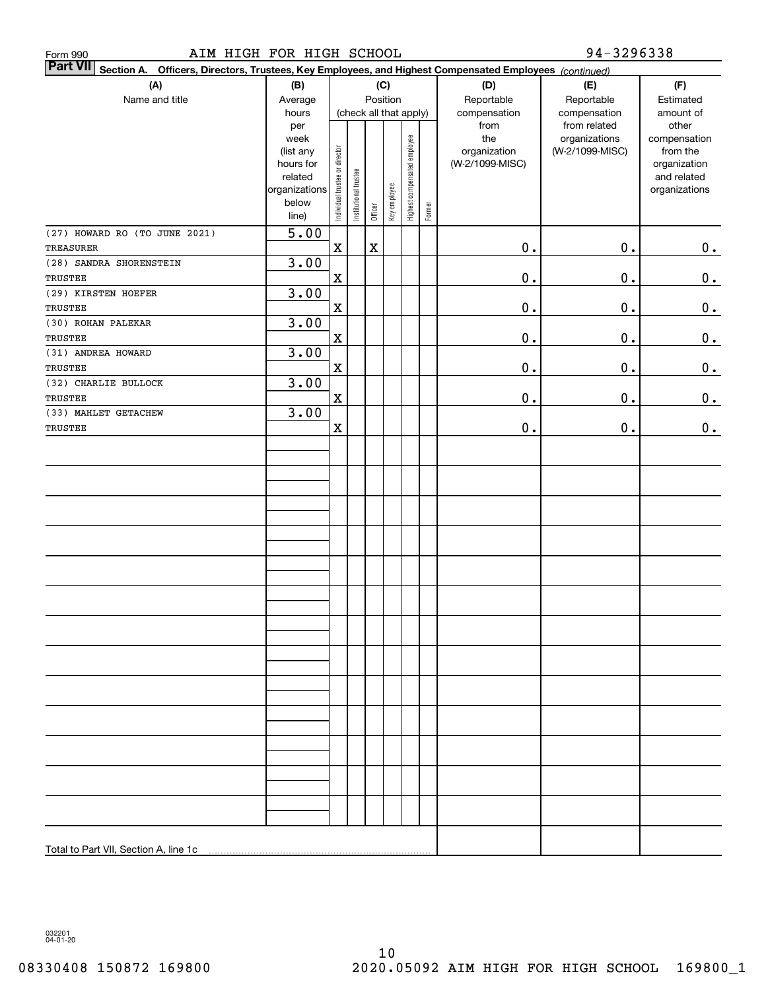| AIM HIGH FOR HIGH SCHOOL<br>Form 990                                                                                         |                                                                                     |                                |                                           |                         |              |                              |        |                                                | 94-3296338                                        |                                                                                   |
|------------------------------------------------------------------------------------------------------------------------------|-------------------------------------------------------------------------------------|--------------------------------|-------------------------------------------|-------------------------|--------------|------------------------------|--------|------------------------------------------------|---------------------------------------------------|-----------------------------------------------------------------------------------|
| <b>Part VII</b><br>Officers, Directors, Trustees, Key Employees, and Highest Compensated Employees (continued)<br>Section A. |                                                                                     |                                |                                           |                         |              |                              |        |                                                |                                                   |                                                                                   |
| (A)<br>Name and title                                                                                                        | (B)<br>Average<br>hours                                                             |                                | (C)<br>Position<br>(check all that apply) |                         |              |                              |        | (D)<br>Reportable<br>compensation              | (E)<br>Reportable<br>compensation<br>from related | (F)<br>Estimated<br>amount of                                                     |
|                                                                                                                              | per<br>week<br>(list any<br>hours for<br>related<br>organizations<br>below<br>line) | Individual trustee or director | Institutional trustee                     | Officer                 | Key employee | Highest compensated employee | Former | from<br>the<br>organization<br>(W-2/1099-MISC) | organizations<br>(W-2/1099-MISC)                  | other<br>compensation<br>from the<br>organization<br>and related<br>organizations |
| (27) HOWARD RO (TO JUNE 2021)<br><b>TREASURER</b>                                                                            | 5.00                                                                                | $\mathbf X$                    |                                           | $\overline{\mathbf{X}}$ |              |                              |        | $0$ .                                          | $0$ .                                             | $\mathbf 0$ .                                                                     |
| (28) SANDRA SHORENSTEIN<br>TRUSTEE                                                                                           | 3.00                                                                                | $\mathbf X$                    |                                           |                         |              |                              |        | $\mathbf 0$ .                                  | $0$ .                                             | $\mathbf 0$ .                                                                     |
| (29) KIRSTEN HOEFER<br>TRUSTEE                                                                                               | 3.00                                                                                | $\mathbf X$                    |                                           |                         |              |                              |        | $\mathbf 0$ .                                  | $0$ .                                             | $\mathbf 0$ .                                                                     |
| (30) ROHAN PALEKAR<br><b>TRUSTEE</b>                                                                                         | 3.00                                                                                | $\mathbf X$                    |                                           |                         |              |                              |        | $\mathbf 0$ .                                  | $0$ .                                             | $\mathbf 0$ .                                                                     |
| (31) ANDREA HOWARD<br>TRUSTEE                                                                                                | 3.00                                                                                | $\mathbf X$                    |                                           |                         |              |                              |        | $\mathbf 0$ .                                  | 0.                                                | $\mathbf 0$ .                                                                     |
| (32) CHARLIE BULLOCK<br>TRUSTEE                                                                                              | 3.00                                                                                | $\mathbf X$                    |                                           |                         |              |                              |        | $0$ .                                          | 0.                                                | $\mathbf 0$ .                                                                     |
| (33) MAHLET GETACHEW<br>TRUSTEE                                                                                              | 3.00                                                                                | $\mathbf X$                    |                                           |                         |              |                              |        | $\mathbf 0$ .                                  | $0$ .                                             | $\mathbf 0$ .                                                                     |
|                                                                                                                              |                                                                                     |                                |                                           |                         |              |                              |        |                                                |                                                   |                                                                                   |
|                                                                                                                              |                                                                                     |                                |                                           |                         |              |                              |        |                                                |                                                   |                                                                                   |
| Total to Part VII, Section A, line 1c                                                                                        |                                                                                     |                                |                                           |                         |              |                              |        |                                                |                                                   |                                                                                   |

032201 04-01-20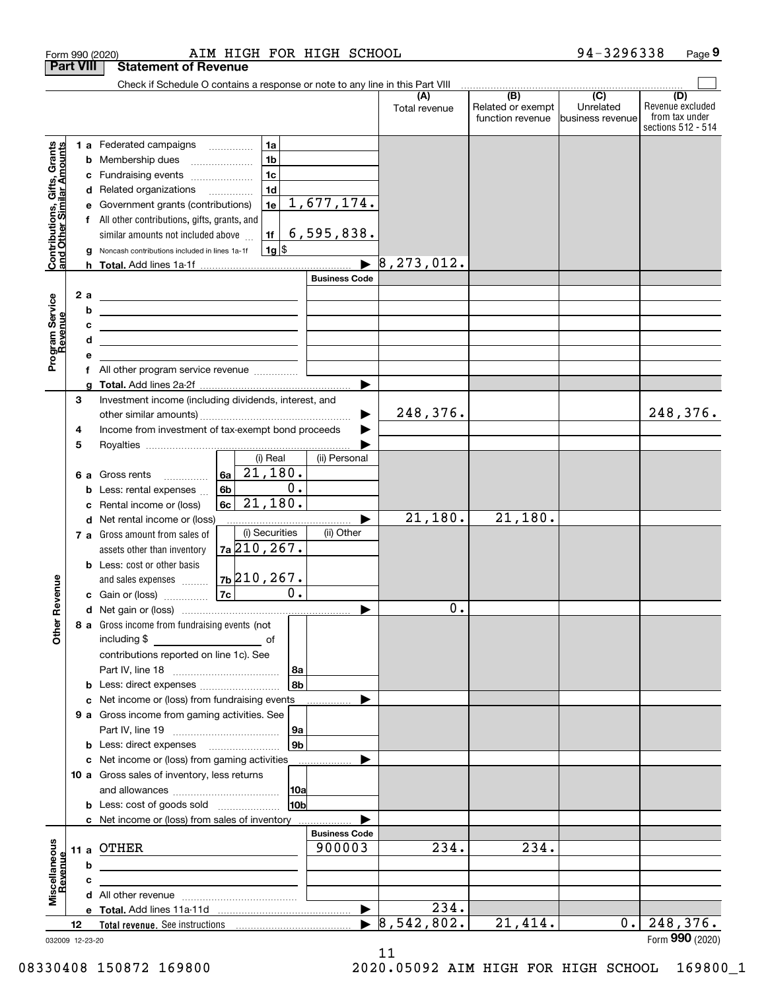|                                                                  | Form 990 (2020)  | AIM HIGH FOR HIGH SCHOOL                                                                                                                                                                                                             |                                |                                  |                                                     | 94-3296338                    | Page 9                                                          |
|------------------------------------------------------------------|------------------|--------------------------------------------------------------------------------------------------------------------------------------------------------------------------------------------------------------------------------------|--------------------------------|----------------------------------|-----------------------------------------------------|-------------------------------|-----------------------------------------------------------------|
|                                                                  | <b>Part VIII</b> | <b>Statement of Revenue</b>                                                                                                                                                                                                          |                                |                                  |                                                     |                               |                                                                 |
|                                                                  |                  | Check if Schedule O contains a response or note to any line in this Part VIII                                                                                                                                                        |                                |                                  | $\overline{(\mathsf{B})}$ $\overline{(\mathsf{C})}$ |                               |                                                                 |
|                                                                  |                  |                                                                                                                                                                                                                                      |                                | (A)<br>Total revenue             | Related or exempt<br>function revenue               | Unrelated<br>business revenue | (D)<br>Revenue excluded<br>from tax under<br>sections 512 - 514 |
|                                                                  |                  | 1 a Federated campaigns<br>1a                                                                                                                                                                                                        |                                |                                  |                                                     |                               |                                                                 |
|                                                                  |                  | 1 <sub>b</sub><br><b>b</b> Membership dues                                                                                                                                                                                           |                                |                                  |                                                     |                               |                                                                 |
|                                                                  |                  | 1 <sub>c</sub><br>c Fundraising events                                                                                                                                                                                               |                                |                                  |                                                     |                               |                                                                 |
|                                                                  |                  | 1 <sub>d</sub><br>d Related organizations                                                                                                                                                                                            |                                |                                  |                                                     |                               |                                                                 |
|                                                                  | е                | 1e<br>Government grants (contributions)                                                                                                                                                                                              | 1,677,174.                     |                                  |                                                     |                               |                                                                 |
| <b>Contributions, Gifts, Grants</b><br>and Other Similar Amounts |                  | f All other contributions, gifts, grants, and<br>1f<br>similar amounts not included above                                                                                                                                            | 6, 595, 838.                   |                                  |                                                     |                               |                                                                 |
|                                                                  | g                | $1g$ \$<br>Noncash contributions included in lines 1a-1f                                                                                                                                                                             |                                |                                  |                                                     |                               |                                                                 |
|                                                                  |                  |                                                                                                                                                                                                                                      |                                | 8, 273, 012.                     |                                                     |                               |                                                                 |
|                                                                  |                  |                                                                                                                                                                                                                                      | <b>Business Code</b>           |                                  |                                                     |                               |                                                                 |
|                                                                  | 2 a              | <u>and the state of the state of the state of the state of the state of the state of the state of the state of the state of the state of the state of the state of the state of the state of the state of the state of the state</u> |                                |                                  |                                                     |                               |                                                                 |
|                                                                  | b                | <u> 1989 - Johann Barbara, martin amerikan basal dan berasal dan berasal dalam basal dalam basal dalam basal dala</u>                                                                                                                |                                |                                  |                                                     |                               |                                                                 |
|                                                                  | с                | <u> Alexandro Alexandro Alexandro Alexandro Alexandro Alexandro Alexandro Alexandro Alexandro Alexandro Alexandro A</u>                                                                                                              |                                |                                  |                                                     |                               |                                                                 |
|                                                                  | d                | the contract of the contract of the contract of the contract of the contract of                                                                                                                                                      |                                |                                  |                                                     |                               |                                                                 |
| Program Service<br>Revenue                                       | е                |                                                                                                                                                                                                                                      |                                |                                  |                                                     |                               |                                                                 |
|                                                                  |                  | f All other program service revenue                                                                                                                                                                                                  |                                |                                  |                                                     |                               |                                                                 |
|                                                                  | a                |                                                                                                                                                                                                                                      | ▶                              |                                  |                                                     |                               |                                                                 |
|                                                                  | 3                | Investment income (including dividends, interest, and                                                                                                                                                                                |                                |                                  |                                                     |                               |                                                                 |
|                                                                  |                  |                                                                                                                                                                                                                                      | ▶                              | 248,376.                         |                                                     |                               | 248,376.                                                        |
|                                                                  | 4                | Income from investment of tax-exempt bond proceeds                                                                                                                                                                                   |                                |                                  |                                                     |                               |                                                                 |
|                                                                  | 5                |                                                                                                                                                                                                                                      |                                |                                  |                                                     |                               |                                                                 |
|                                                                  |                  | (i) Real                                                                                                                                                                                                                             | (ii) Personal                  |                                  |                                                     |                               |                                                                 |
|                                                                  |                  | $ 6a $ 21,180.<br>6 a Gross rents                                                                                                                                                                                                    |                                |                                  |                                                     |                               |                                                                 |
|                                                                  | b                | 0.<br>6 <sub>b</sub><br>Less: rental expenses                                                                                                                                                                                        |                                |                                  |                                                     |                               |                                                                 |
|                                                                  | c                | 21,180.<br>Rental income or (loss)                                                                                                                                                                                                   |                                |                                  |                                                     |                               |                                                                 |
|                                                                  |                  | d Net rental income or (loss)                                                                                                                                                                                                        | ▶                              | 21,180.                          | 21,180.                                             |                               |                                                                 |
|                                                                  |                  | (i) Securities<br>7 a Gross amount from sales of                                                                                                                                                                                     | (ii) Other                     |                                  |                                                     |                               |                                                                 |
|                                                                  |                  | $7a$ 210, 267.<br>assets other than inventory                                                                                                                                                                                        |                                |                                  |                                                     |                               |                                                                 |
|                                                                  |                  | <b>b</b> Less: cost or other basis                                                                                                                                                                                                   |                                |                                  |                                                     |                               |                                                                 |
|                                                                  |                  | $7b$ $210$ , $267$ .<br>and sales expenses                                                                                                                                                                                           |                                |                                  |                                                     |                               |                                                                 |
| evenue                                                           |                  | 0.<br>7c<br>c Gain or (loss)                                                                                                                                                                                                         |                                |                                  |                                                     |                               |                                                                 |
|                                                                  |                  |                                                                                                                                                                                                                                      |                                | $\mathbf 0$ .                    |                                                     |                               |                                                                 |
| Other R                                                          |                  | 8 a Gross income from fundraising events (not                                                                                                                                                                                        |                                |                                  |                                                     |                               |                                                                 |
|                                                                  |                  | including \$<br>$\overline{\phantom{a}}$ of                                                                                                                                                                                          |                                |                                  |                                                     |                               |                                                                 |
|                                                                  |                  | contributions reported on line 1c). See                                                                                                                                                                                              |                                |                                  |                                                     |                               |                                                                 |
|                                                                  |                  | 8a                                                                                                                                                                                                                                   |                                |                                  |                                                     |                               |                                                                 |
|                                                                  |                  | l 8b<br><b>b</b> Less: direct expenses <b>constants b</b>                                                                                                                                                                            |                                |                                  |                                                     |                               |                                                                 |
|                                                                  |                  | c Net income or (loss) from fundraising events                                                                                                                                                                                       |                                |                                  |                                                     |                               |                                                                 |
|                                                                  |                  | 9 a Gross income from gaming activities. See                                                                                                                                                                                         |                                |                                  |                                                     |                               |                                                                 |
|                                                                  |                  | 9a                                                                                                                                                                                                                                   |                                |                                  |                                                     |                               |                                                                 |
|                                                                  |                  | 9b<br><b>b</b> Less: direct expenses <b>manually</b>                                                                                                                                                                                 |                                |                                  |                                                     |                               |                                                                 |
|                                                                  |                  | c Net income or (loss) from gaming activities                                                                                                                                                                                        |                                |                                  |                                                     |                               |                                                                 |
|                                                                  |                  | 10 a Gross sales of inventory, less returns                                                                                                                                                                                          |                                |                                  |                                                     |                               |                                                                 |
|                                                                  |                  | 10a                                                                                                                                                                                                                                  |                                |                                  |                                                     |                               |                                                                 |
|                                                                  |                  | 10b<br><b>b</b> Less: cost of goods sold                                                                                                                                                                                             |                                |                                  |                                                     |                               |                                                                 |
|                                                                  |                  | c Net income or (loss) from sales of inventory                                                                                                                                                                                       |                                |                                  |                                                     |                               |                                                                 |
|                                                                  |                  |                                                                                                                                                                                                                                      | <b>Business Code</b><br>900003 | 234.                             | 234.                                                |                               |                                                                 |
|                                                                  |                  | 11 a OTHER                                                                                                                                                                                                                           |                                |                                  |                                                     |                               |                                                                 |
|                                                                  | b                |                                                                                                                                                                                                                                      |                                |                                  |                                                     |                               |                                                                 |
| Miscellaneous<br>Revenue                                         | c                |                                                                                                                                                                                                                                      |                                |                                  |                                                     |                               |                                                                 |
|                                                                  |                  |                                                                                                                                                                                                                                      |                                | $\overline{234}$ .               |                                                     |                               |                                                                 |
|                                                                  |                  |                                                                                                                                                                                                                                      | $\blacktriangleright$          |                                  |                                                     |                               |                                                                 |
|                                                                  | 12               |                                                                                                                                                                                                                                      |                                | $\blacktriangleright$ 8,542,802. | 21,414.                                             | 0.1                           | 248,376.                                                        |

032009 12-23-20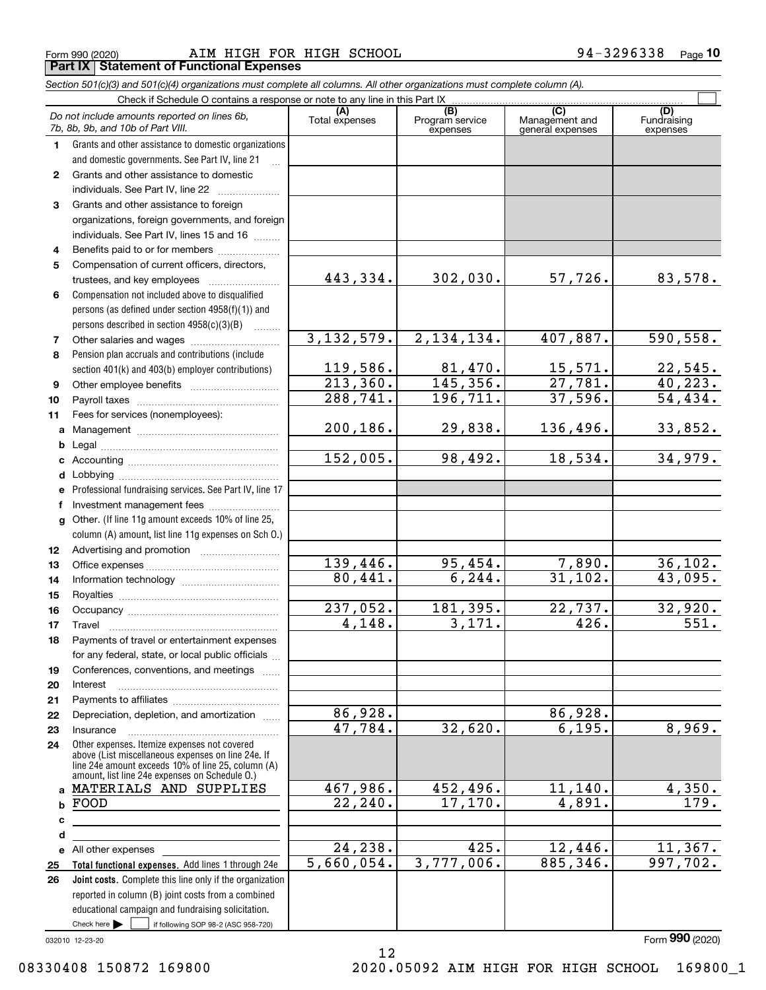Form 990 (2020) Page AIM HIGH FOR HIGH SCHOOL 94-3296338 **Part IX Statement of Functional Expenses**

*Section 501(c)(3) and 501(c)(4) organizations must complete all columns. All other organizations must complete column (A).*

|                  | Check if Schedule O contains a response or note to any line in this Part IX                          |                       |                                    |                                                      |                                |
|------------------|------------------------------------------------------------------------------------------------------|-----------------------|------------------------------------|------------------------------------------------------|--------------------------------|
|                  | Do not include amounts reported on lines 6b,<br>7b, 8b, 9b, and 10b of Part VIII.                    | (A)<br>Total expenses | (B)<br>Program service<br>expenses | $\overline{C}$<br>Management and<br>general expenses | (D)<br>Fundraising<br>expenses |
| 1.               | Grants and other assistance to domestic organizations                                                |                       |                                    |                                                      |                                |
|                  | and domestic governments. See Part IV, line 21                                                       |                       |                                    |                                                      |                                |
| $\mathbf{2}$     | Grants and other assistance to domestic                                                              |                       |                                    |                                                      |                                |
|                  | individuals. See Part IV, line 22                                                                    |                       |                                    |                                                      |                                |
| 3                | Grants and other assistance to foreign                                                               |                       |                                    |                                                      |                                |
|                  | organizations, foreign governments, and foreign                                                      |                       |                                    |                                                      |                                |
|                  | individuals. See Part IV, lines 15 and 16                                                            |                       |                                    |                                                      |                                |
| 4                | Benefits paid to or for members                                                                      |                       |                                    |                                                      |                                |
| 5                | Compensation of current officers, directors,                                                         |                       |                                    |                                                      |                                |
|                  | trustees, and key employees                                                                          | 443,334.              | 302,030.                           | 57,726.                                              | 83,578.                        |
| 6                | Compensation not included above to disqualified                                                      |                       |                                    |                                                      |                                |
|                  | persons (as defined under section 4958(f)(1)) and                                                    |                       |                                    |                                                      |                                |
|                  | persons described in section 4958(c)(3)(B)                                                           |                       |                                    |                                                      |                                |
| 7                |                                                                                                      | 3, 132, 579.          | 2, 134, 134.                       | 407,887.                                             | 590, 558.                      |
| 8                | Pension plan accruals and contributions (include                                                     |                       |                                    |                                                      |                                |
|                  | section 401(k) and 403(b) employer contributions)                                                    | 119,586.              | 81,470.                            | $\frac{15,571}{27,781}$                              | $\frac{22,545}{40,223}$ .      |
| 9                |                                                                                                      | 213,360.              | $\overline{145,356}$ .             |                                                      |                                |
| 10               |                                                                                                      | 288,741.              | 196, 711.                          | 37,596.                                              | 54, 434.                       |
| 11               | Fees for services (nonemployees):                                                                    |                       |                                    |                                                      |                                |
| a                |                                                                                                      | 200,186.              | 29,838.                            | 136,496.                                             | 33,852.                        |
| b                |                                                                                                      |                       |                                    |                                                      |                                |
| c                |                                                                                                      | 152,005.              | 98,492.                            | 18,534.                                              | 34,979.                        |
| d                |                                                                                                      |                       |                                    |                                                      |                                |
| е                | Professional fundraising services. See Part IV, line 17                                              |                       |                                    |                                                      |                                |
| f                | Investment management fees                                                                           |                       |                                    |                                                      |                                |
| g                | Other. (If line 11g amount exceeds 10% of line 25,                                                   |                       |                                    |                                                      |                                |
|                  | column (A) amount, list line 11g expenses on Sch O.)                                                 |                       |                                    |                                                      |                                |
| 12 <sup>12</sup> |                                                                                                      |                       |                                    |                                                      |                                |
| 13               |                                                                                                      | 139,446.              | 95,454.                            | 7,890.                                               | 36, 102.                       |
| 14               |                                                                                                      | 80,441.               | 6, 244.                            | 31, 102.                                             | 43,095.                        |
| 15               |                                                                                                      |                       |                                    |                                                      |                                |
| 16               |                                                                                                      | 237,052.              | 181,395.                           | $\overline{22,737}$ .                                | 32,920.                        |
| 17               | Travel                                                                                               | 4,148.                | 3,171.                             | 426.                                                 | $\overline{551}$ .             |
| 18               | Payments of travel or entertainment expenses                                                         |                       |                                    |                                                      |                                |
|                  | for any federal, state, or local public officials                                                    |                       |                                    |                                                      |                                |
| 19               | Conferences, conventions, and meetings                                                               |                       |                                    |                                                      |                                |
| 20               | Interest                                                                                             |                       |                                    |                                                      |                                |
| 21               |                                                                                                      |                       |                                    |                                                      |                                |
| 22               | Depreciation, depletion, and amortization                                                            | 86,928.               |                                    | 86,928.                                              |                                |
| 23               | Insurance                                                                                            | 47,784.               | 32,620.                            | 6,195.                                               | 8,969.                         |
| 24               | Other expenses. Itemize expenses not covered<br>above (List miscellaneous expenses on line 24e. If   |                       |                                    |                                                      |                                |
|                  | line 24e amount exceeds 10% of line 25, column (A)<br>amount, list line 24e expenses on Schedule O.) |                       |                                    |                                                      |                                |
| a                | MATERIALS AND SUPPLIES                                                                               | 467,986.              | 452,496.                           | 11, 140.                                             | 4,350.                         |
| b                | FOOD                                                                                                 | $\overline{22,240}$ . | 17, 170.                           | 4,891.                                               | 179.                           |
| с                | the control of the control of the control of the control of the control of                           |                       |                                    |                                                      |                                |
| d                |                                                                                                      |                       |                                    |                                                      |                                |
| е                | All other expenses                                                                                   | 24,238.               | 425.                               | 12,446.                                              | 11,367.                        |
| 25               | Total functional expenses. Add lines 1 through 24e                                                   | 5,660,054.            | 3,777,006.                         | 885, 346.                                            | 997,702.                       |
| 26               | <b>Joint costs.</b> Complete this line only if the organization                                      |                       |                                    |                                                      |                                |
|                  | reported in column (B) joint costs from a combined                                                   |                       |                                    |                                                      |                                |
|                  | educational campaign and fundraising solicitation.                                                   |                       |                                    |                                                      |                                |
|                  | Check here $\blacktriangleright$<br>if following SOP 98-2 (ASC 958-720)                              |                       |                                    |                                                      |                                |

12

032010 12-23-20

08330408 150872 169800 2020.05092 AIM HIGH FOR HIGH SCHOOL 169800\_1

Form (2020) **990**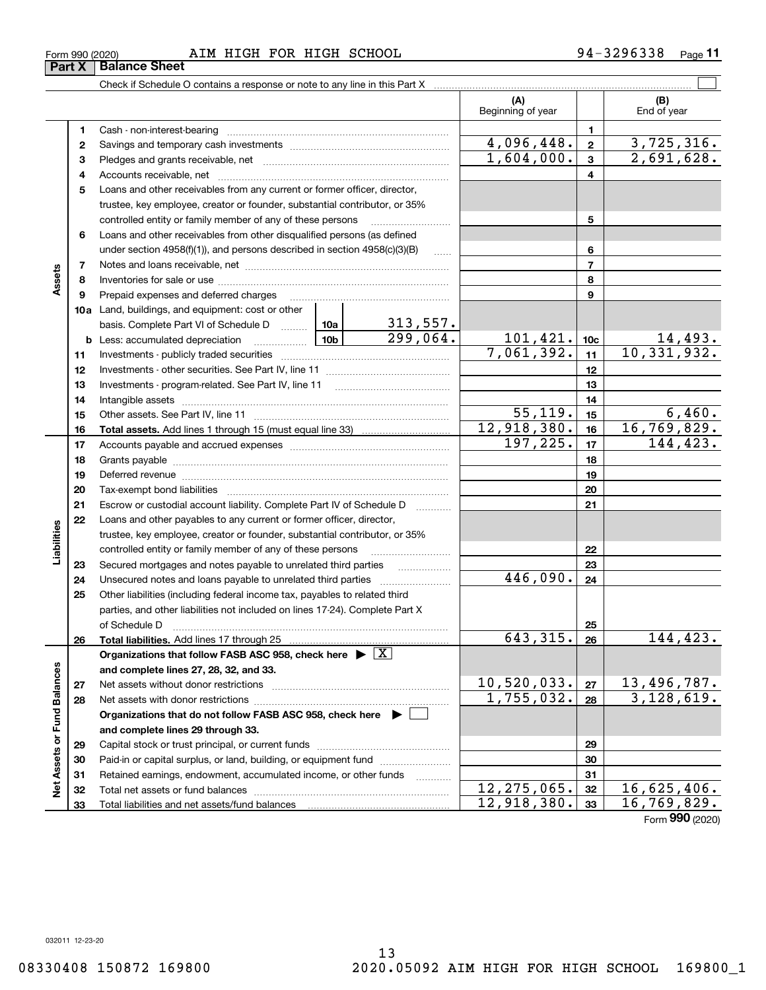#### Form 990 (2020) Page AIM HIGH FOR HIGH SCHOOL 94-3296338 **Part X Balance Sheet**

Check if Schedule O contains a response or note to any line in this Part X

|                             |          |                                                                                                                                                            |                 |                           | (A)<br>Beginning of year     |                 | (B)<br>End of year          |
|-----------------------------|----------|------------------------------------------------------------------------------------------------------------------------------------------------------------|-----------------|---------------------------|------------------------------|-----------------|-----------------------------|
|                             | 1        |                                                                                                                                                            |                 |                           |                              | 1               |                             |
|                             | 2        |                                                                                                                                                            |                 | 4,096,448.                | $\overline{\mathbf{2}}$      | 3,725,316.      |                             |
|                             | з        |                                                                                                                                                            | 1,604,000.      | 3                         | 2,691,628.                   |                 |                             |
|                             | 4        |                                                                                                                                                            |                 | 4                         |                              |                 |                             |
|                             | 5        | Loans and other receivables from any current or former officer, director,                                                                                  |                 |                           |                              |                 |                             |
|                             |          | trustee, key employee, creator or founder, substantial contributor, or 35%                                                                                 |                 |                           |                              |                 |                             |
|                             |          | controlled entity or family member of any of these persons                                                                                                 |                 | 5                         |                              |                 |                             |
|                             | 6        | Loans and other receivables from other disqualified persons (as defined                                                                                    |                 |                           |                              |                 |                             |
|                             |          | under section $4958(f)(1)$ , and persons described in section $4958(c)(3)(B)$                                                                              |                 | 6                         |                              |                 |                             |
|                             | 7        |                                                                                                                                                            |                 | 1.1.1.1                   |                              | $\overline{7}$  |                             |
| Assets                      | 8        |                                                                                                                                                            |                 |                           |                              | 8               |                             |
|                             | 9        | Prepaid expenses and deferred charges                                                                                                                      |                 |                           |                              | 9               |                             |
|                             |          | 10a Land, buildings, and equipment: cost or other                                                                                                          |                 |                           |                              |                 |                             |
|                             |          | basis. Complete Part VI of Schedule D  10a                                                                                                                 |                 | $\frac{313,557}{299,064}$ |                              |                 |                             |
|                             |          | <b>b</b> Less: accumulated depreciation<br>.                                                                                                               | 10 <sub>b</sub> |                           | $\frac{101,421}{7,061,392.}$ | 10 <sub>c</sub> |                             |
|                             | 11       |                                                                                                                                                            |                 |                           |                              | 11              | $\frac{14,493}{10,331,932}$ |
|                             | 12       |                                                                                                                                                            |                 |                           |                              | 12              |                             |
|                             | 13       | Investments - program-related. See Part IV, line 11                                                                                                        |                 |                           |                              | 13              |                             |
|                             | 14       |                                                                                                                                                            |                 | 14                        |                              |                 |                             |
|                             | 15       |                                                                                                                                                            |                 |                           | 55, 119.                     | 15              | 6,460.                      |
|                             | 16       |                                                                                                                                                            |                 |                           | 12,918,380.                  | 16              | 16,769,829.                 |
|                             | 17       |                                                                                                                                                            |                 | 197, 225.                 | 17                           | 144,423.        |                             |
|                             | 18       |                                                                                                                                                            |                 | 18                        |                              |                 |                             |
|                             | 19       |                                                                                                                                                            |                 | 19                        |                              |                 |                             |
|                             | 20       |                                                                                                                                                            |                 |                           |                              | 20              |                             |
|                             | 21       | Escrow or custodial account liability. Complete Part IV of Schedule D                                                                                      |                 |                           |                              | 21              |                             |
|                             | 22       | Loans and other payables to any current or former officer, director,                                                                                       |                 |                           |                              |                 |                             |
| abilities                   |          | trustee, key employee, creator or founder, substantial contributor, or 35%                                                                                 |                 |                           |                              |                 |                             |
|                             |          | controlled entity or family member of any of these persons                                                                                                 |                 |                           |                              | 22              |                             |
|                             | 23       | Secured mortgages and notes payable to unrelated third parties                                                                                             |                 |                           | 446,090.                     | 23              |                             |
|                             | 24<br>25 | Unsecured notes and loans payable to unrelated third parties                                                                                               |                 |                           |                              | 24              |                             |
|                             |          | Other liabilities (including federal income tax, payables to related third<br>parties, and other liabilities not included on lines 17-24). Complete Part X |                 |                           |                              |                 |                             |
|                             |          | of Schedule D                                                                                                                                              |                 |                           |                              | 25              |                             |
|                             | 26       |                                                                                                                                                            |                 |                           | 643, 315.                    | 26              | 144,423.                    |
|                             |          | Organizations that follow FASB ASC 958, check here $\triangleright \lfloor X \rfloor$                                                                      |                 |                           |                              |                 |                             |
|                             |          | and complete lines 27, 28, 32, and 33.                                                                                                                     |                 |                           |                              |                 |                             |
|                             | 27       | Net assets without donor restrictions                                                                                                                      |                 |                           | 10,520,033.                  | ${\bf 27}$      | 13,496,787.                 |
|                             | 28       | Net assets with donor restrictions                                                                                                                         | 1,755,032.      | 28                        | 3,128,619.                   |                 |                             |
|                             |          | Organizations that do not follow FASB ASC 958, check here $\blacktriangleright$                                                                            |                 |                           |                              |                 |                             |
|                             |          | and complete lines 29 through 33.                                                                                                                          |                 |                           |                              |                 |                             |
| Net Assets or Fund Balances | 29       |                                                                                                                                                            |                 |                           |                              | 29              |                             |
|                             | 30       | Paid-in or capital surplus, or land, building, or equipment fund                                                                                           |                 |                           |                              | 30              |                             |
|                             | 31       | Retained earnings, endowment, accumulated income, or other funds                                                                                           |                 | .                         |                              | 31              |                             |
|                             | 32       |                                                                                                                                                            | 12, 275, 065.   | 32                        | 16,625,406.                  |                 |                             |
|                             | 33       |                                                                                                                                                            |                 |                           | 12,918,380.                  | 33              | $\overline{16,769,829}$ .   |

Form (2020) **990**

 $\mathcal{L}^{\text{max}}$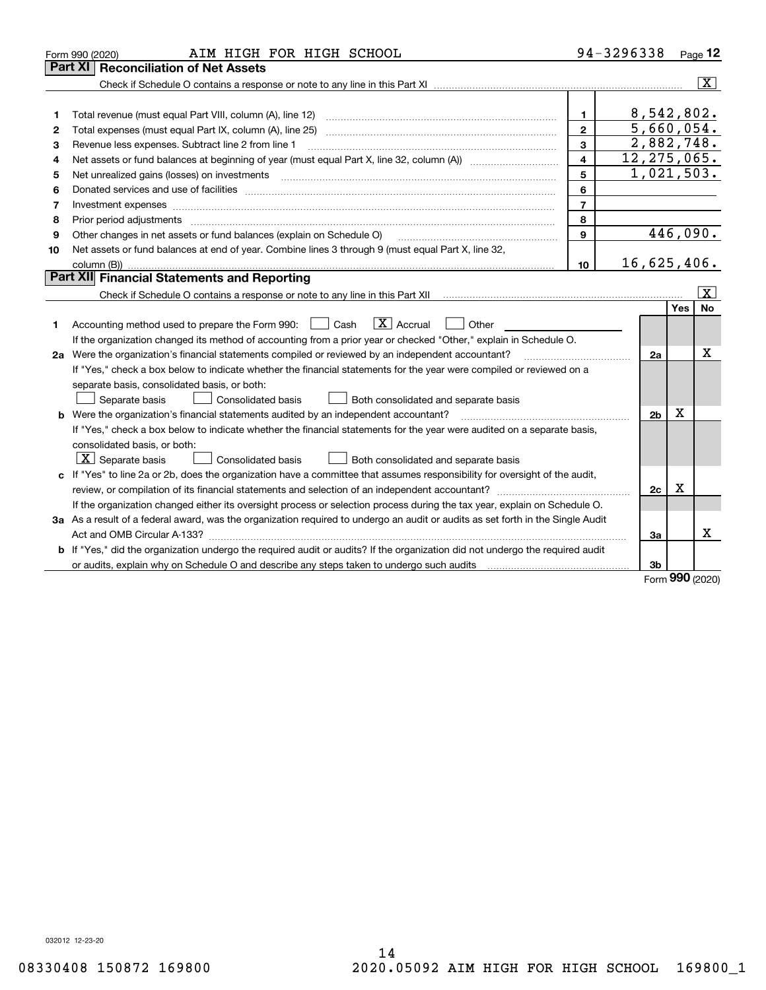|    | AIM HIGH FOR HIGH SCHOOL<br>Form 990 (2020)                                                                                     |                         | 94-3296338     |     | Page $12$               |
|----|---------------------------------------------------------------------------------------------------------------------------------|-------------------------|----------------|-----|-------------------------|
|    | <b>Reconciliation of Net Assets</b><br>Part XI                                                                                  |                         |                |     |                         |
|    |                                                                                                                                 |                         |                |     | $\overline{\mathbf{x}}$ |
|    |                                                                                                                                 |                         |                |     |                         |
| 1  | Total revenue (must equal Part VIII, column (A), line 12)                                                                       | 1                       | 8,542,802.     |     |                         |
| 2  | Total expenses (must equal Part IX, column (A), line 25)                                                                        | $\overline{2}$          | 5,660,054.     |     |                         |
| 3  | Revenue less expenses. Subtract line 2 from line 1                                                                              | 3                       | 2,882,748.     |     |                         |
| 4  |                                                                                                                                 | $\overline{\mathbf{4}}$ | 12, 275, 065.  |     |                         |
| 5  | Net unrealized gains (losses) on investments                                                                                    | 5                       | 1,021,503.     |     |                         |
| 6  |                                                                                                                                 | 6                       |                |     |                         |
| 7  | Investment expenses www.communication.com/www.communication.com/www.communication.com/www.com                                   | $\overline{7}$          |                |     |                         |
| 8  | Prior period adjustments                                                                                                        | 8                       |                |     |                         |
| 9  | Other changes in net assets or fund balances (explain on Schedule O)                                                            | $\mathbf{9}$            |                |     | 446,090.                |
| 10 | Net assets or fund balances at end of year. Combine lines 3 through 9 (must equal Part X, line 32,                              |                         |                |     |                         |
|    | column (B))                                                                                                                     | 10                      | 16,625,406.    |     |                         |
|    | Part XII Financial Statements and Reporting                                                                                     |                         |                |     |                         |
|    |                                                                                                                                 |                         |                |     | $\overline{\mathbf{x}}$ |
|    |                                                                                                                                 |                         |                | Yes | No                      |
| 1  | $\boxed{\mathbf{X}}$ Accrual<br>Accounting method used to prepare the Form 990: <u>I</u> Cash<br>Other                          |                         |                |     |                         |
|    | If the organization changed its method of accounting from a prior year or checked "Other," explain in Schedule O.               |                         |                |     |                         |
|    | 2a Were the organization's financial statements compiled or reviewed by an independent accountant?                              |                         | 2a             |     | Χ                       |
|    | If "Yes," check a box below to indicate whether the financial statements for the year were compiled or reviewed on a            |                         |                |     |                         |
|    | separate basis, consolidated basis, or both:                                                                                    |                         |                |     |                         |
|    | Separate basis<br>Consolidated basis<br>Both consolidated and separate basis                                                    |                         |                |     |                         |
|    | <b>b</b> Were the organization's financial statements audited by an independent accountant?                                     |                         | 2 <sub>b</sub> | X   |                         |
|    | If "Yes," check a box below to indicate whether the financial statements for the year were audited on a separate basis,         |                         |                |     |                         |
|    | consolidated basis, or both:                                                                                                    |                         |                |     |                         |
|    | $X$ Separate basis<br><b>Consolidated basis</b><br>Both consolidated and separate basis                                         |                         |                |     |                         |
|    | c If "Yes" to line 2a or 2b, does the organization have a committee that assumes responsibility for oversight of the audit,     |                         |                |     |                         |
|    | review, or compilation of its financial statements and selection of an independent accountant?                                  |                         | 2c             | х   |                         |
|    | If the organization changed either its oversight process or selection process during the tax year, explain on Schedule O.       |                         |                |     |                         |
|    | 3a As a result of a federal award, was the organization required to undergo an audit or audits as set forth in the Single Audit |                         |                |     |                         |
|    |                                                                                                                                 |                         | За             |     | x                       |
|    | b If "Yes," did the organization undergo the required audit or audits? If the organization did not undergo the required audit   |                         |                |     |                         |
|    | or audits, explain why on Schedule O and describe any steps taken to undergo such audits                                        |                         | 3b             |     |                         |

Form (2020) **990**

032012 12-23-20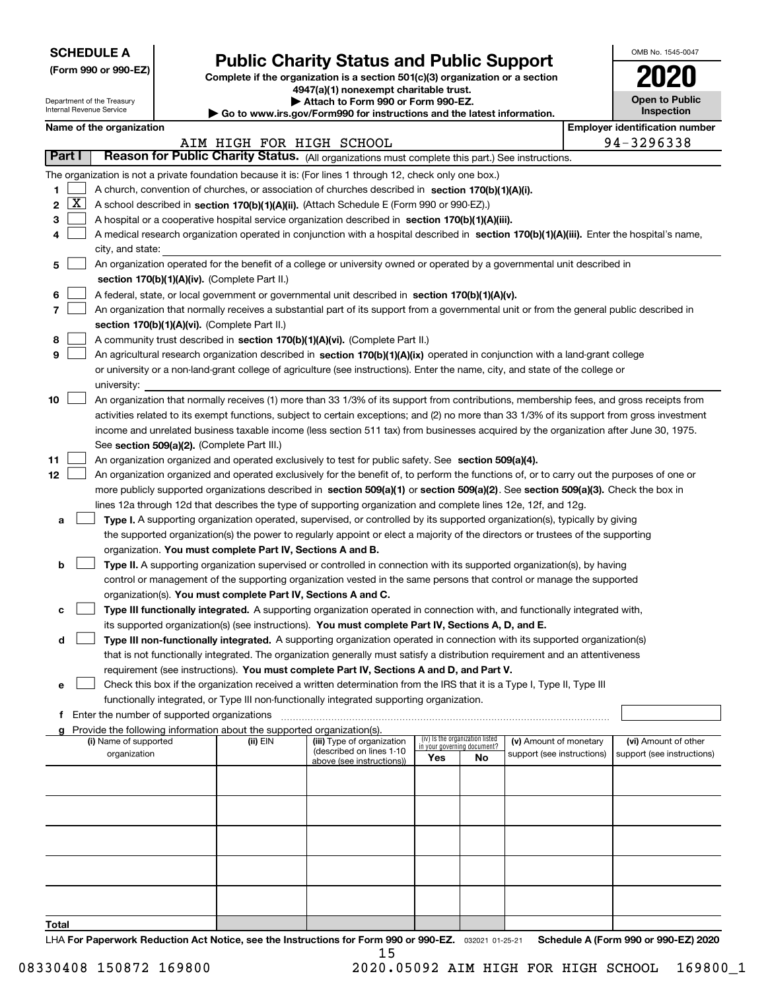| <b>SCHEDULE A</b> |
|-------------------|
|-------------------|

Department of the Treasury Internal Revenue Service

|  |  |  | (Form 990 or 990-EZ) |  |
|--|--|--|----------------------|--|
|--|--|--|----------------------|--|

# **Public Charity Status and Public Support**

**Complete if the organization is a section 501(c)(3) organization or a section 4947(a)(1) nonexempt charitable trust.**

**| Attach to Form 990 or Form 990-EZ.** 

**| Go to www.irs.gov/Form990 for instructions and the latest information.**

| OMB No. 1545-0047                   |
|-------------------------------------|
| 2020                                |
| <b>Open to Public</b><br>Inspection |

|        |                     | Name of the organization                                                                                                                     |                          |                                                        |                             |                                 |                            |  | <b>Employer identification number</b> |  |  |
|--------|---------------------|----------------------------------------------------------------------------------------------------------------------------------------------|--------------------------|--------------------------------------------------------|-----------------------------|---------------------------------|----------------------------|--|---------------------------------------|--|--|
|        |                     |                                                                                                                                              | AIM HIGH FOR HIGH SCHOOL |                                                        |                             |                                 |                            |  | 94-3296338                            |  |  |
| Part I |                     | Reason for Public Charity Status. (All organizations must complete this part.) See instructions.                                             |                          |                                                        |                             |                                 |                            |  |                                       |  |  |
|        |                     | The organization is not a private foundation because it is: (For lines 1 through 12, check only one box.)                                    |                          |                                                        |                             |                                 |                            |  |                                       |  |  |
| 1      |                     | A church, convention of churches, or association of churches described in section 170(b)(1)(A)(i).                                           |                          |                                                        |                             |                                 |                            |  |                                       |  |  |
| 2      | $\lfloor x \rfloor$ | A school described in section 170(b)(1)(A)(ii). (Attach Schedule E (Form 990 or 990-EZ).)                                                    |                          |                                                        |                             |                                 |                            |  |                                       |  |  |
| з      |                     | A hospital or a cooperative hospital service organization described in section 170(b)(1)(A)(iii).                                            |                          |                                                        |                             |                                 |                            |  |                                       |  |  |
|        |                     | A medical research organization operated in conjunction with a hospital described in section 170(b)(1)(A)(iii). Enter the hospital's name,   |                          |                                                        |                             |                                 |                            |  |                                       |  |  |
|        |                     | city, and state:                                                                                                                             |                          |                                                        |                             |                                 |                            |  |                                       |  |  |
| 5      |                     | An organization operated for the benefit of a college or university owned or operated by a governmental unit described in                    |                          |                                                        |                             |                                 |                            |  |                                       |  |  |
|        |                     | section 170(b)(1)(A)(iv). (Complete Part II.)                                                                                                |                          |                                                        |                             |                                 |                            |  |                                       |  |  |
| 6      |                     | A federal, state, or local government or governmental unit described in section 170(b)(1)(A)(v).                                             |                          |                                                        |                             |                                 |                            |  |                                       |  |  |
| 7      |                     | An organization that normally receives a substantial part of its support from a governmental unit or from the general public described in    |                          |                                                        |                             |                                 |                            |  |                                       |  |  |
|        |                     | section 170(b)(1)(A)(vi). (Complete Part II.)                                                                                                |                          |                                                        |                             |                                 |                            |  |                                       |  |  |
| 8      |                     | A community trust described in section 170(b)(1)(A)(vi). (Complete Part II.)                                                                 |                          |                                                        |                             |                                 |                            |  |                                       |  |  |
| 9      |                     | An agricultural research organization described in section 170(b)(1)(A)(ix) operated in conjunction with a land-grant college                |                          |                                                        |                             |                                 |                            |  |                                       |  |  |
|        |                     | or university or a non-land-grant college of agriculture (see instructions). Enter the name, city, and state of the college or               |                          |                                                        |                             |                                 |                            |  |                                       |  |  |
|        |                     | university:                                                                                                                                  |                          |                                                        |                             |                                 |                            |  |                                       |  |  |
| 10     |                     | An organization that normally receives (1) more than 33 1/3% of its support from contributions, membership fees, and gross receipts from     |                          |                                                        |                             |                                 |                            |  |                                       |  |  |
|        |                     | activities related to its exempt functions, subject to certain exceptions; and (2) no more than 33 1/3% of its support from gross investment |                          |                                                        |                             |                                 |                            |  |                                       |  |  |
|        |                     | income and unrelated business taxable income (less section 511 tax) from businesses acquired by the organization after June 30, 1975.        |                          |                                                        |                             |                                 |                            |  |                                       |  |  |
|        |                     | See section 509(a)(2). (Complete Part III.)                                                                                                  |                          |                                                        |                             |                                 |                            |  |                                       |  |  |
| 11     |                     | An organization organized and operated exclusively to test for public safety. See section 509(a)(4).                                         |                          |                                                        |                             |                                 |                            |  |                                       |  |  |
| 12     |                     | An organization organized and operated exclusively for the benefit of, to perform the functions of, or to carry out the purposes of one or   |                          |                                                        |                             |                                 |                            |  |                                       |  |  |
|        |                     | more publicly supported organizations described in section 509(a)(1) or section 509(a)(2). See section 509(a)(3). Check the box in           |                          |                                                        |                             |                                 |                            |  |                                       |  |  |
|        |                     | lines 12a through 12d that describes the type of supporting organization and complete lines 12e, 12f, and 12g.                               |                          |                                                        |                             |                                 |                            |  |                                       |  |  |
| а      |                     | Type I. A supporting organization operated, supervised, or controlled by its supported organization(s), typically by giving                  |                          |                                                        |                             |                                 |                            |  |                                       |  |  |
|        |                     | the supported organization(s) the power to regularly appoint or elect a majority of the directors or trustees of the supporting              |                          |                                                        |                             |                                 |                            |  |                                       |  |  |
|        |                     | organization. You must complete Part IV, Sections A and B.                                                                                   |                          |                                                        |                             |                                 |                            |  |                                       |  |  |
| b      |                     | Type II. A supporting organization supervised or controlled in connection with its supported organization(s), by having                      |                          |                                                        |                             |                                 |                            |  |                                       |  |  |
|        |                     | control or management of the supporting organization vested in the same persons that control or manage the supported                         |                          |                                                        |                             |                                 |                            |  |                                       |  |  |
|        |                     | organization(s). You must complete Part IV, Sections A and C.                                                                                |                          |                                                        |                             |                                 |                            |  |                                       |  |  |
| с      |                     | Type III functionally integrated. A supporting organization operated in connection with, and functionally integrated with,                   |                          |                                                        |                             |                                 |                            |  |                                       |  |  |
|        |                     | its supported organization(s) (see instructions). You must complete Part IV, Sections A, D, and E.                                           |                          |                                                        |                             |                                 |                            |  |                                       |  |  |
| d      |                     | Type III non-functionally integrated. A supporting organization operated in connection with its supported organization(s)                    |                          |                                                        |                             |                                 |                            |  |                                       |  |  |
|        |                     | that is not functionally integrated. The organization generally must satisfy a distribution requirement and an attentiveness                 |                          |                                                        |                             |                                 |                            |  |                                       |  |  |
|        |                     | requirement (see instructions). You must complete Part IV, Sections A and D, and Part V.                                                     |                          |                                                        |                             |                                 |                            |  |                                       |  |  |
| е      |                     | Check this box if the organization received a written determination from the IRS that it is a Type I, Type II, Type III                      |                          |                                                        |                             |                                 |                            |  |                                       |  |  |
|        |                     | functionally integrated, or Type III non-functionally integrated supporting organization.                                                    |                          |                                                        |                             |                                 |                            |  |                                       |  |  |
|        |                     | f Enter the number of supported organizations                                                                                                |                          |                                                        |                             |                                 |                            |  |                                       |  |  |
|        |                     | g Provide the following information about the supported organization(s).                                                                     |                          |                                                        |                             |                                 |                            |  |                                       |  |  |
|        |                     | (i) Name of supported                                                                                                                        | (ii) EIN                 | (iii) Type of organization<br>(described on lines 1-10 | in your governing document? | (iv) Is the organization listed | (v) Amount of monetary     |  | (vi) Amount of other                  |  |  |
|        |                     | organization                                                                                                                                 |                          | above (see instructions))                              | Yes                         | No.                             | support (see instructions) |  | support (see instructions)            |  |  |
|        |                     |                                                                                                                                              |                          |                                                        |                             |                                 |                            |  |                                       |  |  |
|        |                     |                                                                                                                                              |                          |                                                        |                             |                                 |                            |  |                                       |  |  |
|        |                     |                                                                                                                                              |                          |                                                        |                             |                                 |                            |  |                                       |  |  |
|        |                     |                                                                                                                                              |                          |                                                        |                             |                                 |                            |  |                                       |  |  |
|        |                     |                                                                                                                                              |                          |                                                        |                             |                                 |                            |  |                                       |  |  |
|        |                     |                                                                                                                                              |                          |                                                        |                             |                                 |                            |  |                                       |  |  |
|        |                     |                                                                                                                                              |                          |                                                        |                             |                                 |                            |  |                                       |  |  |
|        |                     |                                                                                                                                              |                          |                                                        |                             |                                 |                            |  |                                       |  |  |
|        |                     |                                                                                                                                              |                          |                                                        |                             |                                 |                            |  |                                       |  |  |
|        |                     |                                                                                                                                              |                          |                                                        |                             |                                 |                            |  |                                       |  |  |
| Total  |                     |                                                                                                                                              |                          |                                                        |                             |                                 |                            |  |                                       |  |  |

LHA For Paperwork Reduction Act Notice, see the Instructions for Form 990 or 990-EZ. <sub>032021</sub> o1-25-21 Schedule A (Form 990 or 990-EZ) 2020 15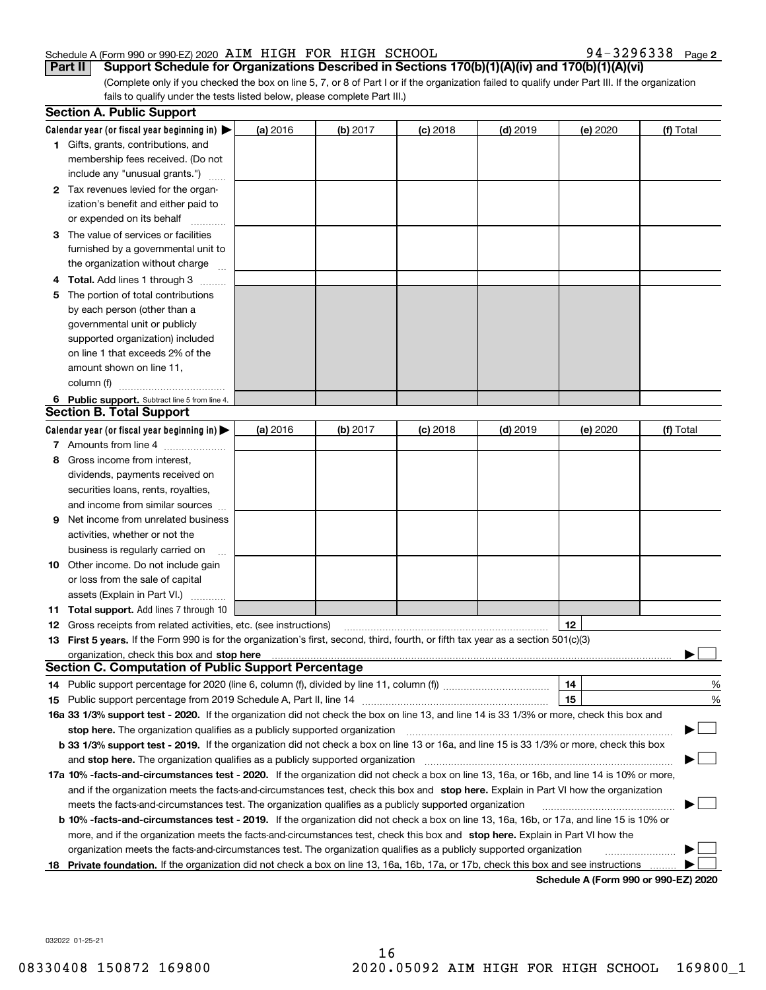94-3296338 Page 2

(Complete only if you checked the box on line 5, 7, or 8 of Part I or if the organization failed to qualify under Part III. If the organization fails to qualify under the tests listed below, please complete Part III.) **Part II** Support Schedule for Organizations Described in Sections 170(b)(1)(A)(iv) and 170(b)(1)(A)(vi)

|    | <b>Section A. Public Support</b>                                                                                                                                                                                              |          |            |            |            |          |                                      |
|----|-------------------------------------------------------------------------------------------------------------------------------------------------------------------------------------------------------------------------------|----------|------------|------------|------------|----------|--------------------------------------|
|    | Calendar year (or fiscal year beginning in) $\blacktriangleright$                                                                                                                                                             | (a) 2016 | $(b)$ 2017 | $(c)$ 2018 | $(d)$ 2019 | (e) 2020 | (f) Total                            |
|    | <b>1</b> Gifts, grants, contributions, and                                                                                                                                                                                    |          |            |            |            |          |                                      |
|    | membership fees received. (Do not                                                                                                                                                                                             |          |            |            |            |          |                                      |
|    | include any "unusual grants.")                                                                                                                                                                                                |          |            |            |            |          |                                      |
|    | 2 Tax revenues levied for the organ-                                                                                                                                                                                          |          |            |            |            |          |                                      |
|    | ization's benefit and either paid to                                                                                                                                                                                          |          |            |            |            |          |                                      |
|    | or expended on its behalf                                                                                                                                                                                                     |          |            |            |            |          |                                      |
|    | 3 The value of services or facilities                                                                                                                                                                                         |          |            |            |            |          |                                      |
|    | furnished by a governmental unit to                                                                                                                                                                                           |          |            |            |            |          |                                      |
|    | the organization without charge                                                                                                                                                                                               |          |            |            |            |          |                                      |
|    | <b>4 Total.</b> Add lines 1 through 3                                                                                                                                                                                         |          |            |            |            |          |                                      |
| 5. | The portion of total contributions                                                                                                                                                                                            |          |            |            |            |          |                                      |
|    | by each person (other than a                                                                                                                                                                                                  |          |            |            |            |          |                                      |
|    | governmental unit or publicly                                                                                                                                                                                                 |          |            |            |            |          |                                      |
|    | supported organization) included                                                                                                                                                                                              |          |            |            |            |          |                                      |
|    | on line 1 that exceeds 2% of the                                                                                                                                                                                              |          |            |            |            |          |                                      |
|    | amount shown on line 11,                                                                                                                                                                                                      |          |            |            |            |          |                                      |
|    | column (f)                                                                                                                                                                                                                    |          |            |            |            |          |                                      |
|    | 6 Public support. Subtract line 5 from line 4.                                                                                                                                                                                |          |            |            |            |          |                                      |
|    | <b>Section B. Total Support</b>                                                                                                                                                                                               |          |            |            |            |          |                                      |
|    | Calendar year (or fiscal year beginning in) $\blacktriangleright$                                                                                                                                                             | (a) 2016 | (b) 2017   | $(c)$ 2018 | $(d)$ 2019 | (e) 2020 | (f) Total                            |
|    | 7 Amounts from line 4                                                                                                                                                                                                         |          |            |            |            |          |                                      |
| 8  | Gross income from interest,                                                                                                                                                                                                   |          |            |            |            |          |                                      |
|    | dividends, payments received on                                                                                                                                                                                               |          |            |            |            |          |                                      |
|    | securities loans, rents, royalties,                                                                                                                                                                                           |          |            |            |            |          |                                      |
|    | and income from similar sources                                                                                                                                                                                               |          |            |            |            |          |                                      |
| 9  | Net income from unrelated business                                                                                                                                                                                            |          |            |            |            |          |                                      |
|    | activities, whether or not the                                                                                                                                                                                                |          |            |            |            |          |                                      |
|    | business is regularly carried on                                                                                                                                                                                              |          |            |            |            |          |                                      |
|    | <b>10</b> Other income. Do not include gain                                                                                                                                                                                   |          |            |            |            |          |                                      |
|    | or loss from the sale of capital                                                                                                                                                                                              |          |            |            |            |          |                                      |
|    | assets (Explain in Part VI.)                                                                                                                                                                                                  |          |            |            |            |          |                                      |
|    | 11 Total support. Add lines 7 through 10                                                                                                                                                                                      |          |            |            |            |          |                                      |
|    | <b>12</b> Gross receipts from related activities, etc. (see instructions)                                                                                                                                                     |          |            |            |            | 12       |                                      |
|    | 13 First 5 years. If the Form 990 is for the organization's first, second, third, fourth, or fifth tax year as a section 501(c)(3)                                                                                            |          |            |            |            |          |                                      |
|    | organization, check this box and stop here manufactured and state and state and state and state and state and stop here and stop here are all and state and state and state and state and state and state and state and state |          |            |            |            |          |                                      |
|    | <b>Section C. Computation of Public Support Percentage</b>                                                                                                                                                                    |          |            |            |            |          |                                      |
|    | 14 Public support percentage for 2020 (line 6, column (f), divided by line 11, column (f) <i>mummumumum</i>                                                                                                                   |          |            |            |            | 14       | %                                    |
|    |                                                                                                                                                                                                                               |          |            |            |            | 15       | $\%$                                 |
|    | 16a 33 1/3% support test - 2020. If the organization did not check the box on line 13, and line 14 is 33 1/3% or more, check this box and                                                                                     |          |            |            |            |          |                                      |
|    | stop here. The organization qualifies as a publicly supported organization                                                                                                                                                    |          |            |            |            |          |                                      |
|    | b 33 1/3% support test - 2019. If the organization did not check a box on line 13 or 16a, and line 15 is 33 1/3% or more, check this box                                                                                      |          |            |            |            |          |                                      |
|    | and stop here. The organization qualifies as a publicly supported organization                                                                                                                                                |          |            |            |            |          |                                      |
|    | 17a 10% -facts-and-circumstances test - 2020. If the organization did not check a box on line 13, 16a, or 16b, and line 14 is 10% or more,                                                                                    |          |            |            |            |          |                                      |
|    | and if the organization meets the facts-and-circumstances test, check this box and stop here. Explain in Part VI how the organization                                                                                         |          |            |            |            |          |                                      |
|    | meets the facts-and-circumstances test. The organization qualifies as a publicly supported organization                                                                                                                       |          |            |            |            |          |                                      |
|    | <b>b 10% -facts-and-circumstances test - 2019.</b> If the organization did not check a box on line 13, 16a, 16b, or 17a, and line 15 is 10% or                                                                                |          |            |            |            |          |                                      |
|    | more, and if the organization meets the facts-and-circumstances test, check this box and stop here. Explain in Part VI how the                                                                                                |          |            |            |            |          |                                      |
|    | organization meets the facts-and-circumstances test. The organization qualifies as a publicly supported organization                                                                                                          |          |            |            |            |          |                                      |
| 18 | Private foundation. If the organization did not check a box on line 13, 16a, 16b, 17a, or 17b, check this box and see instructions                                                                                            |          |            |            |            |          |                                      |
|    |                                                                                                                                                                                                                               |          |            |            |            |          | Schedule A (Form 990 or 990-F7) 2020 |

**Schedule A (Form 990 or 990-EZ) 2020**

032022 01-25-21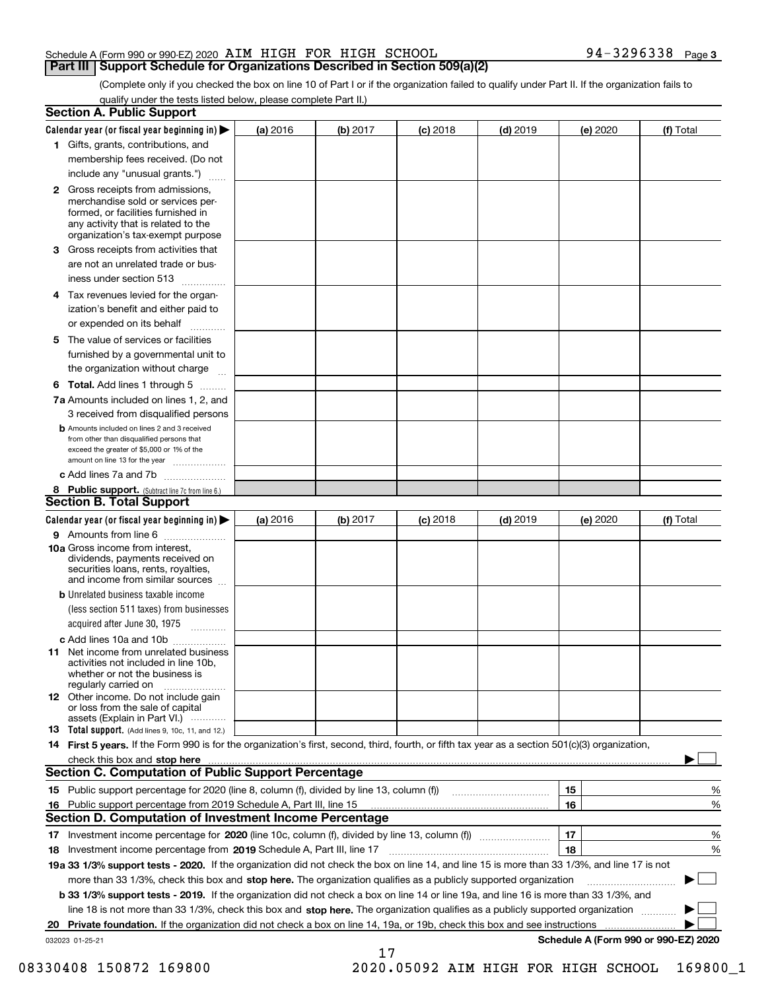(Complete only if you checked the box on line 10 of Part I or if the organization failed to qualify under Part II. If the organization fails to qualify under the tests listed below, please complete Part II.)

| <b>Section A. Public Support</b>                                                                                                                                                                                               |          |          |                 |            |          |                                      |
|--------------------------------------------------------------------------------------------------------------------------------------------------------------------------------------------------------------------------------|----------|----------|-----------------|------------|----------|--------------------------------------|
| Calendar year (or fiscal year beginning in) $\blacktriangleright$                                                                                                                                                              | (a) 2016 | (b) 2017 | $(c)$ 2018      | $(d)$ 2019 | (e) 2020 | (f) Total                            |
| 1 Gifts, grants, contributions, and                                                                                                                                                                                            |          |          |                 |            |          |                                      |
| membership fees received. (Do not                                                                                                                                                                                              |          |          |                 |            |          |                                      |
| include any "unusual grants.")                                                                                                                                                                                                 |          |          |                 |            |          |                                      |
| <b>2</b> Gross receipts from admissions,<br>merchandise sold or services per-<br>formed, or facilities furnished in<br>any activity that is related to the<br>organization's tax-exempt purpose                                |          |          |                 |            |          |                                      |
| 3 Gross receipts from activities that                                                                                                                                                                                          |          |          |                 |            |          |                                      |
| are not an unrelated trade or bus-                                                                                                                                                                                             |          |          |                 |            |          |                                      |
| iness under section 513                                                                                                                                                                                                        |          |          |                 |            |          |                                      |
| 4 Tax revenues levied for the organ-                                                                                                                                                                                           |          |          |                 |            |          |                                      |
| ization's benefit and either paid to                                                                                                                                                                                           |          |          |                 |            |          |                                      |
| or expended on its behalf<br>.                                                                                                                                                                                                 |          |          |                 |            |          |                                      |
| 5 The value of services or facilities<br>furnished by a governmental unit to                                                                                                                                                   |          |          |                 |            |          |                                      |
| the organization without charge                                                                                                                                                                                                |          |          |                 |            |          |                                      |
| <b>6 Total.</b> Add lines 1 through 5                                                                                                                                                                                          |          |          |                 |            |          |                                      |
| 7a Amounts included on lines 1, 2, and<br>3 received from disqualified persons                                                                                                                                                 |          |          |                 |            |          |                                      |
| <b>b</b> Amounts included on lines 2 and 3 received<br>from other than disqualified persons that<br>exceed the greater of \$5,000 or 1% of the<br>amount on line 13 for the year                                               |          |          |                 |            |          |                                      |
| c Add lines 7a and 7b                                                                                                                                                                                                          |          |          |                 |            |          |                                      |
| 8 Public support. (Subtract line 7c from line 6.)<br>Section B. Total Support                                                                                                                                                  |          |          |                 |            |          |                                      |
| Calendar year (or fiscal year beginning in)                                                                                                                                                                                    | (a) 2016 | (b) 2017 | <b>(c)</b> 2018 | $(d)$ 2019 | (e) 2020 | (f) Total                            |
| 9 Amounts from line 6                                                                                                                                                                                                          |          |          |                 |            |          |                                      |
| <b>10a</b> Gross income from interest,<br>dividends, payments received on<br>securities loans, rents, royalties,<br>and income from similar sources                                                                            |          |          |                 |            |          |                                      |
| <b>b</b> Unrelated business taxable income                                                                                                                                                                                     |          |          |                 |            |          |                                      |
| (less section 511 taxes) from businesses                                                                                                                                                                                       |          |          |                 |            |          |                                      |
| acquired after June 30, 1975                                                                                                                                                                                                   |          |          |                 |            |          |                                      |
| c Add lines 10a and 10b                                                                                                                                                                                                        |          |          |                 |            |          |                                      |
| 11 Net income from unrelated business<br>activities not included in line 10b,<br>whether or not the business is<br>regularly carried on                                                                                        |          |          |                 |            |          |                                      |
| 12 Other income. Do not include gain<br>or loss from the sale of capital<br>assets (Explain in Part VI.)                                                                                                                       |          |          |                 |            |          |                                      |
| <b>13</b> Total support. (Add lines 9, 10c, 11, and 12.)                                                                                                                                                                       |          |          |                 |            |          |                                      |
| 14 First 5 years. If the Form 990 is for the organization's first, second, third, fourth, or fifth tax year as a section 501(c)(3) organization,                                                                               |          |          |                 |            |          |                                      |
| check this box and stop here with the communication of the contract of the contract of the contract of the contract of the contract of the contract of the contract of the contract of the contract of the contract of the con |          |          |                 |            |          |                                      |
| <b>Section C. Computation of Public Support Percentage</b>                                                                                                                                                                     |          |          |                 |            |          |                                      |
|                                                                                                                                                                                                                                |          |          |                 |            | 15       | %                                    |
| 16 Public support percentage from 2019 Schedule A, Part III, line 15                                                                                                                                                           |          |          |                 |            | 16       | %                                    |
| <b>Section D. Computation of Investment Income Percentage</b>                                                                                                                                                                  |          |          |                 |            |          |                                      |
| 17 Investment income percentage for 2020 (line 10c, column (f), divided by line 13, column (f))                                                                                                                                |          |          |                 |            | 17       | %                                    |
| 18 Investment income percentage from 2019 Schedule A, Part III, line 17                                                                                                                                                        |          |          |                 |            | 18       | %                                    |
| 19a 33 1/3% support tests - 2020. If the organization did not check the box on line 14, and line 15 is more than 33 1/3%, and line 17 is not                                                                                   |          |          |                 |            |          |                                      |
| more than 33 1/3%, check this box and stop here. The organization qualifies as a publicly supported organization                                                                                                               |          |          |                 |            |          |                                      |
| b 33 1/3% support tests - 2019. If the organization did not check a box on line 14 or line 19a, and line 16 is more than 33 1/3%, and                                                                                          |          |          |                 |            |          |                                      |
| line 18 is not more than 33 1/3%, check this box and stop here. The organization qualifies as a publicly supported organization                                                                                                |          |          |                 |            |          |                                      |
| 20 Private foundation. If the organization did not check a box on line 14, 19a, or 19b, check this box and see instructions                                                                                                    |          |          |                 |            |          | .                                    |
| 032023 01-25-21                                                                                                                                                                                                                |          |          |                 |            |          | Schedule A (Form 990 or 990-EZ) 2020 |
|                                                                                                                                                                                                                                |          | 17       |                 |            |          |                                      |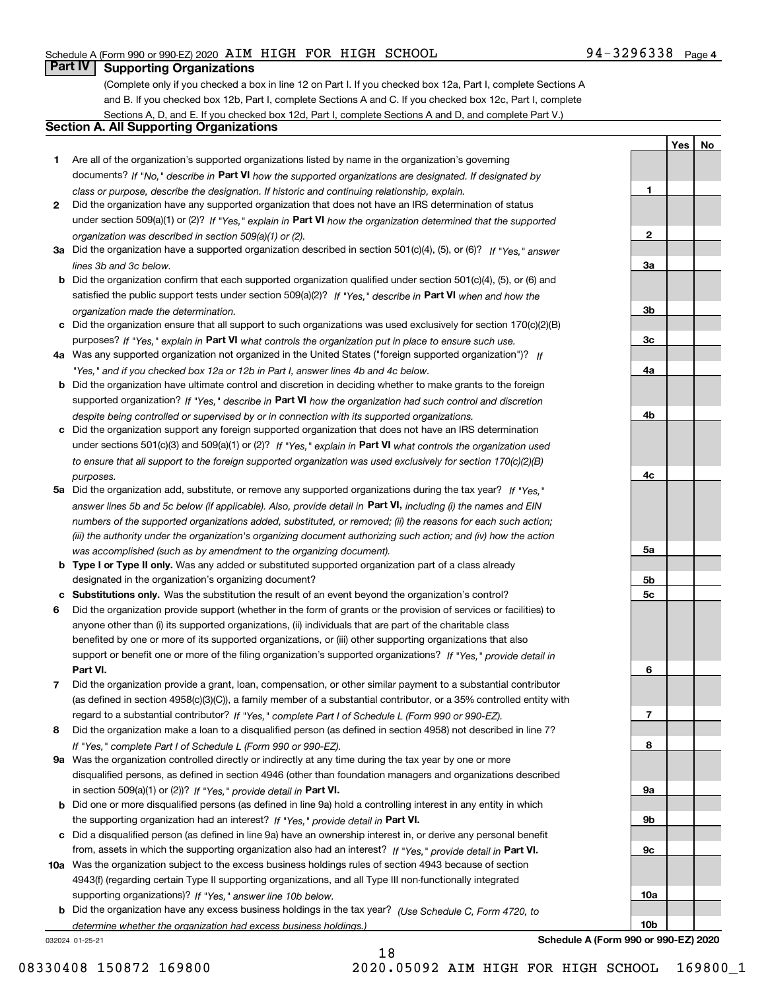# **Part IV Supporting Organizations**

(Complete only if you checked a box in line 12 on Part I. If you checked box 12a, Part I, complete Sections A and B. If you checked box 12b, Part I, complete Sections A and C. If you checked box 12c, Part I, complete Sections A, D, and E. If you checked box 12d, Part I, complete Sections A and D, and complete Part V.)

#### **Section A. All Supporting Organizations**

- **1** Are all of the organization's supported organizations listed by name in the organization's governing documents? If "No," describe in **Part VI** how the supported organizations are designated. If designated by *class or purpose, describe the designation. If historic and continuing relationship, explain.*
- **2** Did the organization have any supported organization that does not have an IRS determination of status under section 509(a)(1) or (2)? If "Yes," explain in Part VI how the organization determined that the supported *organization was described in section 509(a)(1) or (2).*
- **3a** Did the organization have a supported organization described in section 501(c)(4), (5), or (6)? If "Yes," answer *lines 3b and 3c below.*
- **b** Did the organization confirm that each supported organization qualified under section 501(c)(4), (5), or (6) and satisfied the public support tests under section 509(a)(2)? If "Yes," describe in **Part VI** when and how the *organization made the determination.*
- **c**Did the organization ensure that all support to such organizations was used exclusively for section 170(c)(2)(B) purposes? If "Yes," explain in **Part VI** what controls the organization put in place to ensure such use.
- **4a***If* Was any supported organization not organized in the United States ("foreign supported organization")? *"Yes," and if you checked box 12a or 12b in Part I, answer lines 4b and 4c below.*
- **b** Did the organization have ultimate control and discretion in deciding whether to make grants to the foreign supported organization? If "Yes," describe in **Part VI** how the organization had such control and discretion *despite being controlled or supervised by or in connection with its supported organizations.*
- **c** Did the organization support any foreign supported organization that does not have an IRS determination under sections 501(c)(3) and 509(a)(1) or (2)? If "Yes," explain in **Part VI** what controls the organization used *to ensure that all support to the foreign supported organization was used exclusively for section 170(c)(2)(B) purposes.*
- **5a** Did the organization add, substitute, or remove any supported organizations during the tax year? If "Yes," answer lines 5b and 5c below (if applicable). Also, provide detail in **Part VI,** including (i) the names and EIN *numbers of the supported organizations added, substituted, or removed; (ii) the reasons for each such action; (iii) the authority under the organization's organizing document authorizing such action; and (iv) how the action was accomplished (such as by amendment to the organizing document).*
- **b** Type I or Type II only. Was any added or substituted supported organization part of a class already designated in the organization's organizing document?
- **cSubstitutions only.**  Was the substitution the result of an event beyond the organization's control?
- **6** Did the organization provide support (whether in the form of grants or the provision of services or facilities) to **Part VI.** *If "Yes," provide detail in* support or benefit one or more of the filing organization's supported organizations? anyone other than (i) its supported organizations, (ii) individuals that are part of the charitable class benefited by one or more of its supported organizations, or (iii) other supporting organizations that also
- **7**Did the organization provide a grant, loan, compensation, or other similar payment to a substantial contributor *If "Yes," complete Part I of Schedule L (Form 990 or 990-EZ).* regard to a substantial contributor? (as defined in section 4958(c)(3)(C)), a family member of a substantial contributor, or a 35% controlled entity with
- **8** Did the organization make a loan to a disqualified person (as defined in section 4958) not described in line 7? *If "Yes," complete Part I of Schedule L (Form 990 or 990-EZ).*
- **9a** Was the organization controlled directly or indirectly at any time during the tax year by one or more in section 509(a)(1) or (2))? If "Yes," *provide detail in* <code>Part VI.</code> disqualified persons, as defined in section 4946 (other than foundation managers and organizations described
- **b** Did one or more disqualified persons (as defined in line 9a) hold a controlling interest in any entity in which the supporting organization had an interest? If "Yes," provide detail in P**art VI**.
- **c**Did a disqualified person (as defined in line 9a) have an ownership interest in, or derive any personal benefit from, assets in which the supporting organization also had an interest? If "Yes," provide detail in P**art VI.**
- **10a** Was the organization subject to the excess business holdings rules of section 4943 because of section supporting organizations)? If "Yes," answer line 10b below. 4943(f) (regarding certain Type II supporting organizations, and all Type III non-functionally integrated
- **b** Did the organization have any excess business holdings in the tax year? (Use Schedule C, Form 4720, to *determine whether the organization had excess business holdings.)*

18

032024 01-25-21

**1**

**2**

**3a**

**3b**

**3c**

**4a**

**4b**

**4c**

**5a**

**5b5c**

**6**

**7**

**8**

**9a**

**9b**

**9c**

**YesNo**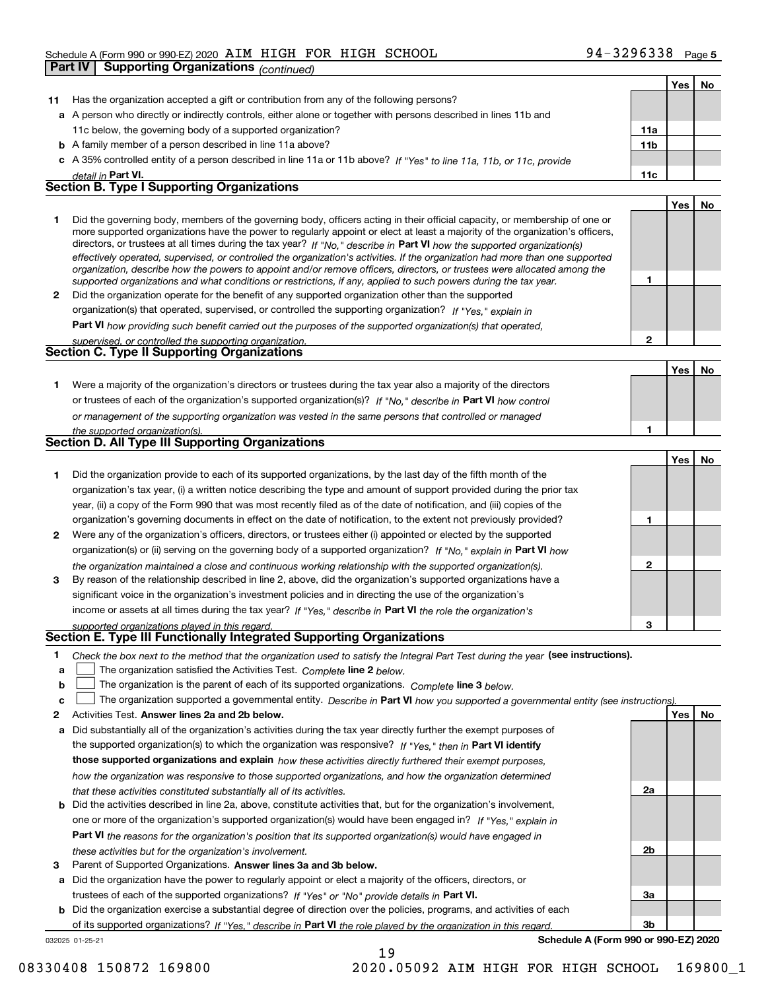|    | Part IV<br><b>Supporting Organizations</b> (continued)                                                                                                                                                                                                    |                 |     |    |
|----|-----------------------------------------------------------------------------------------------------------------------------------------------------------------------------------------------------------------------------------------------------------|-----------------|-----|----|
|    |                                                                                                                                                                                                                                                           |                 | Yes | No |
| 11 | Has the organization accepted a gift or contribution from any of the following persons?                                                                                                                                                                   |                 |     |    |
|    | a A person who directly or indirectly controls, either alone or together with persons described in lines 11b and                                                                                                                                          |                 |     |    |
|    | 11c below, the governing body of a supported organization?                                                                                                                                                                                                | 11a             |     |    |
|    | <b>b</b> A family member of a person described in line 11a above?                                                                                                                                                                                         | 11 <sub>b</sub> |     |    |
|    | c A 35% controlled entity of a person described in line 11a or 11b above? If "Yes" to line 11a, 11b, or 11c, provide                                                                                                                                      |                 |     |    |
|    | detail in Part VI.                                                                                                                                                                                                                                        | 11c             |     |    |
|    | <b>Section B. Type I Supporting Organizations</b>                                                                                                                                                                                                         |                 |     |    |
|    |                                                                                                                                                                                                                                                           |                 | Yes | No |
| 1  | Did the governing body, members of the governing body, officers acting in their official capacity, or membership of one or                                                                                                                                |                 |     |    |
|    | more supported organizations have the power to regularly appoint or elect at least a majority of the organization's officers,                                                                                                                             |                 |     |    |
|    | directors, or trustees at all times during the tax year? If "No," describe in Part VI how the supported organization(s)<br>effectively operated, supervised, or controlled the organization's activities. If the organization had more than one supported |                 |     |    |
|    | organization, describe how the powers to appoint and/or remove officers, directors, or trustees were allocated among the                                                                                                                                  |                 |     |    |
|    | supported organizations and what conditions or restrictions, if any, applied to such powers during the tax year.                                                                                                                                          | 1               |     |    |
| 2  | Did the organization operate for the benefit of any supported organization other than the supported                                                                                                                                                       |                 |     |    |
|    | organization(s) that operated, supervised, or controlled the supporting organization? If "Yes," explain in                                                                                                                                                |                 |     |    |
|    | Part VI how providing such benefit carried out the purposes of the supported organization(s) that operated,                                                                                                                                               |                 |     |    |
|    | supervised, or controlled the supporting organization.<br><b>Section C. Type II Supporting Organizations</b>                                                                                                                                              | 2               |     |    |
|    |                                                                                                                                                                                                                                                           |                 |     |    |
|    |                                                                                                                                                                                                                                                           |                 | Yes | No |
| 1. | Were a majority of the organization's directors or trustees during the tax year also a majority of the directors                                                                                                                                          |                 |     |    |
|    | or trustees of each of the organization's supported organization(s)? If "No," describe in Part VI how control                                                                                                                                             |                 |     |    |
|    | or management of the supporting organization was vested in the same persons that controlled or managed                                                                                                                                                    |                 |     |    |
|    | the supported organization(s).<br><b>Section D. All Type III Supporting Organizations</b>                                                                                                                                                                 | 1               |     |    |
|    |                                                                                                                                                                                                                                                           |                 | Yes | No |
| 1. | Did the organization provide to each of its supported organizations, by the last day of the fifth month of the                                                                                                                                            |                 |     |    |
|    | organization's tax year, (i) a written notice describing the type and amount of support provided during the prior tax                                                                                                                                     |                 |     |    |
|    | year, (ii) a copy of the Form 990 that was most recently filed as of the date of notification, and (iii) copies of the                                                                                                                                    |                 |     |    |
|    | organization's governing documents in effect on the date of notification, to the extent not previously provided?                                                                                                                                          | 1               |     |    |
| 2  | Were any of the organization's officers, directors, or trustees either (i) appointed or elected by the supported                                                                                                                                          |                 |     |    |
|    | organization(s) or (ii) serving on the governing body of a supported organization? If "No," explain in Part VI how                                                                                                                                        |                 |     |    |
|    | the organization maintained a close and continuous working relationship with the supported organization(s).                                                                                                                                               | 2               |     |    |
| 3  | By reason of the relationship described in line 2, above, did the organization's supported organizations have a                                                                                                                                           |                 |     |    |
|    | significant voice in the organization's investment policies and in directing the use of the organization's                                                                                                                                                |                 |     |    |
|    | income or assets at all times during the tax year? If "Yes," describe in Part VI the role the organization's                                                                                                                                              |                 |     |    |
|    | supported organizations played in this regard.                                                                                                                                                                                                            | з               |     |    |
|    | Section E. Type III Functionally Integrated Supporting Organizations                                                                                                                                                                                      |                 |     |    |
| 1. | Check the box next to the method that the organization used to satisfy the Integral Part Test during the year (see instructions).                                                                                                                         |                 |     |    |
| a  | The organization satisfied the Activities Test. Complete line 2 below.                                                                                                                                                                                    |                 |     |    |
| b  | The organization is the parent of each of its supported organizations. Complete line 3 below.                                                                                                                                                             |                 |     |    |
| c  | The organization supported a governmental entity. Describe in Part VI how you supported a governmental entity (see instructions).                                                                                                                         |                 |     |    |
| 2  | Activities Test. Answer lines 2a and 2b below.                                                                                                                                                                                                            |                 | Yes | No |
| a  | Did substantially all of the organization's activities during the tax year directly further the exempt purposes of                                                                                                                                        |                 |     |    |
|    | the supported organization(s) to which the organization was responsive? If "Yes," then in Part VI identify                                                                                                                                                |                 |     |    |
|    | those supported organizations and explain how these activities directly furthered their exempt purposes,                                                                                                                                                  |                 |     |    |
|    | how the organization was responsive to those supported organizations, and how the organization determined                                                                                                                                                 |                 |     |    |
|    | that these activities constituted substantially all of its activities.                                                                                                                                                                                    | 2a              |     |    |

- **b** Did the activities described in line 2a, above, constitute activities that, but for the organization's involvement, **Part VI**  *the reasons for the organization's position that its supported organization(s) would have engaged in* one or more of the organization's supported organization(s) would have been engaged in? If "Yes," e*xplain in these activities but for the organization's involvement.*
- **3** Parent of Supported Organizations. Answer lines 3a and 3b below.

**a** Did the organization have the power to regularly appoint or elect a majority of the officers, directors, or trustees of each of the supported organizations? If "Yes" or "No" provide details in **Part VI.** 

**b** Did the organization exercise a substantial degree of direction over the policies, programs, and activities of each of its supported organizations? If "Yes," describe in Part VI the role played by the organization in this regard.

032025 01-25-21

**Schedule A (Form 990 or 990-EZ) 2020**

**2b**

**3a**

**3b**

08330408 150872 169800 2020.05092 AIM HIGH FOR HIGH SCHOOL 169800\_1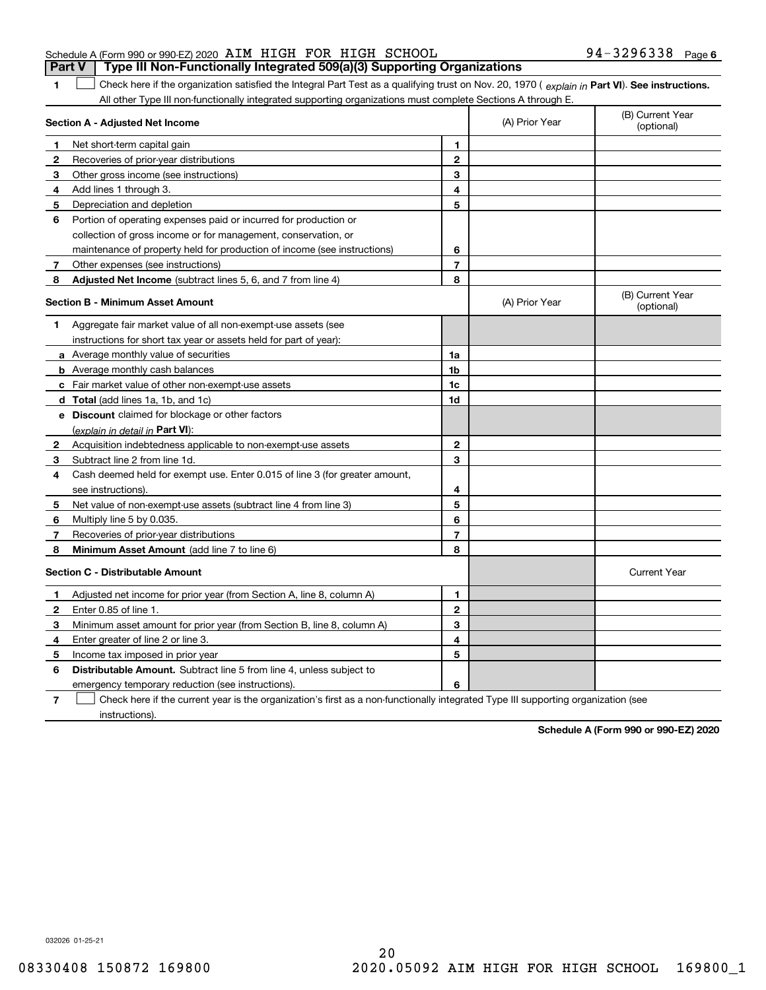|                                                               |  | <b>Part V</b> Type III Non-Functionally Integrated 509(a)(3) Supporting Organizations |                   |  |
|---------------------------------------------------------------|--|---------------------------------------------------------------------------------------|-------------------|--|
| Schedule A (Form 990 or 990-EZ) 2020 AIM HIGH FOR HIGH SCHOOL |  |                                                                                       | 94-3296338 Page 6 |  |

1 Check here if the organization satisfied the Integral Part Test as a qualifying trust on Nov. 20, 1970 (explain in Part VI). See instructions. All other Type III non-functionally integrated supporting organizations must complete Sections A through E.

|              | Section A - Adjusted Net Income                                                                                                   | (A) Prior Year | (B) Current Year<br>(optional) |                                |
|--------------|-----------------------------------------------------------------------------------------------------------------------------------|----------------|--------------------------------|--------------------------------|
| 1.           | Net short-term capital gain                                                                                                       | 1              |                                |                                |
| $\mathbf{2}$ | Recoveries of prior-year distributions                                                                                            | $\overline{2}$ |                                |                                |
| 3            | Other gross income (see instructions)                                                                                             | 3              |                                |                                |
| 4            | Add lines 1 through 3.                                                                                                            | 4              |                                |                                |
| 5            | Depreciation and depletion                                                                                                        | 5              |                                |                                |
| 6            | Portion of operating expenses paid or incurred for production or                                                                  |                |                                |                                |
|              | collection of gross income or for management, conservation, or                                                                    |                |                                |                                |
|              | maintenance of property held for production of income (see instructions)                                                          | 6              |                                |                                |
| 7            | Other expenses (see instructions)                                                                                                 | 7              |                                |                                |
| 8            | <b>Adjusted Net Income</b> (subtract lines 5, 6, and 7 from line 4)                                                               | 8              |                                |                                |
|              | <b>Section B - Minimum Asset Amount</b>                                                                                           |                | (A) Prior Year                 | (B) Current Year<br>(optional) |
| 1            | Aggregate fair market value of all non-exempt-use assets (see                                                                     |                |                                |                                |
|              | instructions for short tax year or assets held for part of year):                                                                 |                |                                |                                |
|              | a Average monthly value of securities                                                                                             | 1a             |                                |                                |
|              | <b>b</b> Average monthly cash balances                                                                                            | 1b             |                                |                                |
|              | c Fair market value of other non-exempt-use assets                                                                                | 1c             |                                |                                |
|              | d Total (add lines 1a, 1b, and 1c)                                                                                                | 1d             |                                |                                |
|              | e Discount claimed for blockage or other factors                                                                                  |                |                                |                                |
|              | (explain in detail in Part VI):                                                                                                   |                |                                |                                |
| 2            | Acquisition indebtedness applicable to non-exempt-use assets                                                                      | $\mathbf 2$    |                                |                                |
| 3            | Subtract line 2 from line 1d.                                                                                                     | 3              |                                |                                |
| 4            | Cash deemed held for exempt use. Enter 0.015 of line 3 (for greater amount,                                                       |                |                                |                                |
|              | see instructions)                                                                                                                 | 4              |                                |                                |
| 5            | Net value of non-exempt-use assets (subtract line 4 from line 3)                                                                  | 5              |                                |                                |
| 6            | Multiply line 5 by 0.035.                                                                                                         | 6              |                                |                                |
| 7            | Recoveries of prior-year distributions                                                                                            | $\overline{7}$ |                                |                                |
| 8            | Minimum Asset Amount (add line 7 to line 6)                                                                                       | 8              |                                |                                |
|              | <b>Section C - Distributable Amount</b>                                                                                           |                |                                | <b>Current Year</b>            |
| 1            | Adjusted net income for prior year (from Section A, line 8, column A)                                                             | $\mathbf{1}$   |                                |                                |
| 2            | Enter 0.85 of line 1.                                                                                                             | $\overline{2}$ |                                |                                |
| 3            | Minimum asset amount for prior year (from Section B, line 8, column A)                                                            | 3              |                                |                                |
| 4            | Enter greater of line 2 or line 3.                                                                                                | 4              |                                |                                |
| 5            | Income tax imposed in prior year                                                                                                  | 5              |                                |                                |
| 6            | <b>Distributable Amount.</b> Subtract line 5 from line 4, unless subject to                                                       |                |                                |                                |
|              | emergency temporary reduction (see instructions).                                                                                 | 6              |                                |                                |
| 7            | Check here if the current year is the organization's first as a non-functionally integrated Type III supporting organization (see |                |                                |                                |

instructions).

**1**

**Schedule A (Form 990 or 990-EZ) 2020**

032026 01-25-21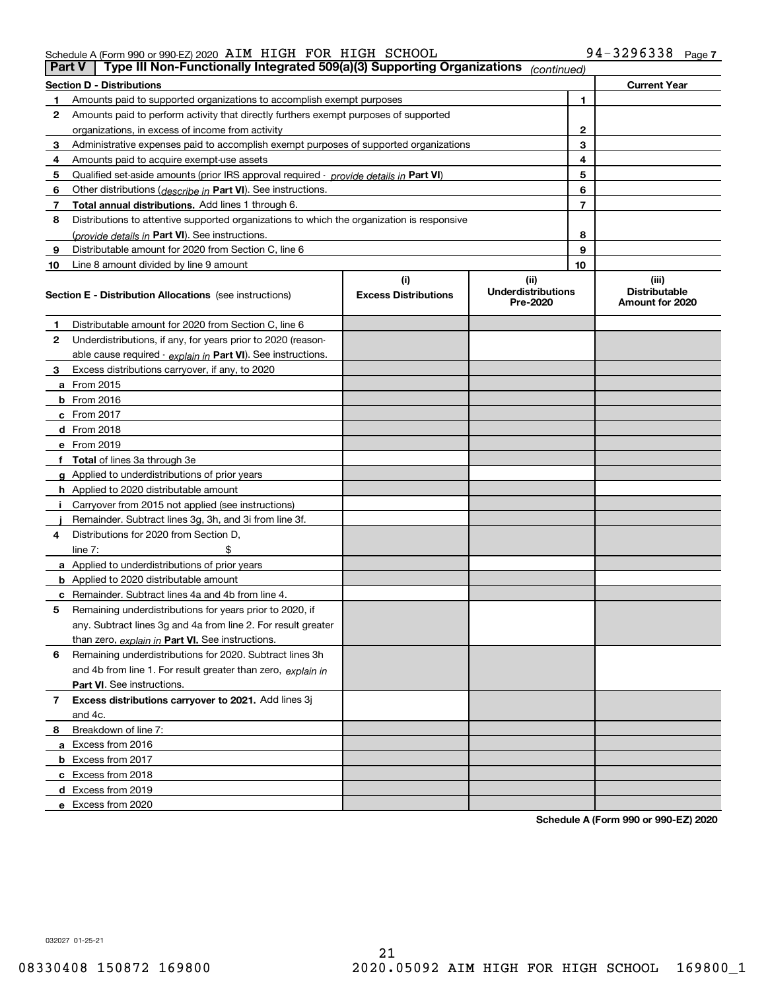|    | Type III Non-Functionally Integrated 509(a)(3) Supporting Organizations<br>Part V<br>(continued) |                             |                                       |    |                                         |  |  |
|----|--------------------------------------------------------------------------------------------------|-----------------------------|---------------------------------------|----|-----------------------------------------|--|--|
|    | <b>Section D - Distributions</b>                                                                 |                             |                                       |    | <b>Current Year</b>                     |  |  |
|    | Amounts paid to supported organizations to accomplish exempt purposes                            |                             |                                       | 1  |                                         |  |  |
| 2  | Amounts paid to perform activity that directly furthers exempt purposes of supported             |                             |                                       |    |                                         |  |  |
|    | organizations, in excess of income from activity                                                 |                             | 2                                     |    |                                         |  |  |
| 3  | Administrative expenses paid to accomplish exempt purposes of supported organizations            |                             | 3                                     |    |                                         |  |  |
| 4  | Amounts paid to acquire exempt-use assets                                                        |                             |                                       | 4  |                                         |  |  |
| 5  | Qualified set aside amounts (prior IRS approval required - provide details in Part VI)           |                             |                                       | 5  |                                         |  |  |
| 6  | Other distributions ( <i>describe in</i> Part VI). See instructions.                             |                             |                                       | 6  |                                         |  |  |
| 7  | Total annual distributions. Add lines 1 through 6.                                               |                             |                                       | 7  |                                         |  |  |
| 8  | Distributions to attentive supported organizations to which the organization is responsive       |                             |                                       |    |                                         |  |  |
|    | (provide details in Part VI). See instructions.                                                  |                             |                                       | 8  |                                         |  |  |
| 9  | Distributable amount for 2020 from Section C, line 6                                             |                             |                                       | 9  |                                         |  |  |
| 10 | Line 8 amount divided by line 9 amount                                                           |                             |                                       | 10 |                                         |  |  |
|    |                                                                                                  | (i)                         | (ii)                                  |    | (iii)                                   |  |  |
|    | <b>Section E - Distribution Allocations</b> (see instructions)                                   | <b>Excess Distributions</b> | <b>Underdistributions</b><br>Pre-2020 |    | <b>Distributable</b><br>Amount for 2020 |  |  |
| 1  | Distributable amount for 2020 from Section C, line 6                                             |                             |                                       |    |                                         |  |  |
| 2  | Underdistributions, if any, for years prior to 2020 (reason-                                     |                             |                                       |    |                                         |  |  |
|    | able cause required - explain in Part VI). See instructions.                                     |                             |                                       |    |                                         |  |  |
| 3  | Excess distributions carryover, if any, to 2020                                                  |                             |                                       |    |                                         |  |  |
|    | a From 2015                                                                                      |                             |                                       |    |                                         |  |  |
|    | $b$ From 2016                                                                                    |                             |                                       |    |                                         |  |  |
|    | $c$ From 2017                                                                                    |                             |                                       |    |                                         |  |  |
|    | <b>d</b> From 2018                                                                               |                             |                                       |    |                                         |  |  |
|    | e From 2019                                                                                      |                             |                                       |    |                                         |  |  |
|    | f Total of lines 3a through 3e                                                                   |                             |                                       |    |                                         |  |  |
|    | g Applied to underdistributions of prior years                                                   |                             |                                       |    |                                         |  |  |
|    | <b>h</b> Applied to 2020 distributable amount                                                    |                             |                                       |    |                                         |  |  |
|    | Carryover from 2015 not applied (see instructions)                                               |                             |                                       |    |                                         |  |  |
|    | Remainder. Subtract lines 3g, 3h, and 3i from line 3f.                                           |                             |                                       |    |                                         |  |  |
| 4  | Distributions for 2020 from Section D.                                                           |                             |                                       |    |                                         |  |  |
|    | line $7:$                                                                                        |                             |                                       |    |                                         |  |  |
|    | a Applied to underdistributions of prior years                                                   |                             |                                       |    |                                         |  |  |
|    | <b>b</b> Applied to 2020 distributable amount                                                    |                             |                                       |    |                                         |  |  |
|    | <b>c</b> Remainder. Subtract lines 4a and 4b from line 4.                                        |                             |                                       |    |                                         |  |  |
| 5  | Remaining underdistributions for years prior to 2020, if                                         |                             |                                       |    |                                         |  |  |
|    | any. Subtract lines 3g and 4a from line 2. For result greater                                    |                             |                                       |    |                                         |  |  |
|    | than zero, explain in Part VI. See instructions.                                                 |                             |                                       |    |                                         |  |  |
| 6  | Remaining underdistributions for 2020. Subtract lines 3h                                         |                             |                                       |    |                                         |  |  |
|    | and 4b from line 1. For result greater than zero, explain in                                     |                             |                                       |    |                                         |  |  |
|    | <b>Part VI.</b> See instructions.                                                                |                             |                                       |    |                                         |  |  |
| 7  | Excess distributions carryover to 2021. Add lines 3j                                             |                             |                                       |    |                                         |  |  |
|    | and 4c.                                                                                          |                             |                                       |    |                                         |  |  |
| 8  | Breakdown of line 7:                                                                             |                             |                                       |    |                                         |  |  |
|    | a Excess from 2016                                                                               |                             |                                       |    |                                         |  |  |
|    |                                                                                                  |                             |                                       |    |                                         |  |  |
|    | <b>b</b> Excess from 2017                                                                        |                             |                                       |    |                                         |  |  |
|    | c Excess from 2018                                                                               |                             |                                       |    |                                         |  |  |
|    | d Excess from 2019                                                                               |                             |                                       |    |                                         |  |  |
|    | e Excess from 2020                                                                               |                             |                                       |    |                                         |  |  |

**Schedule A (Form 990 or 990-EZ) 2020**

032027 01-25-21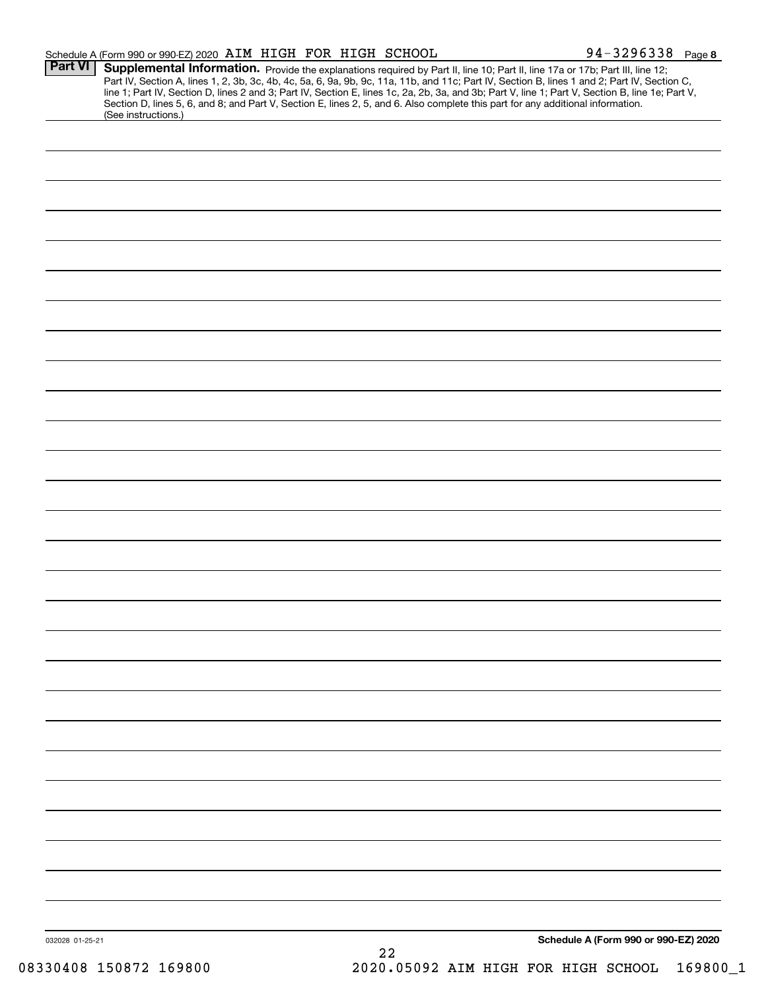|                 | Schedule A (Form 990 or 990-EZ) 2020 AIM HIGH FOR HIGH SCHOOL |  |    | 94-3296338 Page 8                                                                                                                                                                                                                                                                                                                                                                                                                                                                                                                                                    |  |
|-----------------|---------------------------------------------------------------|--|----|----------------------------------------------------------------------------------------------------------------------------------------------------------------------------------------------------------------------------------------------------------------------------------------------------------------------------------------------------------------------------------------------------------------------------------------------------------------------------------------------------------------------------------------------------------------------|--|
| <b>Part VI</b>  |                                                               |  |    | Supplemental Information. Provide the explanations required by Part II, line 10; Part II, line 17a or 17b; Part III, line 12;<br>Part IV, Section A, lines 1, 2, 3b, 3c, 4b, 4c, 5a, 6, 9a, 9b, 9c, 11a, 11b, and 11c; Part IV, Section B, lines 1 and 2; Part IV, Section C,<br>line 1; Part IV, Section D, lines 2 and 3; Part IV, Section E, lines 1c, 2a, 2b, 3a, and 3b; Part V, line 1; Part V, Section B, line 1e; Part V,<br>Section D, lines 5, 6, and 8; and Part V, Section E, lines 2, 5, and 6. Also complete this part for any additional information. |  |
|                 | (See instructions.)                                           |  |    |                                                                                                                                                                                                                                                                                                                                                                                                                                                                                                                                                                      |  |
|                 |                                                               |  |    |                                                                                                                                                                                                                                                                                                                                                                                                                                                                                                                                                                      |  |
|                 |                                                               |  |    |                                                                                                                                                                                                                                                                                                                                                                                                                                                                                                                                                                      |  |
|                 |                                                               |  |    |                                                                                                                                                                                                                                                                                                                                                                                                                                                                                                                                                                      |  |
|                 |                                                               |  |    |                                                                                                                                                                                                                                                                                                                                                                                                                                                                                                                                                                      |  |
|                 |                                                               |  |    |                                                                                                                                                                                                                                                                                                                                                                                                                                                                                                                                                                      |  |
|                 |                                                               |  |    |                                                                                                                                                                                                                                                                                                                                                                                                                                                                                                                                                                      |  |
|                 |                                                               |  |    |                                                                                                                                                                                                                                                                                                                                                                                                                                                                                                                                                                      |  |
|                 |                                                               |  |    |                                                                                                                                                                                                                                                                                                                                                                                                                                                                                                                                                                      |  |
|                 |                                                               |  |    |                                                                                                                                                                                                                                                                                                                                                                                                                                                                                                                                                                      |  |
|                 |                                                               |  |    |                                                                                                                                                                                                                                                                                                                                                                                                                                                                                                                                                                      |  |
|                 |                                                               |  |    |                                                                                                                                                                                                                                                                                                                                                                                                                                                                                                                                                                      |  |
|                 |                                                               |  |    |                                                                                                                                                                                                                                                                                                                                                                                                                                                                                                                                                                      |  |
|                 |                                                               |  |    |                                                                                                                                                                                                                                                                                                                                                                                                                                                                                                                                                                      |  |
|                 |                                                               |  |    |                                                                                                                                                                                                                                                                                                                                                                                                                                                                                                                                                                      |  |
|                 |                                                               |  |    |                                                                                                                                                                                                                                                                                                                                                                                                                                                                                                                                                                      |  |
|                 |                                                               |  |    |                                                                                                                                                                                                                                                                                                                                                                                                                                                                                                                                                                      |  |
|                 |                                                               |  |    |                                                                                                                                                                                                                                                                                                                                                                                                                                                                                                                                                                      |  |
|                 |                                                               |  |    |                                                                                                                                                                                                                                                                                                                                                                                                                                                                                                                                                                      |  |
|                 |                                                               |  |    |                                                                                                                                                                                                                                                                                                                                                                                                                                                                                                                                                                      |  |
|                 |                                                               |  |    |                                                                                                                                                                                                                                                                                                                                                                                                                                                                                                                                                                      |  |
|                 |                                                               |  |    |                                                                                                                                                                                                                                                                                                                                                                                                                                                                                                                                                                      |  |
|                 |                                                               |  |    |                                                                                                                                                                                                                                                                                                                                                                                                                                                                                                                                                                      |  |
|                 |                                                               |  |    |                                                                                                                                                                                                                                                                                                                                                                                                                                                                                                                                                                      |  |
|                 |                                                               |  |    |                                                                                                                                                                                                                                                                                                                                                                                                                                                                                                                                                                      |  |
| 032028 01-25-21 |                                                               |  |    | Schedule A (Form 990 or 990-EZ) 2020                                                                                                                                                                                                                                                                                                                                                                                                                                                                                                                                 |  |
|                 |                                                               |  | 22 |                                                                                                                                                                                                                                                                                                                                                                                                                                                                                                                                                                      |  |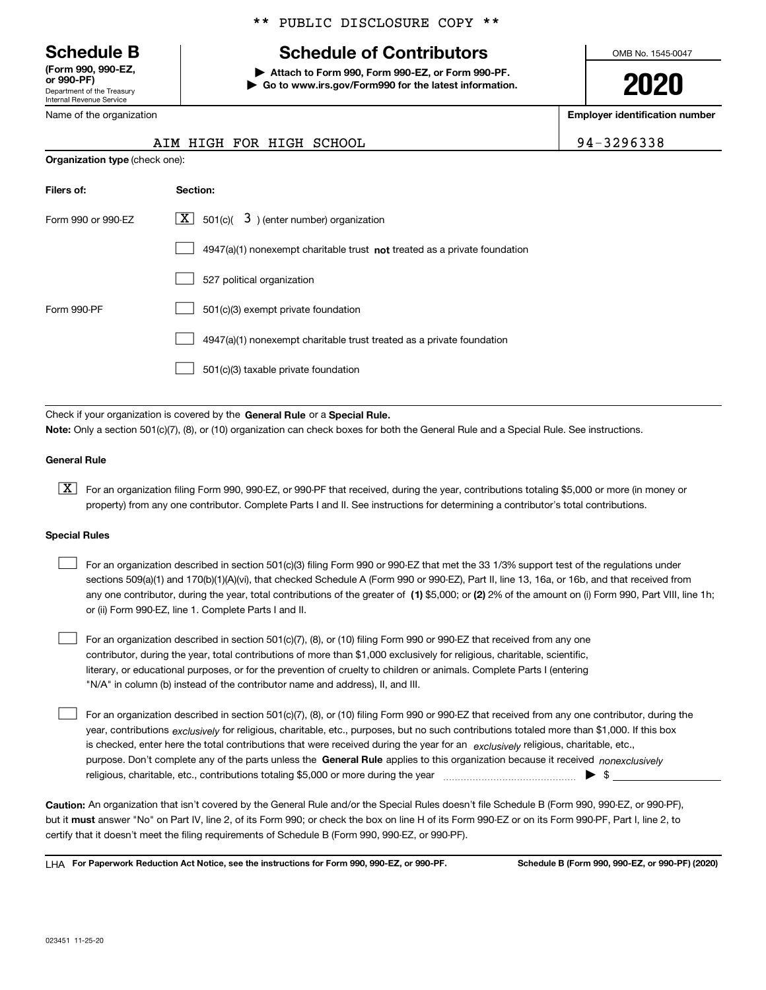Department of the Treasury Internal Revenue Service **(Form 990, 990-EZ, or 990-PF)**

Name of the organization

**Organization type** (check one):

#### \*\* PUBLIC DISCLOSURE COPY \*\*

# **Schedule B Schedule of Contributors**

**| Attach to Form 990, Form 990-EZ, or Form 990-PF. | Go to www.irs.gov/Form990 for the latest information.** OMB No. 1545-0047

**2020**

**Employer identification number**

| 4-3296338 |
|-----------|
|-----------|

| AIM HIGH FOR HIGH SCHOOL | 94-3296338 |
|--------------------------|------------|

| Filers of:         | Section:                                                                    |
|--------------------|-----------------------------------------------------------------------------|
| Form 990 or 990-EZ | $\boxed{\textbf{X}}$ 501(c)( 3) (enter number) organization                 |
|                    | $4947(a)(1)$ nonexempt charitable trust not treated as a private foundation |
|                    | 527 political organization                                                  |
| Form 990-PF        | 501(c)(3) exempt private foundation                                         |
|                    | 4947(a)(1) nonexempt charitable trust treated as a private foundation       |
|                    | 501(c)(3) taxable private foundation                                        |

Check if your organization is covered by the **General Rule** or a **Special Rule. Note:**  Only a section 501(c)(7), (8), or (10) organization can check boxes for both the General Rule and a Special Rule. See instructions.

#### **General Rule**

 $\boxed{\textbf{X}}$  For an organization filing Form 990, 990-EZ, or 990-PF that received, during the year, contributions totaling \$5,000 or more (in money or property) from any one contributor. Complete Parts I and II. See instructions for determining a contributor's total contributions.

#### **Special Rules**

| For an organization described in section 501(c)(3) filing Form 990 or 990-EZ that met the 33 1/3% support test of the regulations under               |
|-------------------------------------------------------------------------------------------------------------------------------------------------------|
| sections 509(a)(1) and 170(b)(1)(A)(vi), that checked Schedule A (Form 990 or 990-EZ), Part II, line 13, 16a, or 16b, and that received from          |
| any one contributor, during the year, total contributions of the greater of (1) \$5,000; or (2) 2% of the amount on (i) Form 990, Part VIII, line 1h; |
| or (ii) Form 990-EZ, line 1. Complete Parts I and II.                                                                                                 |

For an organization described in section 501(c)(7), (8), or (10) filing Form 990 or 990-EZ that received from any one contributor, during the year, total contributions of more than \$1,000 exclusively for religious, charitable, scientific, literary, or educational purposes, or for the prevention of cruelty to children or animals. Complete Parts I (entering "N/A" in column (b) instead of the contributor name and address), II, and III.  $\mathcal{L}^{\text{max}}$ 

purpose. Don't complete any of the parts unless the **General Rule** applies to this organization because it received *nonexclusively* year, contributions <sub>exclusively</sub> for religious, charitable, etc., purposes, but no such contributions totaled more than \$1,000. If this box is checked, enter here the total contributions that were received during the year for an  $\;$ exclusively religious, charitable, etc., For an organization described in section 501(c)(7), (8), or (10) filing Form 990 or 990-EZ that received from any one contributor, during the religious, charitable, etc., contributions totaling \$5,000 or more during the year  $\Box$ — $\Box$   $\Box$  $\mathcal{L}^{\text{max}}$ 

**Caution:**  An organization that isn't covered by the General Rule and/or the Special Rules doesn't file Schedule B (Form 990, 990-EZ, or 990-PF),  **must** but it answer "No" on Part IV, line 2, of its Form 990; or check the box on line H of its Form 990-EZ or on its Form 990-PF, Part I, line 2, to certify that it doesn't meet the filing requirements of Schedule B (Form 990, 990-EZ, or 990-PF).

**For Paperwork Reduction Act Notice, see the instructions for Form 990, 990-EZ, or 990-PF. Schedule B (Form 990, 990-EZ, or 990-PF) (2020)** LHA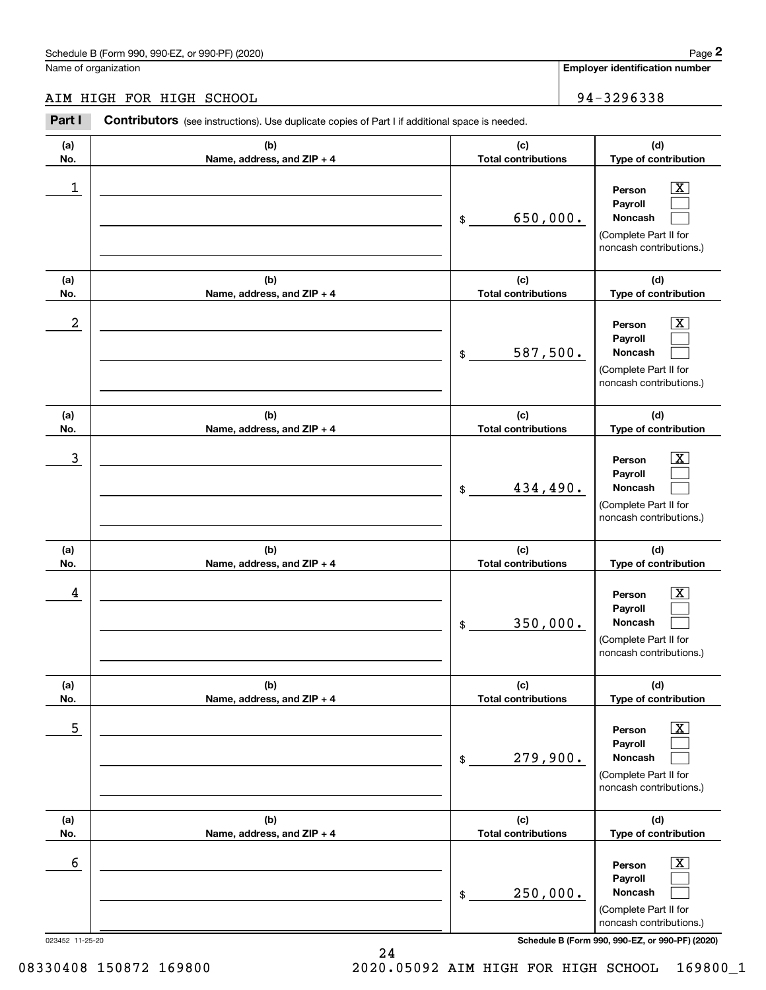# AIM HIGH FOR HIGH SCHOOL 34-3296338

|                 | Schedule B (Form 990, 990-EZ, or 990-PF) (2020)                                                       |                                   | Page 2                                                                                                      |
|-----------------|-------------------------------------------------------------------------------------------------------|-----------------------------------|-------------------------------------------------------------------------------------------------------------|
|                 | Name of organization                                                                                  |                                   | <b>Employer identification number</b>                                                                       |
|                 | AIM HIGH FOR HIGH SCHOOL                                                                              |                                   | 94-3296338                                                                                                  |
| Part I          | <b>Contributors</b> (see instructions). Use duplicate copies of Part I if additional space is needed. |                                   |                                                                                                             |
| (a)<br>No.      | (b)<br>Name, address, and ZIP + 4                                                                     | (c)<br><b>Total contributions</b> | (d)<br>Type of contribution                                                                                 |
| 1               |                                                                                                       | 650,000.<br>\$                    | $\overline{\mathbf{X}}$<br>Person<br>Payroll<br>Noncash<br>(Complete Part II for<br>noncash contributions.) |
| (a)<br>No.      | (b)<br>Name, address, and ZIP + 4                                                                     | (c)<br><b>Total contributions</b> | (d)<br>Type of contribution                                                                                 |
| 2               |                                                                                                       | 587,500.<br>\$                    | X<br>Person<br>Payroll<br>Noncash<br>(Complete Part II for<br>noncash contributions.)                       |
| (a)<br>No.      | (b)<br>Name, address, and ZIP + 4                                                                     | (c)<br><b>Total contributions</b> | (d)<br>Type of contribution                                                                                 |
| 3               |                                                                                                       | 434,490.<br>\$                    | X<br>Person<br>Payroll<br>Noncash<br>(Complete Part II for<br>noncash contributions.)                       |
| (a)<br>No.      | (b)<br>Name, address, and ZIP + 4                                                                     | (c)<br><b>Total contributions</b> | (d)<br>Type of contribution                                                                                 |
| 4               |                                                                                                       | 350,000.<br>\$                    | $\mathbf{X}$<br>Person<br>Payroll<br>Noncash<br>(Complete Part II for<br>noncash contributions.)            |
| (a)<br>No.      | (b)<br>Name, address, and ZIP + 4                                                                     | (c)<br><b>Total contributions</b> | (d)<br>Type of contribution                                                                                 |
| 5               |                                                                                                       | 279,900.<br>\$                    | $\boxed{\text{X}}$<br>Person<br>Payroll<br>Noncash<br>(Complete Part II for<br>noncash contributions.)      |
| (a)<br>No.      | (b)<br>Name, address, and ZIP + 4                                                                     | (c)<br><b>Total contributions</b> | (d)<br>Type of contribution                                                                                 |
| 6               |                                                                                                       | 250,000.<br>\$                    | $\boxed{\text{X}}$<br>Person<br>Payroll<br>Noncash<br>(Complete Part II for<br>noncash contributions.)      |
| 023452 11-25-20 |                                                                                                       |                                   | Schedule B (Form 990, 990-EZ, or 990-PF) (2020)                                                             |

24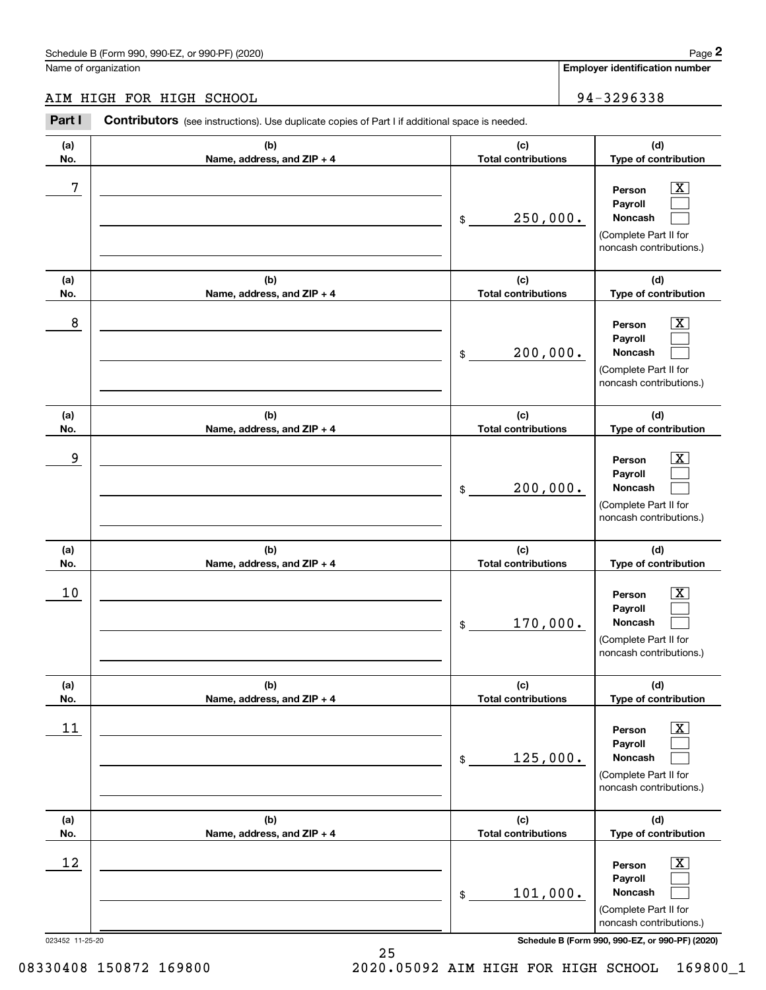# AIM HIGH FOR HIGH SCHOOL 34-3296338

|                 | Schedule B (Form 990, 990-EZ, or 990-PF) (2020)                                                       |                                   | Page 2                                                                                                      |
|-----------------|-------------------------------------------------------------------------------------------------------|-----------------------------------|-------------------------------------------------------------------------------------------------------------|
|                 | Name of organization                                                                                  |                                   | <b>Employer identification number</b>                                                                       |
|                 | AIM HIGH FOR HIGH SCHOOL                                                                              |                                   | 94-3296338                                                                                                  |
| Part I          | <b>Contributors</b> (see instructions). Use duplicate copies of Part I if additional space is needed. |                                   |                                                                                                             |
| (a)<br>No.      | (b)<br>Name, address, and ZIP + 4                                                                     | (c)<br><b>Total contributions</b> | (d)<br>Type of contribution                                                                                 |
| 7               |                                                                                                       | 250,000.<br>\$                    | $\overline{\mathbf{X}}$<br>Person<br>Payroll<br>Noncash<br>(Complete Part II for<br>noncash contributions.) |
| (a)<br>No.      | (b)<br>Name, address, and ZIP + 4                                                                     | (c)<br><b>Total contributions</b> | (d)<br>Type of contribution                                                                                 |
| 8               |                                                                                                       | 200,000.<br>\$                    | $\overline{\mathbf{X}}$<br>Person<br>Payroll<br>Noncash<br>(Complete Part II for<br>noncash contributions.) |
| (a)<br>No.      | (b)<br>Name, address, and ZIP + 4                                                                     | (c)<br><b>Total contributions</b> | (d)<br>Type of contribution                                                                                 |
| 9               |                                                                                                       | 200,000.<br>\$                    | $\overline{\text{X}}$<br>Person<br>Payroll<br>Noncash<br>(Complete Part II for<br>noncash contributions.)   |
| (a)<br>No.      | (b)<br>Name, address, and ZIP + 4                                                                     | (c)<br><b>Total contributions</b> | (d)<br>Type of contribution                                                                                 |
| 10              |                                                                                                       | 170,000.<br>\$                    | $\mathbf{X}$<br>Person<br>Payroll<br>Noncash<br>(Complete Part II for<br>noncash contributions.)            |
| (a)<br>No.      | (b)<br>Name, address, and ZIP + 4                                                                     | (c)<br><b>Total contributions</b> | (d)<br>Type of contribution                                                                                 |
| 11              |                                                                                                       | 125,000.<br>\$                    | $\overline{\mathbf{X}}$<br>Person<br>Payroll<br>Noncash<br>(Complete Part II for<br>noncash contributions.) |
| (a)<br>No.      | (b)<br>Name, address, and ZIP + 4                                                                     | (c)<br><b>Total contributions</b> | (d)<br>Type of contribution                                                                                 |
| 12              |                                                                                                       | 101,000.<br>\$                    | $\overline{\mathbf{X}}$<br>Person<br>Payroll<br>Noncash<br>(Complete Part II for<br>noncash contributions.) |
| 023452 11-25-20 |                                                                                                       |                                   | Schedule B (Form 990, 990-EZ, or 990-PF) (2020)                                                             |

25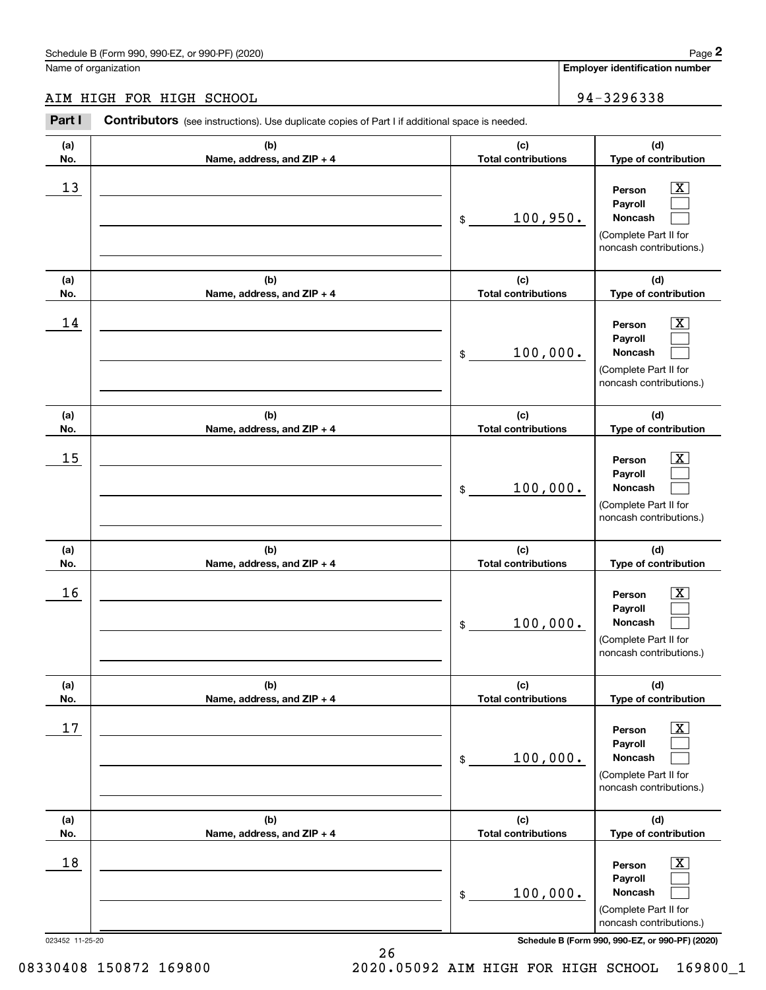# AIM HIGH FOR HIGH SCHOOL 34-3296338

|                 | Schedule B (Form 990, 990-EZ, or 990-PF) (2020)                                                       |                                   | Page 2                                                                                                      |
|-----------------|-------------------------------------------------------------------------------------------------------|-----------------------------------|-------------------------------------------------------------------------------------------------------------|
|                 | Name of organization                                                                                  |                                   | Employer identification number                                                                              |
|                 | AIM HIGH FOR HIGH SCHOOL                                                                              |                                   | 94-3296338                                                                                                  |
| Part I          | <b>Contributors</b> (see instructions). Use duplicate copies of Part I if additional space is needed. |                                   |                                                                                                             |
| (a)<br>No.      | (b)<br>Name, address, and ZIP + 4                                                                     | (c)<br><b>Total contributions</b> | (d)<br>Type of contribution                                                                                 |
| 13              |                                                                                                       | 100,950.<br>\$                    | $\overline{\mathbf{X}}$<br>Person<br>Payroll<br>Noncash<br>(Complete Part II for<br>noncash contributions.) |
| (a)<br>No.      | (b)<br>Name, address, and ZIP + 4                                                                     | (c)<br><b>Total contributions</b> | (d)<br>Type of contribution                                                                                 |
| 14              |                                                                                                       | 100,000.<br>\$                    | $\overline{\mathbf{X}}$<br>Person<br>Payroll<br>Noncash<br>(Complete Part II for<br>noncash contributions.) |
| (a)<br>No.      | (b)<br>Name, address, and ZIP + 4                                                                     | (c)<br><b>Total contributions</b> | (d)<br>Type of contribution                                                                                 |
| 15              |                                                                                                       | 100,000.<br>\$                    | $\overline{\mathbf{X}}$<br>Person<br>Payroll<br>Noncash<br>(Complete Part II for<br>noncash contributions.) |
| (a)<br>No.      | (b)<br>Name, address, and ZIP + 4                                                                     | (c)<br><b>Total contributions</b> | (d)<br>Type of contribution                                                                                 |
| 16              |                                                                                                       | 100,000.<br>\$                    | $\mathbf{X}$<br>Person<br>Payroll<br>Noncash<br>(Complete Part II for<br>noncash contributions.)            |
| (a)<br>No.      | (b)<br>Name, address, and ZIP + 4                                                                     | (c)<br><b>Total contributions</b> | (d)<br>Type of contribution                                                                                 |
| 17              |                                                                                                       | 100,000.<br>\$                    | $\overline{\mathbf{X}}$<br>Person<br>Payroll<br>Noncash<br>(Complete Part II for<br>noncash contributions.) |
| (a)<br>No.      | (b)<br>Name, address, and ZIP + 4                                                                     | (c)<br><b>Total contributions</b> | (d)<br>Type of contribution                                                                                 |
| 18              |                                                                                                       | 100,000.<br>\$                    | $\overline{\mathbf{X}}$<br>Person<br>Payroll<br>Noncash<br>(Complete Part II for<br>noncash contributions.) |
| 023452 11-25-20 |                                                                                                       |                                   | Schedule B (Form 990, 990-EZ, or 990-PF) (2020)                                                             |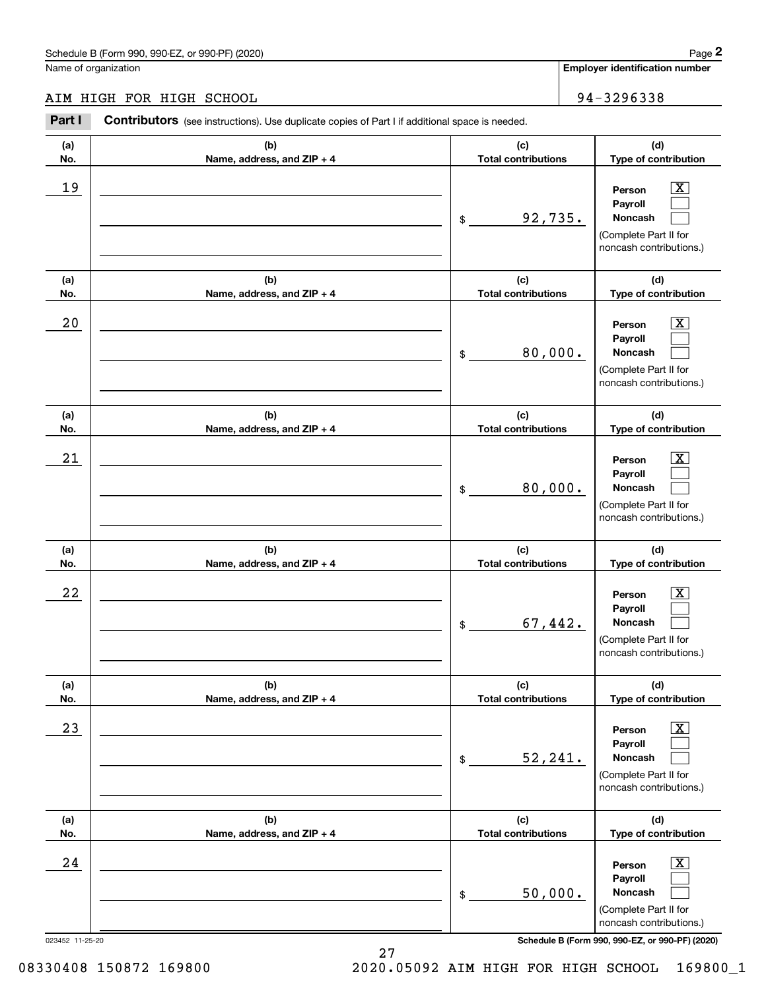# AIM HIGH FOR HIGH SCHOOL 94-3296338

|                 | Schedule B (Form 990, 990-EZ, or 990-PF) (2020)                                                       |                                   | Page 2                                                                                                      |
|-----------------|-------------------------------------------------------------------------------------------------------|-----------------------------------|-------------------------------------------------------------------------------------------------------------|
|                 | Name of organization                                                                                  |                                   | Employer identification number                                                                              |
|                 | AIM HIGH FOR HIGH SCHOOL                                                                              |                                   | 94-3296338                                                                                                  |
| Part I          | <b>Contributors</b> (see instructions). Use duplicate copies of Part I if additional space is needed. |                                   |                                                                                                             |
| (a)<br>No.      | (b)<br>Name, address, and ZIP + 4                                                                     | (c)<br><b>Total contributions</b> | (d)<br>Type of contribution                                                                                 |
| 19              |                                                                                                       | 92,735.<br>\$                     | $\overline{\mathbf{X}}$<br>Person<br>Payroll<br>Noncash<br>(Complete Part II for<br>noncash contributions.) |
| (a)<br>No.      | (b)<br>Name, address, and ZIP + 4                                                                     | (c)<br><b>Total contributions</b> | (d)<br>Type of contribution                                                                                 |
| 20              |                                                                                                       | 80,000.<br>\$                     | $\overline{\mathbf{X}}$<br>Person<br>Payroll<br>Noncash<br>(Complete Part II for<br>noncash contributions.) |
| (a)<br>No.      | (b)<br>Name, address, and ZIP + 4                                                                     | (c)<br><b>Total contributions</b> | (d)<br>Type of contribution                                                                                 |
| 21              |                                                                                                       | 80,000.<br>\$                     | $\overline{\mathbf{X}}$<br>Person<br>Payroll<br>Noncash<br>(Complete Part II for<br>noncash contributions.) |
| (a)<br>No.      | (b)<br>Name, address, and ZIP + 4                                                                     | (c)<br><b>Total contributions</b> | (d)<br>Type of contribution                                                                                 |
| 22              |                                                                                                       | 67,442.<br>\$                     | $\mathbf{X}$<br>Person<br>Payroll<br>Noncash<br>(Complete Part II for<br>noncash contributions.)            |
| (a)<br>No.      | (b)<br>Name, address, and ZIP + 4                                                                     | (c)<br><b>Total contributions</b> | (d)<br>Type of contribution                                                                                 |
| 23              |                                                                                                       | 52, 241.<br>\$                    | $\overline{\mathbf{X}}$<br>Person<br>Payroll<br>Noncash<br>(Complete Part II for<br>noncash contributions.) |
| (a)<br>No.      | (b)<br>Name, address, and ZIP + 4                                                                     | (c)<br><b>Total contributions</b> | (d)<br>Type of contribution                                                                                 |
| 24              |                                                                                                       | 50,000.<br>\$                     | $\overline{\mathbf{X}}$<br>Person<br>Payroll<br>Noncash<br>(Complete Part II for<br>noncash contributions.) |
| 023452 11-25-20 |                                                                                                       |                                   | Schedule B (Form 990, 990-EZ, or 990-PF) (2020)                                                             |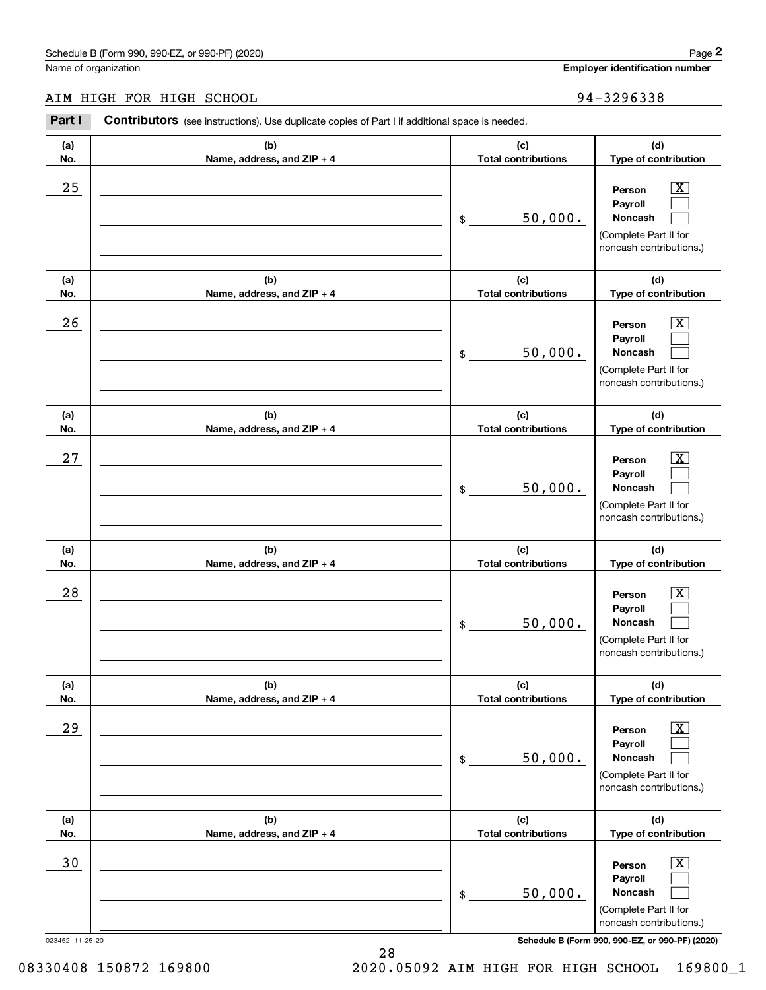# AIM HIGH FOR HIGH SCHOOL 34-3296338

|                 | Schedule B (Form 990, 990-EZ, or 990-PF) (2020)                                                       |                                   |                            | Page 2                                                                                                      |
|-----------------|-------------------------------------------------------------------------------------------------------|-----------------------------------|----------------------------|-------------------------------------------------------------------------------------------------------------|
|                 | Name of organization                                                                                  |                                   |                            | <b>Employer identification number</b>                                                                       |
|                 | AIM HIGH FOR HIGH SCHOOL                                                                              |                                   |                            | 94-3296338                                                                                                  |
| Part I          | <b>Contributors</b> (see instructions). Use duplicate copies of Part I if additional space is needed. |                                   |                            |                                                                                                             |
| (a)<br>No.      | (b)<br>Name, address, and ZIP + 4                                                                     | (c)                               | <b>Total contributions</b> |                                                                                                             |
| 25              |                                                                                                       | 50,000.<br>\$                     |                            | $\overline{\mathbf{X}}$<br>Person<br>Payroll<br>Noncash<br>(Complete Part II for<br>noncash contributions.) |
| (a)<br>No.      | (b)<br>Name, address, and ZIP + 4                                                                     | (c)<br><b>Total contributions</b> |                            | (d)<br>Type of contribution                                                                                 |
| 26              |                                                                                                       | 50,000.<br>\$                     |                            | X<br>Person<br>Payroll<br><b>Noncash</b><br>(Complete Part II for<br>noncash contributions.)                |
| (a)<br>No.      | (b)<br>Name, address, and ZIP + 4                                                                     | (c)<br><b>Total contributions</b> |                            | (d)<br>Type of contribution                                                                                 |
| 27              |                                                                                                       | 50,000.<br>\$                     |                            | X<br>Person<br>Payroll<br>Noncash<br>(Complete Part II for<br>noncash contributions.)                       |
| (a)<br>No.      | (b)<br>Name, address, and ZIP + 4                                                                     | (c)<br><b>Total contributions</b> |                            | (d)<br>Type of contribution                                                                                 |
| 28              |                                                                                                       | 50,000.<br>\$                     |                            | $\mathbf{X}$<br>Person<br>Payroll<br>Noncash<br>(Complete Part II for<br>noncash contributions.)            |
| (a)<br>No.      | (b)<br>Name, address, and ZIP + 4                                                                     | (c)<br><b>Total contributions</b> |                            | (d)<br>Type of contribution                                                                                 |
| 29              |                                                                                                       | 50,000.<br>\$                     |                            | $\boxed{\text{X}}$<br>Person<br>Payroll<br>Noncash<br>(Complete Part II for<br>noncash contributions.)      |
| (a)<br>No.      | (b)<br>Name, address, and ZIP + 4                                                                     | (c)<br><b>Total contributions</b> |                            | (d)<br>Type of contribution                                                                                 |
| 30              |                                                                                                       | 50,000.<br>\$                     |                            | $\boxed{\text{X}}$<br>Person<br>Payroll<br>Noncash<br>(Complete Part II for<br>noncash contributions.)      |
| 023452 11-25-20 |                                                                                                       |                                   |                            | Schedule B (Form 990, 990-EZ, or 990-PF) (2020)                                                             |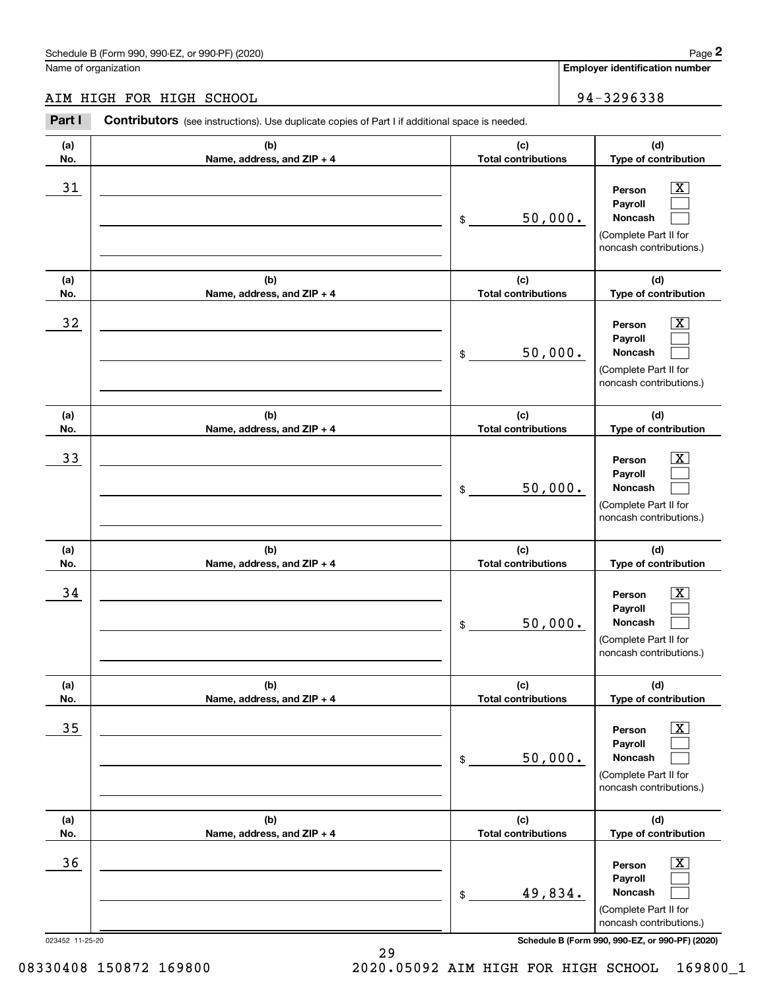# AIM HIGH FOR HIGH SCHOOL 34-3296338

|                 | Schedule B (Form 990, 990-EZ, or 990-PF) (2020)                                                       |                                   | Page 2                                                                                                      |
|-----------------|-------------------------------------------------------------------------------------------------------|-----------------------------------|-------------------------------------------------------------------------------------------------------------|
|                 | Name of organization                                                                                  |                                   | <b>Employer identification number</b>                                                                       |
|                 | AIM HIGH FOR HIGH SCHOOL                                                                              |                                   | 94-3296338                                                                                                  |
| Part I          | <b>Contributors</b> (see instructions). Use duplicate copies of Part I if additional space is needed. |                                   |                                                                                                             |
| (a)<br>No.      | (b)<br>Name, address, and ZIP + 4                                                                     | (c)<br><b>Total contributions</b> | (d)<br>Type of contribution                                                                                 |
| 31              |                                                                                                       | 50,000.<br>\$                     | $\overline{\mathbf{X}}$<br>Person<br>Payroll<br>Noncash<br>(Complete Part II for<br>noncash contributions.) |
| (a)<br>No.      | (b)<br>Name, address, and ZIP + 4                                                                     | (c)<br><b>Total contributions</b> | (d)<br>Type of contribution                                                                                 |
| 32              |                                                                                                       | 50,000.<br>\$                     | X<br>Person<br>Payroll<br><b>Noncash</b><br>(Complete Part II for<br>noncash contributions.)                |
| (a)<br>No.      | (b)<br>Name, address, and ZIP + 4                                                                     | (c)<br><b>Total contributions</b> | (d)<br>Type of contribution                                                                                 |
| 33              |                                                                                                       | 50,000.<br>\$                     | X<br>Person<br>Payroll<br>Noncash<br>(Complete Part II for<br>noncash contributions.)                       |
| (a)<br>No.      | (b)<br>Name, address, and ZIP + 4                                                                     | (c)<br><b>Total contributions</b> | (d)<br>Type of contribution                                                                                 |
| 34              |                                                                                                       | 50,000.<br>\$                     | $\mathbf{X}$<br>Person<br>Payroll<br>Noncash<br>(Complete Part II for<br>noncash contributions.)            |
| (a)<br>No.      | (b)<br>Name, address, and ZIP + 4                                                                     | (c)<br><b>Total contributions</b> | (d)<br>Type of contribution                                                                                 |
| 35              |                                                                                                       | 50,000.<br>\$                     | $\boxed{\text{X}}$<br>Person<br>Payroll<br>Noncash<br>(Complete Part II for<br>noncash contributions.)      |
| (a)<br>No.      | (b)<br>Name, address, and ZIP + 4                                                                     | (c)<br><b>Total contributions</b> | (d)<br>Type of contribution                                                                                 |
| 36              |                                                                                                       | 49,834.<br>\$                     | $\boxed{\text{X}}$<br>Person<br>Payroll<br>Noncash<br>(Complete Part II for<br>noncash contributions.)      |
| 023452 11-25-20 |                                                                                                       |                                   | Schedule B (Form 990, 990-EZ, or 990-PF) (2020)                                                             |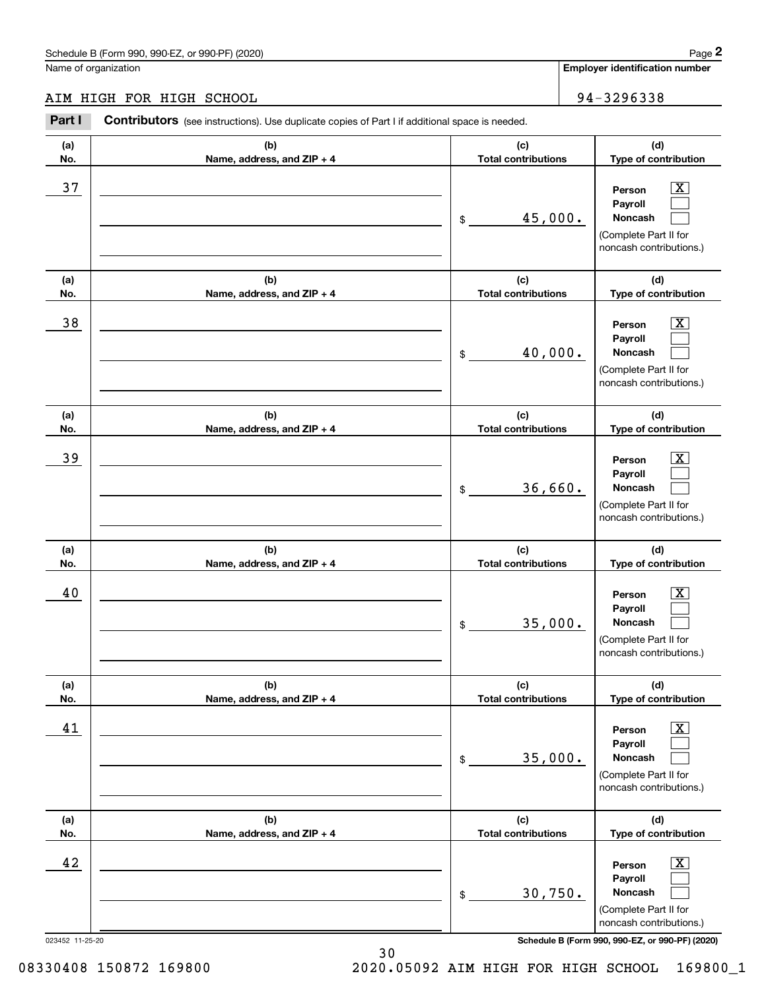# AIM HIGH FOR HIGH SCHOOL 34-3296338

|                 | Schedule B (Form 990, 990-EZ, or 990-PF) (2020)                                                       |                                   |                            | Page 2                                                                                                 |
|-----------------|-------------------------------------------------------------------------------------------------------|-----------------------------------|----------------------------|--------------------------------------------------------------------------------------------------------|
|                 | Name of organization                                                                                  |                                   |                            | <b>Employer identification number</b>                                                                  |
|                 | AIM HIGH FOR HIGH SCHOOL                                                                              |                                   |                            | 94-3296338                                                                                             |
| Part I          | <b>Contributors</b> (see instructions). Use duplicate copies of Part I if additional space is needed. |                                   |                            |                                                                                                        |
| (a)<br>No.      | (b)<br>Name, address, and ZIP + 4                                                                     | (c)                               | <b>Total contributions</b> |                                                                                                        |
| 37              |                                                                                                       | 45,000.<br>\$                     |                            | $\mathbf{X}$<br>Person<br>Payroll<br>Noncash<br>(Complete Part II for<br>noncash contributions.)       |
| (a)<br>No.      | (b)<br>Name, address, and ZIP + 4                                                                     | (c)<br><b>Total contributions</b> |                            | (d)<br>Type of contribution                                                                            |
| 38              |                                                                                                       | 40,000.<br>\$                     |                            | X<br>Person<br>Payroll<br><b>Noncash</b><br>(Complete Part II for<br>noncash contributions.)           |
| (a)<br>No.      | (b)<br>Name, address, and ZIP + 4                                                                     | (c)<br><b>Total contributions</b> |                            | (d)<br>Type of contribution                                                                            |
| 39              |                                                                                                       | 36,660.<br>\$                     |                            | X<br>Person<br>Payroll<br>Noncash<br>(Complete Part II for<br>noncash contributions.)                  |
| (a)<br>No.      | (b)<br>Name, address, and ZIP + 4                                                                     | (c)<br><b>Total contributions</b> |                            | (d)<br>Type of contribution                                                                            |
| 40              |                                                                                                       | 35,000.<br>\$                     |                            | $\mathbf{X}$<br>Person<br>Payroll<br>Noncash<br>(Complete Part II for<br>noncash contributions.)       |
| (a)<br>No.      | (b)<br>Name, address, and ZIP + 4                                                                     | (c)<br><b>Total contributions</b> |                            | (d)<br>Type of contribution                                                                            |
| 41              |                                                                                                       | 35,000.<br>\$                     |                            | $\boxed{\text{X}}$<br>Person<br>Payroll<br>Noncash<br>(Complete Part II for<br>noncash contributions.) |
| (a)<br>No.      | (b)<br>Name, address, and ZIP + 4                                                                     | (c)<br><b>Total contributions</b> |                            | (d)<br>Type of contribution                                                                            |
| 42              |                                                                                                       | 30,750.<br>\$                     |                            | $\boxed{\text{X}}$<br>Person<br>Payroll<br>Noncash<br>(Complete Part II for<br>noncash contributions.) |
| 023452 11-25-20 |                                                                                                       |                                   |                            | Schedule B (Form 990, 990-EZ, or 990-PF) (2020)                                                        |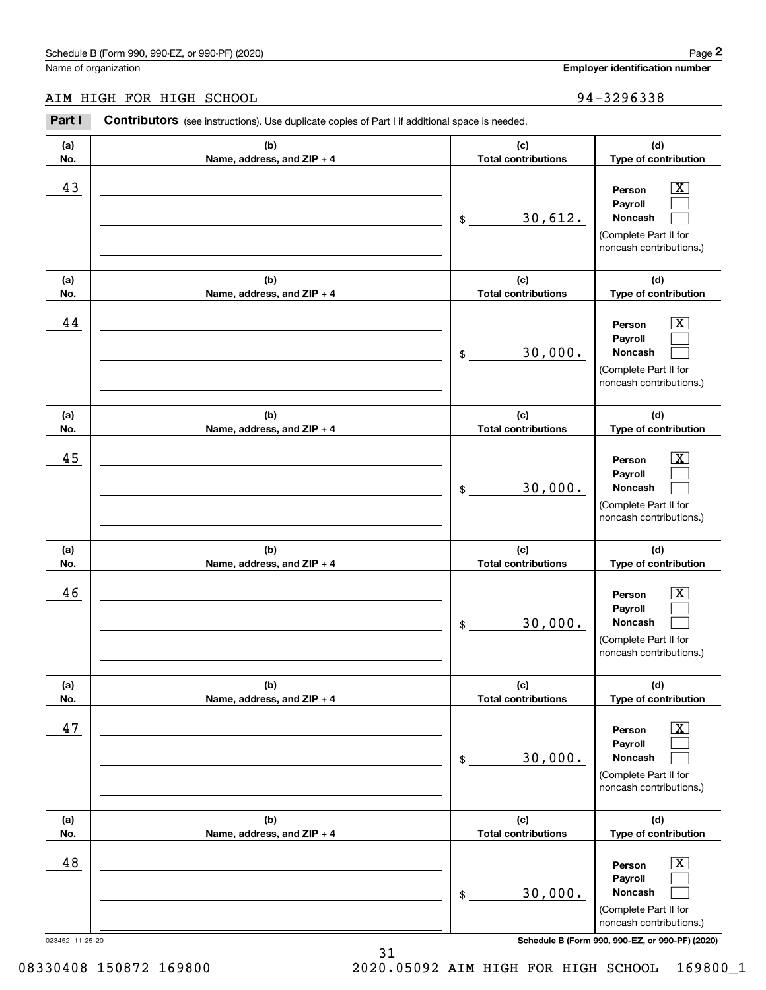# AIM HIGH FOR HIGH SCHOOL 34-3296338

|                 | Schedule B (Form 990, 990-EZ, or 990-PF) (2020)                                                       |                                   |                            | Page 2                                                                                                             |
|-----------------|-------------------------------------------------------------------------------------------------------|-----------------------------------|----------------------------|--------------------------------------------------------------------------------------------------------------------|
|                 | Name of organization                                                                                  |                                   |                            | <b>Employer identification number</b>                                                                              |
|                 | AIM HIGH FOR HIGH SCHOOL                                                                              |                                   |                            | 94-3296338                                                                                                         |
| Part I          | <b>Contributors</b> (see instructions). Use duplicate copies of Part I if additional space is needed. |                                   |                            |                                                                                                                    |
| (a)<br>No.      | (b)<br>Name, address, and ZIP + 4                                                                     | (c)                               | <b>Total contributions</b> |                                                                                                                    |
| 43              |                                                                                                       | 30,612.<br>\$                     |                            | $\mathbf{X}$<br>Person<br>Payroll<br>Noncash<br>(Complete Part II for<br>noncash contributions.)                   |
| (a)<br>No.      | (b)<br>Name, address, and ZIP + 4                                                                     | (c)<br><b>Total contributions</b> |                            | (d)<br>Type of contribution                                                                                        |
| 44              |                                                                                                       | 30,000.<br>\$                     |                            | $\overline{\mathbf{X}}$<br>Person<br>Payroll<br><b>Noncash</b><br>(Complete Part II for<br>noncash contributions.) |
| (a)<br>No.      | (b)<br>Name, address, and ZIP + 4                                                                     | (c)<br><b>Total contributions</b> |                            | (d)<br>Type of contribution                                                                                        |
| 45              |                                                                                                       | 30,000.<br>\$                     |                            | X<br>Person<br>Payroll<br>Noncash<br>(Complete Part II for<br>noncash contributions.)                              |
| (a)<br>No.      | (b)<br>Name, address, and ZIP + 4                                                                     | (c)<br><b>Total contributions</b> |                            | (d)<br>Type of contribution                                                                                        |
| 46              |                                                                                                       | 30,000.<br>\$                     |                            | $\mathbf{X}$<br>Person<br>Payroll<br>Noncash<br>(Complete Part II for<br>noncash contributions.)                   |
| (a)<br>No.      | (b)<br>Name, address, and ZIP + 4                                                                     | (c)<br><b>Total contributions</b> |                            | (d)<br>Type of contribution                                                                                        |
| 47              |                                                                                                       | 30,000.<br>\$                     |                            | $\boxed{\text{X}}$<br>Person<br>Payroll<br>Noncash<br>(Complete Part II for<br>noncash contributions.)             |
| (a)<br>No.      | (b)<br>Name, address, and ZIP + 4                                                                     | (c)<br><b>Total contributions</b> |                            | (d)<br>Type of contribution                                                                                        |
| 48              |                                                                                                       | 30,000.<br>\$                     |                            | $\boxed{\text{X}}$<br>Person<br>Payroll<br>Noncash<br>(Complete Part II for<br>noncash contributions.)             |
| 023452 11-25-20 |                                                                                                       |                                   |                            | Schedule B (Form 990, 990-EZ, or 990-PF) (2020)                                                                    |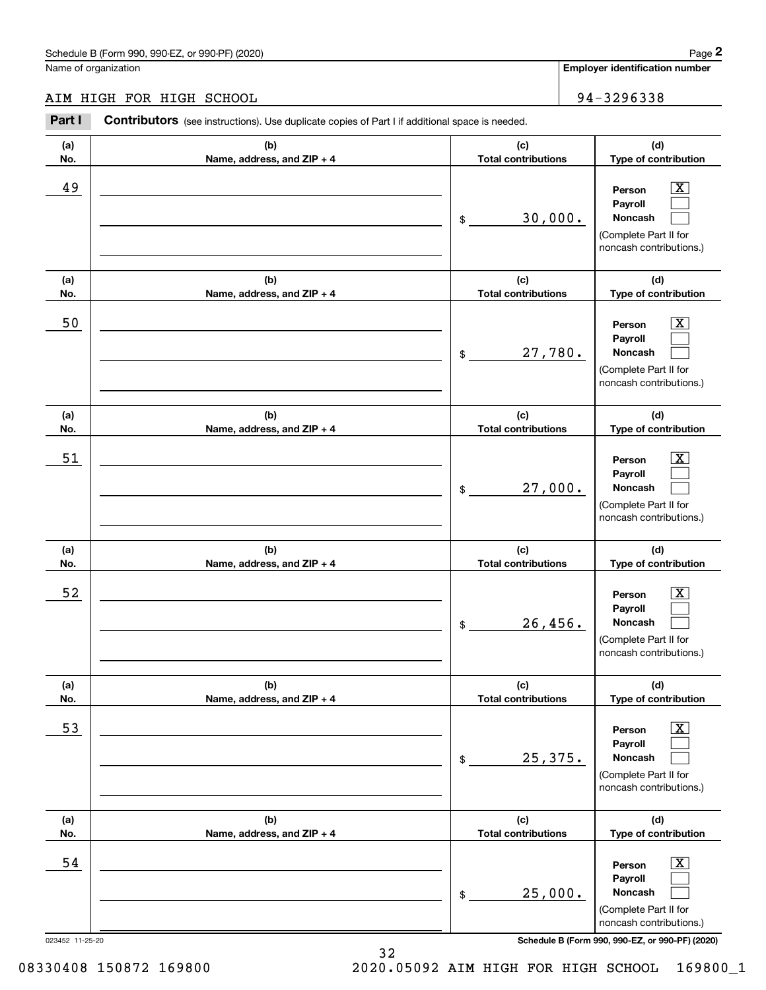# AIM HIGH FOR HIGH SCHOOL 34-3296338

|                 | Schedule B (Form 990, 990-EZ, or 990-PF) (2020)                                                |                                   |         | Page 2                                                                                                      |
|-----------------|------------------------------------------------------------------------------------------------|-----------------------------------|---------|-------------------------------------------------------------------------------------------------------------|
|                 | Name of organization                                                                           |                                   |         | <b>Employer identification number</b>                                                                       |
|                 | AIM HIGH FOR HIGH SCHOOL                                                                       |                                   |         | 94-3296338                                                                                                  |
| Part I          | Contributors (see instructions). Use duplicate copies of Part I if additional space is needed. |                                   |         |                                                                                                             |
| (a)<br>No.      | (b)<br>Name, address, and ZIP + 4                                                              | (c)<br><b>Total contributions</b> |         | (d)<br>Type of contribution                                                                                 |
| 49              |                                                                                                | \$                                | 30,000. | $\overline{\mathbf{X}}$<br>Person<br>Payroll<br>Noncash<br>(Complete Part II for<br>noncash contributions.) |
| (a)<br>No.      | (b)<br>Name, address, and ZIP + 4                                                              | (c)<br><b>Total contributions</b> |         | (d)<br>Type of contribution                                                                                 |
| 50              |                                                                                                | 27,780.<br>\$                     |         | $\overline{\mathbf{X}}$<br>Person<br>Payroll<br>Noncash<br>(Complete Part II for<br>noncash contributions.) |
| (a)<br>No.      | (b)<br>Name, address, and ZIP + 4                                                              | (c)<br><b>Total contributions</b> |         | (d)<br>Type of contribution                                                                                 |
| 51              |                                                                                                | 27,000.<br>\$                     |         | $\overline{\mathbf{X}}$<br>Person<br>Payroll<br>Noncash<br>(Complete Part II for<br>noncash contributions.) |
| (a)<br>No.      | (b)<br>Name, address, and ZIP + 4                                                              | (c)<br><b>Total contributions</b> |         | (d)<br>Type of contribution                                                                                 |
| 52              |                                                                                                | 26,456.<br>\$                     |         | $\overline{\mathbf{X}}$<br>Person<br>Payroll<br>Noncash<br>(Complete Part II for<br>noncash contributions.) |
| (a)<br>No.      | (b)<br>Name, address, and ZIP + 4                                                              | (c)<br><b>Total contributions</b> |         | (d)<br>Type of contribution                                                                                 |
| 53              |                                                                                                | 25,375.<br>\$                     |         | $\overline{\mathbf{X}}$<br>Person<br>Payroll<br>Noncash<br>(Complete Part II for<br>noncash contributions.) |
| (a)<br>No.      | (b)<br>Name, address, and ZIP + 4                                                              | (c)<br><b>Total contributions</b> |         | (d)<br>Type of contribution                                                                                 |
| 54              |                                                                                                | 25,000.<br>\$                     |         | $\overline{\mathbf{X}}$<br>Person<br>Payroll<br>Noncash<br>(Complete Part II for<br>noncash contributions.) |
| 023452 11-25-20 |                                                                                                |                                   |         | Schedule B (Form 990, 990-EZ, or 990-PF) (2020)                                                             |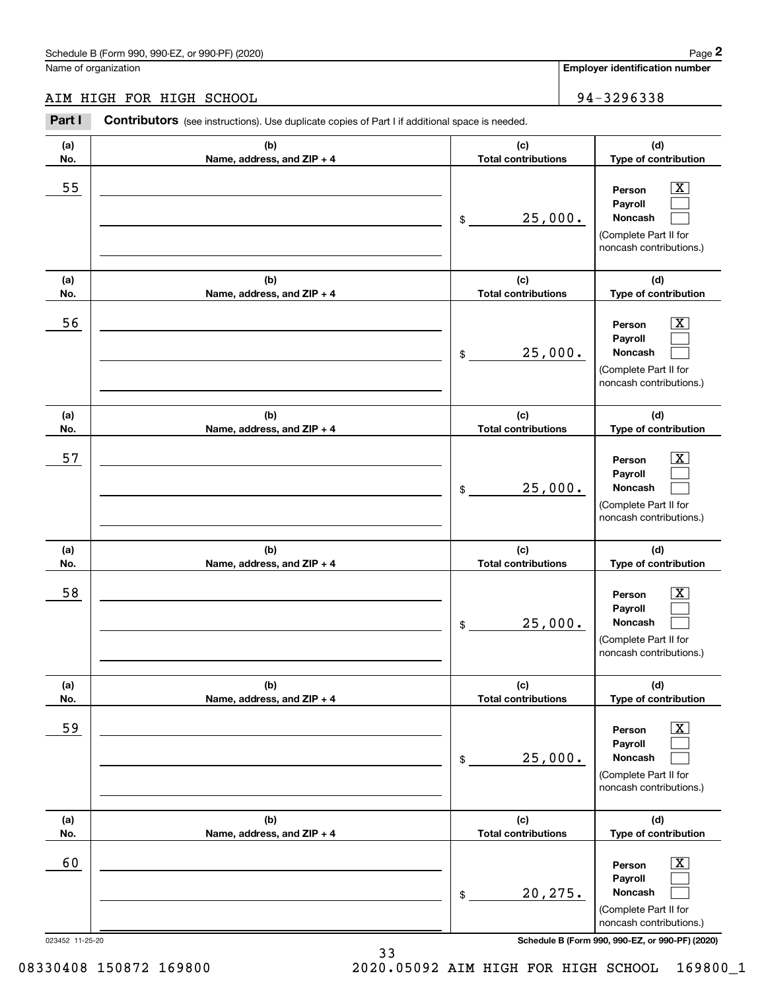# AIM HIGH FOR HIGH SCHOOL 34-3296338

|                 | Schedule B (Form 990, 990-EZ, or 990-PF) (2020)                                                |                                   |                            | Page 2                                                                                                      |
|-----------------|------------------------------------------------------------------------------------------------|-----------------------------------|----------------------------|-------------------------------------------------------------------------------------------------------------|
|                 | Name of organization                                                                           |                                   |                            | Employer identification number                                                                              |
|                 | AIM HIGH FOR HIGH SCHOOL                                                                       |                                   |                            | 94-3296338                                                                                                  |
| Part I          | Contributors (see instructions). Use duplicate copies of Part I if additional space is needed. |                                   |                            |                                                                                                             |
| (a)<br>No.      | (b)<br>Name, address, and ZIP + 4                                                              | (c)                               | <b>Total contributions</b> |                                                                                                             |
| 55              |                                                                                                | 25,000.<br>\$                     |                            | $\overline{\mathbf{X}}$<br>Person<br>Payroll<br>Noncash<br>(Complete Part II for<br>noncash contributions.) |
| (a)<br>No.      | (b)<br>Name, address, and ZIP + 4                                                              | (c)<br><b>Total contributions</b> |                            | (d)<br>Type of contribution                                                                                 |
| 56              |                                                                                                | 25,000.<br>\$                     |                            | $\overline{\mathbf{X}}$<br>Person<br>Payroll<br>Noncash<br>(Complete Part II for<br>noncash contributions.) |
| (a)<br>No.      | (b)<br>Name, address, and ZIP + 4                                                              | (c)<br><b>Total contributions</b> |                            | (d)<br>Type of contribution                                                                                 |
| 57              |                                                                                                | 25,000.<br>\$                     |                            | $\overline{\mathbf{X}}$<br>Person<br>Payroll<br>Noncash<br>(Complete Part II for<br>noncash contributions.) |
| (a)<br>No.      | (b)<br>Name, address, and ZIP + 4                                                              | (c)<br><b>Total contributions</b> |                            | (d)<br>Type of contribution                                                                                 |
| 58              |                                                                                                | 25,000.<br>\$                     |                            | $\mathbf{X}$<br>Person<br>Payroll<br>Noncash<br>(Complete Part II for<br>noncash contributions.)            |
| (a)<br>No.      | (b)<br>Name, address, and ZIP + 4                                                              | (c)<br><b>Total contributions</b> |                            | (d)<br>Type of contribution                                                                                 |
| 59              |                                                                                                | 25,000.<br>\$                     |                            | $\overline{\mathbf{X}}$<br>Person<br>Payroll<br>Noncash<br>(Complete Part II for<br>noncash contributions.) |
| (a)<br>No.      | (b)<br>Name, address, and ZIP + 4                                                              | (c)<br><b>Total contributions</b> |                            | (d)<br>Type of contribution                                                                                 |
| 60              |                                                                                                | 20, 275.<br>\$                    |                            | $\overline{\mathbf{X}}$<br>Person<br>Payroll<br>Noncash<br>(Complete Part II for<br>noncash contributions.) |
| 023452 11-25-20 |                                                                                                |                                   |                            | Schedule B (Form 990, 990-EZ, or 990-PF) (2020)                                                             |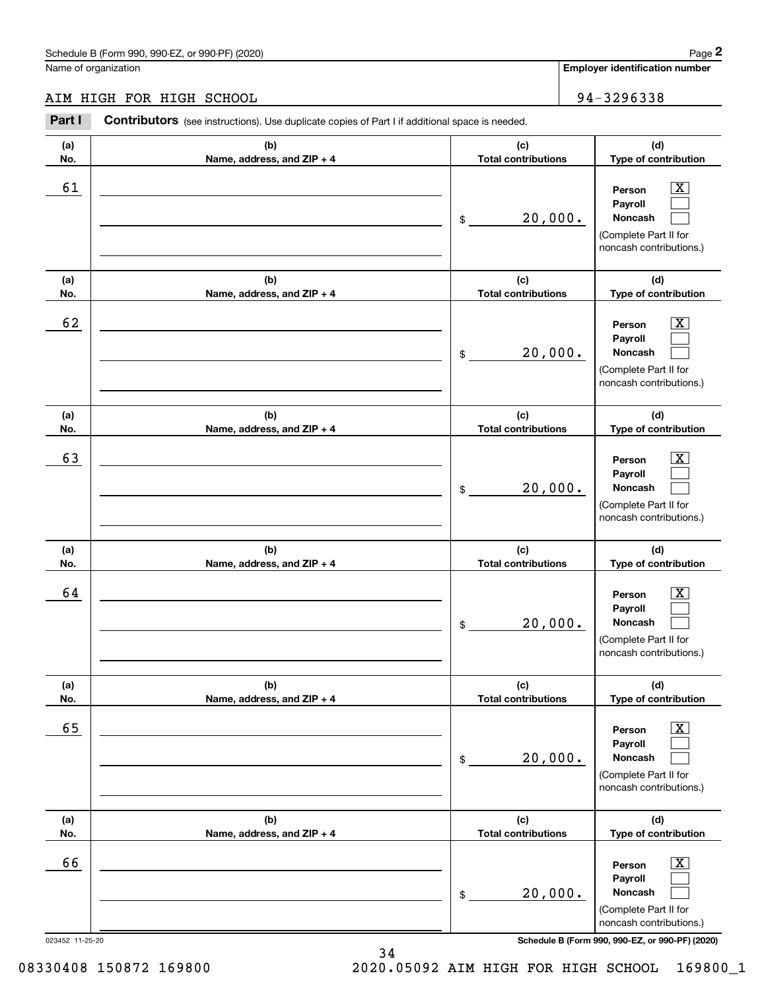# AIM HIGH FOR HIGH SCHOOL 34-3296338

|                 | Schedule B (Form 990, 990-EZ, or 990-PF) (2020)                                                |                                   | Page 2                                                                                                      |
|-----------------|------------------------------------------------------------------------------------------------|-----------------------------------|-------------------------------------------------------------------------------------------------------------|
|                 | Name of organization                                                                           |                                   | <b>Employer identification number</b>                                                                       |
|                 | AIM HIGH FOR HIGH SCHOOL                                                                       |                                   | 94-3296338                                                                                                  |
| Part I          | Contributors (see instructions). Use duplicate copies of Part I if additional space is needed. |                                   |                                                                                                             |
| (a)<br>No.      | (b)<br>Name, address, and ZIP + 4                                                              | (c)<br><b>Total contributions</b> | (d)<br>Type of contribution                                                                                 |
| 61              |                                                                                                | 20,000.<br>\$                     | $\overline{\text{X}}$<br>Person<br>Payroll<br>Noncash<br>(Complete Part II for<br>noncash contributions.)   |
| (a)<br>No.      | (b)<br>Name, address, and ZIP + 4                                                              | (c)<br><b>Total contributions</b> | (d)<br>Type of contribution                                                                                 |
| 62              |                                                                                                | 20,000.<br>\$                     | X<br>Person<br>Payroll<br>Noncash<br>(Complete Part II for<br>noncash contributions.)                       |
| (a)<br>No.      | (b)<br>Name, address, and ZIP + 4                                                              | (c)<br><b>Total contributions</b> | (d)<br>Type of contribution                                                                                 |
| 63              |                                                                                                | 20,000.<br>\$                     | X<br>Person<br>Payroll<br>Noncash<br>(Complete Part II for<br>noncash contributions.)                       |
| (a)<br>No.      | (b)<br>Name, address, and ZIP + 4                                                              | (c)<br><b>Total contributions</b> | (d)<br>Type of contribution                                                                                 |
| 64              |                                                                                                | 20,000.<br>\$                     | $\mathbf{X}$<br>Person<br>Payroll<br>Noncash<br>(Complete Part II for<br>noncash contributions.)            |
| (a)<br>No.      | (b)<br>Name, address, and ZIP + 4                                                              | (c)<br><b>Total contributions</b> | (d)<br>Type of contribution                                                                                 |
| 65              |                                                                                                | 20,000.<br>\$                     | $\overline{\mathbf{X}}$<br>Person<br>Payroll<br>Noncash<br>(Complete Part II for<br>noncash contributions.) |
| (a)<br>No.      | (b)<br>Name, address, and ZIP + 4                                                              | (c)<br><b>Total contributions</b> | (d)<br>Type of contribution                                                                                 |
| 66              |                                                                                                | 20,000.<br>\$                     | $\boxed{\text{X}}$<br>Person<br>Payroll<br>Noncash<br>(Complete Part II for<br>noncash contributions.)      |
| 023452 11-25-20 |                                                                                                |                                   | Schedule B (Form 990, 990-EZ, or 990-PF) (2020)                                                             |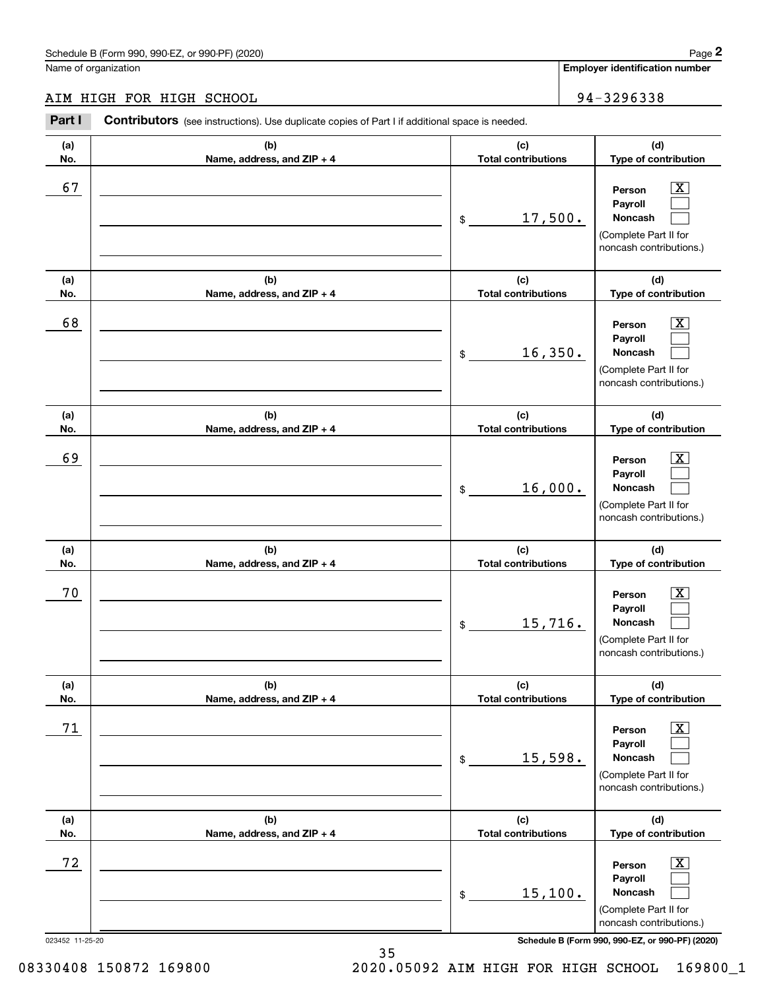# AIM HIGH FOR HIGH SCHOOL 34-3296338

|                 | Schedule B (Form 990, 990-EZ, or 990-PF) (2020)                                                       |                                   |  | Page 2                                                                                                      |
|-----------------|-------------------------------------------------------------------------------------------------------|-----------------------------------|--|-------------------------------------------------------------------------------------------------------------|
|                 | Name of organization                                                                                  |                                   |  | Employer identification number                                                                              |
|                 | AIM HIGH FOR HIGH SCHOOL                                                                              |                                   |  | 94-3296338                                                                                                  |
| Part I          | <b>Contributors</b> (see instructions). Use duplicate copies of Part I if additional space is needed. |                                   |  |                                                                                                             |
| (a)<br>No.      | (b)<br>Name, address, and ZIP + 4                                                                     | (c)<br><b>Total contributions</b> |  | (d)<br>Type of contribution                                                                                 |
| 67              |                                                                                                       | 17,500.<br>\$                     |  | $\mathbf{X}$<br>Person<br>Payroll<br>Noncash<br>(Complete Part II for<br>noncash contributions.)            |
| (a)<br>No.      | (b)<br>Name, address, and ZIP + 4                                                                     | (c)<br><b>Total contributions</b> |  | (d)<br>Type of contribution                                                                                 |
| 68              |                                                                                                       | 16,350.<br>\$                     |  | $\overline{\mathbf{X}}$<br>Person<br>Payroll<br>Noncash<br>(Complete Part II for<br>noncash contributions.) |
| (a)<br>No.      | (b)<br>Name, address, and ZIP + 4                                                                     | (c)<br><b>Total contributions</b> |  | (d)<br>Type of contribution                                                                                 |
| 69              |                                                                                                       | 16,000.<br>\$                     |  | $\overline{\mathbf{X}}$<br>Person<br>Payroll<br>Noncash<br>(Complete Part II for<br>noncash contributions.) |
| (a)<br>No.      | (b)<br>Name, address, and ZIP + 4                                                                     | (c)<br><b>Total contributions</b> |  | (d)<br>Type of contribution                                                                                 |
| 70              |                                                                                                       | 15, 716.<br>\$                    |  | $\mathbf{X}$<br>Person<br>Payroll<br>Noncash<br>(Complete Part II for<br>noncash contributions.)            |
| (a)<br>No.      | (b)<br>Name, address, and ZIP + 4                                                                     | (c)<br><b>Total contributions</b> |  | (d)<br>Type of contribution                                                                                 |
| 71              |                                                                                                       | 15,598.<br>\$                     |  | $\overline{\mathbf{X}}$<br>Person<br>Payroll<br>Noncash<br>(Complete Part II for<br>noncash contributions.) |
| (a)<br>No.      | (b)<br>Name, address, and ZIP + 4                                                                     | (c)<br><b>Total contributions</b> |  | (d)<br>Type of contribution                                                                                 |
| 72              |                                                                                                       | 15,100.<br>\$                     |  | $\overline{\mathbf{X}}$<br>Person<br>Payroll<br>Noncash<br>(Complete Part II for<br>noncash contributions.) |
| 023452 11-25-20 |                                                                                                       |                                   |  | Schedule B (Form 990, 990-EZ, or 990-PF) (2020)                                                             |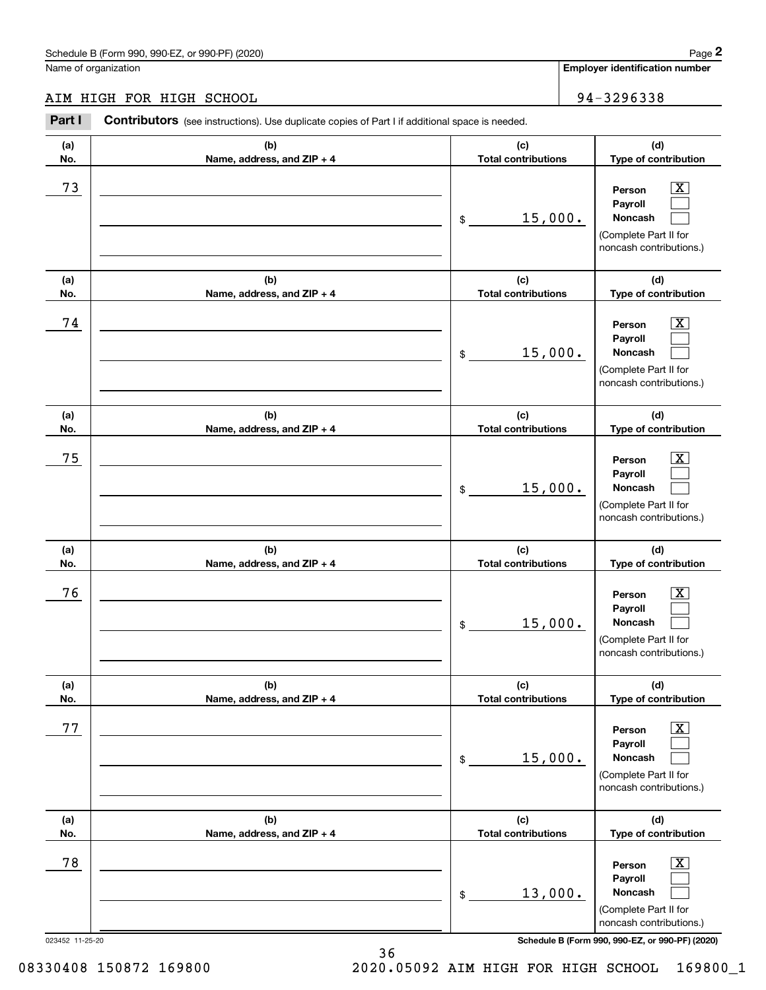# AIM HIGH FOR HIGH SCHOOL 34-3296338

|                 | Schedule B (Form 990, 990-EZ, or 990-PF) (2020)                                                |                                   |         | Page 2                                                                                                      |
|-----------------|------------------------------------------------------------------------------------------------|-----------------------------------|---------|-------------------------------------------------------------------------------------------------------------|
|                 | Name of organization                                                                           |                                   |         | <b>Employer identification number</b>                                                                       |
|                 | AIM HIGH FOR HIGH SCHOOL                                                                       |                                   |         | 94-3296338                                                                                                  |
| Part I          | Contributors (see instructions). Use duplicate copies of Part I if additional space is needed. |                                   |         |                                                                                                             |
| (a)<br>No.      | (b)<br>Name, address, and ZIP + 4                                                              | (c)<br><b>Total contributions</b> |         | (d)<br>Type of contribution                                                                                 |
| 73              |                                                                                                | \$                                | 15,000. | $\overline{\mathbf{X}}$<br>Person<br>Payroll<br>Noncash<br>(Complete Part II for<br>noncash contributions.) |
| (a)<br>No.      | (b)<br>Name, address, and ZIP + 4                                                              | (c)<br><b>Total contributions</b> |         | (d)<br>Type of contribution                                                                                 |
| 74              |                                                                                                | \$                                | 15,000. | $\overline{\text{X}}$<br>Person<br>Payroll<br>Noncash<br>(Complete Part II for<br>noncash contributions.)   |
| (a)<br>No.      | (b)<br>Name, address, and ZIP + 4                                                              | (c)<br><b>Total contributions</b> |         | (d)<br>Type of contribution                                                                                 |
| 75              |                                                                                                | \$                                | 15,000. | $\overline{\text{X}}$<br>Person<br>Payroll<br>Noncash<br>(Complete Part II for<br>noncash contributions.)   |
| (a)<br>No.      | (b)<br>Name, address, and ZIP + 4                                                              | (c)<br><b>Total contributions</b> |         | (d)<br>Type of contribution                                                                                 |
| 76              |                                                                                                | \$                                | 15,000. | $\overline{\mathbf{X}}$<br>Person<br>Payroll<br>Noncash<br>(Complete Part II for<br>noncash contributions.) |
| (a)<br>No.      | (b)<br>Name, address, and ZIP + 4                                                              | (c)<br><b>Total contributions</b> |         | (d)<br>Type of contribution                                                                                 |
| 77              |                                                                                                | \$                                | 15,000. | $\overline{\mathbf{X}}$<br>Person<br>Payroll<br>Noncash<br>(Complete Part II for<br>noncash contributions.) |
| (a)<br>No.      | (b)<br>Name, address, and ZIP + 4                                                              | (c)<br><b>Total contributions</b> |         | (d)<br>Type of contribution                                                                                 |
| 78              |                                                                                                | \$                                | 13,000. | $\overline{\mathbf{X}}$<br>Person<br>Payroll<br>Noncash<br>(Complete Part II for<br>noncash contributions.) |
| 023452 11-25-20 |                                                                                                |                                   |         | Schedule B (Form 990, 990-EZ, or 990-PF) (2020)                                                             |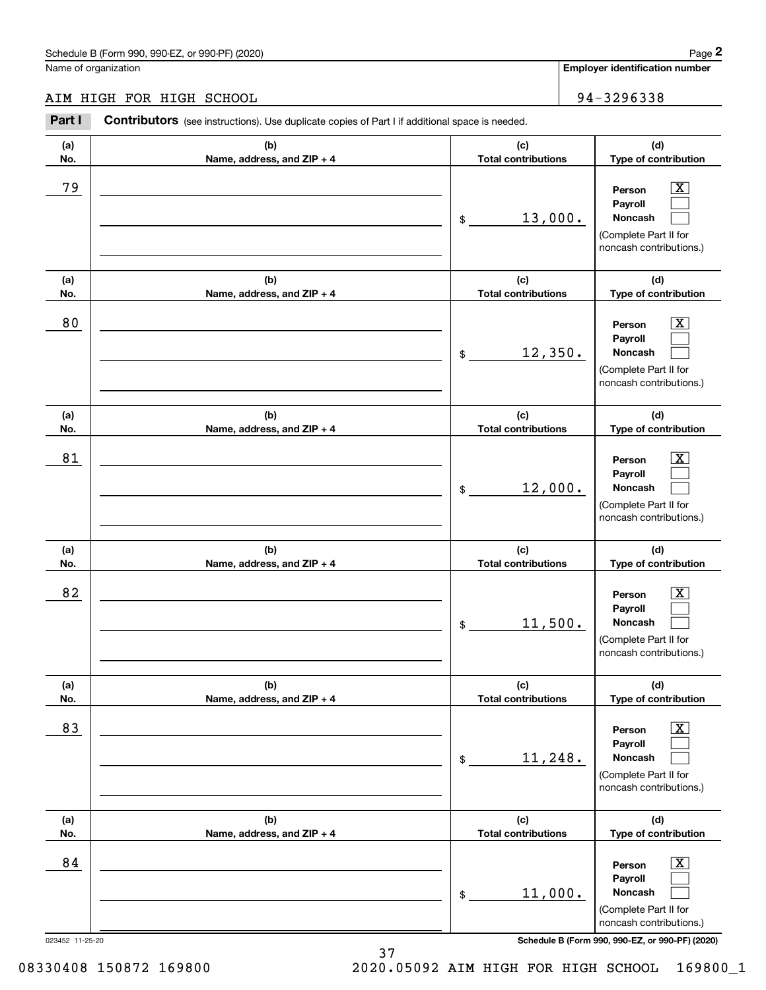# AIM HIGH FOR HIGH SCHOOL 34-3296338

|                 | Schedule B (Form 990, 990-EZ, or 990-PF) (2020)                                                       |                                   | Page 2                                                                                                      |
|-----------------|-------------------------------------------------------------------------------------------------------|-----------------------------------|-------------------------------------------------------------------------------------------------------------|
|                 | Name of organization                                                                                  |                                   | Employer identification number                                                                              |
|                 | AIM HIGH FOR HIGH SCHOOL                                                                              |                                   | 94-3296338                                                                                                  |
| Part I          | <b>Contributors</b> (see instructions). Use duplicate copies of Part I if additional space is needed. |                                   |                                                                                                             |
| (a)<br>No.      | (b)<br>Name, address, and ZIP + 4                                                                     | (c)<br><b>Total contributions</b> | (d)<br>Type of contribution                                                                                 |
| 79              |                                                                                                       | 13,000.<br>\$                     | $\mathbf{X}$<br>Person<br>Payroll<br>Noncash<br>(Complete Part II for<br>noncash contributions.)            |
| (a)<br>No.      | (b)<br>Name, address, and ZIP + 4                                                                     | (c)<br><b>Total contributions</b> | (d)<br>Type of contribution                                                                                 |
| 80              |                                                                                                       | 12,350.<br>\$                     | $\overline{\mathbf{X}}$<br>Person<br>Payroll<br>Noncash<br>(Complete Part II for<br>noncash contributions.) |
| (a)<br>No.      | (b)<br>Name, address, and ZIP + 4                                                                     | (c)<br><b>Total contributions</b> | (d)<br>Type of contribution                                                                                 |
| 81              |                                                                                                       | 12,000.<br>\$                     | $\overline{\mathbf{X}}$<br>Person<br>Payroll<br>Noncash<br>(Complete Part II for<br>noncash contributions.) |
| (a)<br>No.      | (b)<br>Name, address, and ZIP + 4                                                                     | (c)<br><b>Total contributions</b> | (d)<br>Type of contribution                                                                                 |
| 82              |                                                                                                       | 11,500.<br>\$                     | $\mathbf{X}$<br>Person<br>Payroll<br>Noncash<br>(Complete Part II for<br>noncash contributions.)            |
| (a)<br>No.      | (b)<br>Name, address, and ZIP + 4                                                                     | (c)<br><b>Total contributions</b> | (d)<br>Type of contribution                                                                                 |
| 83              |                                                                                                       | 11,248.<br>\$                     | $\overline{\mathbf{X}}$<br>Person<br>Payroll<br>Noncash<br>(Complete Part II for<br>noncash contributions.) |
| (a)<br>No.      | (b)<br>Name, address, and ZIP + 4                                                                     | (c)<br><b>Total contributions</b> | (d)<br>Type of contribution                                                                                 |
| 84              |                                                                                                       | 11,000.<br>\$                     | $\overline{\mathbf{X}}$<br>Person<br>Payroll<br>Noncash<br>(Complete Part II for<br>noncash contributions.) |
| 023452 11-25-20 |                                                                                                       |                                   | Schedule B (Form 990, 990-EZ, or 990-PF) (2020)                                                             |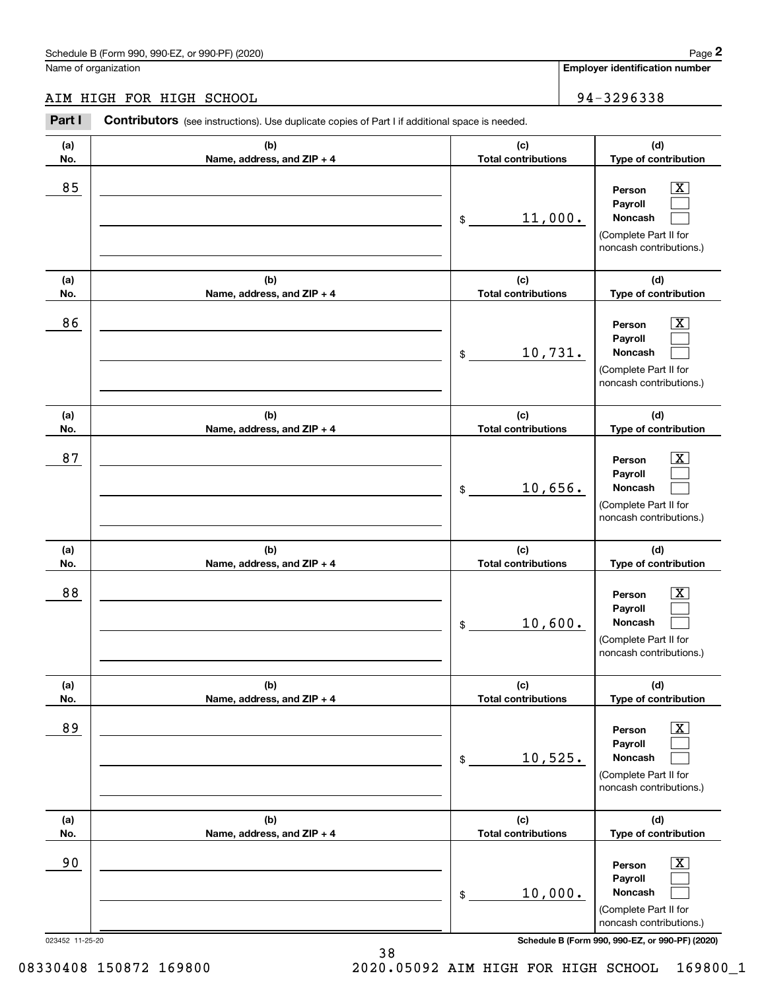# AIM HIGH FOR HIGH SCHOOL 34-3296338

|                 | Schedule B (Form 990, 990-EZ, or 990-PF) (2020)                                                       |                                   | Page 2                                                                                                      |
|-----------------|-------------------------------------------------------------------------------------------------------|-----------------------------------|-------------------------------------------------------------------------------------------------------------|
|                 | Name of organization                                                                                  |                                   | Employer identification number                                                                              |
|                 | AIM HIGH FOR HIGH SCHOOL                                                                              |                                   | 94-3296338                                                                                                  |
| Part I          | <b>Contributors</b> (see instructions). Use duplicate copies of Part I if additional space is needed. |                                   |                                                                                                             |
| (a)<br>No.      | (b)<br>Name, address, and ZIP + 4                                                                     | (c)<br><b>Total contributions</b> | (d)<br>Type of contribution                                                                                 |
| 85              |                                                                                                       | 11,000.<br>\$                     | $\mathbf{X}$<br>Person<br>Payroll<br>Noncash<br>(Complete Part II for<br>noncash contributions.)            |
| (a)<br>No.      | (b)<br>Name, address, and ZIP + 4                                                                     | (c)<br><b>Total contributions</b> | (d)<br>Type of contribution                                                                                 |
| 86              |                                                                                                       | 10,731.<br>\$                     | $\overline{\mathbf{X}}$<br>Person<br>Payroll<br>Noncash<br>(Complete Part II for<br>noncash contributions.) |
| (a)<br>No.      | (b)<br>Name, address, and ZIP + 4                                                                     | (c)<br><b>Total contributions</b> | (d)<br>Type of contribution                                                                                 |
| 87              |                                                                                                       | 10,656.<br>\$                     | $\overline{\mathbf{X}}$<br>Person<br>Payroll<br>Noncash<br>(Complete Part II for<br>noncash contributions.) |
| (a)<br>No.      | (b)<br>Name, address, and ZIP + 4                                                                     | (c)<br><b>Total contributions</b> | (d)<br>Type of contribution                                                                                 |
| 88              |                                                                                                       | 10,600.<br>\$                     | $\mathbf{X}$<br>Person<br>Payroll<br>Noncash<br>(Complete Part II for<br>noncash contributions.)            |
| (a)<br>No.      | (b)<br>Name, address, and ZIP + 4                                                                     | (c)<br><b>Total contributions</b> | (d)<br>Type of contribution                                                                                 |
| 89              |                                                                                                       | 10,525.<br>\$                     | $\overline{\mathbf{X}}$<br>Person<br>Payroll<br>Noncash<br>(Complete Part II for<br>noncash contributions.) |
| (a)<br>No.      | (b)<br>Name, address, and ZIP + 4                                                                     | (c)<br><b>Total contributions</b> | (d)<br>Type of contribution                                                                                 |
| 90              |                                                                                                       | 10,000.<br>\$                     | $\overline{\mathbf{X}}$<br>Person<br>Payroll<br>Noncash<br>(Complete Part II for<br>noncash contributions.) |
| 023452 11-25-20 |                                                                                                       |                                   | Schedule B (Form 990, 990-EZ, or 990-PF) (2020)                                                             |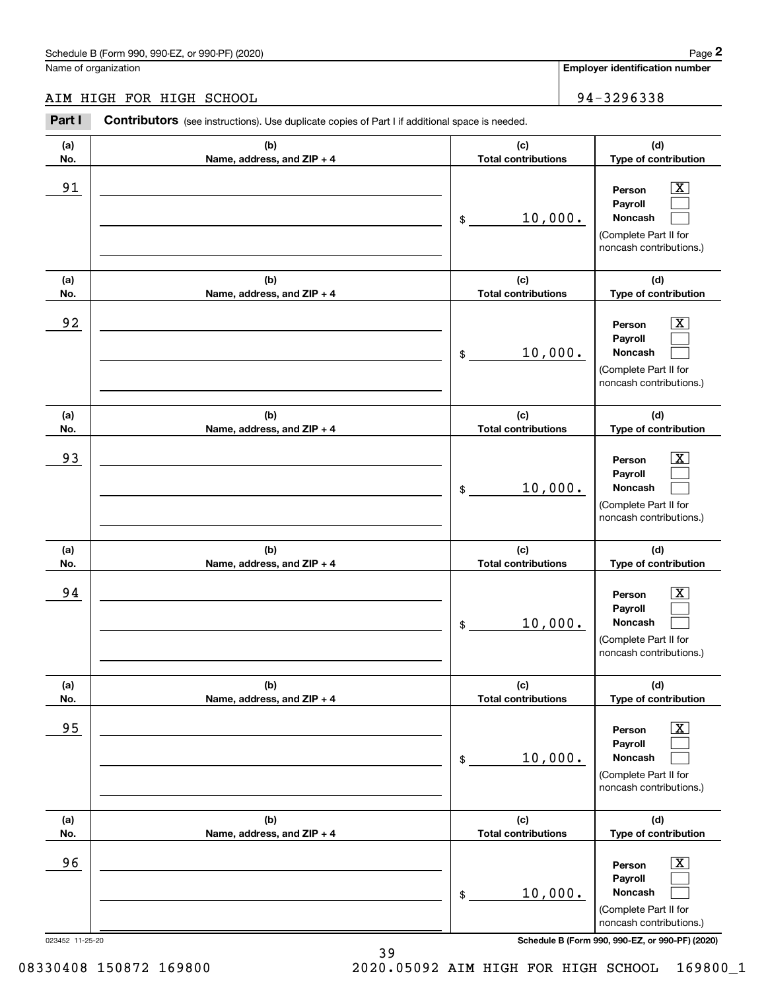# AIM HIGH FOR HIGH SCHOOL 34-3296338

|                 | Schedule B (Form 990, 990-EZ, or 990-PF) (2020)                                                       |                                   | Page 2                                                                                                      |
|-----------------|-------------------------------------------------------------------------------------------------------|-----------------------------------|-------------------------------------------------------------------------------------------------------------|
|                 | Name of organization                                                                                  |                                   | <b>Employer identification number</b>                                                                       |
|                 | AIM HIGH FOR HIGH SCHOOL                                                                              |                                   | 94-3296338                                                                                                  |
| Part I          | <b>Contributors</b> (see instructions). Use duplicate copies of Part I if additional space is needed. |                                   |                                                                                                             |
| (a)<br>No.      | (b)<br>Name, address, and ZIP + 4                                                                     | (c)<br><b>Total contributions</b> | (d)<br>Type of contribution                                                                                 |
| 91              |                                                                                                       | 10,000.<br>\$                     | $\overline{\mathbf{X}}$<br>Person<br>Payroll<br>Noncash<br>(Complete Part II for<br>noncash contributions.) |
| (a)<br>No.      | (b)<br>Name, address, and ZIP + 4                                                                     | (c)<br><b>Total contributions</b> | (d)<br>Type of contribution                                                                                 |
| 92              |                                                                                                       | 10,000.<br>\$                     | X<br>Person<br>Payroll<br>Noncash<br>(Complete Part II for<br>noncash contributions.)                       |
| (a)<br>No.      | (b)<br>Name, address, and ZIP + 4                                                                     | (c)<br><b>Total contributions</b> | (d)<br>Type of contribution                                                                                 |
| 93              |                                                                                                       | 10,000.<br>\$                     | X<br>Person<br>Payroll<br>Noncash<br>(Complete Part II for<br>noncash contributions.)                       |
| (a)<br>No.      | (b)<br>Name, address, and ZIP + 4                                                                     | (c)<br><b>Total contributions</b> | (d)<br>Type of contribution                                                                                 |
| 94              |                                                                                                       | 10,000.<br>\$                     | $\mathbf{X}$<br>Person<br>Payroll<br>Noncash<br>(Complete Part II for<br>noncash contributions.)            |
| (a)<br>No.      | (b)<br>Name, address, and ZIP + 4                                                                     | (c)<br><b>Total contributions</b> | (d)<br>Type of contribution                                                                                 |
| 95              |                                                                                                       | 10,000.<br>\$                     | $\boxed{\text{X}}$<br>Person<br>Payroll<br>Noncash<br>(Complete Part II for<br>noncash contributions.)      |
| (a)<br>No.      | (b)<br>Name, address, and ZIP + 4                                                                     | (c)<br><b>Total contributions</b> | (d)<br>Type of contribution                                                                                 |
| 96              |                                                                                                       | 10,000.<br>\$                     | $\boxed{\text{X}}$<br>Person<br>Payroll<br>Noncash<br>(Complete Part II for<br>noncash contributions.)      |
| 023452 11-25-20 |                                                                                                       |                                   | Schedule B (Form 990, 990-EZ, or 990-PF) (2020)                                                             |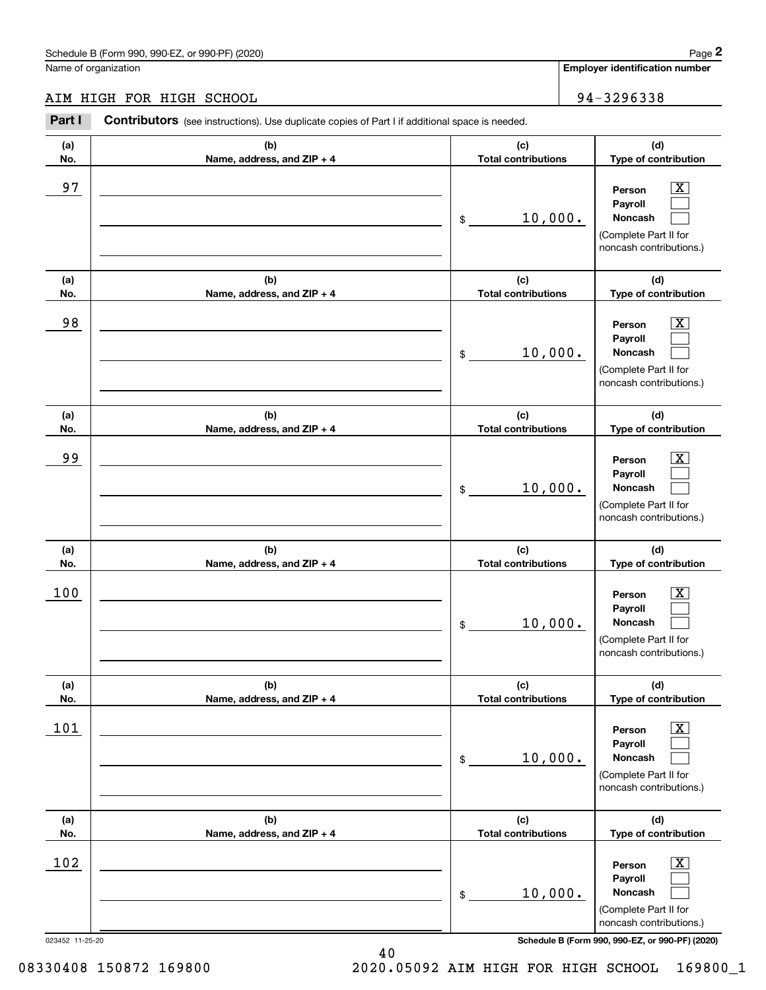# AIM HIGH FOR HIGH SCHOOL 94-3296338

|                 | Schedule B (Form 990, 990-EZ, or 990-PF) (2020)                                                       |                                   | Page 2                                                                                                      |
|-----------------|-------------------------------------------------------------------------------------------------------|-----------------------------------|-------------------------------------------------------------------------------------------------------------|
|                 | Name of organization                                                                                  |                                   | Employer identification number                                                                              |
|                 | AIM HIGH FOR HIGH SCHOOL                                                                              |                                   | 94-3296338                                                                                                  |
| Part I          | <b>Contributors</b> (see instructions). Use duplicate copies of Part I if additional space is needed. |                                   |                                                                                                             |
| (a)<br>No.      | (b)<br>Name, address, and ZIP + 4                                                                     | (c)<br><b>Total contributions</b> | (d)<br>Type of contribution                                                                                 |
| 97              |                                                                                                       | 10,000.<br>\$                     | $\overline{\mathbf{X}}$<br>Person<br>Payroll<br>Noncash<br>(Complete Part II for<br>noncash contributions.) |
| (a)<br>No.      | (b)<br>Name, address, and ZIP + 4                                                                     | (c)<br><b>Total contributions</b> | (d)<br>Type of contribution                                                                                 |
| 98              |                                                                                                       | 10,000.<br>\$                     | $\overline{\mathbf{X}}$<br>Person<br>Payroll<br>Noncash<br>(Complete Part II for<br>noncash contributions.) |
| (a)<br>No.      | (b)<br>Name, address, and ZIP + 4                                                                     | (c)<br><b>Total contributions</b> | (d)<br>Type of contribution                                                                                 |
| 99              |                                                                                                       | 10,000.<br>\$                     | $\overline{\text{X}}$<br>Person<br>Payroll<br>Noncash<br>(Complete Part II for<br>noncash contributions.)   |
| (a)<br>No.      | (b)<br>Name, address, and ZIP + 4                                                                     | (c)<br><b>Total contributions</b> | (d)<br>Type of contribution                                                                                 |
| 100             |                                                                                                       | 10,000.<br>\$                     | $\mathbf{X}$<br>Person<br>Payroll<br>Noncash<br>(Complete Part II for<br>noncash contributions.)            |
| (a)<br>No.      | (b)<br>Name, address, and ZIP + 4                                                                     | (c)<br><b>Total contributions</b> | (d)<br>Type of contribution                                                                                 |
| 101             |                                                                                                       | 10,000.<br>\$                     | $\overline{\mathbf{X}}$<br>Person<br>Payroll<br>Noncash<br>(Complete Part II for<br>noncash contributions.) |
| (a)<br>No.      | (b)<br>Name, address, and ZIP + 4                                                                     | (c)<br><b>Total contributions</b> | (d)<br>Type of contribution                                                                                 |
| 102             |                                                                                                       | 10,000.<br>\$                     | $\overline{\mathbf{X}}$<br>Person<br>Payroll<br>Noncash<br>(Complete Part II for<br>noncash contributions.) |
| 023452 11-25-20 |                                                                                                       |                                   | Schedule B (Form 990, 990-EZ, or 990-PF) (2020)                                                             |

40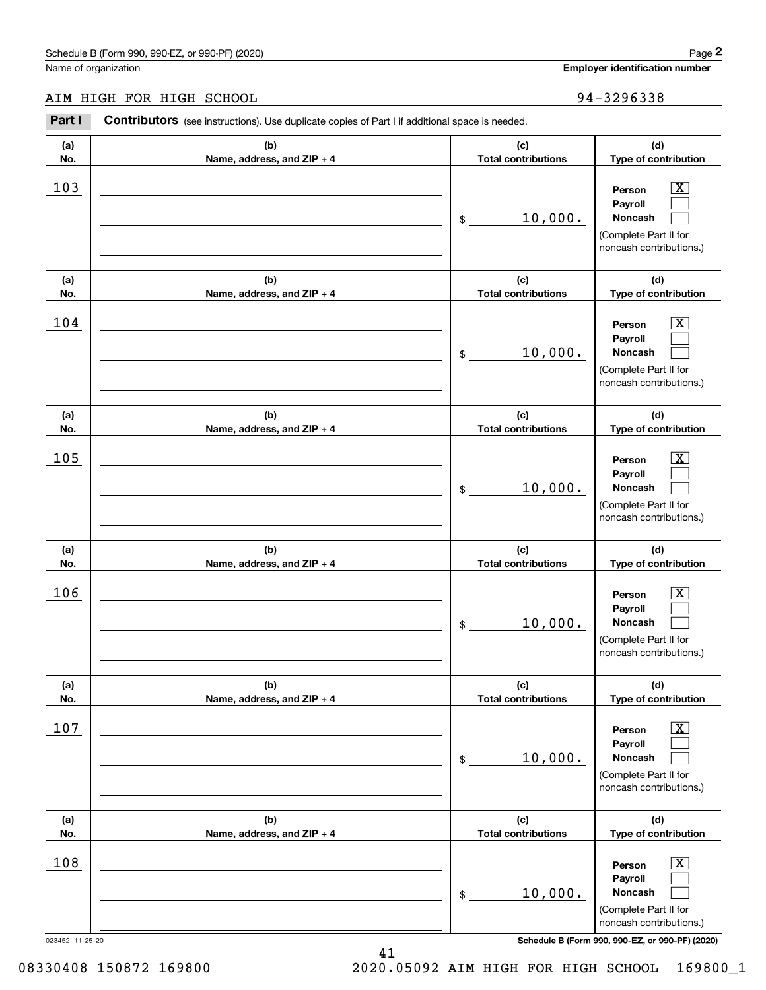# AIM HIGH FOR HIGH SCHOOL 94-3296338

|                 | Schedule B (Form 990, 990-EZ, or 990-PF) (2020)                                                       |                                   | Page 2                                                                                                      |
|-----------------|-------------------------------------------------------------------------------------------------------|-----------------------------------|-------------------------------------------------------------------------------------------------------------|
|                 | Name of organization                                                                                  |                                   | Employer identification number                                                                              |
|                 | AIM HIGH FOR HIGH SCHOOL                                                                              |                                   | 94-3296338                                                                                                  |
| Part I          | <b>Contributors</b> (see instructions). Use duplicate copies of Part I if additional space is needed. |                                   |                                                                                                             |
| (a)<br>No.      | (b)<br>Name, address, and ZIP + 4                                                                     | (c)<br><b>Total contributions</b> | (d)<br>Type of contribution                                                                                 |
| 103             |                                                                                                       | 10,000.<br>\$                     | $\overline{\mathbf{X}}$<br>Person<br>Payroll<br>Noncash<br>(Complete Part II for<br>noncash contributions.) |
| (a)<br>No.      | (b)<br>Name, address, and ZIP + 4                                                                     | (c)<br><b>Total contributions</b> | (d)<br>Type of contribution                                                                                 |
| 104             |                                                                                                       | 10,000.<br>\$                     | $\overline{\mathbf{X}}$<br>Person<br>Payroll<br>Noncash<br>(Complete Part II for<br>noncash contributions.) |
| (a)<br>No.      | (b)<br>Name, address, and ZIP + 4                                                                     | (c)<br><b>Total contributions</b> | (d)<br>Type of contribution                                                                                 |
| 105             |                                                                                                       | 10,000.<br>\$                     | $\overline{\mathbf{X}}$<br>Person<br>Payroll<br>Noncash<br>(Complete Part II for<br>noncash contributions.) |
| (a)<br>No.      | (b)<br>Name, address, and ZIP + 4                                                                     | (c)<br><b>Total contributions</b> | (d)<br>Type of contribution                                                                                 |
| 106             |                                                                                                       | 10,000.<br>\$                     | $\mathbf{X}$<br>Person<br>Payroll<br>Noncash<br>(Complete Part II for<br>noncash contributions.)            |
| (a)<br>No.      | (b)<br>Name, address, and ZIP + 4                                                                     | (c)<br><b>Total contributions</b> | (d)<br>Type of contribution                                                                                 |
| 107             |                                                                                                       | 10,000.<br>\$                     | $\overline{\mathbf{X}}$<br>Person<br>Payroll<br>Noncash<br>(Complete Part II for<br>noncash contributions.) |
| (a)<br>No.      | (b)<br>Name, address, and ZIP + 4                                                                     | (c)<br><b>Total contributions</b> | (d)<br>Type of contribution                                                                                 |
| 108             |                                                                                                       | 10,000.<br>\$                     | $\overline{\mathbf{X}}$<br>Person<br>Payroll<br>Noncash<br>(Complete Part II for<br>noncash contributions.) |
| 023452 11-25-20 |                                                                                                       |                                   | Schedule B (Form 990, 990-EZ, or 990-PF) (2020)                                                             |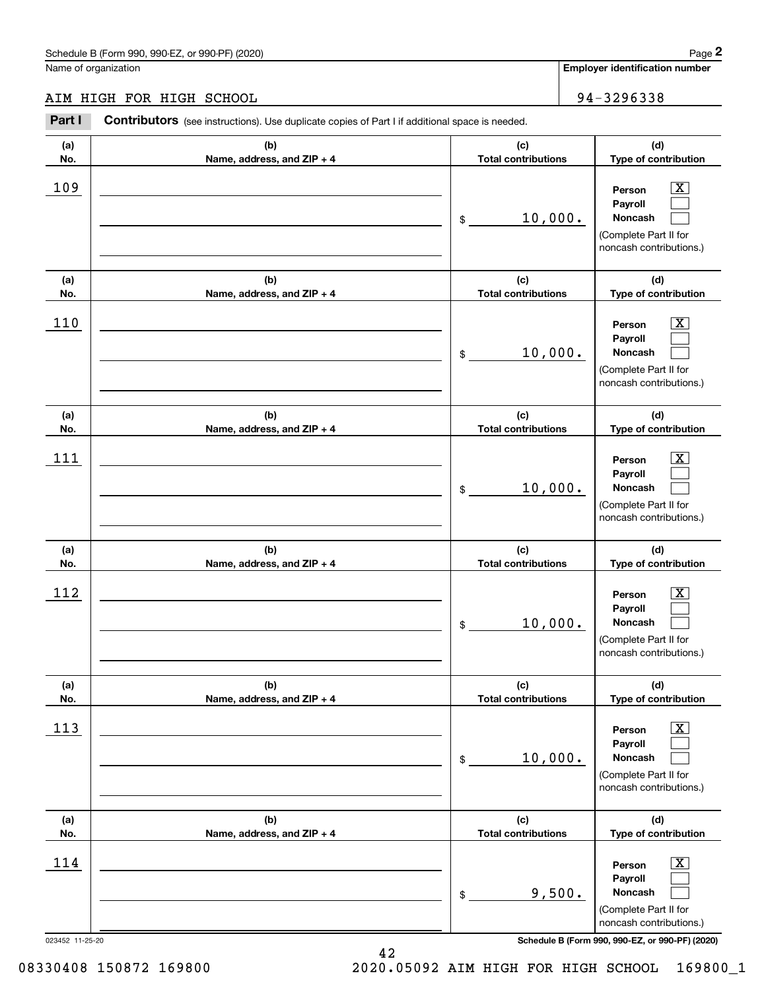# AIM HIGH FOR HIGH SCHOOL 34-3296338

|                 | Schedule B (Form 990, 990-EZ, or 990-PF) (2020)                                                       |                                   | Page 2                                                                                                      |
|-----------------|-------------------------------------------------------------------------------------------------------|-----------------------------------|-------------------------------------------------------------------------------------------------------------|
|                 | Name of organization                                                                                  |                                   | <b>Employer identification number</b>                                                                       |
|                 | AIM HIGH FOR HIGH SCHOOL                                                                              |                                   | 94-3296338                                                                                                  |
| Part I          | <b>Contributors</b> (see instructions). Use duplicate copies of Part I if additional space is needed. |                                   |                                                                                                             |
| (a)<br>No.      | (b)<br>Name, address, and ZIP + 4                                                                     | (c)<br><b>Total contributions</b> | (d)<br>Type of contribution                                                                                 |
| 109             |                                                                                                       | 10,000.<br>\$                     | $\overline{\mathbf{X}}$<br>Person<br>Payroll<br>Noncash<br>(Complete Part II for<br>noncash contributions.) |
| (a)<br>No.      | (b)<br>Name, address, and ZIP + 4                                                                     | (c)<br><b>Total contributions</b> | (d)<br>Type of contribution                                                                                 |
| 110             |                                                                                                       | 10,000.<br>\$                     | X<br>Person<br>Payroll<br>Noncash<br>(Complete Part II for<br>noncash contributions.)                       |
| (a)<br>No.      | (b)<br>Name, address, and ZIP + 4                                                                     | (c)<br><b>Total contributions</b> | (d)<br>Type of contribution                                                                                 |
| 111             |                                                                                                       | 10,000.<br>\$                     | X<br>Person<br>Payroll<br>Noncash<br>(Complete Part II for<br>noncash contributions.)                       |
| (a)<br>No.      | (b)<br>Name, address, and ZIP + 4                                                                     | (c)<br><b>Total contributions</b> | (d)<br>Type of contribution                                                                                 |
| 112             |                                                                                                       | 10,000.<br>\$                     | $\mathbf{X}$<br>Person<br>Payroll<br>Noncash<br>(Complete Part II for<br>noncash contributions.)            |
| (a)<br>No.      | (b)<br>Name, address, and ZIP + 4                                                                     | (c)<br><b>Total contributions</b> | (d)<br>Type of contribution                                                                                 |
| 113             |                                                                                                       | 10,000.<br>\$                     | $\boxed{\text{X}}$<br>Person<br>Payroll<br>Noncash<br>(Complete Part II for<br>noncash contributions.)      |
| (a)<br>No.      | (b)<br>Name, address, and ZIP + 4                                                                     | (c)<br><b>Total contributions</b> | (d)<br>Type of contribution                                                                                 |
| 114             |                                                                                                       | 9,500.<br>\$                      | $\boxed{\text{X}}$<br>Person<br>Payroll<br>Noncash<br>(Complete Part II for<br>noncash contributions.)      |
| 023452 11-25-20 |                                                                                                       |                                   | Schedule B (Form 990, 990-EZ, or 990-PF) (2020)                                                             |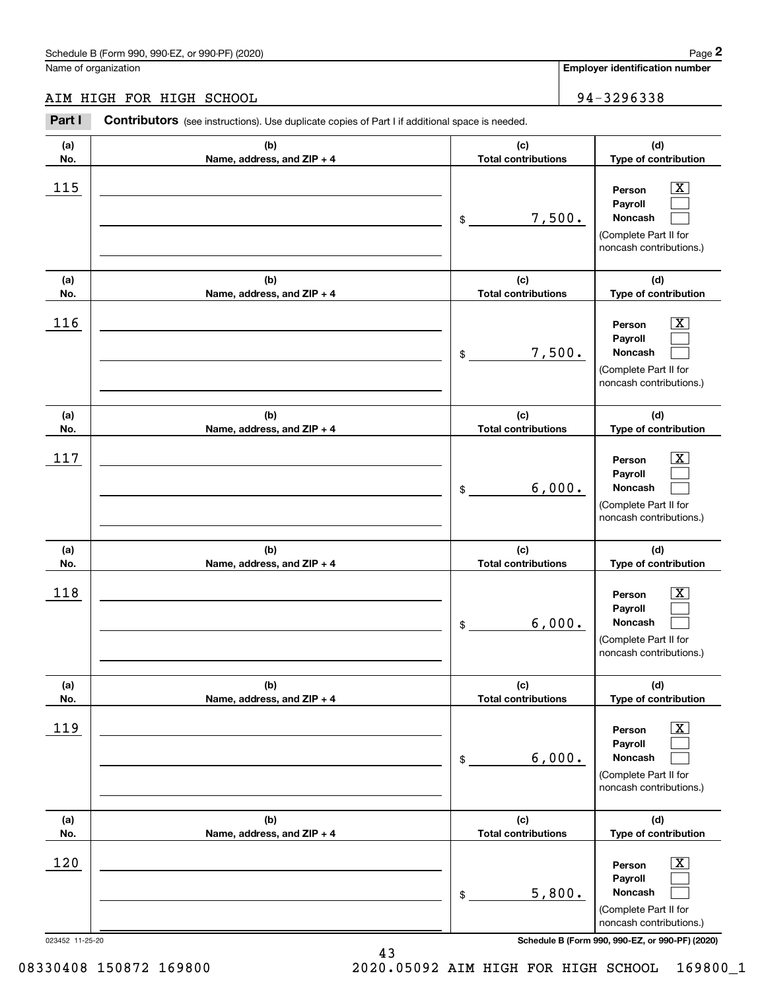# AIM HIGH FOR HIGH SCHOOL 34-3296338

|                 | Schedule B (Form 990, 990-EZ, or 990-PF) (2020)                                                       |                                   | Page 2                                                                                                      |
|-----------------|-------------------------------------------------------------------------------------------------------|-----------------------------------|-------------------------------------------------------------------------------------------------------------|
|                 | Name of organization                                                                                  |                                   | Employer identification number                                                                              |
|                 | AIM HIGH FOR HIGH SCHOOL                                                                              |                                   | 94-3296338                                                                                                  |
| Part I          | <b>Contributors</b> (see instructions). Use duplicate copies of Part I if additional space is needed. |                                   |                                                                                                             |
| (a)<br>No.      | (b)<br>Name, address, and ZIP + 4                                                                     | (c)<br><b>Total contributions</b> | (d)<br>Type of contribution                                                                                 |
| 115             |                                                                                                       | 7,500.<br>\$                      | $\overline{\mathbf{X}}$<br>Person<br>Payroll<br>Noncash<br>(Complete Part II for<br>noncash contributions.) |
| (a)<br>No.      | (b)<br>Name, address, and ZIP + 4                                                                     | (c)<br><b>Total contributions</b> | (d)<br>Type of contribution                                                                                 |
| 116             |                                                                                                       | 7,500.<br>\$                      | X<br>Person<br>Payroll<br>Noncash<br>(Complete Part II for<br>noncash contributions.)                       |
| (a)<br>No.      | (b)<br>Name, address, and ZIP + 4                                                                     | (c)<br><b>Total contributions</b> | (d)<br>Type of contribution                                                                                 |
| 117             |                                                                                                       | 6,000.<br>\$                      | X<br>Person<br>Payroll<br>Noncash<br>(Complete Part II for<br>noncash contributions.)                       |
| (a)<br>No.      | (b)<br>Name, address, and ZIP + 4                                                                     | (c)<br><b>Total contributions</b> | (d)<br>Type of contribution                                                                                 |
| 118             |                                                                                                       | 6,000.<br>\$                      | $\mathbf{X}$<br>Person<br>Payroll<br>Noncash<br>(Complete Part II for<br>noncash contributions.)            |
| (a)<br>No.      | (b)<br>Name, address, and ZIP + 4                                                                     | (c)<br><b>Total contributions</b> | (d)<br>Type of contribution                                                                                 |
| 119             |                                                                                                       | 6,000.<br>\$                      | $\boxed{\text{X}}$<br>Person<br>Payroll<br>Noncash<br>(Complete Part II for<br>noncash contributions.)      |
| (a)<br>No.      | (b)<br>Name, address, and ZIP + 4                                                                     | (c)<br><b>Total contributions</b> | (d)<br>Type of contribution                                                                                 |
| 120             |                                                                                                       | 5,800.<br>\$                      | $\boxed{\text{X}}$<br>Person<br>Payroll<br>Noncash<br>(Complete Part II for<br>noncash contributions.)      |
| 023452 11-25-20 |                                                                                                       |                                   | Schedule B (Form 990, 990-EZ, or 990-PF) (2020)                                                             |

08330408 150872 169800 2020.05092 AIM HIGH FOR HIGH SCHOOL 169800\_1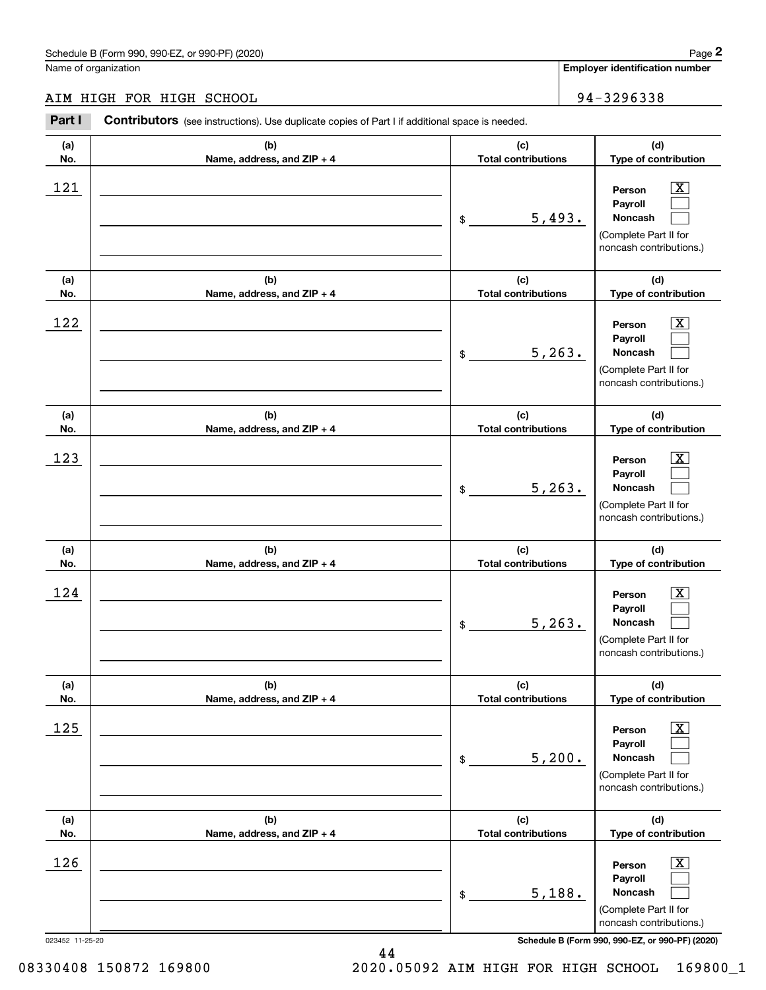# AIM HIGH FOR HIGH SCHOOL 34-3296338

|                 | Schedule B (Form 990, 990-EZ, or 990-PF) (2020)                                                       |                                   | Page 2                                                                                                 |
|-----------------|-------------------------------------------------------------------------------------------------------|-----------------------------------|--------------------------------------------------------------------------------------------------------|
|                 | Name of organization                                                                                  |                                   | Employer identification number                                                                         |
|                 | AIM HIGH FOR HIGH SCHOOL                                                                              |                                   | 94-3296338                                                                                             |
| Part I          | <b>Contributors</b> (see instructions). Use duplicate copies of Part I if additional space is needed. |                                   |                                                                                                        |
| (a)<br>No.      | (b)<br>Name, address, and ZIP + 4                                                                     | (c)<br><b>Total contributions</b> | (d)<br>Type of contribution                                                                            |
| 121             |                                                                                                       | 5,493.<br>\$                      | $\mathbf{X}$<br>Person<br>Payroll<br>Noncash<br>(Complete Part II for<br>noncash contributions.)       |
| (a)<br>No.      | (b)<br>Name, address, and ZIP + 4                                                                     | (c)<br><b>Total contributions</b> | (d)<br>Type of contribution                                                                            |
| 122             |                                                                                                       | 5, 263.<br>\$                     | X<br>Person<br>Payroll<br>Noncash<br>(Complete Part II for<br>noncash contributions.)                  |
| (a)<br>No.      | (b)<br>Name, address, and ZIP + 4                                                                     | (c)<br><b>Total contributions</b> | (d)<br>Type of contribution                                                                            |
| 123             |                                                                                                       | 5, 263.<br>\$                     | X<br>Person<br>Payroll<br>Noncash<br>(Complete Part II for<br>noncash contributions.)                  |
| (a)<br>No.      | (b)<br>Name, address, and ZIP + 4                                                                     | (c)<br><b>Total contributions</b> | (d)<br>Type of contribution                                                                            |
| 124             |                                                                                                       | 5, 263.<br>\$                     | $\mathbf{X}$<br>Person<br>Payroll<br>Noncash<br>(Complete Part II for<br>noncash contributions.)       |
| (a)<br>No.      | (b)<br>Name, address, and ZIP + 4                                                                     | (c)<br><b>Total contributions</b> | (d)<br>Type of contribution                                                                            |
| 125             |                                                                                                       | 5,200.<br>\$                      | $\boxed{\text{X}}$<br>Person<br>Payroll<br>Noncash<br>(Complete Part II for<br>noncash contributions.) |
| (a)<br>No.      | (b)<br>Name, address, and ZIP + 4                                                                     | (c)<br><b>Total contributions</b> | (d)<br>Type of contribution                                                                            |
| 126             |                                                                                                       | 5,188.<br>\$                      | $\boxed{\text{X}}$<br>Person<br>Payroll<br>Noncash<br>(Complete Part II for<br>noncash contributions.) |
| 023452 11-25-20 |                                                                                                       |                                   | Schedule B (Form 990, 990-EZ, or 990-PF) (2020)                                                        |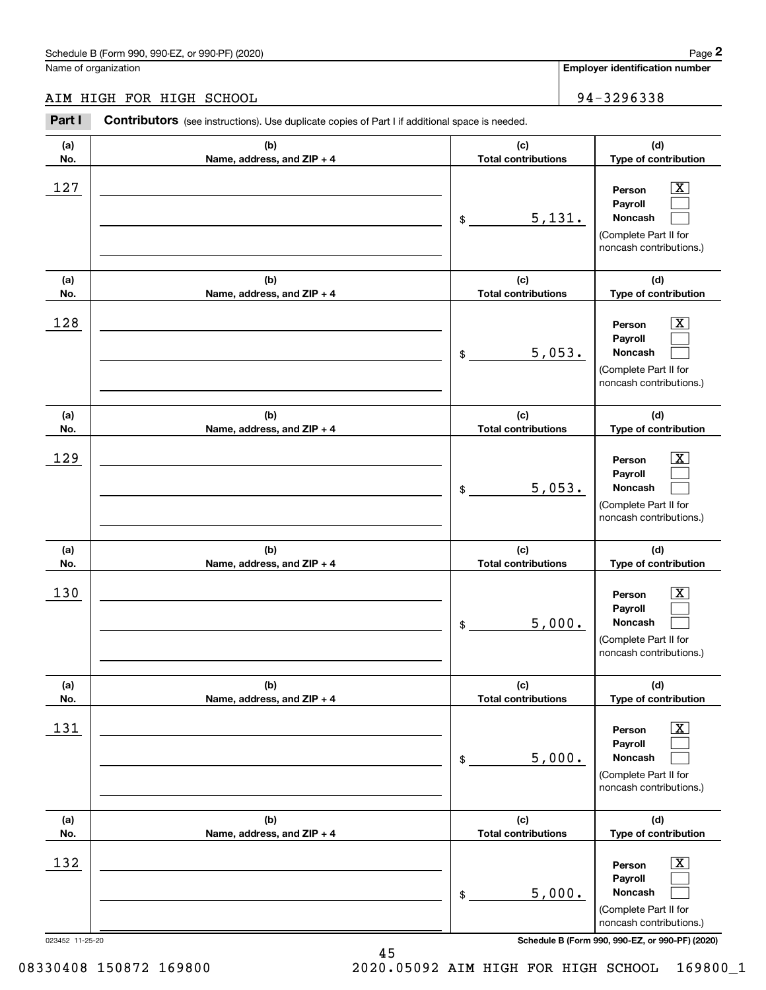# AIM HIGH FOR HIGH SCHOOL 34-3296338

|                 | Schedule B (Form 990, 990-EZ, or 990-PF) (2020)                                                       |                                   | Page 2                                                                                                      |
|-----------------|-------------------------------------------------------------------------------------------------------|-----------------------------------|-------------------------------------------------------------------------------------------------------------|
|                 | Name of organization                                                                                  |                                   | Employer identification number                                                                              |
|                 | AIM HIGH FOR HIGH SCHOOL                                                                              |                                   | 94-3296338                                                                                                  |
| Part I          | <b>Contributors</b> (see instructions). Use duplicate copies of Part I if additional space is needed. |                                   |                                                                                                             |
| (a)<br>No.      | (b)<br>Name, address, and ZIP + 4                                                                     | (c)<br><b>Total contributions</b> | (d)<br>Type of contribution                                                                                 |
| 127             |                                                                                                       | 5,131.<br>\$                      | $\mathbf{X}$<br>Person<br>Payroll<br>Noncash<br>(Complete Part II for<br>noncash contributions.)            |
| (a)<br>No.      | (b)<br>Name, address, and ZIP + 4                                                                     | (c)<br><b>Total contributions</b> | (d)<br>Type of contribution                                                                                 |
| 128             |                                                                                                       | 5,053.<br>\$                      | $\overline{\mathbf{X}}$<br>Person<br>Payroll<br>Noncash<br>(Complete Part II for<br>noncash contributions.) |
| (a)<br>No.      | (b)<br>Name, address, and ZIP + 4                                                                     | (c)<br><b>Total contributions</b> | (d)<br>Type of contribution                                                                                 |
| 129             |                                                                                                       | 5,053.<br>\$                      | X<br>Person<br>Payroll<br>Noncash<br>(Complete Part II for<br>noncash contributions.)                       |
| (a)<br>No.      | (b)<br>Name, address, and ZIP + 4                                                                     | (c)<br><b>Total contributions</b> | (d)<br>Type of contribution                                                                                 |
| 130             |                                                                                                       | 5,000.<br>\$                      | $\mathbf{X}$<br>Person<br>Payroll<br>Noncash<br>(Complete Part II for<br>noncash contributions.)            |
| (a)<br>No.      | (b)<br>Name, address, and ZIP + 4                                                                     | (c)<br><b>Total contributions</b> | (d)<br>Type of contribution                                                                                 |
| 131             |                                                                                                       | 5,000.<br>\$                      | $\boxed{\text{X}}$<br>Person<br>Payroll<br>Noncash<br>(Complete Part II for<br>noncash contributions.)      |
| (a)<br>No.      | (b)<br>Name, address, and ZIP + 4                                                                     | (c)<br><b>Total contributions</b> | (d)<br>Type of contribution                                                                                 |
| 132             |                                                                                                       | 5,000.<br>\$                      | $\boxed{\text{X}}$<br>Person<br>Payroll<br>Noncash<br>(Complete Part II for<br>noncash contributions.)      |
| 023452 11-25-20 |                                                                                                       |                                   | Schedule B (Form 990, 990-EZ, or 990-PF) (2020)                                                             |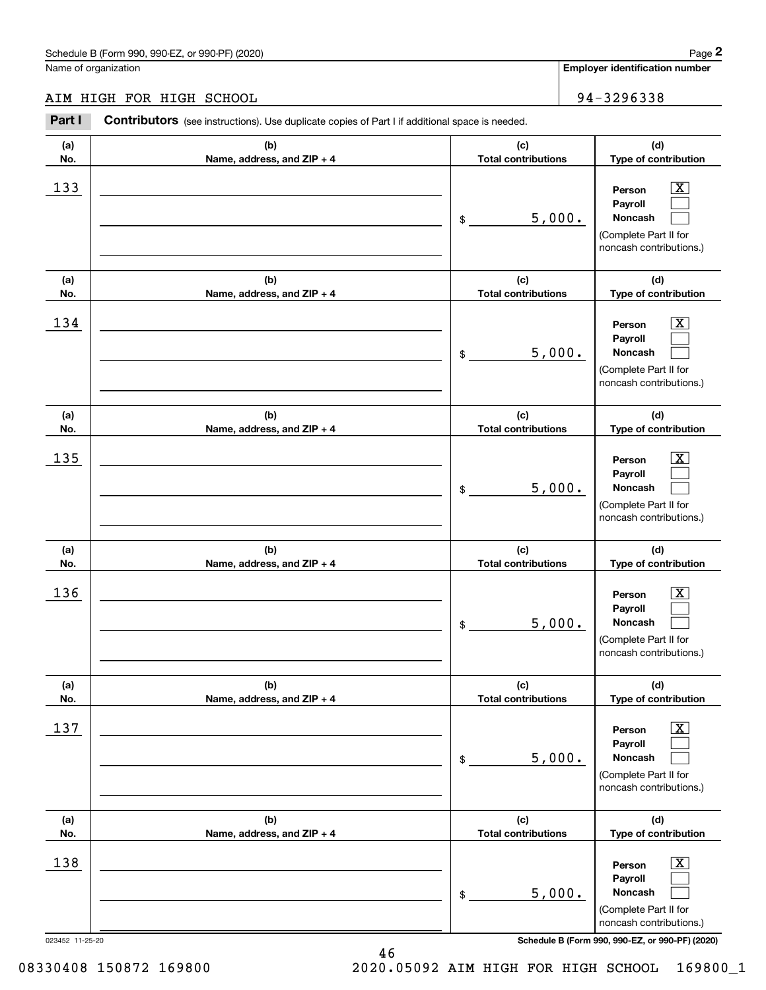# AIM HIGH FOR HIGH SCHOOL 34-3296338

|                 | Schedule B (Form 990, 990-EZ, or 990-PF) (2020)                                                       |                                   | Page 2                                                                                                      |
|-----------------|-------------------------------------------------------------------------------------------------------|-----------------------------------|-------------------------------------------------------------------------------------------------------------|
|                 | Name of organization                                                                                  |                                   | <b>Employer identification number</b>                                                                       |
|                 | AIM HIGH FOR HIGH SCHOOL                                                                              |                                   | 94-3296338                                                                                                  |
| Part I          | <b>Contributors</b> (see instructions). Use duplicate copies of Part I if additional space is needed. |                                   |                                                                                                             |
| (a)<br>No.      | (b)<br>Name, address, and ZIP + 4                                                                     | (c)<br><b>Total contributions</b> | (d)<br>Type of contribution                                                                                 |
| 133             |                                                                                                       | 5,000.<br>\$                      | $\overline{\mathbf{X}}$<br>Person<br>Payroll<br>Noncash<br>(Complete Part II for<br>noncash contributions.) |
| (a)<br>No.      | (b)<br>Name, address, and ZIP + 4                                                                     | (c)<br><b>Total contributions</b> | (d)<br>Type of contribution                                                                                 |
| 134             |                                                                                                       | 5,000.<br>\$                      | X<br>Person<br>Payroll<br>Noncash<br>(Complete Part II for<br>noncash contributions.)                       |
| (a)<br>No.      | (b)<br>Name, address, and ZIP + 4                                                                     | (c)<br><b>Total contributions</b> | (d)<br>Type of contribution                                                                                 |
| 135             |                                                                                                       | 5,000.<br>\$                      | X<br>Person<br>Payroll<br>Noncash<br>(Complete Part II for<br>noncash contributions.)                       |
| (a)<br>No.      | (b)<br>Name, address, and ZIP + 4                                                                     | (c)<br><b>Total contributions</b> | (d)<br>Type of contribution                                                                                 |
| 136             |                                                                                                       | 5,000.<br>\$                      | $\mathbf{X}$<br>Person<br>Payroll<br>Noncash<br>(Complete Part II for<br>noncash contributions.)            |
| (a)<br>No.      | (b)<br>Name, address, and ZIP + 4                                                                     | (c)<br><b>Total contributions</b> | (d)<br>Type of contribution                                                                                 |
| 137             |                                                                                                       | 5,000.<br>\$                      | $\boxed{\text{X}}$<br>Person<br>Payroll<br>Noncash<br>(Complete Part II for<br>noncash contributions.)      |
| (a)<br>No.      | (b)<br>Name, address, and ZIP + 4                                                                     | (c)<br><b>Total contributions</b> | (d)<br>Type of contribution                                                                                 |
| 138             |                                                                                                       | 5,000.<br>\$                      | $\boxed{\text{X}}$<br>Person<br>Payroll<br>Noncash<br>(Complete Part II for<br>noncash contributions.)      |
| 023452 11-25-20 |                                                                                                       |                                   | Schedule B (Form 990, 990-EZ, or 990-PF) (2020)                                                             |

08330408 150872 169800 2020.05092 AIM HIGH FOR HIGH SCHOOL 169800\_1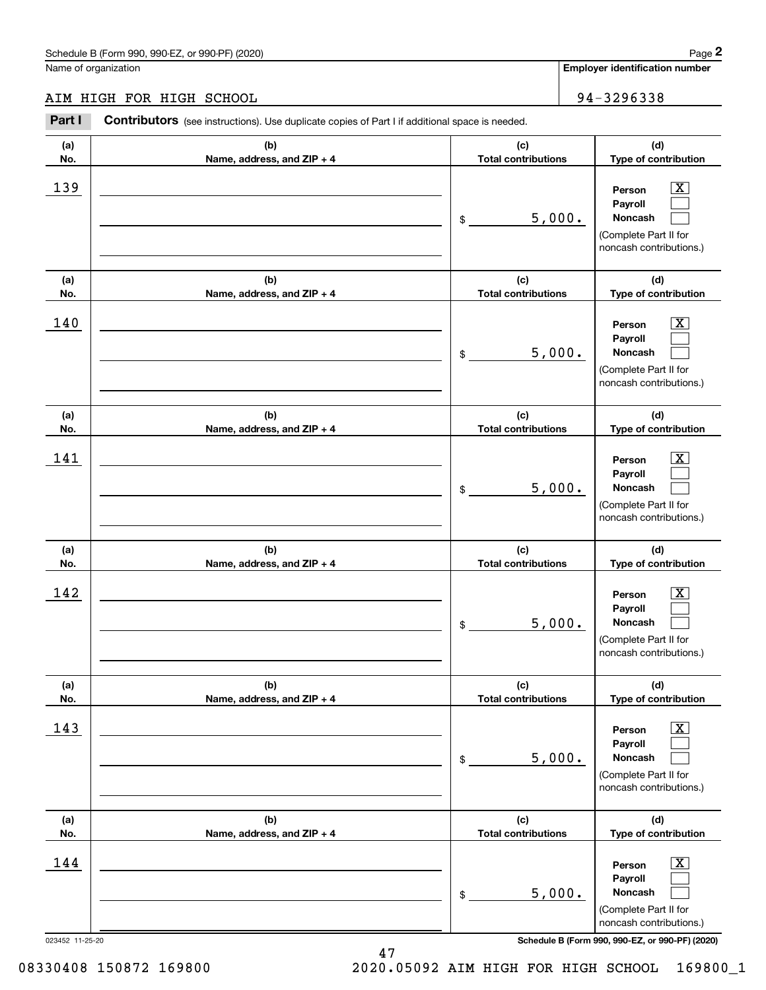# AIM HIGH FOR HIGH SCHOOL 34-3296338

|                 | Schedule B (Form 990, 990-EZ, or 990-PF) (2020)                                                       |                                   |        | Page 2                                                                                                      |
|-----------------|-------------------------------------------------------------------------------------------------------|-----------------------------------|--------|-------------------------------------------------------------------------------------------------------------|
|                 | Name of organization                                                                                  |                                   |        | <b>Employer identification number</b>                                                                       |
|                 | AIM HIGH FOR HIGH SCHOOL                                                                              |                                   |        | 94-3296338                                                                                                  |
| Part I          | <b>Contributors</b> (see instructions). Use duplicate copies of Part I if additional space is needed. |                                   |        |                                                                                                             |
| (a)<br>No.      | (b)<br>Name, address, and ZIP + 4                                                                     | (c)<br><b>Total contributions</b> |        | (d)<br>Type of contribution                                                                                 |
| 139             |                                                                                                       | \$                                | 5,000. | $\overline{\mathbf{X}}$<br>Person<br>Payroll<br>Noncash<br>(Complete Part II for<br>noncash contributions.) |
| (a)<br>No.      | (b)<br>Name, address, and ZIP + 4                                                                     | (c)<br><b>Total contributions</b> |        | (d)<br>Type of contribution                                                                                 |
| 140             |                                                                                                       | \$                                | 5,000. | X<br>Person<br>Payroll<br>Noncash<br>(Complete Part II for<br>noncash contributions.)                       |
| (a)<br>No.      | (b)<br>Name, address, and ZIP + 4                                                                     | (c)<br><b>Total contributions</b> |        | (d)<br>Type of contribution                                                                                 |
| 141             |                                                                                                       | \$                                | 5,000. | X<br>Person<br>Payroll<br>Noncash<br>(Complete Part II for<br>noncash contributions.)                       |
| (a)<br>No.      | (b)<br>Name, address, and ZIP + 4                                                                     | (c)<br><b>Total contributions</b> |        | (d)<br>Type of contribution                                                                                 |
| 142             |                                                                                                       | \$                                | 5,000. | $\mathbf{X}$<br>Person<br>Payroll<br>Noncash<br>(Complete Part II for<br>noncash contributions.)            |
| (a)<br>No.      | (b)<br>Name, address, and ZIP + 4                                                                     | (c)<br><b>Total contributions</b> |        | (d)<br>Type of contribution                                                                                 |
| 143             |                                                                                                       | \$                                | 5,000. | $\boxed{\text{X}}$<br>Person<br>Payroll<br>Noncash<br>(Complete Part II for<br>noncash contributions.)      |
| (a)<br>No.      | (b)<br>Name, address, and ZIP + 4                                                                     | (c)<br><b>Total contributions</b> |        | (d)<br>Type of contribution                                                                                 |
| 144             |                                                                                                       | \$                                | 5,000. | $\boxed{\text{X}}$<br>Person<br>Payroll<br>Noncash<br>(Complete Part II for<br>noncash contributions.)      |
| 023452 11-25-20 |                                                                                                       |                                   |        | Schedule B (Form 990, 990-EZ, or 990-PF) (2020)                                                             |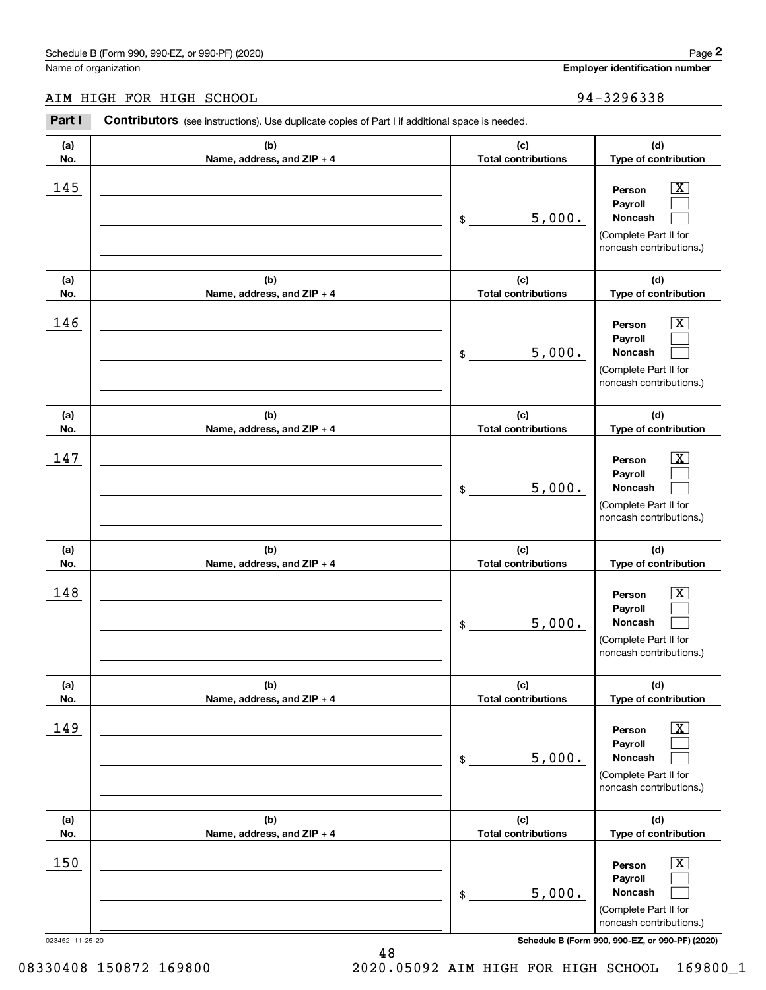# AIM HIGH FOR HIGH SCHOOL 34-3296338

|                 | Schedule B (Form 990, 990-EZ, or 990-PF) (2020)                                                       |                                   | Page 2                                                                                                      |
|-----------------|-------------------------------------------------------------------------------------------------------|-----------------------------------|-------------------------------------------------------------------------------------------------------------|
|                 | Name of organization                                                                                  |                                   | <b>Employer identification number</b>                                                                       |
|                 | AIM HIGH FOR HIGH SCHOOL                                                                              |                                   | 94-3296338                                                                                                  |
| Part I          | <b>Contributors</b> (see instructions). Use duplicate copies of Part I if additional space is needed. |                                   |                                                                                                             |
| (a)<br>No.      | (b)<br>Name, address, and ZIP + 4                                                                     | (c)<br><b>Total contributions</b> | (d)<br>Type of contribution                                                                                 |
| 145             |                                                                                                       | 5,000.<br>\$                      | $\overline{\mathbf{X}}$<br>Person<br>Payroll<br>Noncash<br>(Complete Part II for<br>noncash contributions.) |
| (a)<br>No.      | (b)<br>Name, address, and ZIP + 4                                                                     | (c)<br><b>Total contributions</b> | (d)<br>Type of contribution                                                                                 |
| 146             |                                                                                                       | 5,000.<br>\$                      | X<br>Person<br>Payroll<br>Noncash<br>(Complete Part II for<br>noncash contributions.)                       |
| (a)<br>No.      | (b)<br>Name, address, and ZIP + 4                                                                     | (c)<br><b>Total contributions</b> | (d)<br>Type of contribution                                                                                 |
| 147             |                                                                                                       | 5,000.<br>\$                      | X<br>Person<br>Payroll<br>Noncash<br>(Complete Part II for<br>noncash contributions.)                       |
| (a)<br>No.      | (b)<br>Name, address, and ZIP + 4                                                                     | (c)<br><b>Total contributions</b> | (d)<br>Type of contribution                                                                                 |
| 148             |                                                                                                       | 5,000.<br>\$                      | $\mathbf{X}$<br>Person<br>Payroll<br>Noncash<br>(Complete Part II for<br>noncash contributions.)            |
| (a)<br>No.      | (b)<br>Name, address, and ZIP + 4                                                                     | (c)<br><b>Total contributions</b> | (d)<br>Type of contribution                                                                                 |
| 149             |                                                                                                       | 5,000.<br>\$                      | $\boxed{\text{X}}$<br>Person<br>Payroll<br>Noncash<br>(Complete Part II for<br>noncash contributions.)      |
| (a)<br>No.      | (b)<br>Name, address, and ZIP + 4                                                                     | (c)<br><b>Total contributions</b> | (d)<br>Type of contribution                                                                                 |
| 150             |                                                                                                       | 5,000.<br>\$                      | $\boxed{\text{X}}$<br>Person<br>Payroll<br>Noncash<br>(Complete Part II for<br>noncash contributions.)      |
| 023452 11-25-20 |                                                                                                       |                                   | Schedule B (Form 990, 990-EZ, or 990-PF) (2020)                                                             |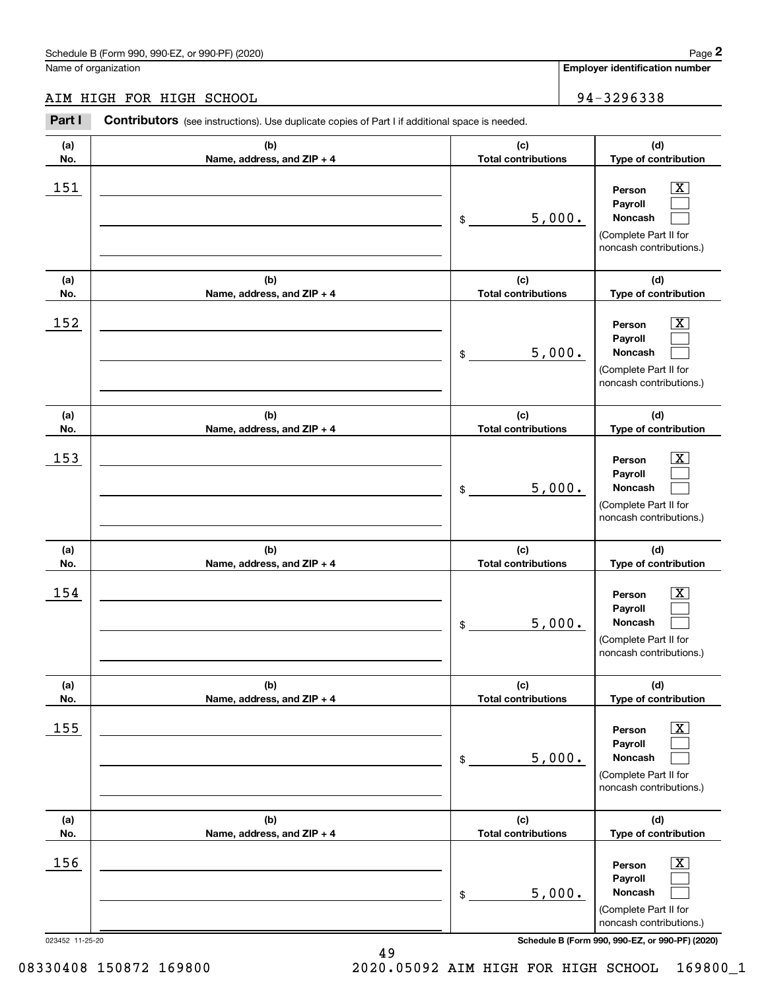# AIM HIGH FOR HIGH SCHOOL 34-3296338

|                 | Schedule B (Form 990, 990-EZ, or 990-PF) (2020)                                                       |                                   | Page 2                                                                                                      |
|-----------------|-------------------------------------------------------------------------------------------------------|-----------------------------------|-------------------------------------------------------------------------------------------------------------|
|                 | Name of organization                                                                                  |                                   | Employer identification number                                                                              |
|                 | AIM HIGH FOR HIGH SCHOOL                                                                              |                                   | 94-3296338                                                                                                  |
| Part I          | <b>Contributors</b> (see instructions). Use duplicate copies of Part I if additional space is needed. |                                   |                                                                                                             |
| (a)<br>No.      | (b)<br>Name, address, and ZIP + 4                                                                     | (c)<br><b>Total contributions</b> | (d)<br>Type of contribution                                                                                 |
| 151             |                                                                                                       | 5,000.<br>\$                      | $\overline{\mathbf{X}}$<br>Person<br>Payroll<br>Noncash<br>(Complete Part II for<br>noncash contributions.) |
| (a)<br>No.      | (b)<br>Name, address, and ZIP + 4                                                                     | (c)<br><b>Total contributions</b> | (d)<br>Type of contribution                                                                                 |
| 152             |                                                                                                       | 5,000.<br>\$                      | $\overline{\mathbf{X}}$<br>Person<br>Payroll<br>Noncash<br>(Complete Part II for<br>noncash contributions.) |
| (a)<br>No.      | (b)<br>Name, address, and ZIP + 4                                                                     | (c)<br><b>Total contributions</b> | (d)<br>Type of contribution                                                                                 |
| 153             |                                                                                                       | 5,000.<br>\$                      | $\overline{\text{X}}$<br>Person<br>Payroll<br>Noncash<br>(Complete Part II for<br>noncash contributions.)   |
| (a)<br>No.      | (b)<br>Name, address, and ZIP + 4                                                                     | (c)<br><b>Total contributions</b> | (d)<br>Type of contribution                                                                                 |
| 154             |                                                                                                       | 5,000.<br>\$                      | $\mathbf{X}$<br>Person<br>Payroll<br>Noncash<br>(Complete Part II for<br>noncash contributions.)            |
| (a)<br>No.      | (b)<br>Name, address, and ZIP + 4                                                                     | (c)<br><b>Total contributions</b> | (d)<br>Type of contribution                                                                                 |
| 155             |                                                                                                       | 5,000.<br>\$                      | $\overline{\mathbf{X}}$<br>Person<br>Payroll<br>Noncash<br>(Complete Part II for<br>noncash contributions.) |
| (a)<br>No.      | (b)<br>Name, address, and ZIP + 4                                                                     | (c)<br><b>Total contributions</b> | (d)<br>Type of contribution                                                                                 |
| 156             |                                                                                                       | 5,000.<br>\$                      | $\overline{\mathbf{X}}$<br>Person<br>Payroll<br>Noncash<br>(Complete Part II for<br>noncash contributions.) |
| 023452 11-25-20 |                                                                                                       |                                   | Schedule B (Form 990, 990-EZ, or 990-PF) (2020)                                                             |

49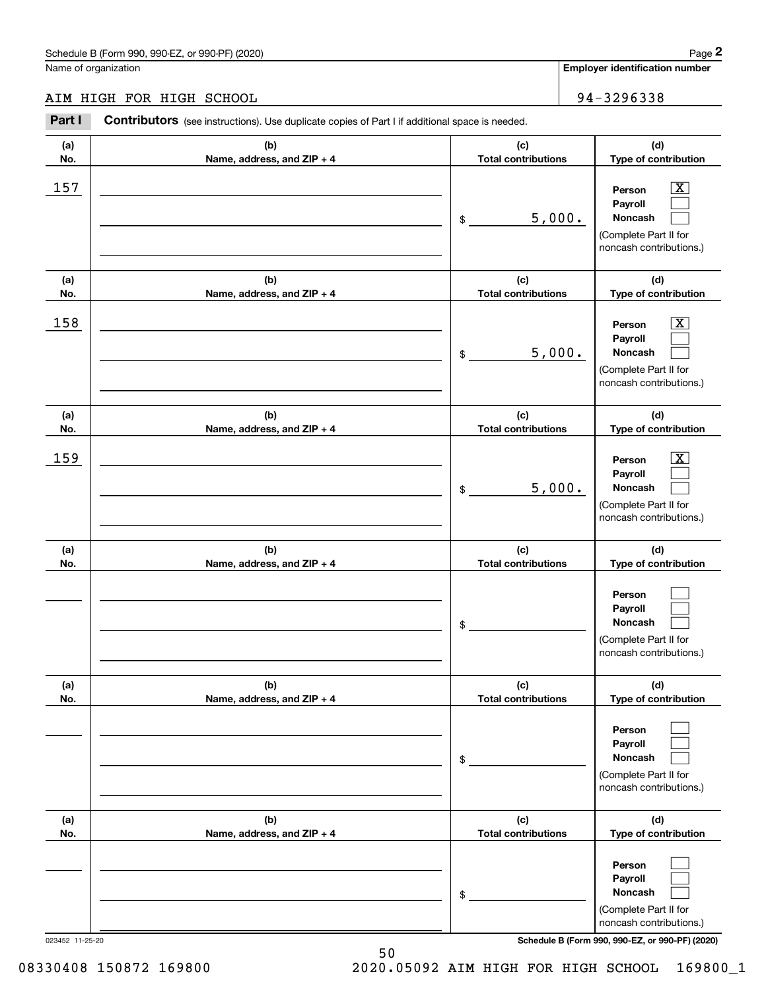# AIM HIGH FOR HIGH SCHOOL 34-3296338

|            | Schedule B (Form 990, 990-EZ, or 990-PF) (2020)                                                       |                                   | Page 2                                                                                                                              |
|------------|-------------------------------------------------------------------------------------------------------|-----------------------------------|-------------------------------------------------------------------------------------------------------------------------------------|
|            | Name of organization                                                                                  |                                   | <b>Employer identification number</b>                                                                                               |
|            | AIM HIGH FOR HIGH SCHOOL                                                                              |                                   | 94-3296338                                                                                                                          |
| Part I     | <b>Contributors</b> (see instructions). Use duplicate copies of Part I if additional space is needed. |                                   |                                                                                                                                     |
| (a)<br>No. | (b)<br>Name, address, and ZIP + 4                                                                     | (c)<br><b>Total contributions</b> | (d)<br>Type of contribution                                                                                                         |
| 157        |                                                                                                       | \$                                | $\overline{\mathbf{X}}$<br>Person<br>Payroll<br>5,000.<br>Noncash<br>(Complete Part II for<br>noncash contributions.)               |
| (a)<br>No. | (b)<br>Name, address, and ZIP + 4                                                                     | (c)<br><b>Total contributions</b> | (d)<br>Type of contribution                                                                                                         |
| 158        |                                                                                                       | \$                                | $\overline{\mathbf{X}}$<br>Person<br>Payroll<br>5,000.<br>Noncash<br>(Complete Part II for<br>noncash contributions.)               |
| (a)<br>No. | (b)<br>Name, address, and ZIP + 4                                                                     | (c)<br><b>Total contributions</b> | (d)<br>Type of contribution                                                                                                         |
| 159        |                                                                                                       | \$                                | $\overline{\text{X}}$<br>Person<br>Payroll<br>5,000.<br>Noncash<br>(Complete Part II for<br>noncash contributions.)                 |
| (a)<br>No. | (b)<br>Name, address, and ZIP + 4                                                                     | (c)<br><b>Total contributions</b> | (d)<br>Type of contribution                                                                                                         |
|            |                                                                                                       | \$                                | Person<br>Payroll<br>Noncash<br>(Complete Part II for<br>noncash contributions.)                                                    |
| (a)<br>No. | (b)<br>Name, address, and ZIP + 4                                                                     | (c)<br><b>Total contributions</b> | (d)<br>Type of contribution                                                                                                         |
|            |                                                                                                       | \$                                | Person<br>Payroll<br>Noncash<br>(Complete Part II for<br>noncash contributions.)                                                    |
| (a)<br>No. | (b)<br>Name, address, and ZIP + 4                                                                     | (c)<br><b>Total contributions</b> | (d)<br>Type of contribution                                                                                                         |
|            | 023452 11-25-20                                                                                       | \$                                | Person<br>Payroll<br>Noncash<br>(Complete Part II for<br>noncash contributions.)<br>Schedule B (Form 990, 990-EZ, or 990-PF) (2020) |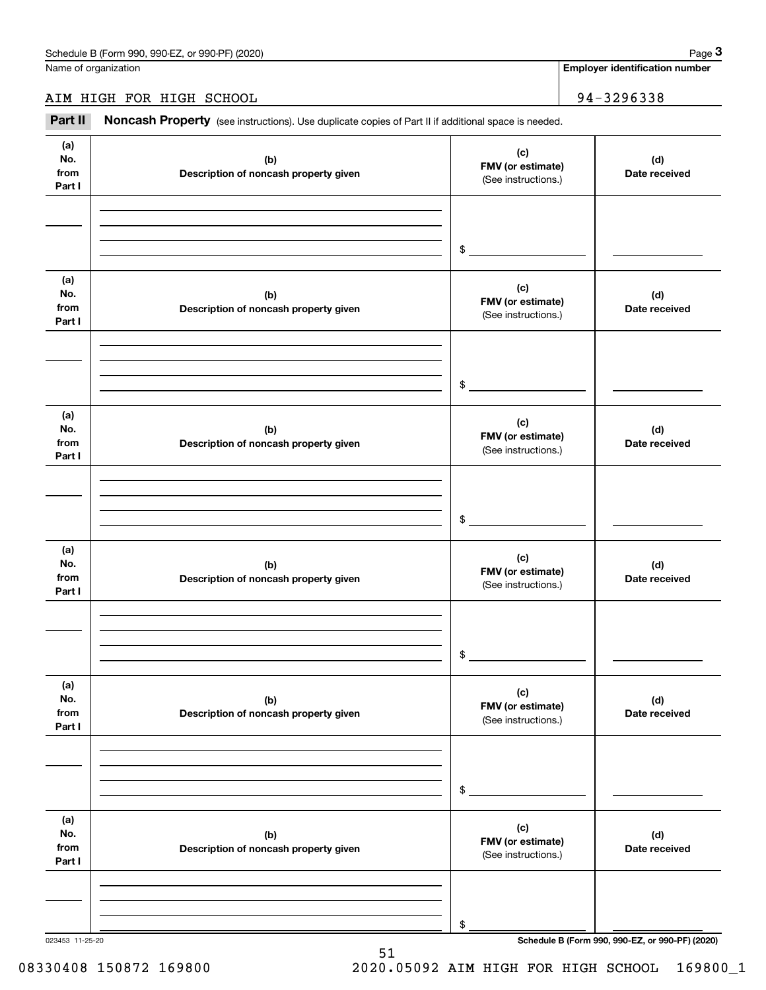**Employer identification number**

AIM HIGH FOR HIGH SCHOOL | 94-3296338

Chedule B (Form 990, 990-EZ, or 990-PF) (2020)<br>
lame of organization<br> **3Part II Noncash Property** (see instructions). Use duplicate copies of Part II if additional space is needed.<br> **Part II Noncash Property** (see inst

| (a)<br>No.<br>from<br>Part I | (b)<br>Description of noncash property given | (c)<br>FMV (or estimate)<br>(See instructions.) | (d)<br>Date received |
|------------------------------|----------------------------------------------|-------------------------------------------------|----------------------|
|                              |                                              |                                                 |                      |
|                              |                                              |                                                 |                      |
|                              |                                              | $\frac{1}{2}$                                   |                      |
| (a)<br>No.<br>from<br>Part I | (b)<br>Description of noncash property given | (c)<br>FMV (or estimate)<br>(See instructions.) | (d)<br>Date received |
|                              |                                              |                                                 |                      |
|                              |                                              |                                                 |                      |
|                              |                                              | $\frac{1}{2}$                                   |                      |
| (a)<br>No.<br>from<br>Part I | (b)<br>Description of noncash property given | (c)<br>FMV (or estimate)<br>(See instructions.) | (d)<br>Date received |
|                              |                                              |                                                 |                      |
|                              |                                              |                                                 |                      |
|                              |                                              | $\frac{1}{2}$                                   |                      |
| (a)<br>No.<br>from<br>Part I | (b)<br>Description of noncash property given | (c)<br>FMV (or estimate)<br>(See instructions.) | (d)<br>Date received |
|                              |                                              |                                                 |                      |
|                              |                                              |                                                 |                      |
|                              |                                              | $\frac{1}{2}$                                   |                      |
| (a)<br>No.<br>from<br>Part I | (b)<br>Description of noncash property given | (c)<br>FMV (or estimate)<br>(See instructions.) | (d)<br>Date received |
|                              |                                              |                                                 |                      |
|                              |                                              |                                                 |                      |
|                              |                                              | $$\mathbb{S}$$                                  |                      |
| (a)<br>No.<br>from<br>Part I | (b)<br>Description of noncash property given | (c)<br>FMV (or estimate)<br>(See instructions.) | (d)<br>Date received |
|                              |                                              |                                                 |                      |
|                              |                                              |                                                 |                      |
|                              |                                              | \$                                              |                      |

51

023453 11-25-20 **Schedule B (Form 990, 990-EZ, or 990-PF) (2020)**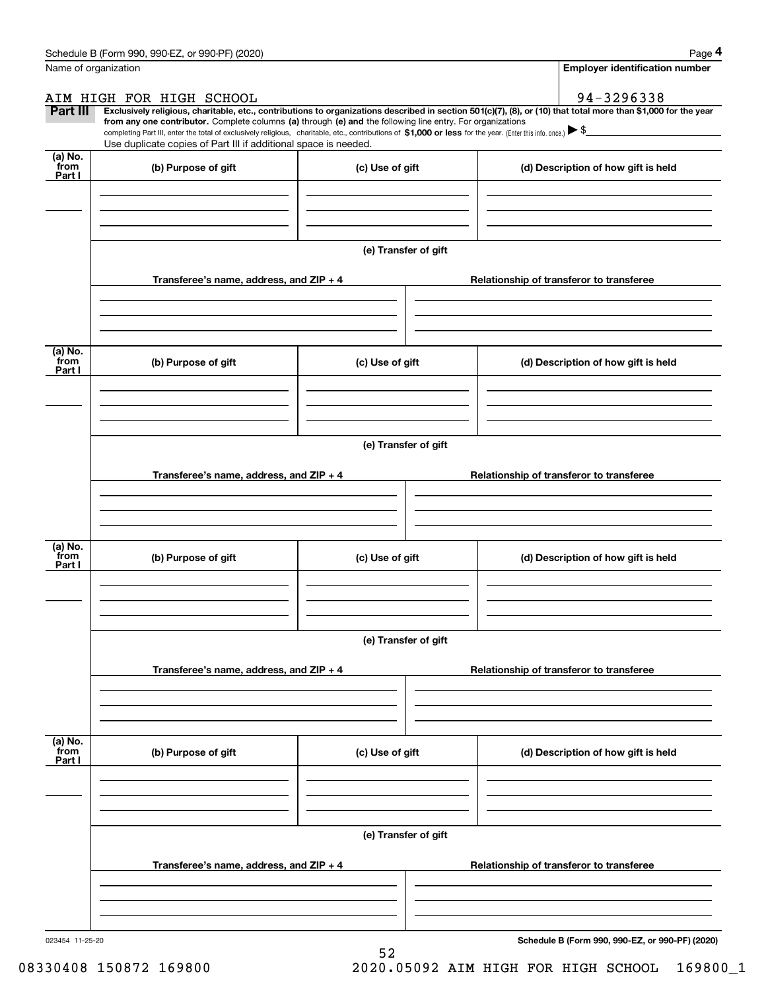|                           | Schedule B (Form 990, 990-EZ, or 990-PF) (2020)                                                                                                                                                                                                                                            |                      |                                                                                                                                                                | Page 4 |  |  |  |
|---------------------------|--------------------------------------------------------------------------------------------------------------------------------------------------------------------------------------------------------------------------------------------------------------------------------------------|----------------------|----------------------------------------------------------------------------------------------------------------------------------------------------------------|--------|--|--|--|
|                           | Name of organization                                                                                                                                                                                                                                                                       |                      | <b>Employer identification number</b>                                                                                                                          |        |  |  |  |
|                           | AIM HIGH FOR HIGH SCHOOL                                                                                                                                                                                                                                                                   |                      | 94-3296338                                                                                                                                                     |        |  |  |  |
| Part III                  | from any one contributor. Complete columns (a) through (e) and the following line entry. For organizations<br>completing Part III, enter the total of exclusively religious, charitable, etc., contributions of \$1,000 or less for the year. (Enter this info. once.) $\triangleright$ \$ |                      | Exclusively religious, charitable, etc., contributions to organizations described in section 501(c)(7), (8), or (10) that total more than \$1,000 for the year |        |  |  |  |
|                           | Use duplicate copies of Part III if additional space is needed.                                                                                                                                                                                                                            |                      |                                                                                                                                                                |        |  |  |  |
| (a) No.<br>from<br>Part I | (b) Purpose of gift                                                                                                                                                                                                                                                                        | (c) Use of gift      | (d) Description of how gift is held                                                                                                                            |        |  |  |  |
|                           |                                                                                                                                                                                                                                                                                            |                      |                                                                                                                                                                |        |  |  |  |
|                           |                                                                                                                                                                                                                                                                                            |                      |                                                                                                                                                                |        |  |  |  |
|                           |                                                                                                                                                                                                                                                                                            | (e) Transfer of gift |                                                                                                                                                                |        |  |  |  |
|                           | Transferee's name, address, and ZIP + 4                                                                                                                                                                                                                                                    |                      | Relationship of transferor to transferee                                                                                                                       |        |  |  |  |
|                           |                                                                                                                                                                                                                                                                                            |                      |                                                                                                                                                                |        |  |  |  |
| (a) No.<br>from<br>Part I | (b) Purpose of gift                                                                                                                                                                                                                                                                        | (c) Use of gift      | (d) Description of how gift is held                                                                                                                            |        |  |  |  |
|                           |                                                                                                                                                                                                                                                                                            |                      |                                                                                                                                                                |        |  |  |  |
|                           |                                                                                                                                                                                                                                                                                            |                      |                                                                                                                                                                |        |  |  |  |
|                           | (e) Transfer of gift                                                                                                                                                                                                                                                                       |                      |                                                                                                                                                                |        |  |  |  |
|                           | Transferee's name, address, and ZIP + 4                                                                                                                                                                                                                                                    |                      | Relationship of transferor to transferee                                                                                                                       |        |  |  |  |
|                           |                                                                                                                                                                                                                                                                                            |                      |                                                                                                                                                                |        |  |  |  |
| (a) No.<br>from           | (b) Purpose of gift                                                                                                                                                                                                                                                                        | (c) Use of gift      | (d) Description of how gift is held                                                                                                                            |        |  |  |  |
| Part I                    |                                                                                                                                                                                                                                                                                            |                      |                                                                                                                                                                |        |  |  |  |
|                           |                                                                                                                                                                                                                                                                                            |                      |                                                                                                                                                                |        |  |  |  |
|                           |                                                                                                                                                                                                                                                                                            | (e) Transfer of gift |                                                                                                                                                                |        |  |  |  |
|                           | Transferee's name, address, and ZIP + 4                                                                                                                                                                                                                                                    |                      | Relationship of transferor to transferee                                                                                                                       |        |  |  |  |
|                           |                                                                                                                                                                                                                                                                                            |                      |                                                                                                                                                                |        |  |  |  |
|                           |                                                                                                                                                                                                                                                                                            |                      |                                                                                                                                                                |        |  |  |  |
| (a) No.<br>from<br>Part I | (b) Purpose of gift                                                                                                                                                                                                                                                                        | (c) Use of gift      | (d) Description of how gift is held                                                                                                                            |        |  |  |  |
|                           |                                                                                                                                                                                                                                                                                            |                      |                                                                                                                                                                |        |  |  |  |
|                           |                                                                                                                                                                                                                                                                                            |                      |                                                                                                                                                                |        |  |  |  |
|                           |                                                                                                                                                                                                                                                                                            | (e) Transfer of gift |                                                                                                                                                                |        |  |  |  |
|                           | Transferee's name, address, and ZIP + 4                                                                                                                                                                                                                                                    |                      | Relationship of transferor to transferee                                                                                                                       |        |  |  |  |
|                           |                                                                                                                                                                                                                                                                                            |                      |                                                                                                                                                                |        |  |  |  |
|                           |                                                                                                                                                                                                                                                                                            |                      |                                                                                                                                                                |        |  |  |  |

52

**Schedule B (Form 990, 990-EZ, or 990-PF) (2020)**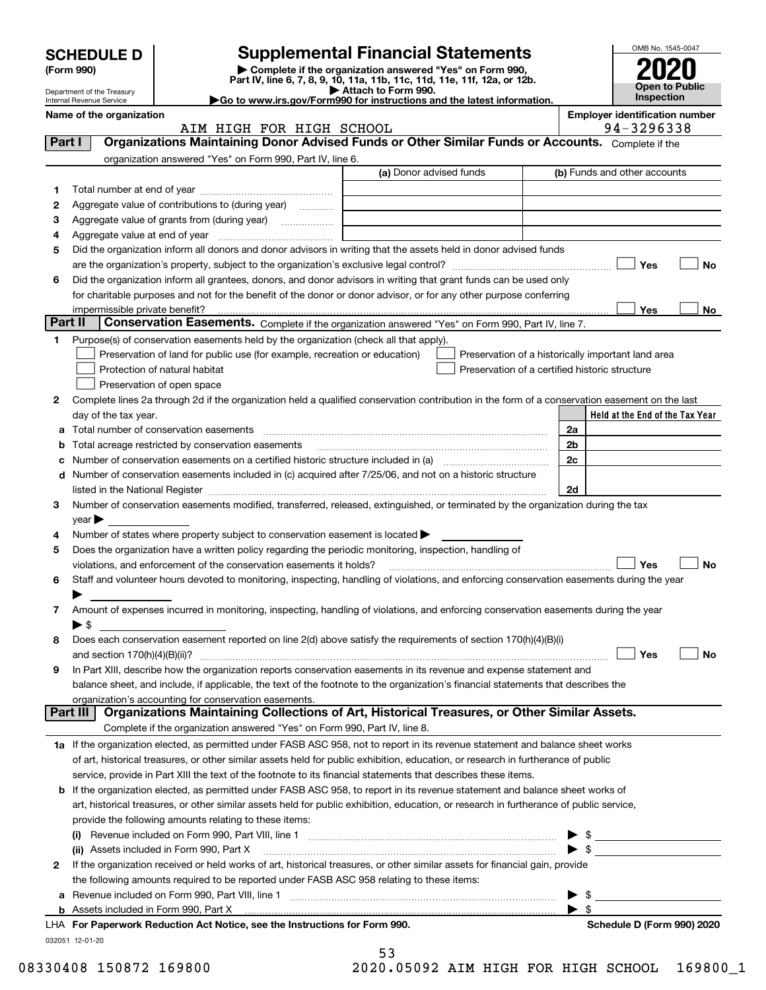|         |                                                        |                                                                                                                                                                                                                                |                         |  |                      |                                                    | OMB No. 1545-0047 |
|---------|--------------------------------------------------------|--------------------------------------------------------------------------------------------------------------------------------------------------------------------------------------------------------------------------------|-------------------------|--|----------------------|----------------------------------------------------|-------------------|
|         | <b>SCHEDULE D</b>                                      | <b>Supplemental Financial Statements</b>                                                                                                                                                                                       |                         |  |                      |                                                    |                   |
|         | (Form 990)                                             | Complete if the organization answered "Yes" on Form 990,<br>Part IV, line 6, 7, 8, 9, 10, 11a, 11b, 11c, 11d, 11e, 11f, 12a, or 12b.                                                                                           |                         |  |                      |                                                    |                   |
|         | Department of the Treasury<br>Internal Revenue Service | Go to www.irs.gov/Form990 for instructions and the latest information.                                                                                                                                                         | Attach to Form 990.     |  |                      | <b>Inspection</b>                                  | Open to Public    |
|         | Name of the organization                               |                                                                                                                                                                                                                                |                         |  |                      | <b>Employer identification number</b>              |                   |
| Part I  |                                                        | AIM HIGH FOR HIGH SCHOOL<br>Organizations Maintaining Donor Advised Funds or Other Similar Funds or Accounts. Complete if the                                                                                                  |                         |  |                      | 94-3296338                                         |                   |
|         |                                                        | organization answered "Yes" on Form 990, Part IV, line 6.                                                                                                                                                                      |                         |  |                      |                                                    |                   |
|         |                                                        |                                                                                                                                                                                                                                | (a) Donor advised funds |  |                      | (b) Funds and other accounts                       |                   |
| 1       |                                                        |                                                                                                                                                                                                                                |                         |  |                      |                                                    |                   |
| 2       |                                                        | Aggregate value of contributions to (during year)                                                                                                                                                                              |                         |  |                      |                                                    |                   |
| з       |                                                        | Aggregate value of grants from (during year) <i>mimimimimial</i>                                                                                                                                                               |                         |  |                      |                                                    |                   |
| 4       |                                                        |                                                                                                                                                                                                                                |                         |  |                      |                                                    |                   |
| 5       |                                                        | Did the organization inform all donors and donor advisors in writing that the assets held in donor advised funds                                                                                                               |                         |  |                      |                                                    |                   |
|         |                                                        |                                                                                                                                                                                                                                |                         |  |                      | Yes                                                | No                |
| 6       |                                                        | Did the organization inform all grantees, donors, and donor advisors in writing that grant funds can be used only                                                                                                              |                         |  |                      |                                                    |                   |
|         |                                                        | for charitable purposes and not for the benefit of the donor or donor advisor, or for any other purpose conferring                                                                                                             |                         |  |                      |                                                    |                   |
|         | impermissible private benefit?                         |                                                                                                                                                                                                                                |                         |  |                      | Yes                                                | No                |
| Part II |                                                        | Conservation Easements. Complete if the organization answered "Yes" on Form 990, Part IV, line 7.                                                                                                                              |                         |  |                      |                                                    |                   |
| 1       |                                                        | Purpose(s) of conservation easements held by the organization (check all that apply).                                                                                                                                          |                         |  |                      |                                                    |                   |
|         |                                                        | Preservation of land for public use (for example, recreation or education)                                                                                                                                                     |                         |  |                      | Preservation of a historically important land area |                   |
|         |                                                        | Protection of natural habitat                                                                                                                                                                                                  |                         |  |                      | Preservation of a certified historic structure     |                   |
|         |                                                        | Preservation of open space                                                                                                                                                                                                     |                         |  |                      |                                                    |                   |
| 2       |                                                        | Complete lines 2a through 2d if the organization held a qualified conservation contribution in the form of a conservation easement on the last                                                                                 |                         |  |                      |                                                    |                   |
|         | day of the tax year.                                   |                                                                                                                                                                                                                                |                         |  |                      | Held at the End of the Tax Year                    |                   |
| а       |                                                        | Total number of conservation easements                                                                                                                                                                                         |                         |  | 2a<br>2 <sub>b</sub> |                                                    |                   |
|         |                                                        | Total acreage restricted by conservation easements<br>Number of conservation easements on a certified historic structure included in (a) manufacture included in (a)                                                           |                         |  | 2c                   |                                                    |                   |
| d       |                                                        | Number of conservation easements included in (c) acquired after 7/25/06, and not on a historic structure                                                                                                                       |                         |  |                      |                                                    |                   |
|         |                                                        | listed in the National Register [1111] [12] The National Register [11] Manuscritt, Manuscritt, Manuscritt, Manuscritt, Manuscritt, Manuscritt, Manuscritt, Manuscritt, Manuscritt, Manuscritt, Manuscritt, Manuscritt, Manuscr |                         |  | 2d                   |                                                    |                   |
| 3       |                                                        | Number of conservation easements modified, transferred, released, extinguished, or terminated by the organization during the tax                                                                                               |                         |  |                      |                                                    |                   |
|         | $\vee$ ear $\blacktriangleright$                       |                                                                                                                                                                                                                                |                         |  |                      |                                                    |                   |
| 4       |                                                        | Number of states where property subject to conservation easement is located $\blacktriangleright$                                                                                                                              |                         |  |                      |                                                    |                   |
| 5       |                                                        | Does the organization have a written policy regarding the periodic monitoring, inspection, handling of                                                                                                                         |                         |  |                      |                                                    |                   |
|         |                                                        | violations, and enforcement of the conservation easements it holds?                                                                                                                                                            |                         |  |                      | Yes                                                | No                |
|         |                                                        | Staff and volunteer hours devoted to monitoring, inspecting, handling of violations, and enforcing conservation easements during the year                                                                                      |                         |  |                      |                                                    |                   |
|         |                                                        |                                                                                                                                                                                                                                |                         |  |                      |                                                    |                   |
| 7       |                                                        | Amount of expenses incurred in monitoring, inspecting, handling of violations, and enforcing conservation easements during the year                                                                                            |                         |  |                      |                                                    |                   |
|         | $\blacktriangleright$ \$                               |                                                                                                                                                                                                                                |                         |  |                      |                                                    |                   |
| 8       |                                                        | Does each conservation easement reported on line 2(d) above satisfy the requirements of section 170(h)(4)(B)(i)                                                                                                                |                         |  |                      |                                                    |                   |
|         |                                                        |                                                                                                                                                                                                                                |                         |  |                      | Yes                                                | No                |
| 9       |                                                        | In Part XIII, describe how the organization reports conservation easements in its revenue and expense statement and                                                                                                            |                         |  |                      |                                                    |                   |
|         |                                                        | balance sheet, and include, if applicable, the text of the footnote to the organization's financial statements that describes the                                                                                              |                         |  |                      |                                                    |                   |
|         | Part III                                               | organization's accounting for conservation easements.<br>Organizations Maintaining Collections of Art, Historical Treasures, or Other Similar Assets.                                                                          |                         |  |                      |                                                    |                   |
|         |                                                        | Complete if the organization answered "Yes" on Form 990, Part IV, line 8.                                                                                                                                                      |                         |  |                      |                                                    |                   |
|         |                                                        | 1a If the organization elected, as permitted under FASB ASC 958, not to report in its revenue statement and balance sheet works                                                                                                |                         |  |                      |                                                    |                   |
|         |                                                        | of art, historical treasures, or other similar assets held for public exhibition, education, or research in furtherance of public                                                                                              |                         |  |                      |                                                    |                   |
|         |                                                        | service, provide in Part XIII the text of the footnote to its financial statements that describes these items.                                                                                                                 |                         |  |                      |                                                    |                   |
| b       |                                                        | If the organization elected, as permitted under FASB ASC 958, to report in its revenue statement and balance sheet works of                                                                                                    |                         |  |                      |                                                    |                   |
|         |                                                        | art, historical treasures, or other similar assets held for public exhibition, education, or research in furtherance of public service,                                                                                        |                         |  |                      |                                                    |                   |
|         |                                                        | provide the following amounts relating to these items:                                                                                                                                                                         |                         |  |                      |                                                    |                   |
|         |                                                        |                                                                                                                                                                                                                                |                         |  |                      |                                                    |                   |
|         |                                                        | (ii) Assets included in Form 990, Part X                                                                                                                                                                                       |                         |  |                      |                                                    |                   |
| 2       |                                                        | If the organization received or held works of art, historical treasures, or other similar assets for financial gain, provide                                                                                                   |                         |  |                      |                                                    |                   |
|         |                                                        | the following amounts required to be reported under FASB ASC 958 relating to these items:                                                                                                                                      |                         |  |                      |                                                    |                   |

|  | Revenue included on Form 990, Part VIII, line 1 |
|--|-------------------------------------------------|
|  | Assets included in Form 990, Part X             |

032051 12-01-20 **For Paperwork Reduction Act Notice, see the Instructions for Form 990. Schedule D (Form 990) 2020** LHA

53

 $\blacktriangleright$  \$

 $\blacktriangleright$  \$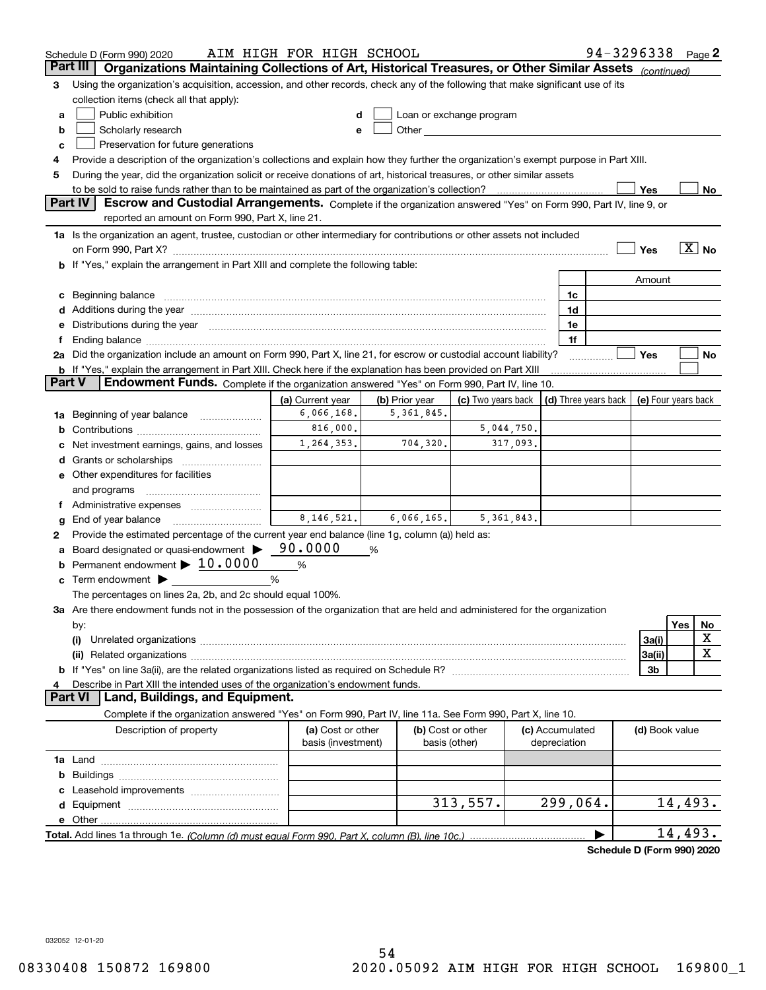|               | Schedule D (Form 990) 2020                                                                                                           | AIM HIGH FOR HIGH SCHOOL |                |                                                                                                                                                                                                                               |                                 | 94-3296338                 | Page 2     |
|---------------|--------------------------------------------------------------------------------------------------------------------------------------|--------------------------|----------------|-------------------------------------------------------------------------------------------------------------------------------------------------------------------------------------------------------------------------------|---------------------------------|----------------------------|------------|
| Part III      | Organizations Maintaining Collections of Art, Historical Treasures, or Other Similar Assets (continued)                              |                          |                |                                                                                                                                                                                                                               |                                 |                            |            |
| 3             | Using the organization's acquisition, accession, and other records, check any of the following that make significant use of its      |                          |                |                                                                                                                                                                                                                               |                                 |                            |            |
|               | collection items (check all that apply):                                                                                             |                          |                |                                                                                                                                                                                                                               |                                 |                            |            |
| a             | Public exhibition                                                                                                                    | d                        |                | Loan or exchange program                                                                                                                                                                                                      |                                 |                            |            |
| b             | Scholarly research                                                                                                                   | е                        |                | Other and the contract of the contract of the contract of the contract of the contract of the contract of the contract of the contract of the contract of the contract of the contract of the contract of the contract of the |                                 |                            |            |
| c             | Preservation for future generations                                                                                                  |                          |                |                                                                                                                                                                                                                               |                                 |                            |            |
| 4             | Provide a description of the organization's collections and explain how they further the organization's exempt purpose in Part XIII. |                          |                |                                                                                                                                                                                                                               |                                 |                            |            |
| 5             | During the year, did the organization solicit or receive donations of art, historical treasures, or other similar assets             |                          |                |                                                                                                                                                                                                                               |                                 |                            |            |
|               |                                                                                                                                      |                          |                |                                                                                                                                                                                                                               |                                 | Yes                        | No         |
|               | Part IV<br>Escrow and Custodial Arrangements. Complete if the organization answered "Yes" on Form 990, Part IV, line 9, or           |                          |                |                                                                                                                                                                                                                               |                                 |                            |            |
|               | reported an amount on Form 990, Part X, line 21.                                                                                     |                          |                |                                                                                                                                                                                                                               |                                 |                            |            |
|               | 1a Is the organization an agent, trustee, custodian or other intermediary for contributions or other assets not included             |                          |                |                                                                                                                                                                                                                               |                                 |                            |            |
|               |                                                                                                                                      |                          |                |                                                                                                                                                                                                                               |                                 | Yes                        | $X \times$ |
|               | b If "Yes," explain the arrangement in Part XIII and complete the following table:                                                   |                          |                |                                                                                                                                                                                                                               |                                 |                            |            |
|               |                                                                                                                                      |                          |                |                                                                                                                                                                                                                               |                                 |                            |            |
|               |                                                                                                                                      |                          |                |                                                                                                                                                                                                                               |                                 | Amount                     |            |
| c             | Beginning balance www.communication.communication.com/international/international/international/international                        |                          |                |                                                                                                                                                                                                                               | 1c                              |                            |            |
|               |                                                                                                                                      |                          |                |                                                                                                                                                                                                                               | 1d                              |                            |            |
|               | Distributions during the year manufactured and continuum and contact the year manufactured and contact the year                      |                          |                |                                                                                                                                                                                                                               | 1e                              |                            |            |
|               |                                                                                                                                      |                          |                |                                                                                                                                                                                                                               | 1f                              |                            |            |
|               | 2a Did the organization include an amount on Form 990, Part X, line 21, for escrow or custodial account liability?                   |                          |                |                                                                                                                                                                                                                               |                                 | Yes                        | No         |
| <b>Part V</b> | <b>b</b> If "Yes," explain the arrangement in Part XIII. Check here if the explanation has been provided on Part XIII                |                          |                |                                                                                                                                                                                                                               |                                 |                            |            |
|               | Endowment Funds. Complete if the organization answered "Yes" on Form 990, Part IV, line 10.                                          |                          |                |                                                                                                                                                                                                                               |                                 |                            |            |
|               |                                                                                                                                      | (a) Current year         | (b) Prior year | (c) Two years back                                                                                                                                                                                                            | (d) Three years back            | (e) Four years back        |            |
|               | 1a Beginning of year balance                                                                                                         | 6,066,168.               | 5, 361, 845.   |                                                                                                                                                                                                                               |                                 |                            |            |
|               |                                                                                                                                      | 816,000.                 |                | 5,044,750.                                                                                                                                                                                                                    |                                 |                            |            |
|               | Net investment earnings, gains, and losses                                                                                           | 1,264,353.               | 704,320.       | 317,093.                                                                                                                                                                                                                      |                                 |                            |            |
| d             |                                                                                                                                      |                          |                |                                                                                                                                                                                                                               |                                 |                            |            |
|               | <b>e</b> Other expenditures for facilities                                                                                           |                          |                |                                                                                                                                                                                                                               |                                 |                            |            |
|               | and programs                                                                                                                         |                          |                |                                                                                                                                                                                                                               |                                 |                            |            |
| Ť.            |                                                                                                                                      |                          |                |                                                                                                                                                                                                                               |                                 |                            |            |
| g             | End of year balance                                                                                                                  | 8, 146, 521.             | 6,066,165.     | 5, 361, 843.                                                                                                                                                                                                                  |                                 |                            |            |
| 2             | Provide the estimated percentage of the current year end balance (line 1g, column (a)) held as:                                      |                          |                |                                                                                                                                                                                                                               |                                 |                            |            |
|               | Board designated or quasi-endowment                                                                                                  | 90.0000                  | %              |                                                                                                                                                                                                                               |                                 |                            |            |
| b             | Permanent endowment > 10.0000                                                                                                        | %                        |                |                                                                                                                                                                                                                               |                                 |                            |            |
|               | Term endowment $\blacktriangleright$                                                                                                 | %                        |                |                                                                                                                                                                                                                               |                                 |                            |            |
|               | The percentages on lines 2a, 2b, and 2c should equal 100%.                                                                           |                          |                |                                                                                                                                                                                                                               |                                 |                            |            |
|               | 3a Are there endowment funds not in the possession of the organization that are held and administered for the organization           |                          |                |                                                                                                                                                                                                                               |                                 |                            |            |
|               | by:                                                                                                                                  |                          |                |                                                                                                                                                                                                                               |                                 |                            | Yes<br>No  |
|               | (i)                                                                                                                                  |                          |                |                                                                                                                                                                                                                               |                                 | 3a(i)                      | х          |
|               | (ii)                                                                                                                                 |                          |                |                                                                                                                                                                                                                               |                                 | 3a(ii)                     | х          |
|               |                                                                                                                                      |                          |                |                                                                                                                                                                                                                               |                                 | 3b                         |            |
|               | Describe in Part XIII the intended uses of the organization's endowment funds.                                                       |                          |                |                                                                                                                                                                                                                               |                                 |                            |            |
|               | <b>Part VI</b><br>Land, Buildings, and Equipment.                                                                                    |                          |                |                                                                                                                                                                                                                               |                                 |                            |            |
|               | Complete if the organization answered "Yes" on Form 990, Part IV, line 11a. See Form 990, Part X, line 10.                           |                          |                |                                                                                                                                                                                                                               |                                 |                            |            |
|               | Description of property                                                                                                              | (a) Cost or other        |                |                                                                                                                                                                                                                               |                                 |                            |            |
|               |                                                                                                                                      | basis (investment)       |                | (b) Cost or other<br>basis (other)                                                                                                                                                                                            | (c) Accumulated<br>depreciation | (d) Book value             |            |
|               |                                                                                                                                      |                          |                |                                                                                                                                                                                                                               |                                 |                            |            |
|               |                                                                                                                                      |                          |                |                                                                                                                                                                                                                               |                                 |                            |            |
|               |                                                                                                                                      |                          |                |                                                                                                                                                                                                                               |                                 |                            |            |
|               |                                                                                                                                      |                          |                |                                                                                                                                                                                                                               |                                 |                            |            |
|               |                                                                                                                                      |                          |                | 313,557.                                                                                                                                                                                                                      | 299,064.                        |                            | 14,493.    |
| е             |                                                                                                                                      |                          |                |                                                                                                                                                                                                                               |                                 |                            |            |
|               |                                                                                                                                      |                          |                |                                                                                                                                                                                                                               |                                 |                            | 14, 493.   |
|               |                                                                                                                                      |                          |                |                                                                                                                                                                                                                               |                                 | Schedule D (Form 990) 2020 |            |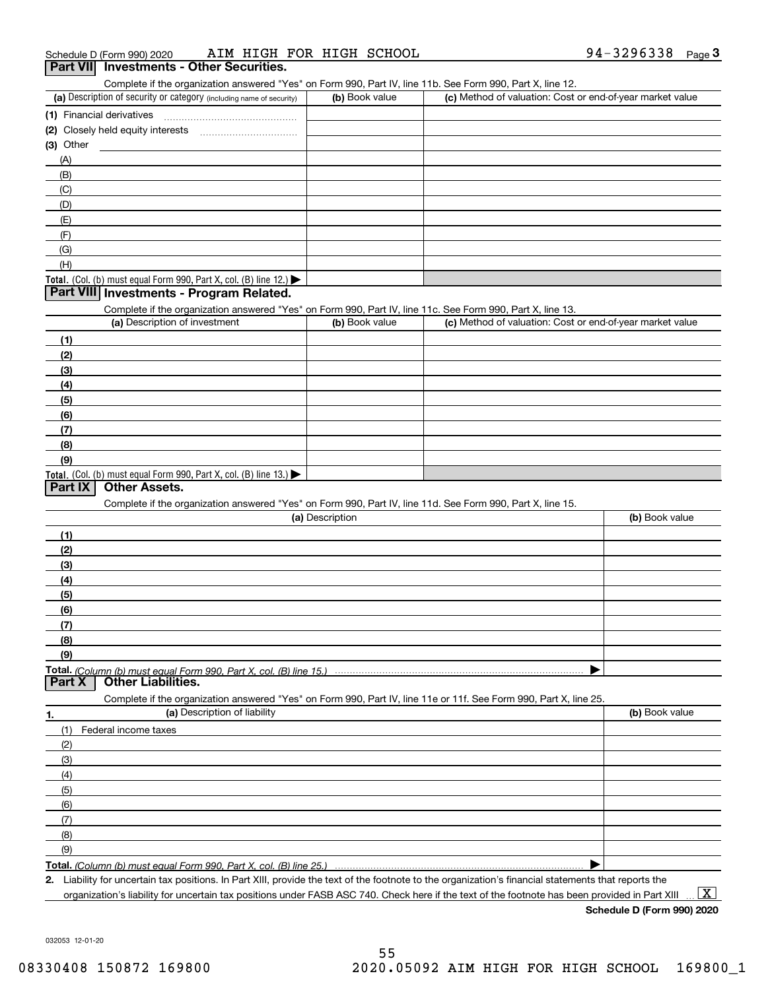| 94-3296338<br>AIM HIGH FOR HIGH SCHOOL<br>Schedule D (Form 990) 2020 | Page |  |
|----------------------------------------------------------------------|------|--|
|----------------------------------------------------------------------|------|--|

#### **Part VII Investments - Other Securities.**

Complete if the organization answered "Yes" on Form 990, Part IV, line 11b. See Form 990, Part X, line 12.

| (a) Description of security or category (including name of security)                          | (b) Book value | (c) Method of valuation: Cost or end-of-year market value |
|-----------------------------------------------------------------------------------------------|----------------|-----------------------------------------------------------|
| (1) Financial derivatives                                                                     |                |                                                           |
| (2) Closely held equity interests                                                             |                |                                                           |
| $(3)$ Other                                                                                   |                |                                                           |
| (A)                                                                                           |                |                                                           |
| (B)                                                                                           |                |                                                           |
| (C)                                                                                           |                |                                                           |
| (D)                                                                                           |                |                                                           |
| (E)                                                                                           |                |                                                           |
| (F)                                                                                           |                |                                                           |
| (G)                                                                                           |                |                                                           |
| (H)                                                                                           |                |                                                           |
| <b>Total.</b> (Col. (b) must equal Form 990, Part X, col. (B) line 12.) $\blacktriangleright$ |                |                                                           |

#### **Part VIII Investments - Program Related.**

Complete if the organization answered "Yes" on Form 990, Part IV, line 11c. See Form 990, Part X, line 13.

| (a) Description of investment                                       | (b) Book value | (c) Method of valuation: Cost or end-of-year market value |
|---------------------------------------------------------------------|----------------|-----------------------------------------------------------|
| (1)                                                                 |                |                                                           |
| (2)                                                                 |                |                                                           |
| $\frac{1}{2}$                                                       |                |                                                           |
| (4)                                                                 |                |                                                           |
| $\left(5\right)$                                                    |                |                                                           |
| (6)                                                                 |                |                                                           |
| (7)                                                                 |                |                                                           |
| (8)                                                                 |                |                                                           |
| (9)                                                                 |                |                                                           |
| Total. (Col. (b) must equal Form 990, Part X, col. (B) line $13.$ ) |                |                                                           |

#### **Part IX Other Assets.**

Complete if the organization answered "Yes" on Form 990, Part IV, line 11d. See Form 990, Part X, line 15.

| (a) Description                                                                                                   | (b) Book value |
|-------------------------------------------------------------------------------------------------------------------|----------------|
| (1)                                                                                                               |                |
| (2)                                                                                                               |                |
| $\frac{1}{2}$                                                                                                     |                |
| (4)                                                                                                               |                |
| (5)                                                                                                               |                |
| (6)                                                                                                               |                |
| (7)                                                                                                               |                |
| (8)                                                                                                               |                |
| (9)                                                                                                               |                |
|                                                                                                                   |                |
| <b>Part X</b> Other Liabilities.                                                                                  |                |
| Complete if the organization answered "Yes" on Form 990, Part IV, line 11e or 11f. See Form 990, Part X, line 25. |                |

**1. (a)** Description of liability **Book value** Book value Book value Book value Book value (1)Federal income taxes (2)(3)(4)(5) (6)(7)(8)(9) $\blacktriangleright$ 

**Total.**  *(Column (b) must equal Form 990, Part X, col. (B) line 25.)* 

**2.**Liability for uncertain tax positions. In Part XIII, provide the text of the footnote to the organization's financial statements that reports the organization's liability for uncertain tax positions under FASB ASC 740. Check here if the text of the footnote has been provided in Part XIII  $\boxed{\text{X}}$ 

**Schedule D (Form 990) 2020**

032053 12-01-20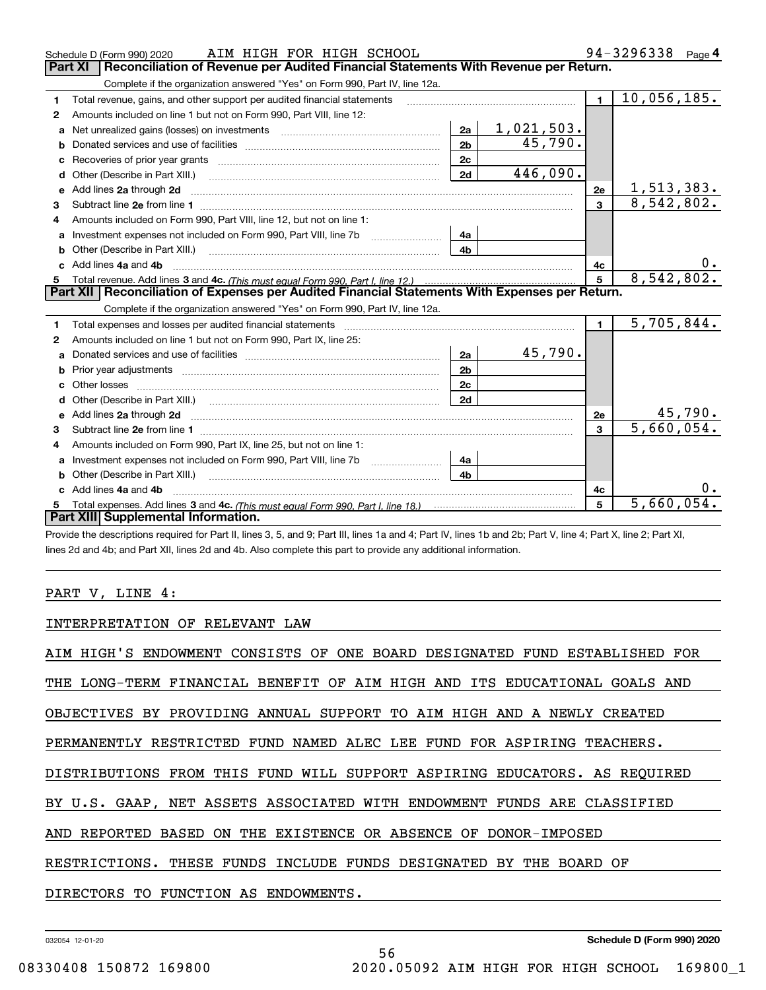| <b>Part XI</b><br>Reconciliation of Revenue per Audited Financial Statements With Revenue per Return.<br>Complete if the organization answered "Yes" on Form 990, Part IV, line 12a.<br>10,056,185.<br>$\blacksquare$<br>Total revenue, gains, and other support per audited financial statements<br>1<br>Amounts included on line 1 but not on Form 990, Part VIII, line 12:<br>2<br>1,021,503.<br>2a<br>Net unrealized gains (losses) on investments [11] matter contracts and the unrealized gains (losses) on investments<br>a<br>45,790.<br>2 <sub>b</sub><br>b<br>2c<br>446,090.<br>2d<br>Other (Describe in Part XIII.) <b>Construction Contract Construction</b> [<br>d<br>1,513,383.<br>Add lines 2a through 2d<br>2e<br>е<br>8,542,802.<br>$\overline{3}$<br>3<br>Amounts included on Form 990, Part VIII, line 12, but not on line 1:<br>4<br>4a<br>$\mathbf{a}$<br>4 <sub>h</sub><br>Other (Describe in Part XIII.) <b>2006</b> 2006 2010 2010 2010 2010 2011 2012 2013 2014 2014 2015 2016 2017 2018 2019 2016 2017 2018 2019 2016 2017 2018 2019 2016 2017 2018 2019 2018 2019 2019 2016 2017 2018 2019 2018 2019 2019<br>0.<br>c Add lines 4a and 4b<br>4c<br>8,542,802.<br>5<br>Part XII   Reconciliation of Expenses per Audited Financial Statements With Expenses per Return.<br>Complete if the organization answered "Yes" on Form 990, Part IV, line 12a.<br>$\overline{5}$ , 705, 844.<br>$\blacksquare$<br>1<br>Amounts included on line 1 but not on Form 990, Part IX, line 25:<br>2<br>45,790.<br>2a<br>a<br>2 <sub>b</sub><br>b<br>2 <sub>c</sub><br>Other losses<br>2d<br>d<br><u>45,790.</u><br>Add lines 2a through 2d <b>continuum contract and all contract and all contract and all contract and all contract and all contract and all contract and all contract and all contract and all contract and all contract and all </b><br>2e<br>e<br>5,660,054.<br>$\mathbf{a}$<br>Amounts included on Form 990, Part IX, line 25, but not on line 1:<br>4<br>Investment expenses not included on Form 990, Part VIII, line 7b [1000000000000000000000000000000000<br>4a<br>a<br>4 <sub>b</sub><br>Other (Describe in Part XIII.)<br>b<br>0.<br>c Add lines 4a and 4b<br>4c<br>5,660,054.<br>5<br>5<br>Part XIII Supplemental Information. | AIM HIGH FOR HIGH SCHOOL<br>Schedule D (Form 990) 2020 |  | 94-3296338<br>Page 4 |
|------------------------------------------------------------------------------------------------------------------------------------------------------------------------------------------------------------------------------------------------------------------------------------------------------------------------------------------------------------------------------------------------------------------------------------------------------------------------------------------------------------------------------------------------------------------------------------------------------------------------------------------------------------------------------------------------------------------------------------------------------------------------------------------------------------------------------------------------------------------------------------------------------------------------------------------------------------------------------------------------------------------------------------------------------------------------------------------------------------------------------------------------------------------------------------------------------------------------------------------------------------------------------------------------------------------------------------------------------------------------------------------------------------------------------------------------------------------------------------------------------------------------------------------------------------------------------------------------------------------------------------------------------------------------------------------------------------------------------------------------------------------------------------------------------------------------------------------------------------------------------------------------------------------------------------------------------------------------------------------------------------------------------------------------------------------------------------------------------------------------------------------------------------------------------------------------------------------------------------------------------------------------|--------------------------------------------------------|--|----------------------|
|                                                                                                                                                                                                                                                                                                                                                                                                                                                                                                                                                                                                                                                                                                                                                                                                                                                                                                                                                                                                                                                                                                                                                                                                                                                                                                                                                                                                                                                                                                                                                                                                                                                                                                                                                                                                                                                                                                                                                                                                                                                                                                                                                                                                                                                                        |                                                        |  |                      |
|                                                                                                                                                                                                                                                                                                                                                                                                                                                                                                                                                                                                                                                                                                                                                                                                                                                                                                                                                                                                                                                                                                                                                                                                                                                                                                                                                                                                                                                                                                                                                                                                                                                                                                                                                                                                                                                                                                                                                                                                                                                                                                                                                                                                                                                                        |                                                        |  |                      |
|                                                                                                                                                                                                                                                                                                                                                                                                                                                                                                                                                                                                                                                                                                                                                                                                                                                                                                                                                                                                                                                                                                                                                                                                                                                                                                                                                                                                                                                                                                                                                                                                                                                                                                                                                                                                                                                                                                                                                                                                                                                                                                                                                                                                                                                                        |                                                        |  |                      |
|                                                                                                                                                                                                                                                                                                                                                                                                                                                                                                                                                                                                                                                                                                                                                                                                                                                                                                                                                                                                                                                                                                                                                                                                                                                                                                                                                                                                                                                                                                                                                                                                                                                                                                                                                                                                                                                                                                                                                                                                                                                                                                                                                                                                                                                                        |                                                        |  |                      |
|                                                                                                                                                                                                                                                                                                                                                                                                                                                                                                                                                                                                                                                                                                                                                                                                                                                                                                                                                                                                                                                                                                                                                                                                                                                                                                                                                                                                                                                                                                                                                                                                                                                                                                                                                                                                                                                                                                                                                                                                                                                                                                                                                                                                                                                                        |                                                        |  |                      |
|                                                                                                                                                                                                                                                                                                                                                                                                                                                                                                                                                                                                                                                                                                                                                                                                                                                                                                                                                                                                                                                                                                                                                                                                                                                                                                                                                                                                                                                                                                                                                                                                                                                                                                                                                                                                                                                                                                                                                                                                                                                                                                                                                                                                                                                                        |                                                        |  |                      |
|                                                                                                                                                                                                                                                                                                                                                                                                                                                                                                                                                                                                                                                                                                                                                                                                                                                                                                                                                                                                                                                                                                                                                                                                                                                                                                                                                                                                                                                                                                                                                                                                                                                                                                                                                                                                                                                                                                                                                                                                                                                                                                                                                                                                                                                                        |                                                        |  |                      |
|                                                                                                                                                                                                                                                                                                                                                                                                                                                                                                                                                                                                                                                                                                                                                                                                                                                                                                                                                                                                                                                                                                                                                                                                                                                                                                                                                                                                                                                                                                                                                                                                                                                                                                                                                                                                                                                                                                                                                                                                                                                                                                                                                                                                                                                                        |                                                        |  |                      |
|                                                                                                                                                                                                                                                                                                                                                                                                                                                                                                                                                                                                                                                                                                                                                                                                                                                                                                                                                                                                                                                                                                                                                                                                                                                                                                                                                                                                                                                                                                                                                                                                                                                                                                                                                                                                                                                                                                                                                                                                                                                                                                                                                                                                                                                                        |                                                        |  |                      |
|                                                                                                                                                                                                                                                                                                                                                                                                                                                                                                                                                                                                                                                                                                                                                                                                                                                                                                                                                                                                                                                                                                                                                                                                                                                                                                                                                                                                                                                                                                                                                                                                                                                                                                                                                                                                                                                                                                                                                                                                                                                                                                                                                                                                                                                                        |                                                        |  |                      |
|                                                                                                                                                                                                                                                                                                                                                                                                                                                                                                                                                                                                                                                                                                                                                                                                                                                                                                                                                                                                                                                                                                                                                                                                                                                                                                                                                                                                                                                                                                                                                                                                                                                                                                                                                                                                                                                                                                                                                                                                                                                                                                                                                                                                                                                                        |                                                        |  |                      |
|                                                                                                                                                                                                                                                                                                                                                                                                                                                                                                                                                                                                                                                                                                                                                                                                                                                                                                                                                                                                                                                                                                                                                                                                                                                                                                                                                                                                                                                                                                                                                                                                                                                                                                                                                                                                                                                                                                                                                                                                                                                                                                                                                                                                                                                                        |                                                        |  |                      |
|                                                                                                                                                                                                                                                                                                                                                                                                                                                                                                                                                                                                                                                                                                                                                                                                                                                                                                                                                                                                                                                                                                                                                                                                                                                                                                                                                                                                                                                                                                                                                                                                                                                                                                                                                                                                                                                                                                                                                                                                                                                                                                                                                                                                                                                                        |                                                        |  |                      |
|                                                                                                                                                                                                                                                                                                                                                                                                                                                                                                                                                                                                                                                                                                                                                                                                                                                                                                                                                                                                                                                                                                                                                                                                                                                                                                                                                                                                                                                                                                                                                                                                                                                                                                                                                                                                                                                                                                                                                                                                                                                                                                                                                                                                                                                                        |                                                        |  |                      |
|                                                                                                                                                                                                                                                                                                                                                                                                                                                                                                                                                                                                                                                                                                                                                                                                                                                                                                                                                                                                                                                                                                                                                                                                                                                                                                                                                                                                                                                                                                                                                                                                                                                                                                                                                                                                                                                                                                                                                                                                                                                                                                                                                                                                                                                                        |                                                        |  |                      |
|                                                                                                                                                                                                                                                                                                                                                                                                                                                                                                                                                                                                                                                                                                                                                                                                                                                                                                                                                                                                                                                                                                                                                                                                                                                                                                                                                                                                                                                                                                                                                                                                                                                                                                                                                                                                                                                                                                                                                                                                                                                                                                                                                                                                                                                                        |                                                        |  |                      |
|                                                                                                                                                                                                                                                                                                                                                                                                                                                                                                                                                                                                                                                                                                                                                                                                                                                                                                                                                                                                                                                                                                                                                                                                                                                                                                                                                                                                                                                                                                                                                                                                                                                                                                                                                                                                                                                                                                                                                                                                                                                                                                                                                                                                                                                                        |                                                        |  |                      |
|                                                                                                                                                                                                                                                                                                                                                                                                                                                                                                                                                                                                                                                                                                                                                                                                                                                                                                                                                                                                                                                                                                                                                                                                                                                                                                                                                                                                                                                                                                                                                                                                                                                                                                                                                                                                                                                                                                                                                                                                                                                                                                                                                                                                                                                                        |                                                        |  |                      |
|                                                                                                                                                                                                                                                                                                                                                                                                                                                                                                                                                                                                                                                                                                                                                                                                                                                                                                                                                                                                                                                                                                                                                                                                                                                                                                                                                                                                                                                                                                                                                                                                                                                                                                                                                                                                                                                                                                                                                                                                                                                                                                                                                                                                                                                                        |                                                        |  |                      |
|                                                                                                                                                                                                                                                                                                                                                                                                                                                                                                                                                                                                                                                                                                                                                                                                                                                                                                                                                                                                                                                                                                                                                                                                                                                                                                                                                                                                                                                                                                                                                                                                                                                                                                                                                                                                                                                                                                                                                                                                                                                                                                                                                                                                                                                                        |                                                        |  |                      |
|                                                                                                                                                                                                                                                                                                                                                                                                                                                                                                                                                                                                                                                                                                                                                                                                                                                                                                                                                                                                                                                                                                                                                                                                                                                                                                                                                                                                                                                                                                                                                                                                                                                                                                                                                                                                                                                                                                                                                                                                                                                                                                                                                                                                                                                                        |                                                        |  |                      |
|                                                                                                                                                                                                                                                                                                                                                                                                                                                                                                                                                                                                                                                                                                                                                                                                                                                                                                                                                                                                                                                                                                                                                                                                                                                                                                                                                                                                                                                                                                                                                                                                                                                                                                                                                                                                                                                                                                                                                                                                                                                                                                                                                                                                                                                                        |                                                        |  |                      |
|                                                                                                                                                                                                                                                                                                                                                                                                                                                                                                                                                                                                                                                                                                                                                                                                                                                                                                                                                                                                                                                                                                                                                                                                                                                                                                                                                                                                                                                                                                                                                                                                                                                                                                                                                                                                                                                                                                                                                                                                                                                                                                                                                                                                                                                                        |                                                        |  |                      |
|                                                                                                                                                                                                                                                                                                                                                                                                                                                                                                                                                                                                                                                                                                                                                                                                                                                                                                                                                                                                                                                                                                                                                                                                                                                                                                                                                                                                                                                                                                                                                                                                                                                                                                                                                                                                                                                                                                                                                                                                                                                                                                                                                                                                                                                                        |                                                        |  |                      |
|                                                                                                                                                                                                                                                                                                                                                                                                                                                                                                                                                                                                                                                                                                                                                                                                                                                                                                                                                                                                                                                                                                                                                                                                                                                                                                                                                                                                                                                                                                                                                                                                                                                                                                                                                                                                                                                                                                                                                                                                                                                                                                                                                                                                                                                                        |                                                        |  |                      |
|                                                                                                                                                                                                                                                                                                                                                                                                                                                                                                                                                                                                                                                                                                                                                                                                                                                                                                                                                                                                                                                                                                                                                                                                                                                                                                                                                                                                                                                                                                                                                                                                                                                                                                                                                                                                                                                                                                                                                                                                                                                                                                                                                                                                                                                                        |                                                        |  |                      |
|                                                                                                                                                                                                                                                                                                                                                                                                                                                                                                                                                                                                                                                                                                                                                                                                                                                                                                                                                                                                                                                                                                                                                                                                                                                                                                                                                                                                                                                                                                                                                                                                                                                                                                                                                                                                                                                                                                                                                                                                                                                                                                                                                                                                                                                                        |                                                        |  |                      |
|                                                                                                                                                                                                                                                                                                                                                                                                                                                                                                                                                                                                                                                                                                                                                                                                                                                                                                                                                                                                                                                                                                                                                                                                                                                                                                                                                                                                                                                                                                                                                                                                                                                                                                                                                                                                                                                                                                                                                                                                                                                                                                                                                                                                                                                                        |                                                        |  |                      |
|                                                                                                                                                                                                                                                                                                                                                                                                                                                                                                                                                                                                                                                                                                                                                                                                                                                                                                                                                                                                                                                                                                                                                                                                                                                                                                                                                                                                                                                                                                                                                                                                                                                                                                                                                                                                                                                                                                                                                                                                                                                                                                                                                                                                                                                                        |                                                        |  |                      |
|                                                                                                                                                                                                                                                                                                                                                                                                                                                                                                                                                                                                                                                                                                                                                                                                                                                                                                                                                                                                                                                                                                                                                                                                                                                                                                                                                                                                                                                                                                                                                                                                                                                                                                                                                                                                                                                                                                                                                                                                                                                                                                                                                                                                                                                                        |                                                        |  |                      |
|                                                                                                                                                                                                                                                                                                                                                                                                                                                                                                                                                                                                                                                                                                                                                                                                                                                                                                                                                                                                                                                                                                                                                                                                                                                                                                                                                                                                                                                                                                                                                                                                                                                                                                                                                                                                                                                                                                                                                                                                                                                                                                                                                                                                                                                                        |                                                        |  |                      |

Provide the descriptions required for Part II, lines 3, 5, and 9; Part III, lines 1a and 4; Part IV, lines 1b and 2b; Part V, line 4; Part X, line 2; Part XI, lines 2d and 4b; and Part XII, lines 2d and 4b. Also complete this part to provide any additional information.

#### PART V, LINE 4:

INTERPRETATION OF RELEVANT LAW

AIM HIGH'S ENDOWMENT CONSISTS OF ONE BOARD DESIGNATED FUND ESTABLISHED FOR THE LONG-TERM FINANCIAL BENEFIT OF AIM HIGH AND ITS EDUCATIONAL GOALS AND OBJECTIVES BY PROVIDING ANNUAL SUPPORT TO AIM HIGH AND A NEWLY CREATED PERMANENTLY RESTRICTED FUND NAMED ALEC LEE FUND FOR ASPIRING TEACHERS. DISTRIBUTIONS FROM THIS FUND WILL SUPPORT ASPIRING EDUCATORS. AS REQUIRED BY U.S. GAAP, NET ASSETS ASSOCIATED WITH ENDOWMENT FUNDS ARE CLASSIFIED AND REPORTED BASED ON THE EXISTENCE OR ABSENCE OF DONOR-IMPOSED RESTRICTIONS. THESE FUNDS INCLUDE FUNDS DESIGNATED BY THE BOARD OF DIRECTORS TO FUNCTION AS ENDOWMENTS.

56

032054 12-01-20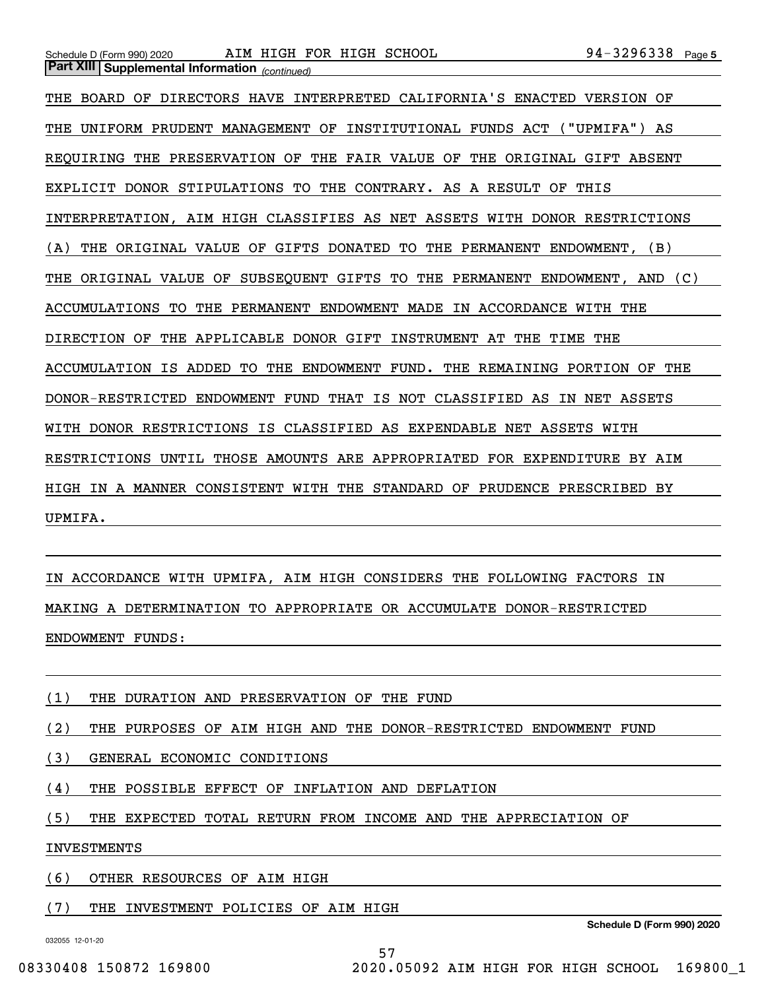*(continued)* **Part XIII Supplemental Information** 

Schedule D (Form 990) 2020 AIM HIGH FOR HIGH SCHOOL 94-3296338 Page

THE BOARD OF DIRECTORS HAVE INTERPRETED CALIFORNIA'S ENACTED VERSION OF THE UNIFORM PRUDENT MANAGEMENT OF INSTITUTIONAL FUNDS ACT ("UPMIFA") AS REQUIRING THE PRESERVATION OF THE FAIR VALUE OF THE ORIGINAL GIFT ABSENT EXPLICIT DONOR STIPULATIONS TO THE CONTRARY. AS A RESULT OF THIS INTERPRETATION, AIM HIGH CLASSIFIES AS NET ASSETS WITH DONOR RESTRICTIONS (A) THE ORIGINAL VALUE OF GIFTS DONATED TO THE PERMANENT ENDOWMENT, (B) THE ORIGINAL VALUE OF SUBSEQUENT GIFTS TO THE PERMANENT ENDOWMENT, AND (C) ACCUMULATIONS TO THE PERMANENT ENDOWMENT MADE IN ACCORDANCE WITH THE DIRECTION OF THE APPLICABLE DONOR GIFT INSTRUMENT AT THE TIME THE ACCUMULATION IS ADDED TO THE ENDOWMENT FUND. THE REMAINING PORTION OF THE DONOR-RESTRICTED ENDOWMENT FUND THAT IS NOT CLASSIFIED AS IN NET ASSETS WITH DONOR RESTRICTIONS IS CLASSIFIED AS EXPENDABLE NET ASSETS WITH RESTRICTIONS UNTIL THOSE AMOUNTS ARE APPROPRIATED FOR EXPENDITURE BY AIM HIGH IN A MANNER CONSISTENT WITH THE STANDARD OF PRUDENCE PRESCRIBED BY UPMIFA.

IN ACCORDANCE WITH UPMIFA, AIM HIGH CONSIDERS THE FOLLOWING FACTORS IN MAKING A DETERMINATION TO APPROPRIATE OR ACCUMULATE DONOR-RESTRICTED ENDOWMENT FUNDS:

(1) THE DURATION AND PRESERVATION OF THE FUND

(2) THE PURPOSES OF AIM HIGH AND THE DONOR-RESTRICTED ENDOWMENT FUND

(3) GENERAL ECONOMIC CONDITIONS

(4) THE POSSIBLE EFFECT OF INFLATION AND DEFLATION

(5) THE EXPECTED TOTAL RETURN FROM INCOME AND THE APPRECIATION OF

57

INVESTMENTS

(6) OTHER RESOURCES OF AIM HIGH

(7) THE INVESTMENT POLICIES OF AIM HIGH

**Schedule D (Form 990) 2020**

032055 12-01-20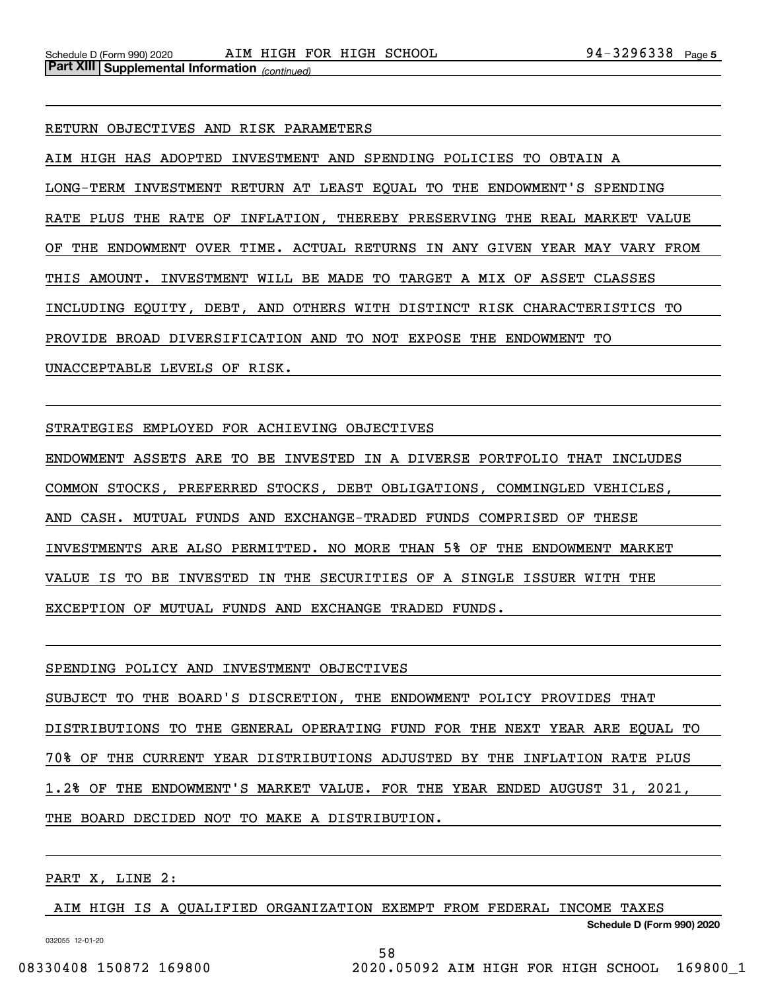RETURN OBJECTIVES AND RISK PARAMETERS

AIM HIGH HAS ADOPTED INVESTMENT AND SPENDING POLICIES TO OBTAIN A LONG-TERM INVESTMENT RETURN AT LEAST EQUAL TO THE ENDOWMENT'S SPENDING RATE PLUS THE RATE OF INFLATION, THEREBY PRESERVING THE REAL MARKET VALUE OF THE ENDOWMENT OVER TIME. ACTUAL RETURNS IN ANY GIVEN YEAR MAY VARY FROM THIS AMOUNT. INVESTMENT WILL BE MADE TO TARGET A MIX OF ASSET CLASSES INCLUDING EQUITY, DEBT, AND OTHERS WITH DISTINCT RISK CHARACTERISTICS TO PROVIDE BROAD DIVERSIFICATION AND TO NOT EXPOSE THE ENDOWMENT TO UNACCEPTABLE LEVELS OF RISK.

STRATEGIES EMPLOYED FOR ACHIEVING OBJECTIVES

ENDOWMENT ASSETS ARE TO BE INVESTED IN A DIVERSE PORTFOLIO THAT INCLUDES COMMON STOCKS, PREFERRED STOCKS, DEBT OBLIGATIONS, COMMINGLED VEHICLES, AND CASH. MUTUAL FUNDS AND EXCHANGE-TRADED FUNDS COMPRISED OF THESE INVESTMENTS ARE ALSO PERMITTED. NO MORE THAN 5% OF THE ENDOWMENT MARKET VALUE IS TO BE INVESTED IN THE SECURITIES OF A SINGLE ISSUER WITH THE EXCEPTION OF MUTUAL FUNDS AND EXCHANGE TRADED FUNDS.

SPENDING POLICY AND INVESTMENT OBJECTIVES SUBJECT TO THE BOARD'S DISCRETION, THE ENDOWMENT POLICY PROVIDES THAT DISTRIBUTIONS TO THE GENERAL OPERATING FUND FOR THE NEXT YEAR ARE EQUAL TO 70% OF THE CURRENT YEAR DISTRIBUTIONS ADJUSTED BY THE INFLATION RATE PLUS 1.2% OF THE ENDOWMENT'S MARKET VALUE. FOR THE YEAR ENDED AUGUST 31, 2021, THE BOARD DECIDED NOT TO MAKE A DISTRIBUTION.

PART X, LINE 2:

AIM HIGH IS A QUALIFIED ORGANIZATION EXEMPT FROM FEDERAL INCOME TAXES

58

**Schedule D (Form 990) 2020**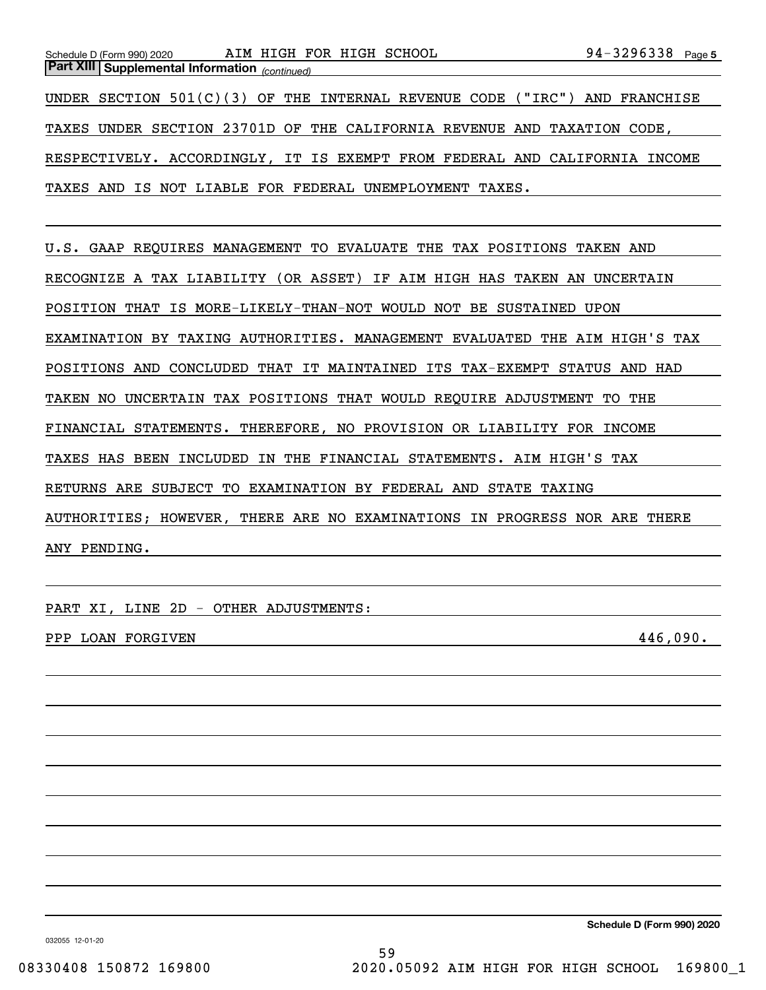*(continued)* **Part XIII Supplemental Information** 

Schedule D (Form 990) 2020 AIM HIGH FOR HIGH SCHOOL 94-3296338 Page

UNDER SECTION 501(C)(3) OF THE INTERNAL REVENUE CODE ("IRC") AND FRANCHISE TAXES UNDER SECTION 23701D OF THE CALIFORNIA REVENUE AND TAXATION CODE, RESPECTIVELY. ACCORDINGLY, IT IS EXEMPT FROM FEDERAL AND CALIFORNIA INCOME TAXES AND IS NOT LIABLE FOR FEDERAL UNEMPLOYMENT TAXES.

U.S. GAAP REQUIRES MANAGEMENT TO EVALUATE THE TAX POSITIONS TAKEN AND RECOGNIZE A TAX LIABILITY (OR ASSET) IF AIM HIGH HAS TAKEN AN UNCERTAIN POSITION THAT IS MORE-LIKELY-THAN-NOT WOULD NOT BE SUSTAINED UPON EXAMINATION BY TAXING AUTHORITIES. MANAGEMENT EVALUATED THE AIM HIGH'S TAX POSITIONS AND CONCLUDED THAT IT MAINTAINED ITS TAX-EXEMPT STATUS AND HAD TAKEN NO UNCERTAIN TAX POSITIONS THAT WOULD REQUIRE ADJUSTMENT TO THE FINANCIAL STATEMENTS. THEREFORE, NO PROVISION OR LIABILITY FOR INCOME TAXES HAS BEEN INCLUDED IN THE FINANCIAL STATEMENTS. AIM HIGH'S TAX RETURNS ARE SUBJECT TO EXAMINATION BY FEDERAL AND STATE TAXING AUTHORITIES; HOWEVER, THERE ARE NO EXAMINATIONS IN PROGRESS NOR ARE THERE ANY PENDING.

PART XI, LINE 2D - OTHER ADJUSTMENTS:

PPP LOAN FORGIVEN  $446,090.$ 

**Schedule D (Form 990) 2020**

032055 12-01-20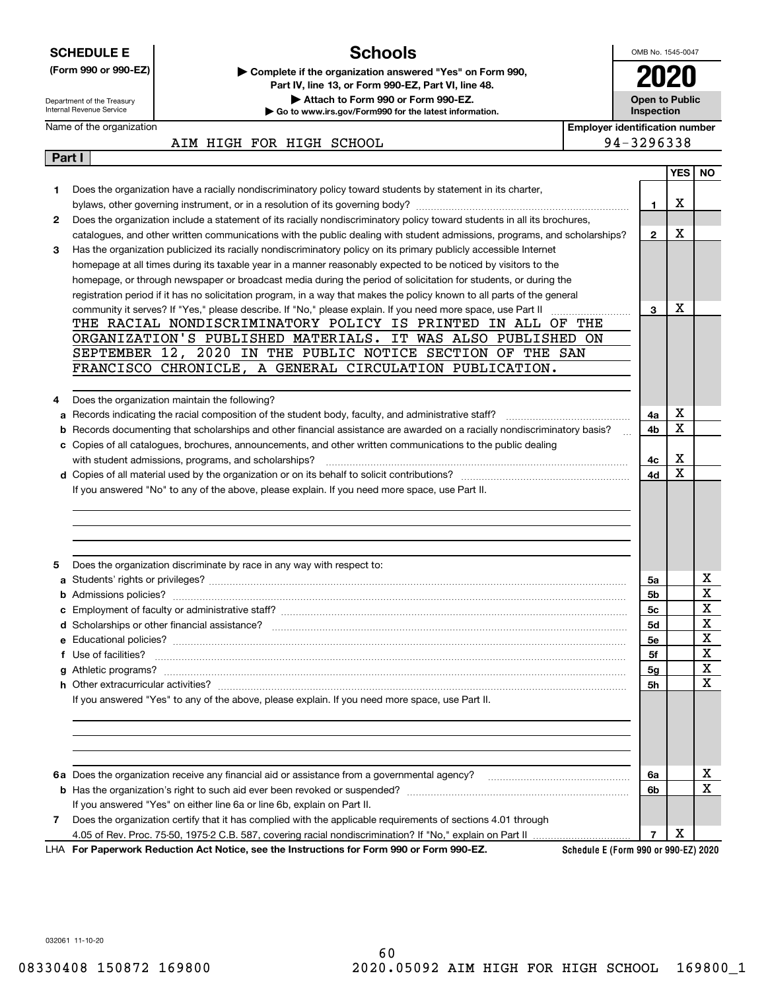| <b>SCHEDULE E</b> |                                                                                                                           | <b>Schools</b>                                                                                                                                                                 |                                       | OMB No. 1545-0047 |            |                         |  |  |  |  |
|-------------------|---------------------------------------------------------------------------------------------------------------------------|--------------------------------------------------------------------------------------------------------------------------------------------------------------------------------|---------------------------------------|-------------------|------------|-------------------------|--|--|--|--|
|                   | (Form 990 or 990-EZ)<br>Department of the Treasury                                                                        | Complete if the organization answered "Yes" on Form 990,<br>Part IV, line 13, or Form 990-EZ, Part VI, line 48.<br>Attach to Form 990 or Form 990-EZ.<br><b>Open to Public</b> |                                       |                   |            |                         |  |  |  |  |
|                   | Internal Revenue Service                                                                                                  | Go to www.irs.gov/Form990 for the latest information.                                                                                                                          |                                       | Inspection        |            |                         |  |  |  |  |
|                   | Name of the organization                                                                                                  |                                                                                                                                                                                | <b>Employer identification number</b> |                   |            |                         |  |  |  |  |
|                   |                                                                                                                           | AIM HIGH FOR HIGH SCHOOL                                                                                                                                                       |                                       | 94-3296338        |            |                         |  |  |  |  |
| Part I            |                                                                                                                           |                                                                                                                                                                                |                                       |                   | <b>YES</b> | NO.                     |  |  |  |  |
|                   |                                                                                                                           | Does the organization have a racially nondiscriminatory policy toward students by statement in its charter,                                                                    |                                       |                   |            |                         |  |  |  |  |
| 1.                |                                                                                                                           |                                                                                                                                                                                |                                       | 1                 | X          |                         |  |  |  |  |
| 2                 | Does the organization include a statement of its racially nondiscriminatory policy toward students in all its brochures,  |                                                                                                                                                                                |                                       |                   |            |                         |  |  |  |  |
|                   | catalogues, and other written communications with the public dealing with student admissions, programs, and scholarships? |                                                                                                                                                                                |                                       |                   |            |                         |  |  |  |  |
| 3                 | Has the organization publicized its racially nondiscriminatory policy on its primary publicly accessible Internet         |                                                                                                                                                                                |                                       |                   |            |                         |  |  |  |  |
|                   |                                                                                                                           | homepage at all times during its taxable year in a manner reasonably expected to be noticed by visitors to the                                                                 |                                       |                   |            |                         |  |  |  |  |
|                   |                                                                                                                           | homepage, or through newspaper or broadcast media during the period of solicitation for students, or during the                                                                |                                       |                   |            |                         |  |  |  |  |
|                   |                                                                                                                           | registration period if it has no solicitation program, in a way that makes the policy known to all parts of the general                                                        |                                       |                   |            |                         |  |  |  |  |
|                   |                                                                                                                           | community it serves? If "Yes," please describe. If "No," please explain. If you need more space, use Part II                                                                   | .                                     | 3                 | x          |                         |  |  |  |  |
|                   |                                                                                                                           | THE RACIAL NONDISCRIMINATORY POLICY IS PRINTED IN ALL OF THE<br>ORGANIZATION'S PUBLISHED MATERIALS. IT WAS ALSO PUBLISHED ON                                                   |                                       |                   |            |                         |  |  |  |  |
|                   |                                                                                                                           | SEPTEMBER 12, 2020 IN THE PUBLIC NOTICE SECTION OF THE SAN                                                                                                                     |                                       |                   |            |                         |  |  |  |  |
|                   |                                                                                                                           | FRANCISCO CHRONICLE, A GENERAL CIRCULATION PUBLICATION.                                                                                                                        |                                       |                   |            |                         |  |  |  |  |
|                   |                                                                                                                           |                                                                                                                                                                                |                                       |                   |            |                         |  |  |  |  |
| 4                 |                                                                                                                           | Does the organization maintain the following?                                                                                                                                  |                                       |                   |            |                         |  |  |  |  |
| a                 |                                                                                                                           | Records indicating the racial composition of the student body, faculty, and administrative staff?                                                                              |                                       | 4a                | Χ          |                         |  |  |  |  |
| b                 |                                                                                                                           | Records documenting that scholarships and other financial assistance are awarded on a racially nondiscriminatory basis?                                                        |                                       | 4b                | X          |                         |  |  |  |  |
|                   |                                                                                                                           | c Copies of all catalogues, brochures, announcements, and other written communications to the public dealing                                                                   |                                       |                   |            |                         |  |  |  |  |
|                   |                                                                                                                           | with student admissions, programs, and scholarships?                                                                                                                           |                                       | 4с                | Χ          |                         |  |  |  |  |
|                   |                                                                                                                           |                                                                                                                                                                                |                                       | 4d                | X          |                         |  |  |  |  |
|                   |                                                                                                                           | If you answered "No" to any of the above, please explain. If you need more space, use Part II.                                                                                 |                                       |                   |            |                         |  |  |  |  |
|                   |                                                                                                                           |                                                                                                                                                                                |                                       |                   |            |                         |  |  |  |  |
| 5                 |                                                                                                                           | Does the organization discriminate by race in any way with respect to:                                                                                                         |                                       |                   |            |                         |  |  |  |  |
| a                 |                                                                                                                           |                                                                                                                                                                                |                                       | 5a                |            | х                       |  |  |  |  |
|                   | <b>b</b> Admissions policies?                                                                                             |                                                                                                                                                                                |                                       | 5b                |            | $\overline{\mathbf{x}}$ |  |  |  |  |
|                   |                                                                                                                           |                                                                                                                                                                                |                                       | 5с                |            | x                       |  |  |  |  |
|                   |                                                                                                                           |                                                                                                                                                                                |                                       | 5d                |            | X<br>X                  |  |  |  |  |
|                   | f Use of facilities?                                                                                                      |                                                                                                                                                                                |                                       | 5e<br>5f          |            | $\mathbf X$             |  |  |  |  |
|                   |                                                                                                                           |                                                                                                                                                                                |                                       | 5g                |            | X                       |  |  |  |  |
|                   |                                                                                                                           |                                                                                                                                                                                |                                       | 5h                |            | $\mathbf X$             |  |  |  |  |
|                   |                                                                                                                           | If you answered "Yes" to any of the above, please explain. If you need more space, use Part II.                                                                                |                                       |                   |            |                         |  |  |  |  |
|                   |                                                                                                                           |                                                                                                                                                                                |                                       |                   |            |                         |  |  |  |  |
|                   |                                                                                                                           |                                                                                                                                                                                |                                       |                   |            |                         |  |  |  |  |
|                   |                                                                                                                           |                                                                                                                                                                                |                                       |                   |            |                         |  |  |  |  |
|                   |                                                                                                                           |                                                                                                                                                                                |                                       |                   |            |                         |  |  |  |  |
|                   |                                                                                                                           |                                                                                                                                                                                |                                       | 6a                |            | x                       |  |  |  |  |
|                   |                                                                                                                           |                                                                                                                                                                                |                                       | 6b                |            | $\mathbf X$             |  |  |  |  |
|                   |                                                                                                                           | If you answered "Yes" on either line 6a or line 6b, explain on Part II.                                                                                                        |                                       |                   |            |                         |  |  |  |  |
| 7                 |                                                                                                                           | Does the organization certify that it has complied with the applicable requirements of sections 4.01 through                                                                   |                                       | $\overline{7}$    | X          |                         |  |  |  |  |
|                   |                                                                                                                           | LHA For Paperwork Reduction Act Notice, see the Instructions for Form 990 or Form 990-EZ.                                                                                      | Schedule E (Form 990 or 990-EZ) 2020  |                   |            |                         |  |  |  |  |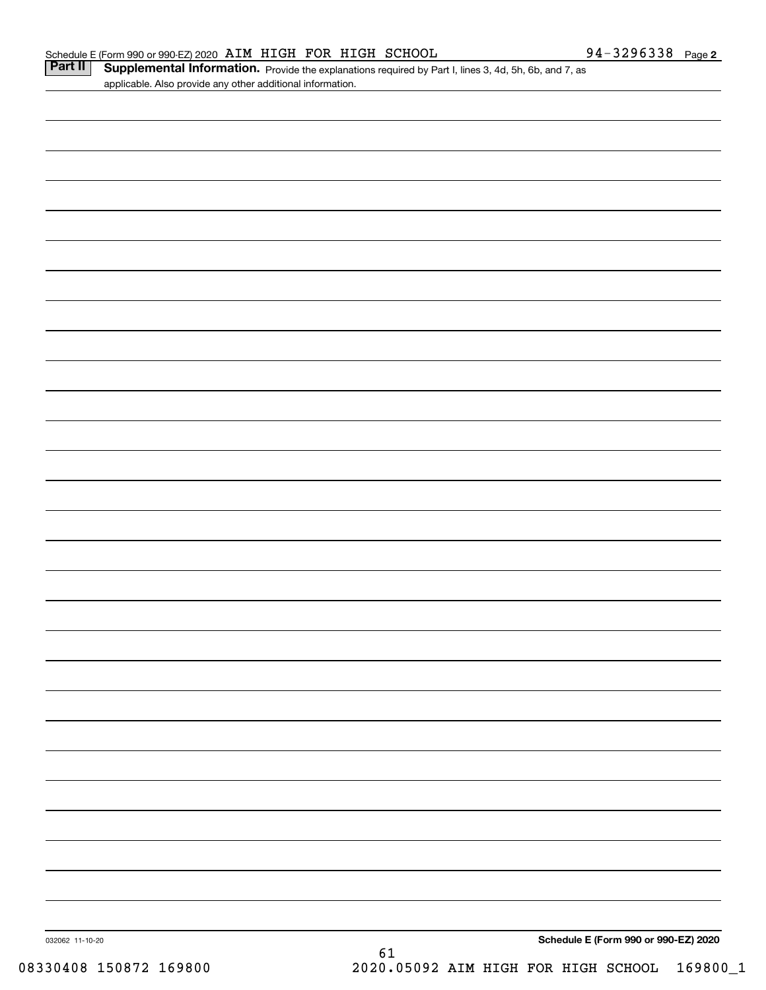Part II | Supplemental Information. Provide the explanations required by Part I, lines 3, 4d, 5h, 6b, and 7, as applicable. Also provide any other additional information.

| 032062 11-10-20 | 61 |  | Schedule E (Form 990 or 990-EZ) 2020 |
|-----------------|----|--|--------------------------------------|
|                 |    |  |                                      |
|                 |    |  |                                      |
|                 |    |  |                                      |
|                 |    |  |                                      |
|                 |    |  |                                      |
|                 |    |  |                                      |
|                 |    |  |                                      |
|                 |    |  |                                      |
|                 |    |  |                                      |
|                 |    |  |                                      |
|                 |    |  |                                      |
|                 |    |  |                                      |
|                 |    |  |                                      |
|                 |    |  |                                      |
|                 |    |  |                                      |
|                 |    |  |                                      |
|                 |    |  |                                      |
|                 |    |  |                                      |
|                 |    |  |                                      |
|                 |    |  |                                      |
|                 |    |  |                                      |
|                 |    |  |                                      |
|                 |    |  |                                      |
|                 |    |  |                                      |
|                 |    |  |                                      |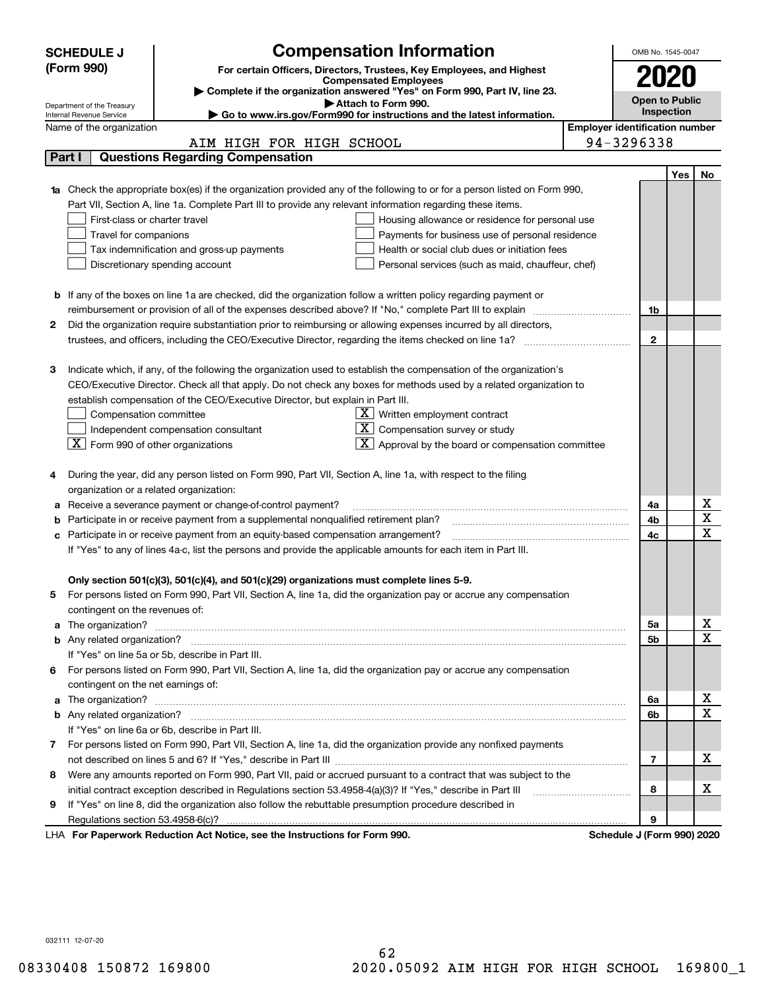|    | <b>Compensation Information</b><br><b>SCHEDULE J</b>                                                                                    |                                       | OMB No. 1545-0047          |     |                  |  |  |  |
|----|-----------------------------------------------------------------------------------------------------------------------------------------|---------------------------------------|----------------------------|-----|------------------|--|--|--|
|    | (Form 990)<br>For certain Officers, Directors, Trustees, Key Employees, and Highest                                                     |                                       |                            |     |                  |  |  |  |
|    | <b>Compensated Employees</b>                                                                                                            |                                       | 2020                       |     |                  |  |  |  |
|    | Complete if the organization answered "Yes" on Form 990, Part IV, line 23.<br>Attach to Form 990.                                       |                                       | <b>Open to Public</b>      |     |                  |  |  |  |
|    | Department of the Treasury<br>Go to www.irs.gov/Form990 for instructions and the latest information.<br>Internal Revenue Service        |                                       | Inspection                 |     |                  |  |  |  |
|    | Name of the organization                                                                                                                | <b>Employer identification number</b> |                            |     |                  |  |  |  |
|    | AIM HIGH FOR HIGH SCHOOL                                                                                                                |                                       | 94-3296338                 |     |                  |  |  |  |
|    | <b>Questions Regarding Compensation</b><br>Part I                                                                                       |                                       |                            |     |                  |  |  |  |
|    |                                                                                                                                         |                                       |                            | Yes | No               |  |  |  |
|    | Check the appropriate box(es) if the organization provided any of the following to or for a person listed on Form 990,                  |                                       |                            |     |                  |  |  |  |
|    | Part VII, Section A, line 1a. Complete Part III to provide any relevant information regarding these items.                              |                                       |                            |     |                  |  |  |  |
|    | First-class or charter travel<br>Housing allowance or residence for personal use                                                        |                                       |                            |     |                  |  |  |  |
|    | Travel for companions<br>Payments for business use of personal residence                                                                |                                       |                            |     |                  |  |  |  |
|    | Tax indemnification and gross-up payments<br>Health or social club dues or initiation fees                                              |                                       |                            |     |                  |  |  |  |
|    | Discretionary spending account<br>Personal services (such as maid, chauffeur, chef)                                                     |                                       |                            |     |                  |  |  |  |
|    |                                                                                                                                         |                                       |                            |     |                  |  |  |  |
|    | <b>b</b> If any of the boxes on line 1a are checked, did the organization follow a written policy regarding payment or                  |                                       |                            |     |                  |  |  |  |
|    | reimbursement or provision of all of the expenses described above? If "No," complete Part III to explain                                |                                       | 1b                         |     |                  |  |  |  |
| 2  | Did the organization require substantiation prior to reimbursing or allowing expenses incurred by all directors,                        |                                       |                            |     |                  |  |  |  |
|    |                                                                                                                                         |                                       | $\mathbf{2}$               |     |                  |  |  |  |
|    |                                                                                                                                         |                                       |                            |     |                  |  |  |  |
| з  | Indicate which, if any, of the following the organization used to establish the compensation of the organization's                      |                                       |                            |     |                  |  |  |  |
|    | CEO/Executive Director. Check all that apply. Do not check any boxes for methods used by a related organization to                      |                                       |                            |     |                  |  |  |  |
|    | establish compensation of the CEO/Executive Director, but explain in Part III.                                                          |                                       |                            |     |                  |  |  |  |
|    | $X$ Written employment contract<br>Compensation committee                                                                               |                                       |                            |     |                  |  |  |  |
|    | $X$ Compensation survey or study<br>Independent compensation consultant                                                                 |                                       |                            |     |                  |  |  |  |
|    | $\boxed{\textbf{X}}$ Form 990 of other organizations<br>$\lfloor \underline{X} \rfloor$ Approval by the board or compensation committee |                                       |                            |     |                  |  |  |  |
|    |                                                                                                                                         |                                       |                            |     |                  |  |  |  |
| 4  | During the year, did any person listed on Form 990, Part VII, Section A, line 1a, with respect to the filing                            |                                       |                            |     |                  |  |  |  |
|    | organization or a related organization:                                                                                                 |                                       |                            |     |                  |  |  |  |
| а  | Receive a severance payment or change-of-control payment?                                                                               |                                       | 4a                         |     | х                |  |  |  |
| b  | Participate in or receive payment from a supplemental nonqualified retirement plan?                                                     |                                       | 4b                         |     | X<br>$\mathbf x$ |  |  |  |
| c  | Participate in or receive payment from an equity-based compensation arrangement?                                                        |                                       | 4c                         |     |                  |  |  |  |
|    | If "Yes" to any of lines 4a-c, list the persons and provide the applicable amounts for each item in Part III.                           |                                       |                            |     |                  |  |  |  |
|    |                                                                                                                                         |                                       |                            |     |                  |  |  |  |
|    | Only section 501(c)(3), 501(c)(4), and 501(c)(29) organizations must complete lines 5-9.                                                |                                       |                            |     |                  |  |  |  |
|    | For persons listed on Form 990, Part VII, Section A, line 1a, did the organization pay or accrue any compensation                       |                                       |                            |     |                  |  |  |  |
|    | contingent on the revenues of:                                                                                                          |                                       |                            |     | x                |  |  |  |
| a  |                                                                                                                                         |                                       | 5а<br><b>5b</b>            |     | X                |  |  |  |
|    | If "Yes" on line 5a or 5b, describe in Part III.                                                                                        |                                       |                            |     |                  |  |  |  |
| 6. | For persons listed on Form 990, Part VII, Section A, line 1a, did the organization pay or accrue any compensation                       |                                       |                            |     |                  |  |  |  |
|    | contingent on the net earnings of:                                                                                                      |                                       |                            |     |                  |  |  |  |
| a  |                                                                                                                                         |                                       | 6a                         |     | x                |  |  |  |
|    |                                                                                                                                         |                                       | 6b                         |     | $\mathbf{x}$     |  |  |  |
|    | If "Yes" on line 6a or 6b, describe in Part III.                                                                                        |                                       |                            |     |                  |  |  |  |
|    | 7 For persons listed on Form 990, Part VII, Section A, line 1a, did the organization provide any nonfixed payments                      |                                       |                            |     |                  |  |  |  |
|    |                                                                                                                                         |                                       | 7                          |     | x                |  |  |  |
| 8  | Were any amounts reported on Form 990, Part VII, paid or accrued pursuant to a contract that was subject to the                         |                                       |                            |     |                  |  |  |  |
|    | initial contract exception described in Regulations section 53.4958-4(a)(3)? If "Yes," describe in Part III                             |                                       | 8                          |     | х                |  |  |  |
| 9  | If "Yes" on line 8, did the organization also follow the rebuttable presumption procedure described in                                  |                                       |                            |     |                  |  |  |  |
|    | Regulations section 53.4958-6(c)?                                                                                                       |                                       | 9                          |     |                  |  |  |  |
|    | LHA For Paperwork Reduction Act Notice, see the Instructions for Form 990.                                                              |                                       | Schedule J (Form 990) 2020 |     |                  |  |  |  |

032111 12-07-20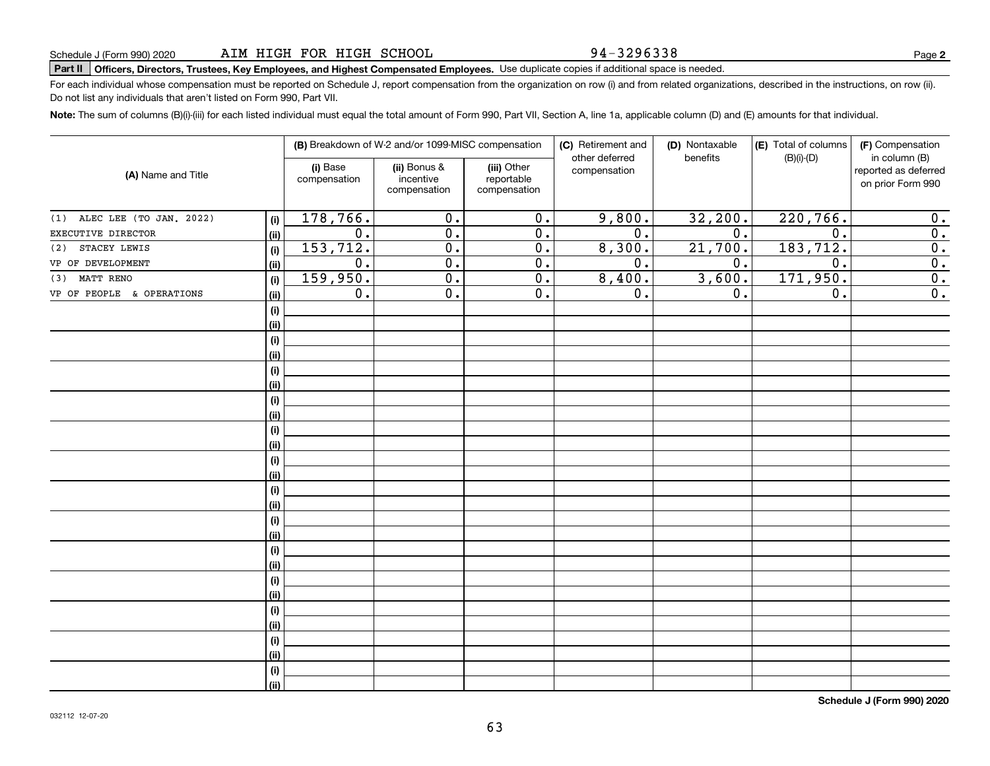94-3296338

# **Part II Officers, Directors, Trustees, Key Employees, and Highest Compensated Employees.**  Schedule J (Form 990) 2020 Page Use duplicate copies if additional space is needed.

For each individual whose compensation must be reported on Schedule J, report compensation from the organization on row (i) and from related organizations, described in the instructions, on row (ii). Do not list any individuals that aren't listed on Form 990, Part VII.

**Note:**  The sum of columns (B)(i)-(iii) for each listed individual must equal the total amount of Form 990, Part VII, Section A, line 1a, applicable column (D) and (E) amounts for that individual.

| (A) Name and Title             |      |                          | (B) Breakdown of W-2 and/or 1099-MISC compensation |                                           | (C) Retirement and<br>other deferred | (D) Nontaxable<br>benefits | (E) Total of columns<br>$(B)(i)-(D)$ | (F) Compensation<br>in column (B)         |
|--------------------------------|------|--------------------------|----------------------------------------------------|-------------------------------------------|--------------------------------------|----------------------------|--------------------------------------|-------------------------------------------|
|                                |      | (i) Base<br>compensation | (ii) Bonus &<br>incentive<br>compensation          | (iii) Other<br>reportable<br>compensation | compensation                         |                            |                                      | reported as deferred<br>on prior Form 990 |
| ALEC LEE (TO JAN. 2022)<br>(1) | (i)  | 178, 766.                | $\overline{0}$ .                                   | $\overline{0}$ .                          | 9,800.                               | 32,200.                    | 220,766.                             | 0.                                        |
| EXECUTIVE DIRECTOR             | (ii) | $\overline{0}$ .         | $\overline{0}$ .                                   | $\overline{0}$ .                          | $\overline{0}$ .                     | $\overline{0}$ .           | $\overline{0}$ .                     | $\overline{0}$ .                          |
| STACEY LEWIS<br>(2)            | (i)  | 153, 712.                | $\overline{0}$ .                                   | $\overline{0}$ .                          | 8,300.                               | 21,700.                    | 183,712.                             | $\overline{0}$ .                          |
| VP OF DEVELOPMENT              | (ii) | 0.                       | $\overline{0}$ .                                   | $\overline{0}$ .                          | $\overline{0}$ .                     | 0.                         | $\overline{0}$ .                     | 0.                                        |
| MATT RENO<br>(3)               | (i)  | 159,950.                 | $\overline{0}$ .                                   | $\overline{0}$ .                          | 8,400.                               | 3,600.                     | 171,950.                             | 0.                                        |
| VP OF PEOPLE & OPERATIONS      | (ii) | 0.                       | $\overline{0}$ .                                   | 0.                                        | 0.                                   | 0.                         | 0.                                   | $\overline{0}$ .                          |
|                                | (i)  |                          |                                                    |                                           |                                      |                            |                                      |                                           |
|                                | (ii) |                          |                                                    |                                           |                                      |                            |                                      |                                           |
|                                | (i)  |                          |                                                    |                                           |                                      |                            |                                      |                                           |
|                                | (ii) |                          |                                                    |                                           |                                      |                            |                                      |                                           |
|                                | (i)  |                          |                                                    |                                           |                                      |                            |                                      |                                           |
|                                | (ii) |                          |                                                    |                                           |                                      |                            |                                      |                                           |
|                                | (i)  |                          |                                                    |                                           |                                      |                            |                                      |                                           |
|                                | (ii) |                          |                                                    |                                           |                                      |                            |                                      |                                           |
|                                | (i)  |                          |                                                    |                                           |                                      |                            |                                      |                                           |
|                                | (ii) |                          |                                                    |                                           |                                      |                            |                                      |                                           |
|                                | (i)  |                          |                                                    |                                           |                                      |                            |                                      |                                           |
|                                | (ii) |                          |                                                    |                                           |                                      |                            |                                      |                                           |
|                                | (i)  |                          |                                                    |                                           |                                      |                            |                                      |                                           |
|                                | (ii) |                          |                                                    |                                           |                                      |                            |                                      |                                           |
|                                | (i)  |                          |                                                    |                                           |                                      |                            |                                      |                                           |
|                                | (ii) |                          |                                                    |                                           |                                      |                            |                                      |                                           |
|                                | (i)  |                          |                                                    |                                           |                                      |                            |                                      |                                           |
|                                | (ii) |                          |                                                    |                                           |                                      |                            |                                      |                                           |
|                                | (i)  |                          |                                                    |                                           |                                      |                            |                                      |                                           |
|                                | (ii) |                          |                                                    |                                           |                                      |                            |                                      |                                           |
|                                | (i)  |                          |                                                    |                                           |                                      |                            |                                      |                                           |
|                                | (ii) |                          |                                                    |                                           |                                      |                            |                                      |                                           |
|                                | (i)  |                          |                                                    |                                           |                                      |                            |                                      |                                           |
|                                | (ii) |                          |                                                    |                                           |                                      |                            |                                      |                                           |
|                                | (i)  |                          |                                                    |                                           |                                      |                            |                                      |                                           |
|                                | (ii) |                          |                                                    |                                           |                                      |                            |                                      |                                           |

**Schedule J (Form 990) 2020**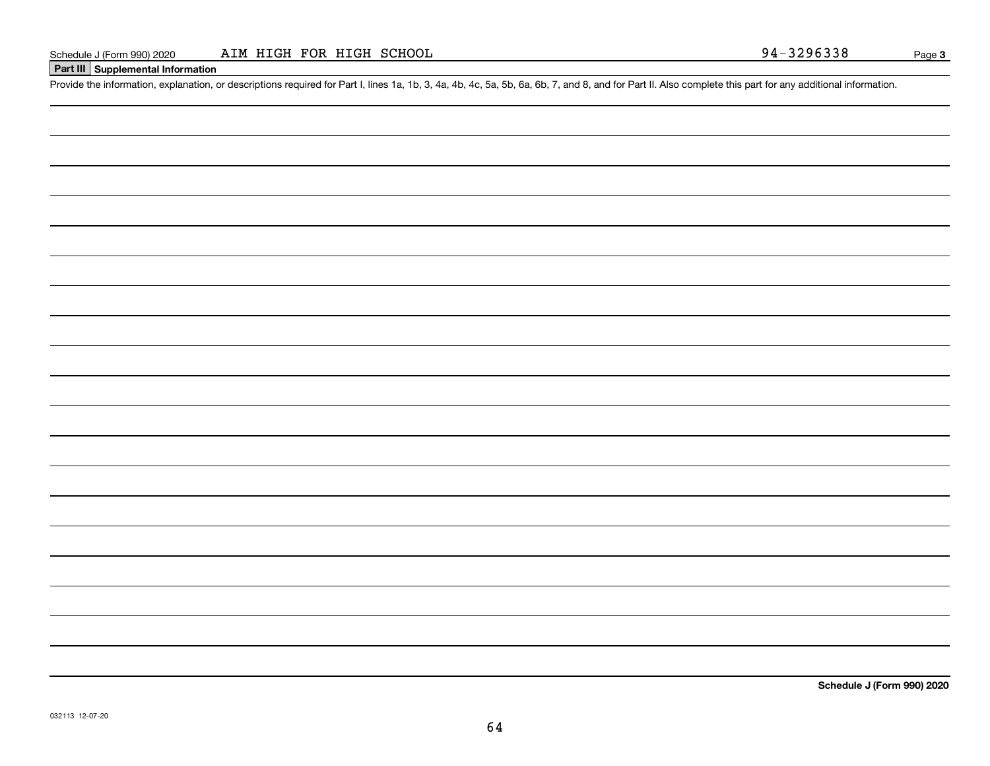# **Part III Supplemental Information**

Schedule J (Form 990) 2020 AIM HIGH FOR HIGH SCHOOL 94-3296338<br>Part III Supplemental Information<br>Provide the information, explanation, or descriptions required for Part I, lines 1a, 1b, 3, 4a, 4b, 4c, 5a, 5b, 6a, 6b, 7, an

**Schedule J (Form 990) 2020**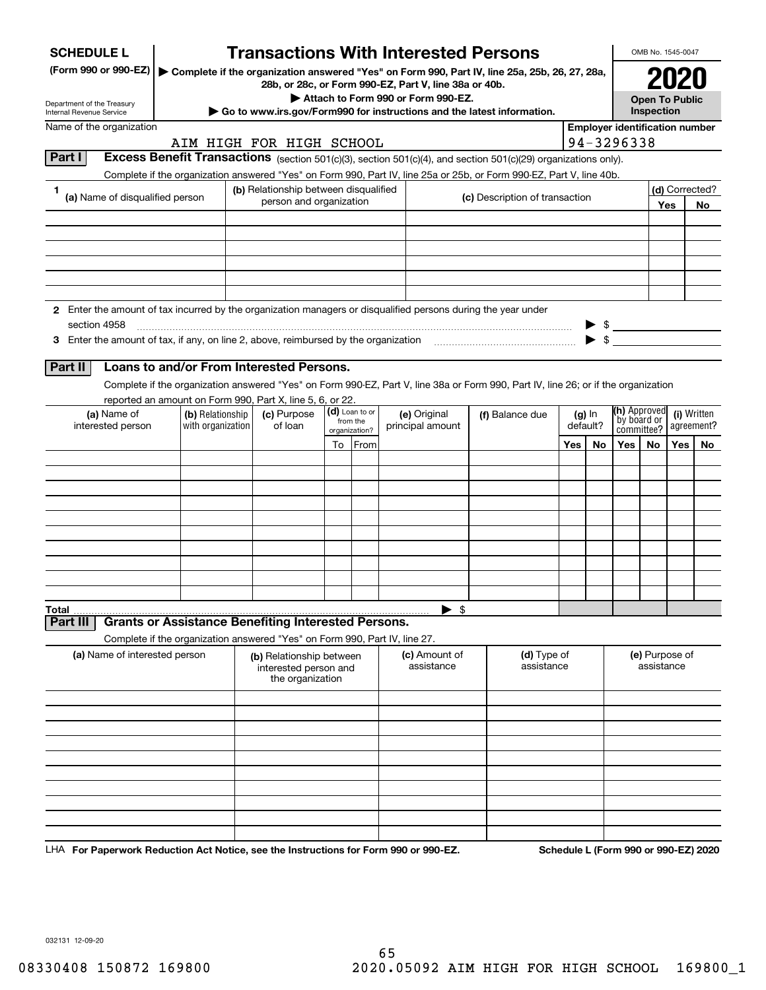| <b>SCHEDULE L</b>                                                                                             |  |         | <b>Transactions With Interested Persons</b>                                                                                                              |                           |                |                                    |                                |     |                      |                                       | OMB No. 1545-0047            |         |                |  |
|---------------------------------------------------------------------------------------------------------------|--|---------|----------------------------------------------------------------------------------------------------------------------------------------------------------|---------------------------|----------------|------------------------------------|--------------------------------|-----|----------------------|---------------------------------------|------------------------------|---------|----------------|--|
| (Form 990 or 990-EZ)                                                                                          |  |         | ▶ Complete if the organization answered "Yes" on Form 990, Part IV, line 25a, 25b, 26, 27, 28a,<br>28b, or 28c, or Form 990-EZ, Part V, line 38a or 40b. |                           |                |                                    |                                |     |                      |                                       |                              |         |                |  |
| Department of the Treasury                                                                                    |  |         |                                                                                                                                                          |                           |                | Attach to Form 990 or Form 990-EZ. |                                |     |                      |                                       | <b>Open To Public</b>        |         |                |  |
| Internal Revenue Service                                                                                      |  |         | Go to www.irs.gov/Form990 for instructions and the latest information.                                                                                   |                           |                |                                    |                                |     |                      |                                       | Inspection                   |         |                |  |
| Name of the organization                                                                                      |  |         |                                                                                                                                                          |                           |                |                                    |                                |     |                      | <b>Employer identification number</b> |                              |         |                |  |
| Part I                                                                                                        |  |         | AIM HIGH FOR HIGH SCHOOL<br>Excess Benefit Transactions (section 501(c)(3), section 501(c)(4), and section 501(c)(29) organizations only).               |                           |                |                                    |                                |     |                      | 94-3296338                            |                              |         |                |  |
|                                                                                                               |  |         | Complete if the organization answered "Yes" on Form 990, Part IV, line 25a or 25b, or Form 990-EZ, Part V, line 40b.                                     |                           |                |                                    |                                |     |                      |                                       |                              |         |                |  |
| 1.                                                                                                            |  |         | (b) Relationship between disqualified                                                                                                                    |                           |                |                                    |                                |     |                      |                                       |                              |         | (d) Corrected? |  |
| (a) Name of disqualified person                                                                               |  |         | person and organization                                                                                                                                  |                           |                |                                    | (c) Description of transaction |     |                      |                                       |                              | Yes     | <b>No</b>      |  |
|                                                                                                               |  |         |                                                                                                                                                          |                           |                |                                    |                                |     |                      |                                       |                              |         |                |  |
|                                                                                                               |  |         |                                                                                                                                                          |                           |                |                                    |                                |     |                      |                                       |                              |         |                |  |
|                                                                                                               |  |         |                                                                                                                                                          |                           |                |                                    |                                |     |                      |                                       |                              |         |                |  |
|                                                                                                               |  |         |                                                                                                                                                          |                           |                |                                    |                                |     |                      |                                       |                              |         |                |  |
|                                                                                                               |  |         |                                                                                                                                                          |                           |                |                                    |                                |     |                      |                                       |                              |         |                |  |
| 2 Enter the amount of tax incurred by the organization managers or disqualified persons during the year under |  |         |                                                                                                                                                          |                           |                |                                    |                                |     |                      |                                       |                              |         |                |  |
| section 4958                                                                                                  |  |         |                                                                                                                                                          |                           |                |                                    |                                |     |                      | $\frac{1}{2}$                         |                              |         |                |  |
| 3 Enter the amount of tax, if any, on line 2, above, reimbursed by the organization                           |  |         |                                                                                                                                                          |                           |                |                                    |                                |     |                      | $\blacktriangleright$ \$              |                              |         |                |  |
|                                                                                                               |  |         |                                                                                                                                                          |                           |                |                                    |                                |     |                      |                                       |                              |         |                |  |
| Part II                                                                                                       |  |         | Loans to and/or From Interested Persons.                                                                                                                 |                           |                |                                    |                                |     |                      |                                       |                              |         |                |  |
|                                                                                                               |  |         | Complete if the organization answered "Yes" on Form 990-EZ, Part V, line 38a or Form 990, Part IV, line 26; or if the organization                       |                           |                |                                    |                                |     |                      |                                       |                              |         |                |  |
|                                                                                                               |  |         | reported an amount on Form 990, Part X, line 5, 6, or 22.<br>(c) Purpose                                                                                 |                           | (d) Loan to or |                                    |                                |     |                      | (h) Approved                          |                              |         | (i) Written    |  |
| (a) Name of<br>(b) Relationship<br>with organization<br>interested person                                     |  | of loan |                                                                                                                                                          | from the<br>organization? |                | (e) Original<br>principal amount   | (f) Balance due                |     | $(g)$ In<br>default? |                                       | by board or<br>committee?    |         | agreement?     |  |
|                                                                                                               |  |         |                                                                                                                                                          |                           | To From        |                                    |                                |     | No                   | Yes  <br>No.                          |                              | Yes $ $ | No             |  |
|                                                                                                               |  |         |                                                                                                                                                          |                           |                |                                    |                                | Yes |                      |                                       |                              |         |                |  |
|                                                                                                               |  |         |                                                                                                                                                          |                           |                |                                    |                                |     |                      |                                       |                              |         |                |  |
|                                                                                                               |  |         |                                                                                                                                                          |                           |                |                                    |                                |     |                      |                                       |                              |         |                |  |
|                                                                                                               |  |         |                                                                                                                                                          |                           |                |                                    |                                |     |                      |                                       |                              |         |                |  |
|                                                                                                               |  |         |                                                                                                                                                          |                           |                |                                    |                                |     |                      |                                       |                              |         |                |  |
|                                                                                                               |  |         |                                                                                                                                                          |                           |                |                                    |                                |     |                      |                                       |                              |         |                |  |
|                                                                                                               |  |         |                                                                                                                                                          |                           |                |                                    |                                |     |                      |                                       |                              |         |                |  |
|                                                                                                               |  |         |                                                                                                                                                          |                           |                |                                    |                                |     |                      |                                       |                              |         |                |  |
|                                                                                                               |  |         |                                                                                                                                                          |                           |                |                                    |                                |     |                      |                                       |                              |         |                |  |
| Total                                                                                                         |  |         |                                                                                                                                                          |                           |                | $\mathfrak{s}$                     |                                |     |                      |                                       |                              |         |                |  |
| Part II                                                                                                       |  |         | <b>Grants or Assistance Benefiting Interested Persons.</b>                                                                                               |                           |                |                                    |                                |     |                      |                                       |                              |         |                |  |
|                                                                                                               |  |         | Complete if the organization answered "Yes" on Form 990, Part IV, line 27.                                                                               |                           |                |                                    |                                |     |                      |                                       |                              |         |                |  |
| (a) Name of interested person                                                                                 |  |         | (b) Relationship between<br>interested person and<br>the organization                                                                                    |                           |                | (c) Amount of<br>assistance        | (d) Type of<br>assistance      |     |                      |                                       | (e) Purpose of<br>assistance |         |                |  |
|                                                                                                               |  |         |                                                                                                                                                          |                           |                |                                    |                                |     |                      |                                       |                              |         |                |  |
|                                                                                                               |  |         |                                                                                                                                                          |                           |                |                                    |                                |     |                      |                                       |                              |         |                |  |
|                                                                                                               |  |         |                                                                                                                                                          |                           |                |                                    |                                |     |                      |                                       |                              |         |                |  |
|                                                                                                               |  |         |                                                                                                                                                          |                           |                |                                    |                                |     |                      |                                       |                              |         |                |  |
|                                                                                                               |  |         |                                                                                                                                                          |                           |                |                                    |                                |     |                      |                                       |                              |         |                |  |
|                                                                                                               |  |         |                                                                                                                                                          |                           |                |                                    |                                |     |                      |                                       |                              |         |                |  |
|                                                                                                               |  |         |                                                                                                                                                          |                           |                |                                    |                                |     |                      |                                       |                              |         |                |  |
|                                                                                                               |  |         |                                                                                                                                                          |                           |                |                                    |                                |     |                      |                                       |                              |         |                |  |
|                                                                                                               |  |         |                                                                                                                                                          |                           |                |                                    |                                |     |                      |                                       |                              |         |                |  |
|                                                                                                               |  |         |                                                                                                                                                          |                           |                |                                    |                                |     |                      |                                       |                              |         |                |  |

LHA For Paperwork Reduction Act Notice, see the Instructions for Form 990 or 990-EZ. Schedule L (Form 990 or 990-EZ) 2020

032131 12-09-20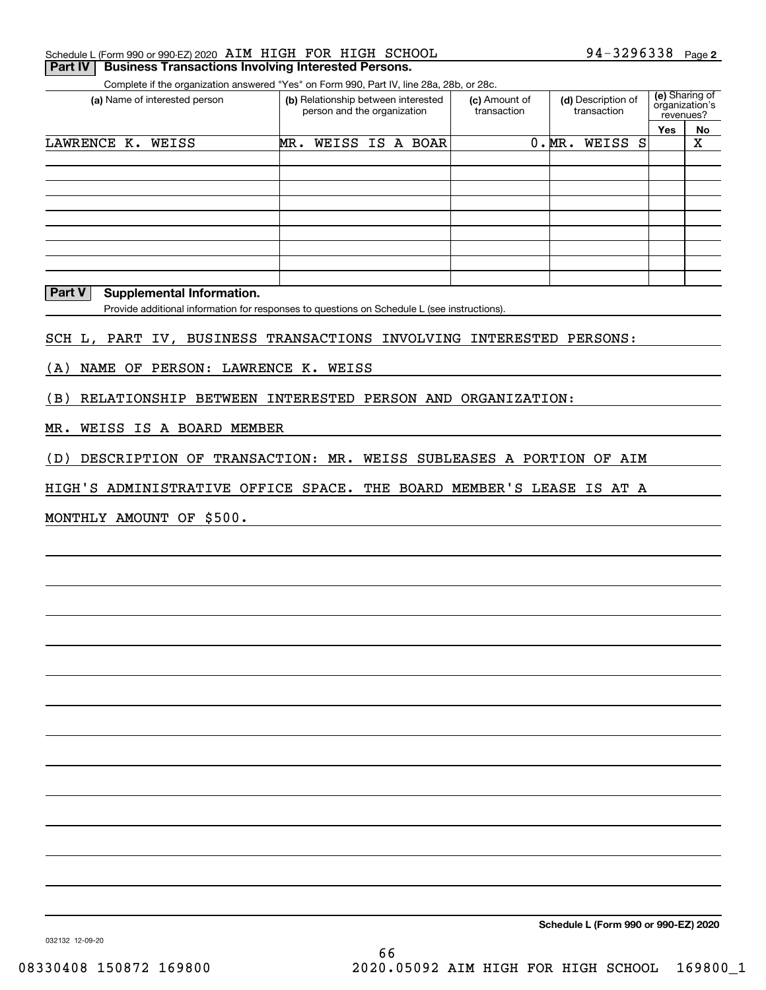| 94-3296338 Page 2<br>Schedule L (Form 990 or 990-EZ) 2020 AIM HIGH FOR HIGH SCHOOL |  |
|------------------------------------------------------------------------------------|--|
|------------------------------------------------------------------------------------|--|

**Part IV** Business Transactions Involving Interested Persons.

Complete if the organization answered "Yes" on Form 990, Part IV, line 28a, 28b, or 28c.

| (a) Name of interested person | (b) Relationship between interested<br>person and the organization | (c) Amount of<br>transaction | (d) Description of<br>transaction | (e) Sharing of<br>organization's<br>revenues? |    |
|-------------------------------|--------------------------------------------------------------------|------------------------------|-----------------------------------|-----------------------------------------------|----|
|                               |                                                                    |                              |                                   | <b>Yes</b>                                    | No |
| LAWRENCE K.<br>WEISS          | WEISS IS A BOAR<br>MR.                                             |                              | 0.MR.<br>WEISS S                  |                                               | Χ  |
|                               |                                                                    |                              |                                   |                                               |    |
|                               |                                                                    |                              |                                   |                                               |    |
|                               |                                                                    |                              |                                   |                                               |    |
|                               |                                                                    |                              |                                   |                                               |    |
|                               |                                                                    |                              |                                   |                                               |    |
|                               |                                                                    |                              |                                   |                                               |    |
|                               |                                                                    |                              |                                   |                                               |    |
|                               |                                                                    |                              |                                   |                                               |    |
|                               |                                                                    |                              |                                   |                                               |    |

#### **Part V** Supplemental Information.

Provide additional information for responses to questions on Schedule L (see instructions).

SCH L, PART IV, BUSINESS TRANSACTIONS INVOLVING INTERESTED PERSONS:

(A) NAME OF PERSON: LAWRENCE K. WEISS

(B) RELATIONSHIP BETWEEN INTERESTED PERSON AND ORGANIZATION:

MR. WEISS IS A BOARD MEMBER

(D) DESCRIPTION OF TRANSACTION: MR. WEISS SUBLEASES A PORTION OF AIM

HIGH'S ADMINISTRATIVE OFFICE SPACE. THE BOARD MEMBER'S LEASE IS AT A

MONTHLY AMOUNT OF \$500.

**Schedule L (Form 990 or 990-EZ) 2020**

032132 12-09-20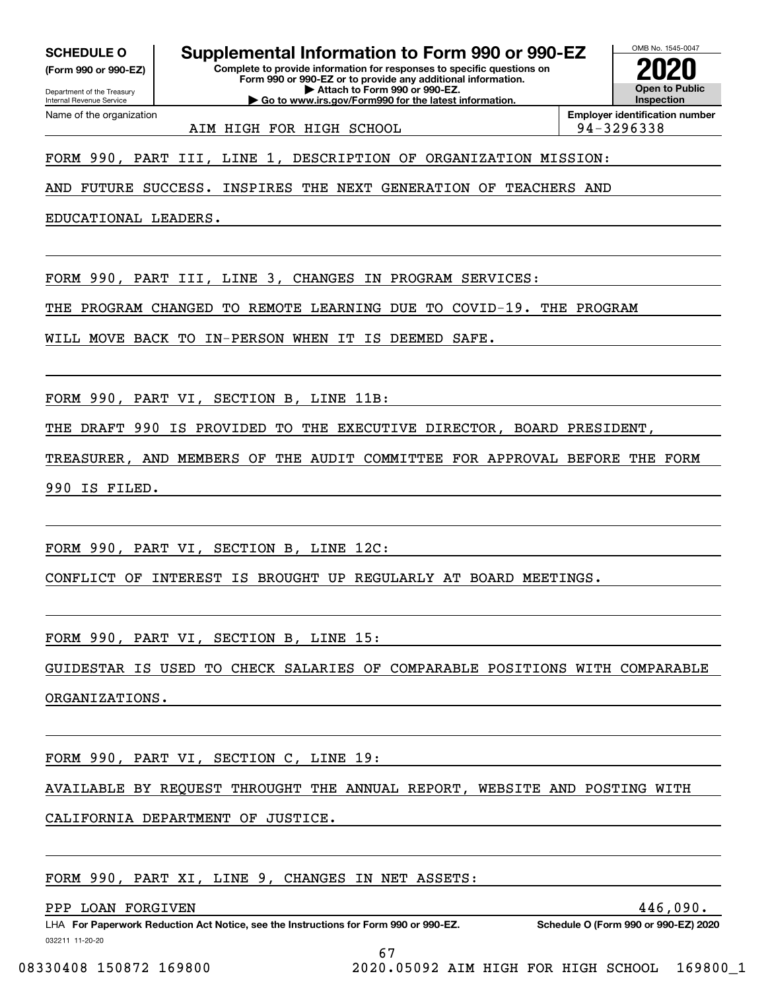**(Form 990 or 990-EZ)**

Name of the organization

Department of the Treasury Internal Revenue Service

**Complete to provide information for responses to specific questions on Form 990 or 990-EZ or to provide any additional information. | Attach to Form 990 or 990-EZ. | Go to www.irs.gov/Form990 for the latest information. SCHEDULE O Supplemental Information to Form 990 or 990-EZ**



AIM HIGH FOR HIGH SCHOOL 94-3296338

FORM 990, PART III, LINE 1, DESCRIPTION OF ORGANIZATION MISSION:

AND FUTURE SUCCESS. INSPIRES THE NEXT GENERATION OF TEACHERS AND

EDUCATIONAL LEADERS.

FORM 990, PART III, LINE 3, CHANGES IN PROGRAM SERVICES:

THE PROGRAM CHANGED TO REMOTE LEARNING DUE TO COVID-19. THE PROGRAM

WILL MOVE BACK TO IN-PERSON WHEN IT IS DEEMED SAFE.

FORM 990, PART VI, SECTION B, LINE 11B:

THE DRAFT 990 IS PROVIDED TO THE EXECUTIVE DIRECTOR, BOARD PRESIDENT,

TREASURER, AND MEMBERS OF THE AUDIT COMMITTEE FOR APPROVAL BEFORE THE FORM 990 IS FILED.

FORM 990, PART VI, SECTION B, LINE 12C:

CONFLICT OF INTEREST IS BROUGHT UP REGULARLY AT BOARD MEETINGS.

FORM 990, PART VI, SECTION B, LINE 15:

GUIDESTAR IS USED TO CHECK SALARIES OF COMPARABLE POSITIONS WITH COMPARABLE ORGANIZATIONS.

FORM 990, PART VI, SECTION C, LINE 19:

AVAILABLE BY REQUEST THROUGHT THE ANNUAL REPORT, WEBSITE AND POSTING WITH

67

CALIFORNIA DEPARTMENT OF JUSTICE.

FORM 990, PART XI, LINE 9, CHANGES IN NET ASSETS:

PPP LOAN FORGIVEN 446,090.

032211 11-20-20 LHA For Paperwork Reduction Act Notice, see the Instructions for Form 990 or 990-EZ. Schedule O (Form 990 or 990-EZ) 2020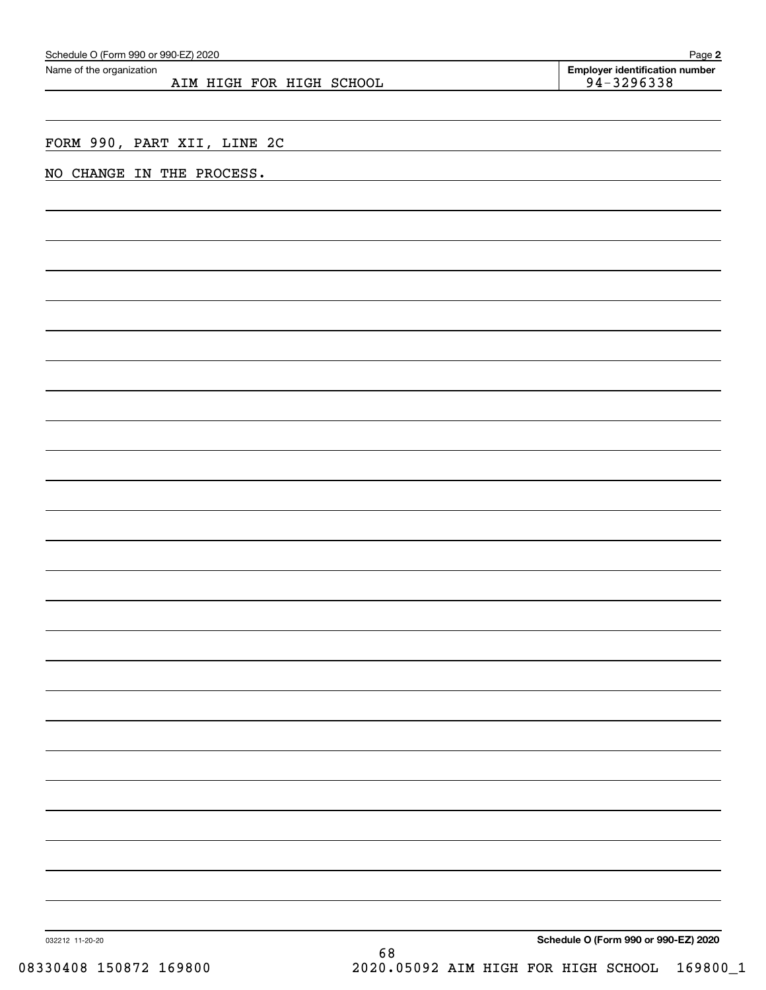| Schedule O (Form 990 or 990-EZ) 2020                 | Page 2                                              |
|------------------------------------------------------|-----------------------------------------------------|
| Name of the organization<br>AIM HIGH FOR HIGH SCHOOL | <b>Employer identification number</b><br>94-3296338 |
|                                                      |                                                     |
|                                                      |                                                     |
| FORM 990, PART XII, LINE 2C                          |                                                     |
| NO CHANGE IN THE PROCESS.                            |                                                     |
|                                                      |                                                     |
|                                                      |                                                     |
|                                                      |                                                     |
|                                                      |                                                     |
|                                                      |                                                     |
|                                                      |                                                     |
|                                                      |                                                     |
|                                                      |                                                     |
|                                                      |                                                     |
|                                                      |                                                     |
|                                                      |                                                     |
|                                                      |                                                     |
|                                                      |                                                     |
|                                                      |                                                     |
|                                                      |                                                     |
|                                                      |                                                     |
|                                                      |                                                     |
|                                                      |                                                     |
|                                                      |                                                     |
|                                                      |                                                     |
|                                                      |                                                     |
|                                                      |                                                     |
|                                                      |                                                     |
|                                                      |                                                     |
|                                                      |                                                     |
|                                                      |                                                     |
|                                                      |                                                     |
|                                                      |                                                     |
|                                                      |                                                     |
|                                                      |                                                     |
|                                                      |                                                     |
|                                                      |                                                     |
|                                                      |                                                     |
|                                                      |                                                     |
|                                                      |                                                     |
| 032212 11-20-20                                      | Schedule O (Form 990 or 990-EZ) 2020<br>68          |